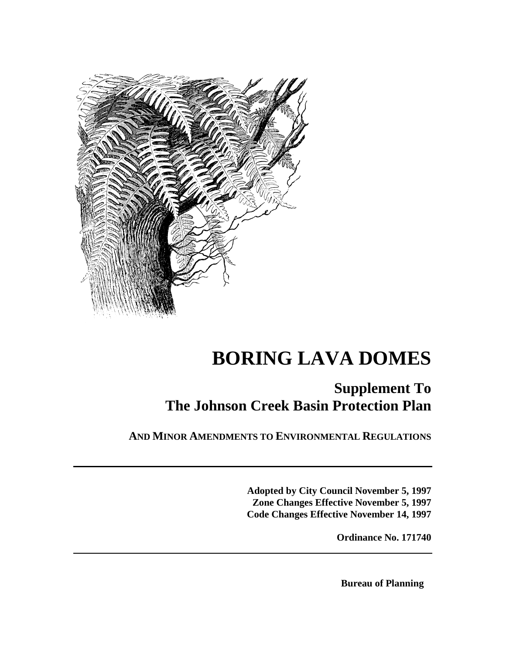

# **BORING LAVA DOMES**

## **Supplement To The Johnson Creek Basin Protection Plan**

**AND MINOR AMENDMENTS TO ENVIRONMENTAL REGULATIONS**

**Adopted by City Council November 5, 1997 Zone Changes Effective November 5, 1997 Code Changes Effective November 14, 1997**

**Ordinance No. 171740**

**Bureau of Planning**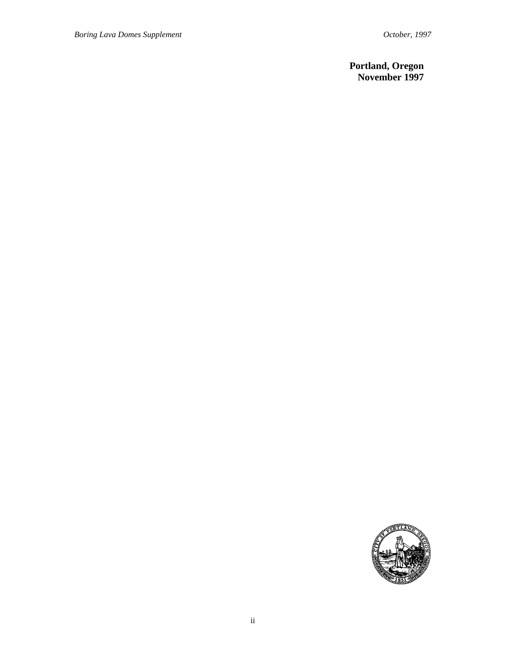### **Portland, Oregon November 1997**

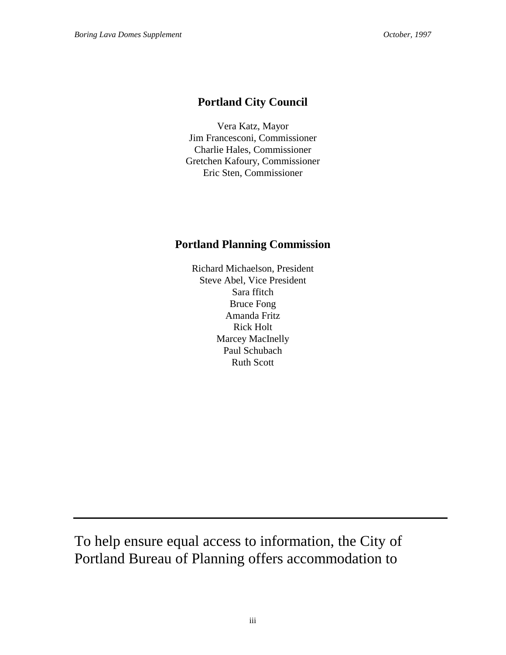### **Portland City Council**

Vera Katz, Mayor Jim Francesconi, Commissioner Charlie Hales, Commissioner Gretchen Kafoury, Commissioner Eric Sten, Commissioner

### **Portland Planning Commission**

Richard Michaelson, President Steve Abel, Vice President Sara ffitch Bruce Fong Amanda Fritz Rick Holt Marcey MacInelly Paul Schubach Ruth Scott

To help ensure equal access to information, the City of Portland Bureau of Planning offers accommodation to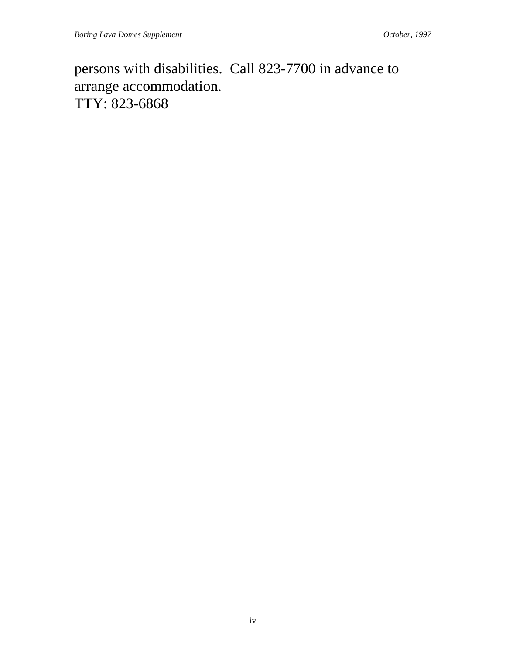persons with disabilities. Call 823-7700 in advance to arrange accommodation. TTY: 823-6868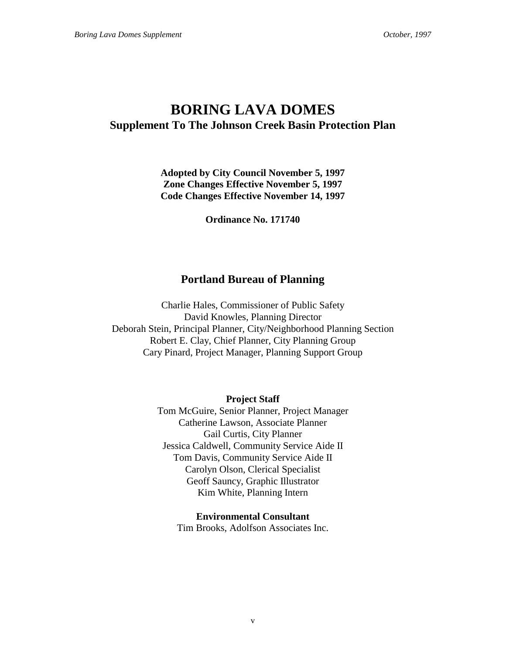### **BORING LAVA DOMES Supplement To The Johnson Creek Basin Protection Plan**

**Adopted by City Council November 5, 1997 Zone Changes Effective November 5, 1997 Code Changes Effective November 14, 1997**

**Ordinance No. 171740**

### **Portland Bureau of Planning**

Charlie Hales, Commissioner of Public Safety David Knowles, Planning Director Deborah Stein, Principal Planner, City/Neighborhood Planning Section Robert E. Clay, Chief Planner, City Planning Group Cary Pinard, Project Manager, Planning Support Group

**Project Staff**

Tom McGuire, Senior Planner, Project Manager Catherine Lawson, Associate Planner Gail Curtis, City Planner Jessica Caldwell, Community Service Aide II Tom Davis, Community Service Aide II Carolyn Olson, Clerical Specialist Geoff Sauncy, Graphic Illustrator Kim White, Planning Intern

**Environmental Consultant** Tim Brooks, Adolfson Associates Inc.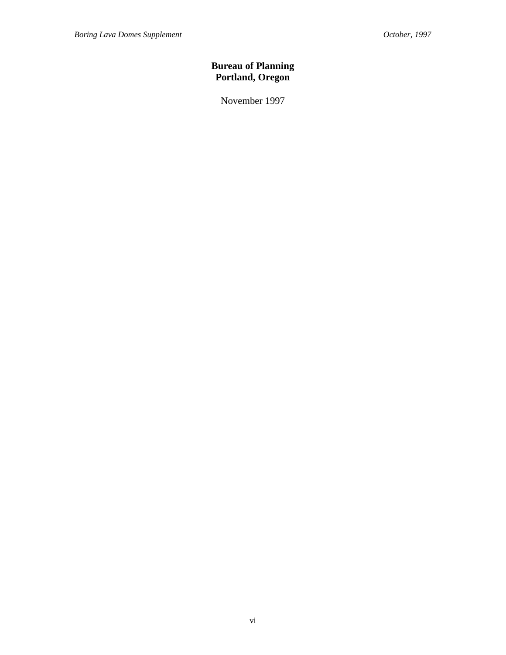### **Bureau of Planning Portland, Oregon**

November 1997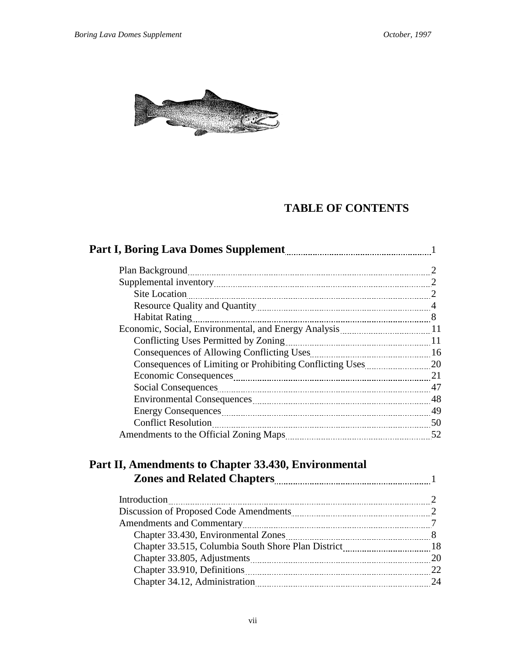

### **TABLE OF CONTENTS**

|                                                                               | 2  |
|-------------------------------------------------------------------------------|----|
|                                                                               |    |
| Site Location 2                                                               |    |
| Resource Quality and Quantity manuscription and 4                             |    |
| <b>Habitat Rating</b>                                                         |    |
|                                                                               |    |
|                                                                               |    |
|                                                                               |    |
|                                                                               |    |
| Economic Consequences <b>manually and the contract of the Consequences</b> 21 |    |
|                                                                               |    |
|                                                                               |    |
|                                                                               | 49 |
|                                                                               |    |
| Amendments to the Official Zoning Maps <b>manufacture</b> 32                  |    |
|                                                                               |    |

### **Part II, Amendments to Chapter 33.430, Environmental Zones and Related Chapters** 1

| Introduction                              |     |
|-------------------------------------------|-----|
| Discussion of Proposed Code Amendments 22 |     |
|                                           |     |
|                                           |     |
|                                           |     |
|                                           | -20 |
| Chapter 33.910, Definitions 22            |     |
|                                           | 24  |
|                                           |     |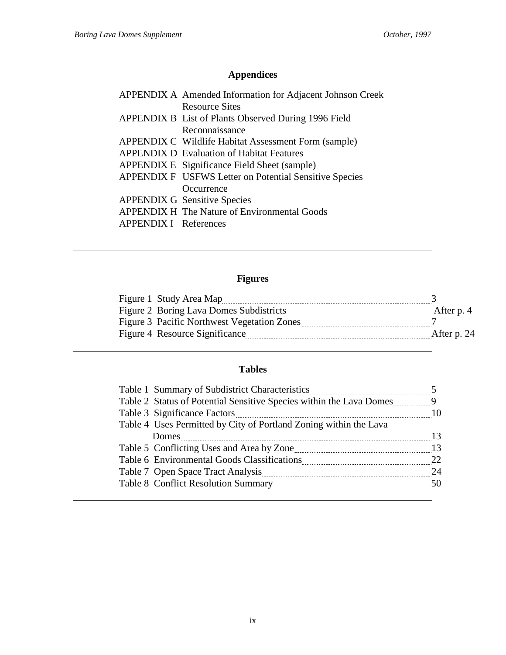## **Appendices**

|                              | APPENDIX A Amended Information for Adjacent Johnson Creek |
|------------------------------|-----------------------------------------------------------|
|                              | <b>Resource Sites</b>                                     |
|                              | APPENDIX B List of Plants Observed During 1996 Field      |
|                              | Reconnaissance                                            |
|                              | APPENDIX C Wildlife Habitat Assessment Form (sample)      |
|                              | <b>APPENDIX D</b> Evaluation of Habitat Features          |
|                              | APPENDIX E Significance Field Sheet (sample)              |
|                              | APPENDIX F USFWS Letter on Potential Sensitive Species    |
|                              | Occurrence                                                |
|                              | <b>APPENDIX G Sensitive Species</b>                       |
|                              | <b>APPENDIX H The Nature of Environmental Goods</b>       |
| <b>APPENDIX I</b> References |                                                           |

### **Figures**

| After p. 4                                                                                                                                                 |
|------------------------------------------------------------------------------------------------------------------------------------------------------------|
|                                                                                                                                                            |
| After p. 24                                                                                                                                                |
| Figure 1 Study Area Map<br>Figure 2 Boring Lava Domes Subdistricts<br><b>Figure 3 Pacific Northwest Vegetation Zones</b><br>Figure 4 Resource Significance |

### **Tables**

| Table 1 Summary of Subdistrict Characteristics                      |    |
|---------------------------------------------------------------------|----|
| Table 2 Status of Potential Sensitive Species within the Lava Domes | 9  |
| Table 3 Significance Factors                                        | 10 |
| Table 4 Uses Permitted by City of Portland Zoning within the Lava   |    |
| Domes                                                               | 13 |
|                                                                     | 13 |
|                                                                     | 22 |
|                                                                     | 24 |
|                                                                     | 50 |
|                                                                     |    |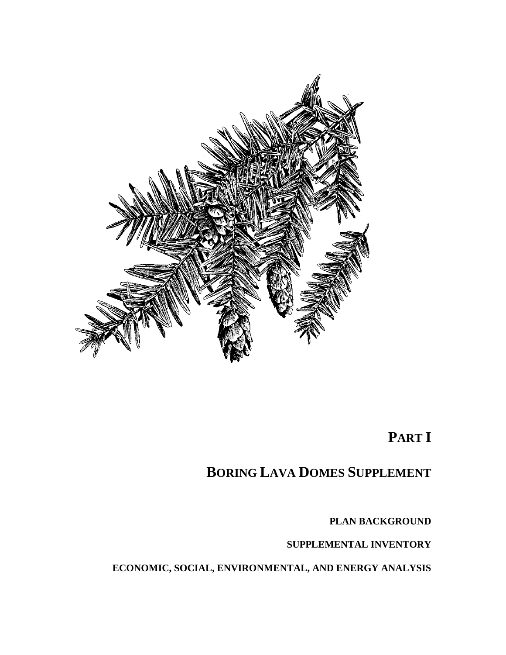

## **PART I**

## **BORING LAVA DOMES SUPPLEMENT**

**PLAN BACKGROUND**

**SUPPLEMENTAL INVENTORY**

**ECONOMIC, SOCIAL, ENVIRONMENTAL, AND ENERGY ANALYSIS**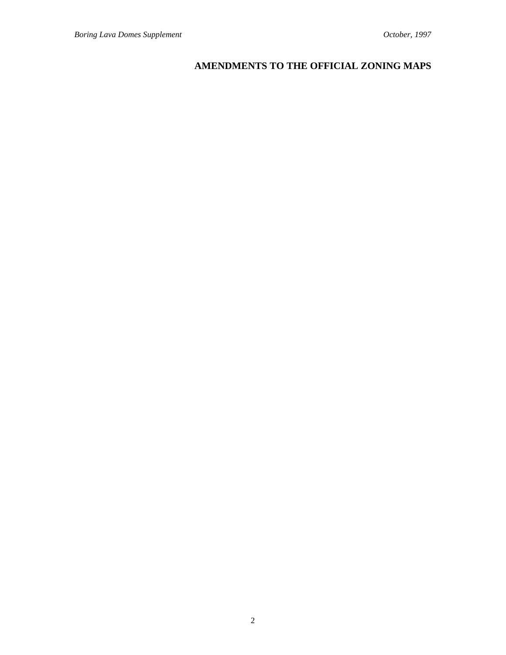### **AMENDMENTS TO THE OFFICIAL ZONING MAPS**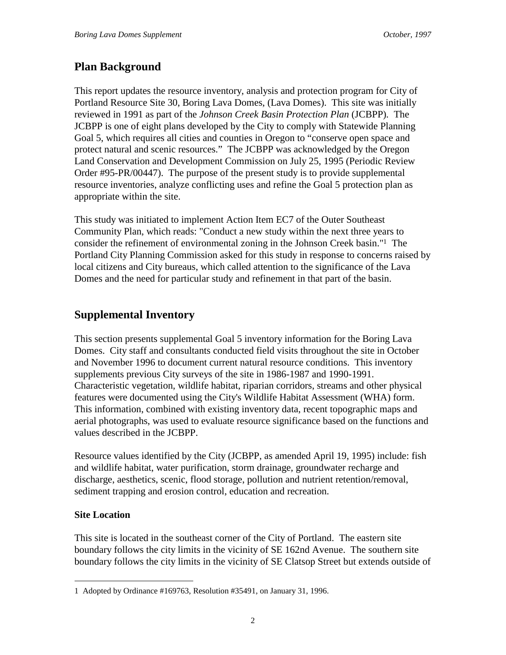### **Plan Background**

This report updates the resource inventory, analysis and protection program for City of Portland Resource Site 30, Boring Lava Domes, (Lava Domes). This site was initially reviewed in 1991 as part of the *Johnson Creek Basin Protection Plan* (JCBPP)*.* The JCBPP is one of eight plans developed by the City to comply with Statewide Planning Goal 5, which requires all cities and counties in Oregon to "conserve open space and protect natural and scenic resources." The JCBPP was acknowledged by the Oregon Land Conservation and Development Commission on July 25, 1995 (Periodic Review Order #95-PR/00447). The purpose of the present study is to provide supplemental resource inventories, analyze conflicting uses and refine the Goal 5 protection plan as appropriate within the site.

This study was initiated to implement Action Item EC7 of the Outer Southeast Community Plan, which reads: "Conduct a new study within the next three years to consider the refinement of environmental zoning in the Johnson Creek basin."1 The Portland City Planning Commission asked for this study in response to concerns raised by local citizens and City bureaus, which called attention to the significance of the Lava Domes and the need for particular study and refinement in that part of the basin.

### **Supplemental Inventory**

This section presents supplemental Goal 5 inventory information for the Boring Lava Domes. City staff and consultants conducted field visits throughout the site in October and November 1996 to document current natural resource conditions. This inventory supplements previous City surveys of the site in 1986-1987 and 1990-1991. Characteristic vegetation, wildlife habitat, riparian corridors, streams and other physical features were documented using the City's Wildlife Habitat Assessment (WHA) form. This information, combined with existing inventory data, recent topographic maps and aerial photographs, was used to evaluate resource significance based on the functions and values described in the JCBPP.

Resource values identified by the City (JCBPP, as amended April 19, 1995) include: fish and wildlife habitat, water purification, storm drainage, groundwater recharge and discharge, aesthetics, scenic, flood storage, pollution and nutrient retention/removal, sediment trapping and erosion control, education and recreation.

#### **Site Location**

 $\overline{a}$ 

This site is located in the southeast corner of the City of Portland. The eastern site boundary follows the city limits in the vicinity of SE 162nd Avenue. The southern site boundary follows the city limits in the vicinity of SE Clatsop Street but extends outside of

<sup>1</sup> Adopted by Ordinance #169763, Resolution #35491, on January 31, 1996.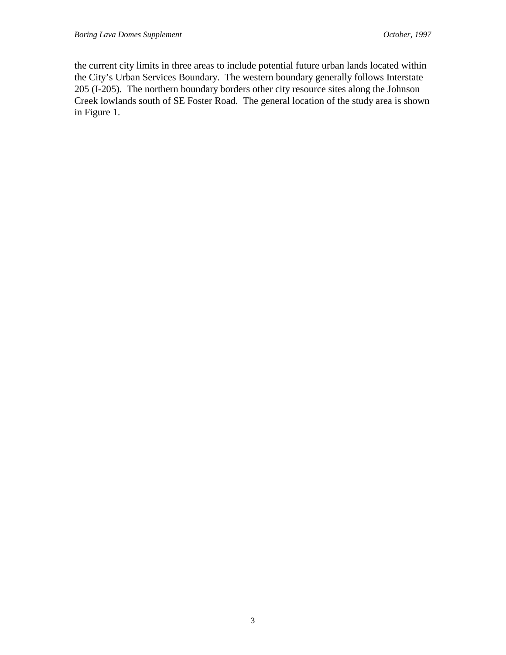the current city limits in three areas to include potential future urban lands located within the City's Urban Services Boundary. The western boundary generally follows Interstate 205 (I-205). The northern boundary borders other city resource sites along the Johnson Creek lowlands south of SE Foster Road. The general location of the study area is shown in Figure 1.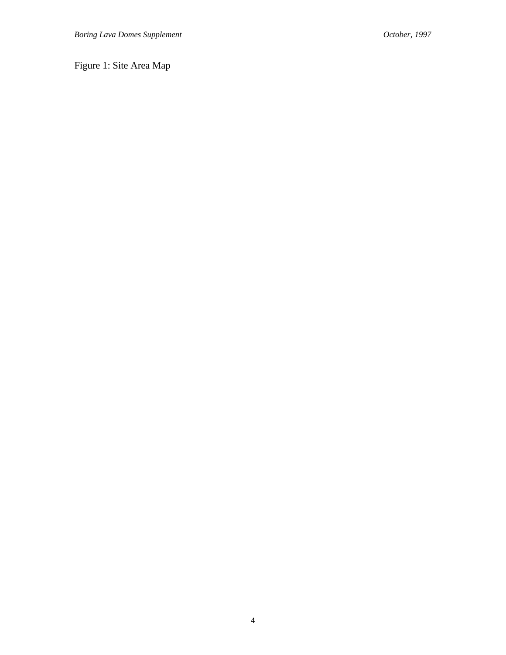Figure 1: Site Area Map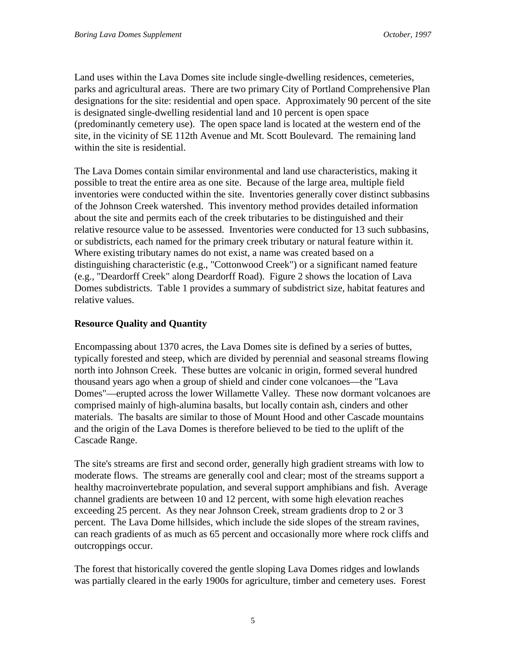Land uses within the Lava Domes site include single-dwelling residences, cemeteries, parks and agricultural areas. There are two primary City of Portland Comprehensive Plan designations for the site: residential and open space. Approximately 90 percent of the site is designated single-dwelling residential land and 10 percent is open space (predominantly cemetery use). The open space land is located at the western end of the site, in the vicinity of SE 112th Avenue and Mt. Scott Boulevard. The remaining land within the site is residential.

The Lava Domes contain similar environmental and land use characteristics, making it possible to treat the entire area as one site. Because of the large area, multiple field inventories were conducted within the site. Inventories generally cover distinct subbasins of the Johnson Creek watershed. This inventory method provides detailed information about the site and permits each of the creek tributaries to be distinguished and their relative resource value to be assessed. Inventories were conducted for 13 such subbasins, or subdistricts, each named for the primary creek tributary or natural feature within it. Where existing tributary names do not exist, a name was created based on a distinguishing characteristic (e.g., "Cottonwood Creek") or a significant named feature (e.g., "Deardorff Creek" along Deardorff Road). Figure 2 shows the location of Lava Domes subdistricts. Table 1 provides a summary of subdistrict size, habitat features and relative values.

### **Resource Quality and Quantity**

Encompassing about 1370 acres, the Lava Domes site is defined by a series of buttes, typically forested and steep, which are divided by perennial and seasonal streams flowing north into Johnson Creek. These buttes are volcanic in origin, formed several hundred thousand years ago when a group of shield and cinder cone volcanoes—the "Lava Domes"—erupted across the lower Willamette Valley. These now dormant volcanoes are comprised mainly of high-alumina basalts, but locally contain ash, cinders and other materials. The basalts are similar to those of Mount Hood and other Cascade mountains and the origin of the Lava Domes is therefore believed to be tied to the uplift of the Cascade Range.

The site's streams are first and second order, generally high gradient streams with low to moderate flows. The streams are generally cool and clear; most of the streams support a healthy macroinvertebrate population, and several support amphibians and fish. Average channel gradients are between 10 and 12 percent, with some high elevation reaches exceeding 25 percent. As they near Johnson Creek, stream gradients drop to 2 or 3 percent. The Lava Dome hillsides, which include the side slopes of the stream ravines, can reach gradients of as much as 65 percent and occasionally more where rock cliffs and outcroppings occur.

The forest that historically covered the gentle sloping Lava Domes ridges and lowlands was partially cleared in the early 1900s for agriculture, timber and cemetery uses. Forest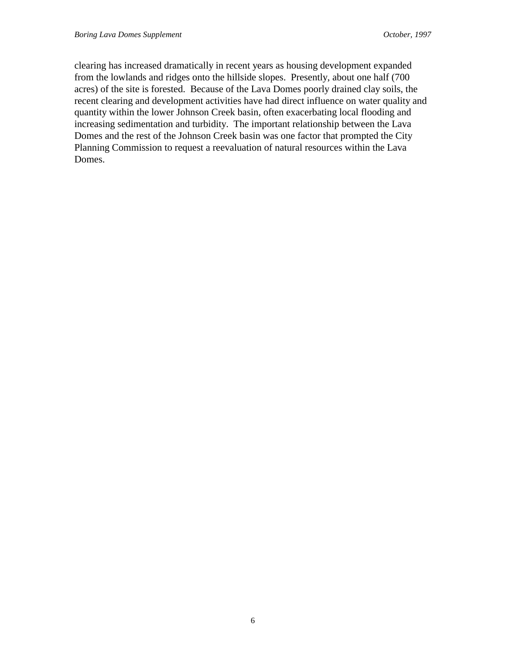clearing has increased dramatically in recent years as housing development expanded from the lowlands and ridges onto the hillside slopes. Presently, about one half (700 acres) of the site is forested. Because of the Lava Domes poorly drained clay soils, the recent clearing and development activities have had direct influence on water quality and quantity within the lower Johnson Creek basin, often exacerbating local flooding and increasing sedimentation and turbidity. The important relationship between the Lava Domes and the rest of the Johnson Creek basin was one factor that prompted the City Planning Commission to request a reevaluation of natural resources within the Lava Domes.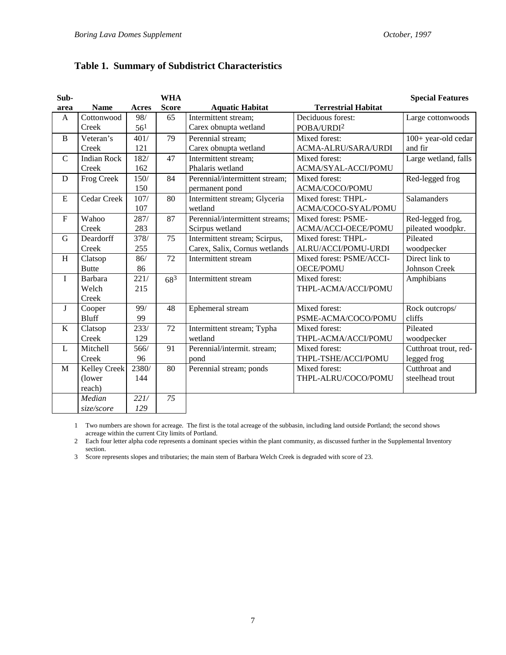### **Table 1. Summary of Subdistrict Characteristics**

| Sub-          |                     |                 | <b>WHA</b>   |                                 |                            | <b>Special Features</b> |
|---------------|---------------------|-----------------|--------------|---------------------------------|----------------------------|-------------------------|
| area          | <b>Name</b>         | <b>Acres</b>    | <b>Score</b> | <b>Aquatic Habitat</b>          | <b>Terrestrial Habitat</b> |                         |
| A             | Cottonwood          | 98/             | 65           | Intermittent stream;            | Deciduous forest:          | Large cottonwoods       |
|               | Creek               | 56 <sup>1</sup> |              | Carex obnupta wetland           | POBA/URDI <sup>2</sup>     |                         |
| B             | Veteran's           | 401/            | 79           | Perennial stream;               | Mixed forest:              | 100+ year-old cedar     |
|               | Creek               | 121             |              | Carex obnupta wetland           | ACMA-ALRU/SARA/URDI        | and fir                 |
| $\mathcal{C}$ | <b>Indian Rock</b>  | 182/            | 47           | Intermittent stream;            | Mixed forest:              | Large wetland, falls    |
|               | Creek               | 162             |              | Phalaris wetland                | ACMA/SYAL-ACCI/POMU        |                         |
| D             | Frog Creek          | 150/            | 84           | Perennial/intermittent stream;  | Mixed forest:              | Red-legged frog         |
|               |                     | 150             |              | permanent pond                  | ACMA/COCO/POMU             |                         |
| ${\bf E}$     | Cedar Creek         | 107/            | 80           | Intermittent stream; Glyceria   | Mixed forest: THPL-        | Salamanders             |
|               |                     | 107             |              | wetland                         | ACMA/COCO-SYAL/POMU        |                         |
| $\mathbf F$   | Wahoo               | 287/            | 87           | Perennial/intermittent streams; | Mixed forest: PSME-        | Red-legged frog,        |
|               | Creek               | 283             |              | Scirpus wetland                 | ACMA/ACCI-OECE/POMU        | pileated woodpkr.       |
| G             | Deardorff           | 378/            | 75           | Intermittent stream; Scirpus,   | Mixed forest: THPL-        | Pileated                |
|               | Creek               | 255             |              | Carex, Salix, Cornus wetlands   | ALRU/ACCI/POMU-URDI        | woodpecker              |
| H             | Clatsop             | 86/             | 72           | Intermittent stream             | Mixed forest: PSME/ACCI-   | Direct link to          |
|               | <b>Butte</b>        | 86              |              |                                 | <b>OECE/POMU</b>           | <b>Johnson Creek</b>    |
| I             | <b>Barbara</b>      | 221/            | $68^{3}$     | Intermittent stream             | Mixed forest:              | Amphibians              |
|               | Welch               | 215             |              |                                 | THPL-ACMA/ACCI/POMU        |                         |
|               | Creek               |                 |              |                                 |                            |                         |
| J             | Cooper              | 99/             | 48           | Ephemeral stream                | Mixed forest:              | Rock outcrops/          |
|               | <b>Bluff</b>        | 99              |              |                                 | PSME-ACMA/COCO/POMU        | cliffs                  |
| K             | Clatsop             | 233/            | 72           | Intermittent stream; Typha      | Mixed forest:              | Pileated                |
|               | Creek               | 129             |              | wetland                         | THPL-ACMA/ACCI/POMU        | woodpecker              |
| $\mathbf{L}$  | Mitchell            | 566/            | 91           | Perennial/intermit. stream;     | Mixed forest:              | Cutthroat trout, red-   |
|               | Creek               | 96              |              | pond                            | THPL-TSHE/ACCI/POMU        | legged frog             |
| M             | <b>Kelley Creek</b> | 2380/           | 80           | Perennial stream; ponds         | Mixed forest:              | Cutthroat and           |
|               | (lower              | 144             |              |                                 | THPL-ALRU/COCO/POMU        | steelhead trout         |
|               | reach)              |                 |              |                                 |                            |                         |
|               | Median              | 221/            | 75           |                                 |                            |                         |
|               | size/score          | 129             |              |                                 |                            |                         |

1 Two numbers are shown for acreage. The first is the total acreage of the subbasin, including land outside Portland; the second shows acreage within the current City limits of Portland.

2 Each four letter alpha code represents a dominant species within the plant community, as discussed further in the Supplemental Inventory section.

3 Score represents slopes and tributaries; the main stem of Barbara Welch Creek is degraded with score of 23.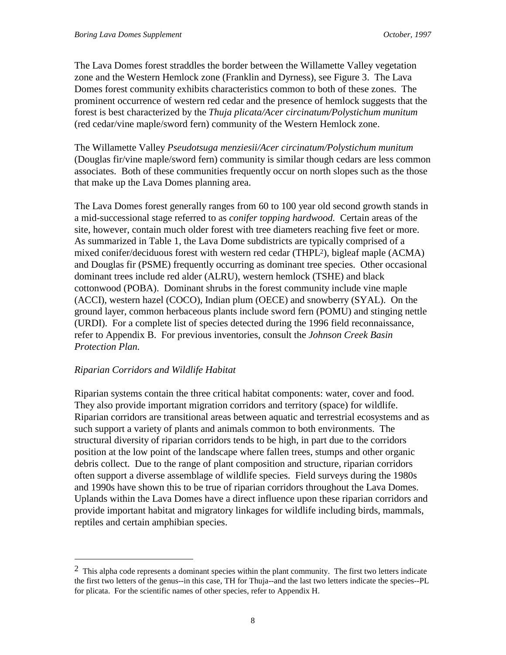The Lava Domes forest straddles the border between the Willamette Valley vegetation zone and the Western Hemlock zone (Franklin and Dyrness), see Figure 3. The Lava Domes forest community exhibits characteristics common to both of these zones. The prominent occurrence of western red cedar and the presence of hemlock suggests that the forest is best characterized by the *Thuja plicata/Acer circinatum/Polystichum munitum* (red cedar/vine maple/sword fern) community of the Western Hemlock zone.

The Willamette Valley *Pseudotsuga menziesii/Acer circinatum/Polystichum munitum* (Douglas fir/vine maple/sword fern) community is similar though cedars are less common associates. Both of these communities frequently occur on north slopes such as the those that make up the Lava Domes planning area.

The Lava Domes forest generally ranges from 60 to 100 year old second growth stands in a mid-successional stage referred to as *conifer topping hardwood.* Certain areas of the site, however, contain much older forest with tree diameters reaching five feet or more. As summarized in Table 1, the Lava Dome subdistricts are typically comprised of a mixed conifer/deciduous forest with western red cedar (THPL2), bigleaf maple (ACMA) and Douglas fir (PSME) frequently occurring as dominant tree species. Other occasional dominant trees include red alder (ALRU), western hemlock (TSHE) and black cottonwood (POBA). Dominant shrubs in the forest community include vine maple (ACCI), western hazel (COCO), Indian plum (OECE) and snowberry (SYAL). On the ground layer, common herbaceous plants include sword fern (POMU) and stinging nettle (URDI). For a complete list of species detected during the 1996 field reconnaissance, refer to Appendix B. For previous inventories, consult the *Johnson Creek Basin Protection Plan.*

#### *Riparian Corridors and Wildlife Habitat*

 $\overline{a}$ 

Riparian systems contain the three critical habitat components: water, cover and food. They also provide important migration corridors and territory (space) for wildlife. Riparian corridors are transitional areas between aquatic and terrestrial ecosystems and as such support a variety of plants and animals common to both environments. The structural diversity of riparian corridors tends to be high, in part due to the corridors position at the low point of the landscape where fallen trees, stumps and other organic debris collect. Due to the range of plant composition and structure, riparian corridors often support a diverse assemblage of wildlife species. Field surveys during the 1980s and 1990s have shown this to be true of riparian corridors throughout the Lava Domes. Uplands within the Lava Domes have a direct influence upon these riparian corridors and provide important habitat and migratory linkages for wildlife including birds, mammals, reptiles and certain amphibian species.

 $2$  This alpha code represents a dominant species within the plant community. The first two letters indicate the first two letters of the genus--in this case, TH for Thuja--and the last two letters indicate the species--PL for plicata. For the scientific names of other species, refer to Appendix H.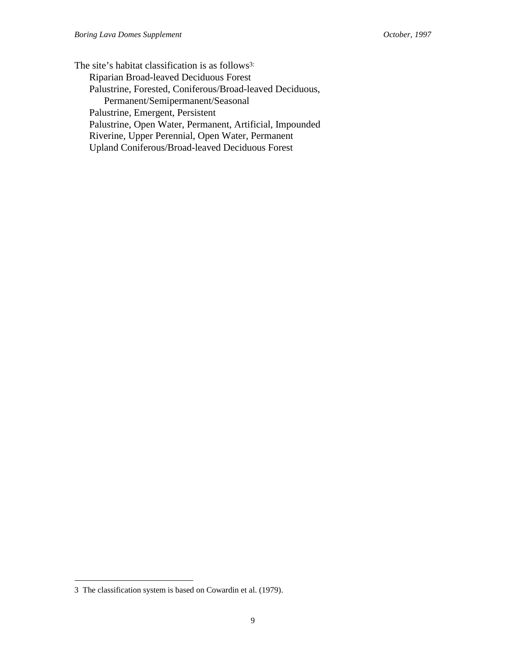The site's habitat classification is as follows<sup>3:</sup> Riparian Broad-leaved Deciduous Forest Palustrine, Forested, Coniferous/Broad-leaved Deciduous, Permanent/Semipermanent/Seasonal Palustrine, Emergent, Persistent Palustrine, Open Water, Permanent, Artificial, Impounded Riverine, Upper Perennial, Open Water, Permanent Upland Coniferous/Broad-leaved Deciduous Forest

 $\overline{a}$ 

<sup>3</sup> The classification system is based on Cowardin et al. (1979).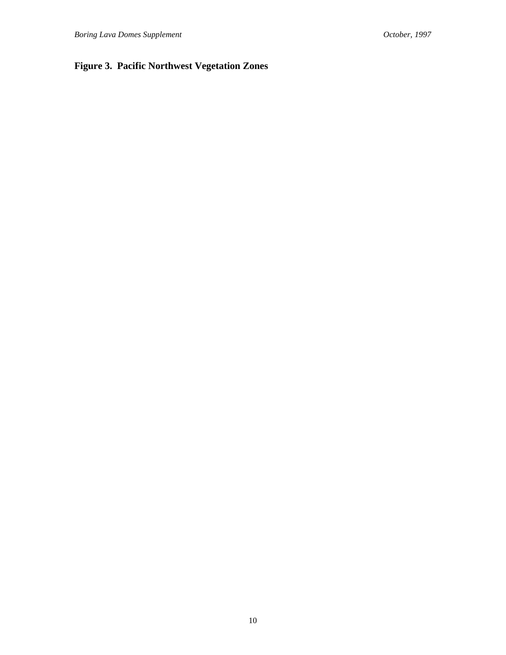### **Figure 3. Pacific Northwest Vegetation Zones**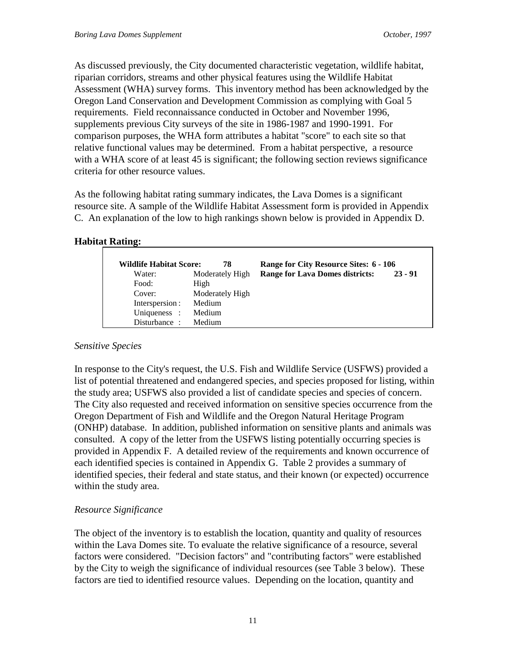As discussed previously, the City documented characteristic vegetation, wildlife habitat, riparian corridors, streams and other physical features using the Wildlife Habitat Assessment (WHA) survey forms. This inventory method has been acknowledged by the Oregon Land Conservation and Development Commission as complying with Goal 5 requirements. Field reconnaissance conducted in October and November 1996, supplements previous City surveys of the site in 1986-1987 and 1990-1991. For comparison purposes, the WHA form attributes a habitat "score" to each site so that relative functional values may be determined. From a habitat perspective, a resource with a WHA score of at least 45 is significant; the following section reviews significance criteria for other resource values.

As the following habitat rating summary indicates, the Lava Domes is a significant resource site. A sample of the Wildlife Habitat Assessment form is provided in Appendix C. An explanation of the low to high rankings shown below is provided in Appendix D.

#### **Habitat Rating:**

| <b>Wildlife Habitat Score:</b> | 78              | Range for City Resource Sites: 6 - 106 |           |
|--------------------------------|-----------------|----------------------------------------|-----------|
| Water:                         | Moderately High | <b>Range for Lava Domes districts:</b> | $23 - 91$ |
| Food:                          | High            |                                        |           |
| Cover:                         | Moderately High |                                        |           |
| Interspersion :                | Medium          |                                        |           |
| Uniqueness :                   | Medium          |                                        |           |
| Disturbance:                   | Medium          |                                        |           |

#### *Sensitive Species*

In response to the City's request, the U.S. Fish and Wildlife Service (USFWS) provided a list of potential threatened and endangered species, and species proposed for listing, within the study area; USFWS also provided a list of candidate species and species of concern. The City also requested and received information on sensitive species occurrence from the Oregon Department of Fish and Wildlife and the Oregon Natural Heritage Program (ONHP) database. In addition, published information on sensitive plants and animals was consulted. A copy of the letter from the USFWS listing potentially occurring species is provided in Appendix F. A detailed review of the requirements and known occurrence of each identified species is contained in Appendix G. Table 2 provides a summary of identified species, their federal and state status, and their known (or expected) occurrence within the study area.

#### *Resource Significance*

The object of the inventory is to establish the location, quantity and quality of resources within the Lava Domes site. To evaluate the relative significance of a resource, several factors were considered. "Decision factors" and "contributing factors" were established by the City to weigh the significance of individual resources (see Table 3 below). These factors are tied to identified resource values. Depending on the location, quantity and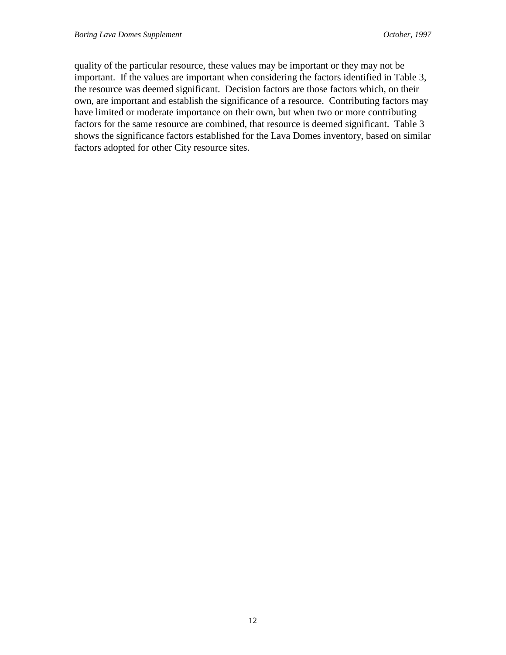quality of the particular resource, these values may be important or they may not be important. If the values are important when considering the factors identified in Table 3, the resource was deemed significant. Decision factors are those factors which, on their own, are important and establish the significance of a resource. Contributing factors may have limited or moderate importance on their own, but when two or more contributing factors for the same resource are combined, that resource is deemed significant. Table 3 shows the significance factors established for the Lava Domes inventory, based on similar factors adopted for other City resource sites.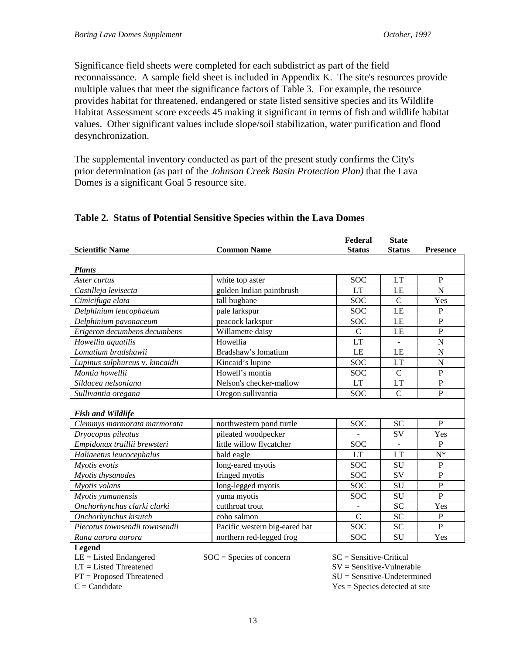Significance field sheets were completed for each subdistrict as part of the field reconnaissance. A sample field sheet is included in Appendix K. The site's resources provide multiple values that meet the significance factors of Table 3. For example, the resource provides habitat for threatened, endangered or state listed sensitive species and its Wildlife Habitat Assessment score exceeds 45 making it significant in terms of fish and wildlife habitat values. Other significant values include slope/soil stabilization, water purification and flood desynchronization.

The supplemental inventory conducted as part of the present study confirms the City's prior determination (as part of the *Johnson Creek Basin Protection Plan)* that the Lava Domes is a significant Goal 5 resource site.

| <b>Scientific Name</b>                                  | <b>Common Name</b>            | Federal<br><b>Status</b> | <b>State</b><br><b>Status</b> | <b>Presence</b> |  |  |  |
|---------------------------------------------------------|-------------------------------|--------------------------|-------------------------------|-----------------|--|--|--|
|                                                         |                               |                          |                               |                 |  |  |  |
| <b>Plants</b>                                           |                               |                          |                               |                 |  |  |  |
| Aster curtus                                            | white top aster               | <b>SOC</b>               | <b>LT</b>                     | $\mathbf{P}$    |  |  |  |
| Castilleja levisecta                                    | golden Indian paintbrush      | <b>LT</b>                | LE                            | N               |  |  |  |
| Cimicifuga elata                                        | tall bugbane                  | <b>SOC</b>               | $\mathcal{C}$                 | Yes             |  |  |  |
| Delphinium leucophaeum                                  | pale larkspur                 | <b>SOC</b>               | LE                            | $\, {\bf P}$    |  |  |  |
| Delphinium pavonaceum                                   | peacock larkspur              | <b>SOC</b>               | LE                            | $\overline{P}$  |  |  |  |
| Erigeron decumbens decumbens                            | Willamette daisy              | $\overline{C}$           | LE                            | $\overline{P}$  |  |  |  |
| Howellia aquatilis                                      | Howellia                      | LT                       |                               | $\mathbf N$     |  |  |  |
| Lomatium bradshawii                                     | Bradshaw's lomatium           | LE                       | LE                            | $\mathbf N$     |  |  |  |
| Lupinus sulphureus v. kincaidii                         | Kincaid's lupine              | <b>SOC</b>               | LT                            | $\mathbf N$     |  |  |  |
| Montia howellii                                         | Howell's montia               | <b>SOC</b>               | $\overline{C}$                | $\, {\bf P}$    |  |  |  |
| Sildacea nelsoniana                                     | Nelson's checker-mallow       | <b>LT</b>                | <b>LT</b>                     | $\mathbf{P}$    |  |  |  |
| Sullivantia oregana                                     | Oregon sullivantia            | <b>SOC</b>               | $\mathbf C$                   | $\, {\bf P}$    |  |  |  |
|                                                         |                               |                          |                               |                 |  |  |  |
| <b>Fish and Wildlife</b><br>Clemmys marmorata marmorata | northwestern pond turtle      | <b>SOC</b>               | <b>SC</b>                     | $\mathbf{P}$    |  |  |  |
| Dryocopus pileatus                                      | pileated woodpecker           |                          | <b>SV</b>                     | Yes             |  |  |  |
| Empidonax traillii brewsteri                            | little willow flycatcher      | <b>SOC</b>               |                               | $\mathbf{P}$    |  |  |  |
| Haliaeetus leucocephalus                                | bald eagle                    | <b>LT</b>                | <b>LT</b>                     | $N^*$           |  |  |  |
| Myotis evotis                                           | long-eared myotis             | <b>SOC</b>               | <b>SU</b>                     | $\overline{P}$  |  |  |  |
| Myotis thysanodes                                       | fringed myotis                | <b>SOC</b>               | SV                            | $\mathbf{P}$    |  |  |  |
| Myotis volans                                           | long-legged myotis            | <b>SOC</b>               | SU                            | $\, {\bf P}$    |  |  |  |
| Myotis yumanensis                                       | yuma myotis                   | <b>SOC</b>               | SU                            | $\mathbf{P}$    |  |  |  |
| Onchorhynchus clarki clarki                             | cutthroat trout               |                          | <b>SC</b>                     | Yes             |  |  |  |
|                                                         | coho salmon                   | $\overline{C}$           | <b>SC</b>                     | $\mathbf{P}$    |  |  |  |
| Onchorhynchus kisutch                                   |                               |                          |                               | $\mathbf{P}$    |  |  |  |
| Plecotus townsendii townsendii                          | Pacific western big-eared bat | <b>SOC</b>               | SC                            |                 |  |  |  |
| Rana aurora aurora<br>$I_{\alpha\alpha\alpha\gamma}$    | northern red-legged frog      | SOC                      | SU                            | Yes             |  |  |  |

#### **Table 2. Status of Potential Sensitive Species within the Lava Domes**

**Legend**

LE = Listed Endangered LT = Listed Threatened

 $SOC = Species of concern$   $SC = Sensitive-Critical$ 

SV = Sensitive-Vulnerable SU = Sensitive-Undetermined Yes = Species detected at site

PT = Proposed Threatened  $C =$ Candidate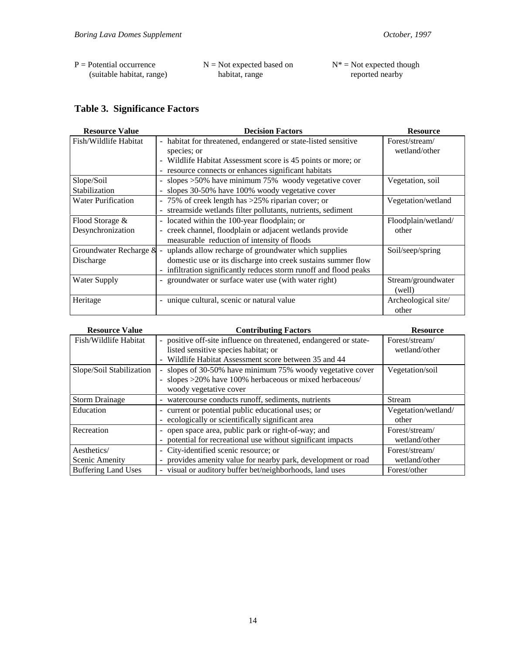| $P =$ Potential occurrence | $N = Not$ expected based on | $N^*$ = Not expected though |
|----------------------------|-----------------------------|-----------------------------|
| (suitable habitat, range)  | habitat, range              | reported nearby             |

### **Table 3. Significance Factors**

| <b>Resource Value</b>     | <b>Decision Factors</b>                                                         | <b>Resource</b>     |
|---------------------------|---------------------------------------------------------------------------------|---------------------|
| Fish/Wildlife Habitat     | habitat for threatened, endangered or state-listed sensitive<br>$\blacksquare$  | Forest/stream/      |
|                           | species; or                                                                     | wetland/other       |
|                           | Wildlife Habitat Assessment score is 45 points or more; or                      |                     |
|                           | resource connects or enhances significant habitats<br>$\overline{\phantom{a}}$  |                     |
| Slope/Soil                | - slopes > 50% have minimum 75% woody vegetative cover                          | Vegetation, soil    |
| Stabilization             | slopes 30-50% have 100% woody vegetative cover                                  |                     |
| <b>Water Purification</b> | - 75% of creek length has >25% riparian cover; or                               | Vegetation/wetland  |
|                           | streamside wetlands filter pollutants, nutrients, sediment<br>$\blacksquare$    |                     |
| Flood Storage &           | located within the 100-year floodplain; or<br>$\blacksquare$                    | Floodplain/wetland/ |
| Desynchronization         | creek channel, floodplain or adjacent wetlands provide<br>$\blacksquare$        | other               |
|                           | measurable reduction of intensity of floods                                     |                     |
| Groundwater Recharge &    | uplands allow recharge of groundwater which supplies                            | Soil/seep/spring    |
| Discharge                 | domestic use or its discharge into creek sustains summer flow                   |                     |
|                           | infiltration significantly reduces storm runoff and flood peaks                 |                     |
| Water Supply              | groundwater or surface water use (with water right)<br>$\overline{\phantom{a}}$ | Stream/groundwater  |
|                           |                                                                                 | (well)              |
| Heritage                  | unique cultural, scenic or natural value                                        | Archeological site/ |
|                           |                                                                                 | other               |

| <b>Resource Value</b>      | <b>Contributing Factors</b>                                                          | <b>Resource</b>     |
|----------------------------|--------------------------------------------------------------------------------------|---------------------|
| Fish/Wildlife Habitat      | positive off-site influence on threatened, endangered or state-                      | Forest/stream/      |
|                            | listed sensitive species habitat; or                                                 | wetland/other       |
|                            | Wildlife Habitat Assessment score between 35 and 44                                  |                     |
| Slope/Soil Stabilization   | slopes of 30-50% have minimum 75% woody vegetative cover<br>$\overline{\phantom{a}}$ | Vegetation/soil     |
|                            | - slopes >20% have 100% herbaceous or mixed herbaceous/                              |                     |
|                            | woody vegetative cover                                                               |                     |
| <b>Storm Drainage</b>      | watercourse conducts runoff, sediments, nutrients<br>$\overline{\phantom{a}}$        | Stream              |
| Education                  | current or potential public educational uses; or<br>÷.                               | Vegetation/wetland/ |
|                            | ecologically or scientifically significant area                                      | other               |
| Recreation                 | - open space area, public park or right-of-way; and                                  | Forest/stream/      |
|                            | potential for recreational use without significant impacts                           | wetland/other       |
| Aesthetics/                | City-identified scenic resource; or<br>$\blacksquare$                                | Forest/stream/      |
| Scenic Amenity             | provides amenity value for nearby park, development or road                          | wetland/other       |
| <b>Buffering Land Uses</b> | - visual or auditory buffer bet/neighborhoods, land uses                             | Forest/other        |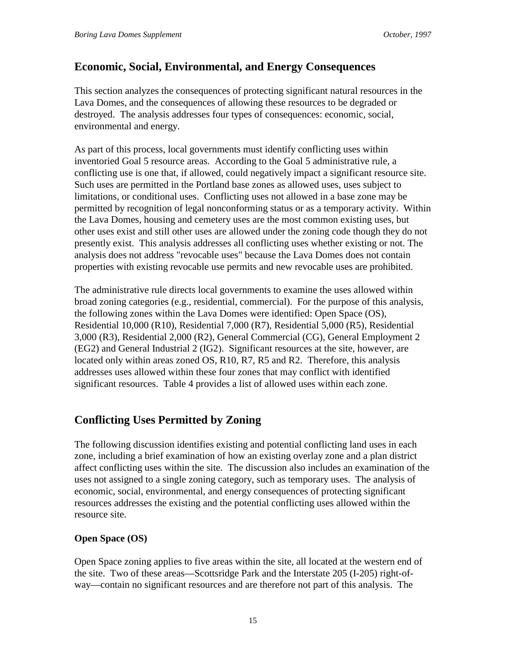### **Economic, Social, Environmental, and Energy Consequences**

This section analyzes the consequences of protecting significant natural resources in the Lava Domes, and the consequences of allowing these resources to be degraded or destroyed. The analysis addresses four types of consequences: economic, social, environmental and energy.

As part of this process, local governments must identify conflicting uses within inventoried Goal 5 resource areas. According to the Goal 5 administrative rule, a conflicting use is one that, if allowed, could negatively impact a significant resource site. Such uses are permitted in the Portland base zones as allowed uses, uses subject to limitations, or conditional uses. Conflicting uses not allowed in a base zone may be permitted by recognition of legal nonconforming status or as a temporary activity. Within the Lava Domes, housing and cemetery uses are the most common existing uses, but other uses exist and still other uses are allowed under the zoning code though they do not presently exist. This analysis addresses all conflicting uses whether existing or not. The analysis does not address "revocable uses" because the Lava Domes does not contain properties with existing revocable use permits and new revocable uses are prohibited.

The administrative rule directs local governments to examine the uses allowed within broad zoning categories (e.g., residential, commercial). For the purpose of this analysis, the following zones within the Lava Domes were identified: Open Space (OS), Residential 10,000 (R10), Residential 7,000 (R7), Residential 5,000 (R5), Residential 3,000 (R3), Residential 2,000 (R2), General Commercial (CG), General Employment 2 (EG2) and General Industrial 2 (IG2). Significant resources at the site, however, are located only within areas zoned OS, R<sub>10</sub>, R<sub>7</sub>, R<sub>5</sub> and R<sub>2</sub>. Therefore, this analysis addresses uses allowed within these four zones that may conflict with identified significant resources. Table 4 provides a list of allowed uses within each zone.

### **Conflicting Uses Permitted by Zoning**

The following discussion identifies existing and potential conflicting land uses in each zone, including a brief examination of how an existing overlay zone and a plan district affect conflicting uses within the site. The discussion also includes an examination of the uses not assigned to a single zoning category, such as temporary uses. The analysis of economic, social, environmental, and energy consequences of protecting significant resources addresses the existing and the potential conflicting uses allowed within the resource site.

### **Open Space (OS)**

Open Space zoning applies to five areas within the site, all located at the western end of the site. Two of these areas—Scottsridge Park and the Interstate 205 (I-205) right-ofway—contain no significant resources and are therefore not part of this analysis. The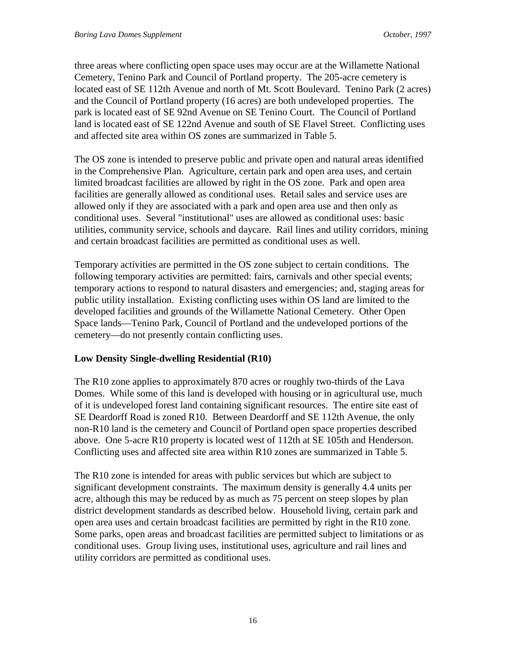three areas where conflicting open space uses may occur are at the Willamette National Cemetery, Tenino Park and Council of Portland property. The 205-acre cemetery is located east of SE 112th Avenue and north of Mt. Scott Boulevard. Tenino Park (2 acres) and the Council of Portland property (16 acres) are both undeveloped properties. The park is located east of SE 92nd Avenue on SE Tenino Court. The Council of Portland land is located east of SE 122nd Avenue and south of SE Flavel Street. Conflicting uses and affected site area within OS zones are summarized in Table 5.

The OS zone is intended to preserve public and private open and natural areas identified in the Comprehensive Plan. Agriculture, certain park and open area uses, and certain limited broadcast facilities are allowed by right in the OS zone. Park and open area facilities are generally allowed as conditional uses. Retail sales and service uses are allowed only if they are associated with a park and open area use and then only as conditional uses. Several "institutional" uses are allowed as conditional uses: basic utilities, community service, schools and daycare. Rail lines and utility corridors, mining and certain broadcast facilities are permitted as conditional uses as well.

Temporary activities are permitted in the OS zone subject to certain conditions. The following temporary activities are permitted: fairs, carnivals and other special events; temporary actions to respond to natural disasters and emergencies; and, staging areas for public utility installation. Existing conflicting uses within OS land are limited to the developed facilities and grounds of the Willamette National Cemetery. Other Open Space lands—Tenino Park, Council of Portland and the undeveloped portions of the cemetery—do not presently contain conflicting uses.

#### **Low Density Single-dwelling Residential (R10)**

The R10 zone applies to approximately 870 acres or roughly two-thirds of the Lava Domes. While some of this land is developed with housing or in agricultural use, much of it is undeveloped forest land containing significant resources. The entire site east of SE Deardorff Road is zoned R10. Between Deardorff and SE 112th Avenue, the only non-R10 land is the cemetery and Council of Portland open space properties described above. One 5-acre R10 property is located west of 112th at SE 105th and Henderson. Conflicting uses and affected site area within R10 zones are summarized in Table 5.

The R10 zone is intended for areas with public services but which are subject to significant development constraints. The maximum density is generally 4.4 units per acre, although this may be reduced by as much as 75 percent on steep slopes by plan district development standards as described below. Household living, certain park and open area uses and certain broadcast facilities are permitted by right in the R10 zone. Some parks, open areas and broadcast facilities are permitted subject to limitations or as conditional uses. Group living uses, institutional uses, agriculture and rail lines and utility corridors are permitted as conditional uses.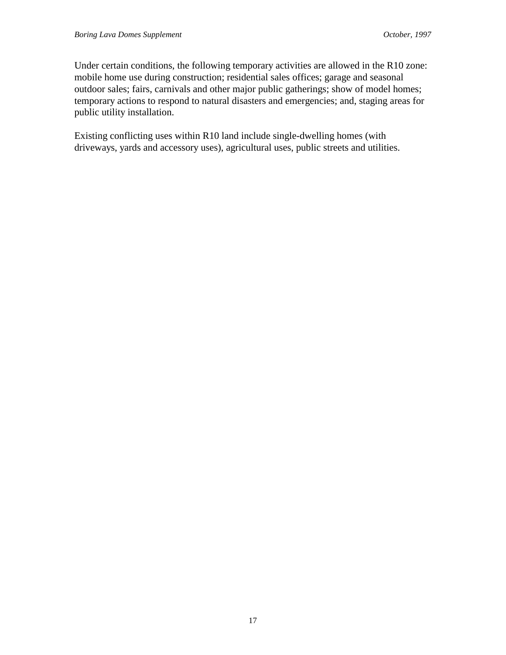Under certain conditions, the following temporary activities are allowed in the R10 zone: mobile home use during construction; residential sales offices; garage and seasonal outdoor sales; fairs, carnivals and other major public gatherings; show of model homes; temporary actions to respond to natural disasters and emergencies; and, staging areas for public utility installation.

Existing conflicting uses within R10 land include single-dwelling homes (with driveways, yards and accessory uses), agricultural uses, public streets and utilities.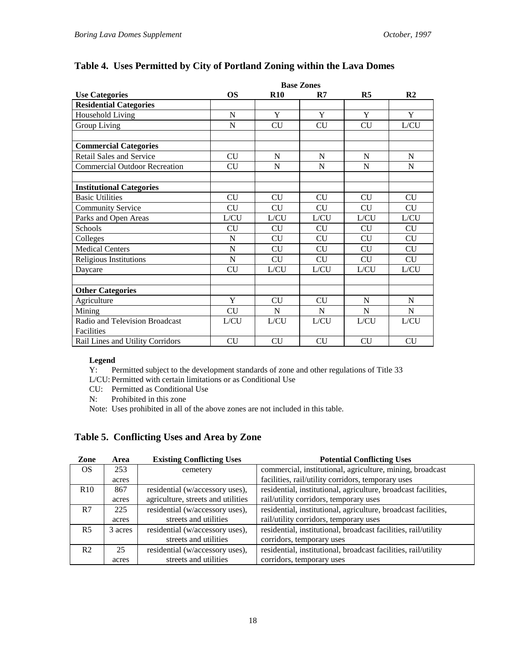|                                      |           |           | <b>Base Zones</b> |                |                |
|--------------------------------------|-----------|-----------|-------------------|----------------|----------------|
| <b>Use Categories</b>                | <b>OS</b> | R10       | R7                | R <sub>5</sub> | R <sub>2</sub> |
| <b>Residential Categories</b>        |           |           |                   |                |                |
| Household Living                     | N         | Y         | Y                 | Y              | Y              |
| Group Living                         | N         | CU        | <b>CU</b>         | <b>CU</b>      | L/CU           |
|                                      |           |           |                   |                |                |
| <b>Commercial Categories</b>         |           |           |                   |                |                |
| <b>Retail Sales and Service</b>      | <b>CU</b> | N         | N                 | N              | N              |
| <b>Commercial Outdoor Recreation</b> | <b>CU</b> | N         | N                 | N              | N              |
|                                      |           |           |                   |                |                |
| <b>Institutional Categories</b>      |           |           |                   |                |                |
| <b>Basic Utilities</b>               | <b>CU</b> | <b>CU</b> | <b>CU</b>         | <b>CU</b>      | <b>CU</b>      |
| <b>Community Service</b>             | CU        | <b>CU</b> | <b>CU</b>         | <b>CU</b>      | <b>CU</b>      |
| Parks and Open Areas                 | L/CU      | L/CU      | L/CU              | L/CU           | L/CU           |
| Schools                              | <b>CU</b> | <b>CU</b> | <b>CU</b>         | <b>CU</b>      | <b>CU</b>      |
| Colleges                             | N         | CU        | <b>CU</b>         | <b>CU</b>      | <b>CU</b>      |
| <b>Medical Centers</b>               | N         | <b>CU</b> | <b>CU</b>         | <b>CU</b>      | CU             |
| <b>Religious Institutions</b>        | N         | <b>CU</b> | <b>CU</b>         | <b>CU</b>      | <b>CU</b>      |
| Daycare                              | <b>CU</b> | L/CU      | L/CU              | L/CU           | L/CU           |
|                                      |           |           |                   |                |                |
| <b>Other Categories</b>              |           |           |                   |                |                |
| Agriculture                          | Y         | <b>CU</b> | CU                | N              | N              |
| Mining                               | <b>CU</b> | N         | N                 | $\mathbf N$    | N              |
| Radio and Television Broadcast       | L/CU      | L/CU      | L/CU              | L/CU           | L/CU           |
| Facilities                           |           |           |                   |                |                |
| Rail Lines and Utility Corridors     | <b>CU</b> | <b>CU</b> | <b>CU</b>         | <b>CU</b>      | CU             |

### **Table 4. Uses Permitted by City of Portland Zoning within the Lava Domes**

## **Legend**<br>Y: Po

Permitted subject to the development standards of zone and other regulations of Title 33

L/CU: Permitted with certain limitations or as Conditional Use

CU: Permitted as Conditional Use

N: Prohibited in this zone

Note: Uses prohibited in all of the above zones are not included in this table.

#### **Table 5. Conflicting Uses and Area by Zone**

| Zone           | Area    | <b>Existing Conflicting Uses</b>   | <b>Potential Conflicting Uses</b>                              |
|----------------|---------|------------------------------------|----------------------------------------------------------------|
| <sub>OS</sub>  | 253     | cemetery                           | commercial, institutional, agriculture, mining, broadcast      |
|                | acres   |                                    | facilities, rail/utility corridors, temporary uses             |
| R10            | 867     | residential (w/accessory uses),    | residential, institutional, agriculture, broadcast facilities, |
|                | acres   | agriculture, streets and utilities | rail/utility corridors, temporary uses                         |
| R7             | 225     | residential (w/accessory uses),    | residential, institutional, agriculture, broadcast facilities, |
|                | acres   | streets and utilities              | rail/utility corridors, temporary uses                         |
| <b>R5</b>      | 3 acres | residential (w/accessory uses),    | residential, institutional, broadcast facilities, rail/utility |
|                |         | streets and utilities              | corridors, temporary uses                                      |
| R <sub>2</sub> | 25      | residential (w/accessory uses),    | residential, institutional, broadcast facilities, rail/utility |
|                | acres   | streets and utilities              | corridors, temporary uses                                      |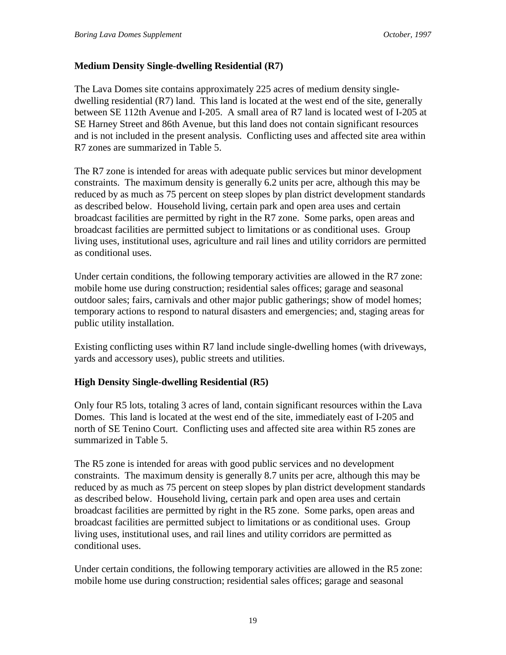#### **Medium Density Single-dwelling Residential (R7)**

The Lava Domes site contains approximately 225 acres of medium density singledwelling residential (R7) land. This land is located at the west end of the site, generally between SE 112th Avenue and I-205. A small area of R7 land is located west of I-205 at SE Harney Street and 86th Avenue, but this land does not contain significant resources and is not included in the present analysis. Conflicting uses and affected site area within R7 zones are summarized in Table 5.

The R7 zone is intended for areas with adequate public services but minor development constraints. The maximum density is generally 6.2 units per acre, although this may be reduced by as much as 75 percent on steep slopes by plan district development standards as described below. Household living, certain park and open area uses and certain broadcast facilities are permitted by right in the R7 zone. Some parks, open areas and broadcast facilities are permitted subject to limitations or as conditional uses. Group living uses, institutional uses, agriculture and rail lines and utility corridors are permitted as conditional uses.

Under certain conditions, the following temporary activities are allowed in the R7 zone: mobile home use during construction; residential sales offices; garage and seasonal outdoor sales; fairs, carnivals and other major public gatherings; show of model homes; temporary actions to respond to natural disasters and emergencies; and, staging areas for public utility installation.

Existing conflicting uses within R7 land include single-dwelling homes (with driveways, yards and accessory uses), public streets and utilities.

#### **High Density Single-dwelling Residential (R5)**

Only four R5 lots, totaling 3 acres of land, contain significant resources within the Lava Domes. This land is located at the west end of the site, immediately east of I-205 and north of SE Tenino Court. Conflicting uses and affected site area within R5 zones are summarized in Table 5.

The R5 zone is intended for areas with good public services and no development constraints. The maximum density is generally 8.7 units per acre, although this may be reduced by as much as 75 percent on steep slopes by plan district development standards as described below. Household living, certain park and open area uses and certain broadcast facilities are permitted by right in the R5 zone. Some parks, open areas and broadcast facilities are permitted subject to limitations or as conditional uses. Group living uses, institutional uses, and rail lines and utility corridors are permitted as conditional uses.

Under certain conditions, the following temporary activities are allowed in the R5 zone: mobile home use during construction; residential sales offices; garage and seasonal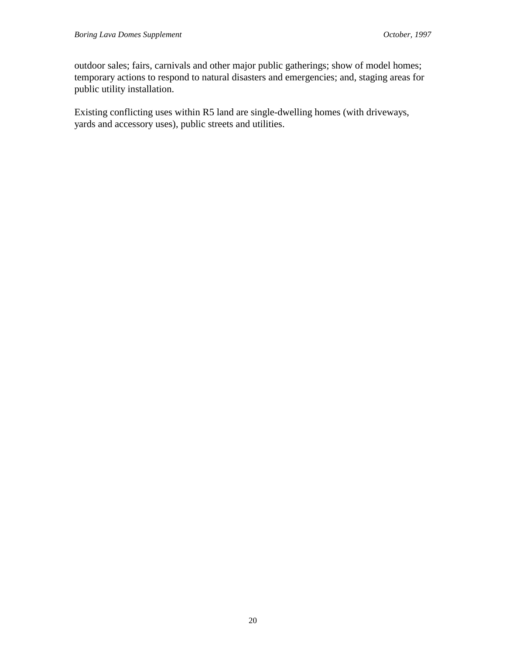outdoor sales; fairs, carnivals and other major public gatherings; show of model homes; temporary actions to respond to natural disasters and emergencies; and, staging areas for public utility installation.

Existing conflicting uses within R5 land are single-dwelling homes (with driveways, yards and accessory uses), public streets and utilities.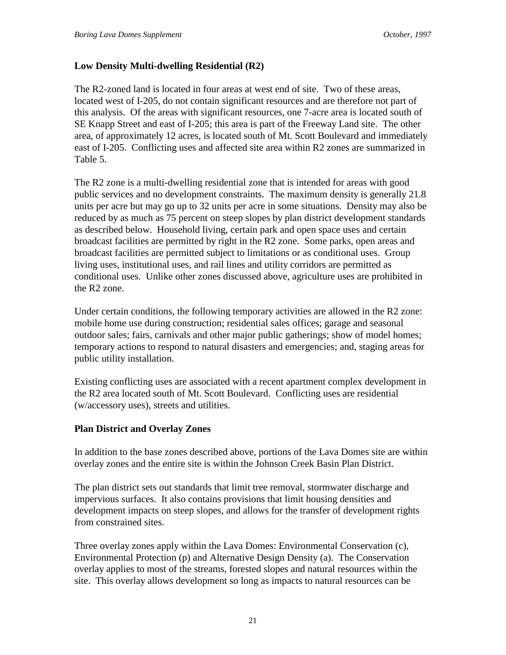#### **Low Density Multi-dwelling Residential (R2)**

The R2-zoned land is located in four areas at west end of site. Two of these areas, located west of I-205, do not contain significant resources and are therefore not part of this analysis. Of the areas with significant resources, one 7-acre area is located south of SE Knapp Street and east of I-205; this area is part of the Freeway Land site. The other area, of approximately 12 acres, is located south of Mt. Scott Boulevard and immediately east of I-205. Conflicting uses and affected site area within R2 zones are summarized in Table 5.

The R2 zone is a multi-dwelling residential zone that is intended for areas with good public services and no development constraints. The maximum density is generally 21.8 units per acre but may go up to 32 units per acre in some situations. Density may also be reduced by as much as 75 percent on steep slopes by plan district development standards as described below. Household living, certain park and open space uses and certain broadcast facilities are permitted by right in the R2 zone. Some parks, open areas and broadcast facilities are permitted subject to limitations or as conditional uses. Group living uses, institutional uses, and rail lines and utility corridors are permitted as conditional uses. Unlike other zones discussed above, agriculture uses are prohibited in the R2 zone.

Under certain conditions, the following temporary activities are allowed in the R2 zone: mobile home use during construction; residential sales offices; garage and seasonal outdoor sales; fairs, carnivals and other major public gatherings; show of model homes; temporary actions to respond to natural disasters and emergencies; and, staging areas for public utility installation.

Existing conflicting uses are associated with a recent apartment complex development in the R2 area located south of Mt. Scott Boulevard. Conflicting uses are residential (w/accessory uses), streets and utilities.

#### **Plan District and Overlay Zones**

In addition to the base zones described above, portions of the Lava Domes site are within overlay zones and the entire site is within the Johnson Creek Basin Plan District.

The plan district sets out standards that limit tree removal, stormwater discharge and impervious surfaces. It also contains provisions that limit housing densities and development impacts on steep slopes, and allows for the transfer of development rights from constrained sites.

Three overlay zones apply within the Lava Domes: Environmental Conservation (c), Environmental Protection (p) and Alternative Design Density (a). The Conservation overlay applies to most of the streams, forested slopes and natural resources within the site. This overlay allows development so long as impacts to natural resources can be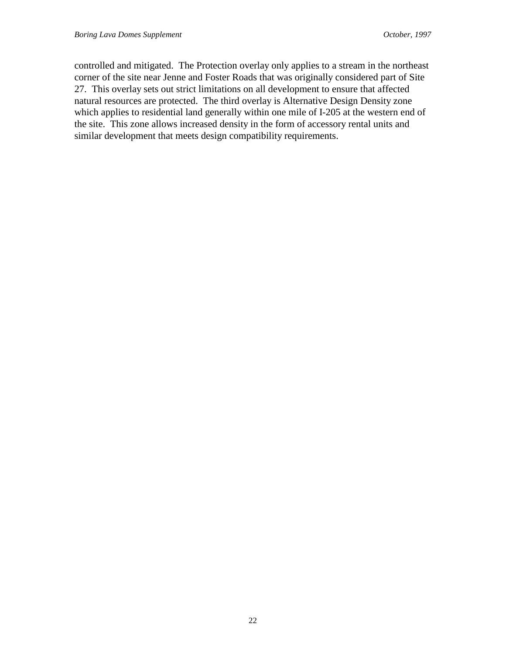controlled and mitigated. The Protection overlay only applies to a stream in the northeast corner of the site near Jenne and Foster Roads that was originally considered part of Site 27. This overlay sets out strict limitations on all development to ensure that affected natural resources are protected. The third overlay is Alternative Design Density zone which applies to residential land generally within one mile of I-205 at the western end of the site. This zone allows increased density in the form of accessory rental units and similar development that meets design compatibility requirements.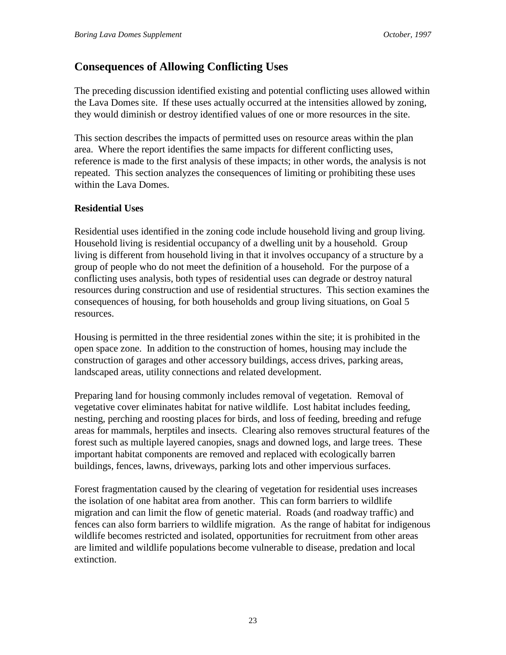### **Consequences of Allowing Conflicting Uses**

The preceding discussion identified existing and potential conflicting uses allowed within the Lava Domes site. If these uses actually occurred at the intensities allowed by zoning, they would diminish or destroy identified values of one or more resources in the site.

This section describes the impacts of permitted uses on resource areas within the plan area. Where the report identifies the same impacts for different conflicting uses, reference is made to the first analysis of these impacts; in other words, the analysis is not repeated. This section analyzes the consequences of limiting or prohibiting these uses within the Lava Domes.

#### **Residential Uses**

Residential uses identified in the zoning code include household living and group living. Household living is residential occupancy of a dwelling unit by a household. Group living is different from household living in that it involves occupancy of a structure by a group of people who do not meet the definition of a household. For the purpose of a conflicting uses analysis, both types of residential uses can degrade or destroy natural resources during construction and use of residential structures. This section examines the consequences of housing, for both households and group living situations, on Goal 5 resources.

Housing is permitted in the three residential zones within the site; it is prohibited in the open space zone. In addition to the construction of homes, housing may include the construction of garages and other accessory buildings, access drives, parking areas, landscaped areas, utility connections and related development.

Preparing land for housing commonly includes removal of vegetation. Removal of vegetative cover eliminates habitat for native wildlife. Lost habitat includes feeding, nesting, perching and roosting places for birds, and loss of feeding, breeding and refuge areas for mammals, herptiles and insects. Clearing also removes structural features of the forest such as multiple layered canopies, snags and downed logs, and large trees. These important habitat components are removed and replaced with ecologically barren buildings, fences, lawns, driveways, parking lots and other impervious surfaces.

Forest fragmentation caused by the clearing of vegetation for residential uses increases the isolation of one habitat area from another. This can form barriers to wildlife migration and can limit the flow of genetic material. Roads (and roadway traffic) and fences can also form barriers to wildlife migration. As the range of habitat for indigenous wildlife becomes restricted and isolated, opportunities for recruitment from other areas are limited and wildlife populations become vulnerable to disease, predation and local extinction.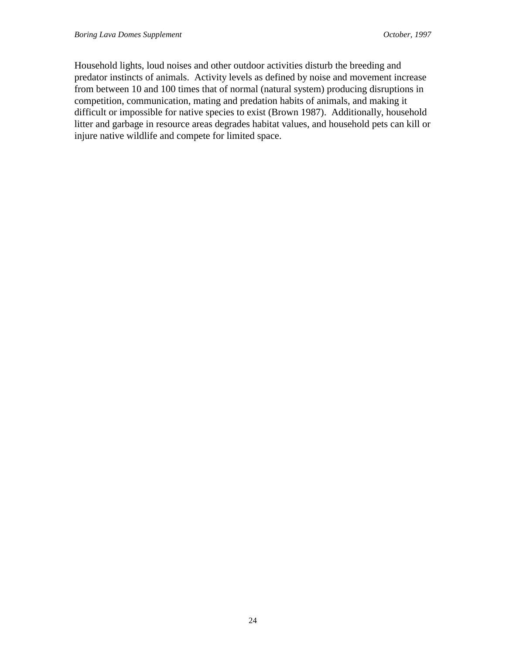Household lights, loud noises and other outdoor activities disturb the breeding and predator instincts of animals. Activity levels as defined by noise and movement increase from between 10 and 100 times that of normal (natural system) producing disruptions in competition, communication, mating and predation habits of animals, and making it difficult or impossible for native species to exist (Brown 1987). Additionally, household litter and garbage in resource areas degrades habitat values, and household pets can kill or injure native wildlife and compete for limited space.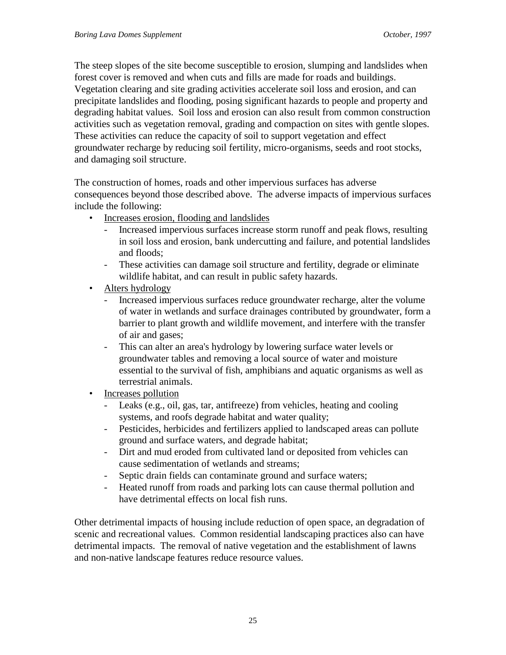The steep slopes of the site become susceptible to erosion, slumping and landslides when forest cover is removed and when cuts and fills are made for roads and buildings. Vegetation clearing and site grading activities accelerate soil loss and erosion, and can precipitate landslides and flooding, posing significant hazards to people and property and degrading habitat values. Soil loss and erosion can also result from common construction activities such as vegetation removal, grading and compaction on sites with gentle slopes. These activities can reduce the capacity of soil to support vegetation and effect groundwater recharge by reducing soil fertility, micro-organisms, seeds and root stocks, and damaging soil structure.

The construction of homes, roads and other impervious surfaces has adverse consequences beyond those described above. The adverse impacts of impervious surfaces include the following:

- Increases erosion, flooding and landslides
	- Increased impervious surfaces increase storm runoff and peak flows, resulting in soil loss and erosion, bank undercutting and failure, and potential landslides and floods;
	- These activities can damage soil structure and fertility, degrade or eliminate wildlife habitat, and can result in public safety hazards.
- Alters hydrology
	- Increased impervious surfaces reduce groundwater recharge, alter the volume of water in wetlands and surface drainages contributed by groundwater, form a barrier to plant growth and wildlife movement, and interfere with the transfer of air and gases;
	- This can alter an area's hydrology by lowering surface water levels or groundwater tables and removing a local source of water and moisture essential to the survival of fish, amphibians and aquatic organisms as well as terrestrial animals.
- Increases pollution
	- Leaks (e.g., oil, gas, tar, antifreeze) from vehicles, heating and cooling systems, and roofs degrade habitat and water quality;
	- Pesticides, herbicides and fertilizers applied to landscaped areas can pollute ground and surface waters, and degrade habitat;
	- Dirt and mud eroded from cultivated land or deposited from vehicles can cause sedimentation of wetlands and streams;
	- Septic drain fields can contaminate ground and surface waters;
	- Heated runoff from roads and parking lots can cause thermal pollution and have detrimental effects on local fish runs.

Other detrimental impacts of housing include reduction of open space, an degradation of scenic and recreational values. Common residential landscaping practices also can have detrimental impacts. The removal of native vegetation and the establishment of lawns and non-native landscape features reduce resource values.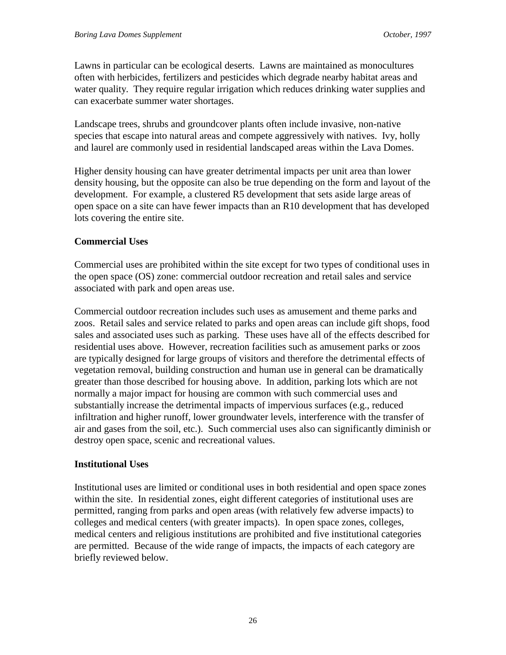Lawns in particular can be ecological deserts. Lawns are maintained as monocultures often with herbicides, fertilizers and pesticides which degrade nearby habitat areas and water quality. They require regular irrigation which reduces drinking water supplies and can exacerbate summer water shortages.

Landscape trees, shrubs and groundcover plants often include invasive, non-native species that escape into natural areas and compete aggressively with natives. Ivy, holly and laurel are commonly used in residential landscaped areas within the Lava Domes.

Higher density housing can have greater detrimental impacts per unit area than lower density housing, but the opposite can also be true depending on the form and layout of the development. For example, a clustered R5 development that sets aside large areas of open space on a site can have fewer impacts than an R10 development that has developed lots covering the entire site.

### **Commercial Uses**

Commercial uses are prohibited within the site except for two types of conditional uses in the open space (OS) zone: commercial outdoor recreation and retail sales and service associated with park and open areas use.

Commercial outdoor recreation includes such uses as amusement and theme parks and zoos. Retail sales and service related to parks and open areas can include gift shops, food sales and associated uses such as parking. These uses have all of the effects described for residential uses above. However, recreation facilities such as amusement parks or zoos are typically designed for large groups of visitors and therefore the detrimental effects of vegetation removal, building construction and human use in general can be dramatically greater than those described for housing above. In addition, parking lots which are not normally a major impact for housing are common with such commercial uses and substantially increase the detrimental impacts of impervious surfaces (e.g., reduced infiltration and higher runoff, lower groundwater levels, interference with the transfer of air and gases from the soil, etc.). Such commercial uses also can significantly diminish or destroy open space, scenic and recreational values.

### **Institutional Uses**

Institutional uses are limited or conditional uses in both residential and open space zones within the site. In residential zones, eight different categories of institutional uses are permitted, ranging from parks and open areas (with relatively few adverse impacts) to colleges and medical centers (with greater impacts). In open space zones, colleges, medical centers and religious institutions are prohibited and five institutional categories are permitted. Because of the wide range of impacts, the impacts of each category are briefly reviewed below.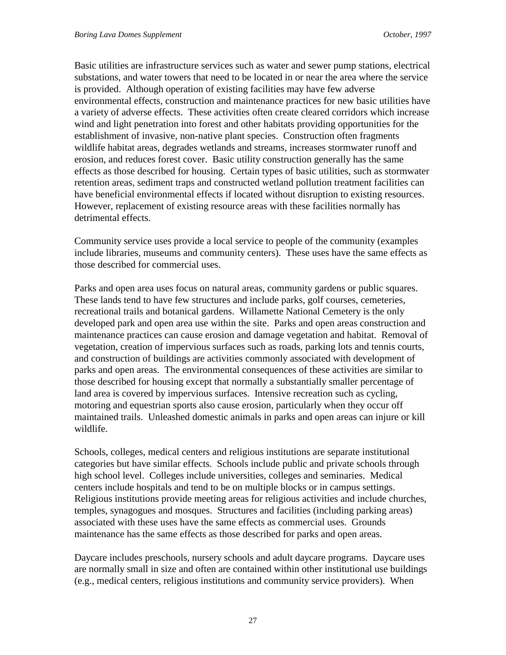Basic utilities are infrastructure services such as water and sewer pump stations, electrical substations, and water towers that need to be located in or near the area where the service is provided. Although operation of existing facilities may have few adverse environmental effects, construction and maintenance practices for new basic utilities have a variety of adverse effects. These activities often create cleared corridors which increase wind and light penetration into forest and other habitats providing opportunities for the establishment of invasive, non-native plant species. Construction often fragments wildlife habitat areas, degrades wetlands and streams, increases stormwater runoff and erosion, and reduces forest cover. Basic utility construction generally has the same effects as those described for housing. Certain types of basic utilities, such as stormwater retention areas, sediment traps and constructed wetland pollution treatment facilities can have beneficial environmental effects if located without disruption to existing resources. However, replacement of existing resource areas with these facilities normally has detrimental effects.

Community service uses provide a local service to people of the community (examples include libraries, museums and community centers). These uses have the same effects as those described for commercial uses.

Parks and open area uses focus on natural areas, community gardens or public squares. These lands tend to have few structures and include parks, golf courses, cemeteries, recreational trails and botanical gardens. Willamette National Cemetery is the only developed park and open area use within the site. Parks and open areas construction and maintenance practices can cause erosion and damage vegetation and habitat. Removal of vegetation, creation of impervious surfaces such as roads, parking lots and tennis courts, and construction of buildings are activities commonly associated with development of parks and open areas. The environmental consequences of these activities are similar to those described for housing except that normally a substantially smaller percentage of land area is covered by impervious surfaces. Intensive recreation such as cycling, motoring and equestrian sports also cause erosion, particularly when they occur off maintained trails. Unleashed domestic animals in parks and open areas can injure or kill wildlife.

Schools, colleges, medical centers and religious institutions are separate institutional categories but have similar effects. Schools include public and private schools through high school level. Colleges include universities, colleges and seminaries. Medical centers include hospitals and tend to be on multiple blocks or in campus settings. Religious institutions provide meeting areas for religious activities and include churches, temples, synagogues and mosques. Structures and facilities (including parking areas) associated with these uses have the same effects as commercial uses. Grounds maintenance has the same effects as those described for parks and open areas.

Daycare includes preschools, nursery schools and adult daycare programs. Daycare uses are normally small in size and often are contained within other institutional use buildings (e.g., medical centers, religious institutions and community service providers). When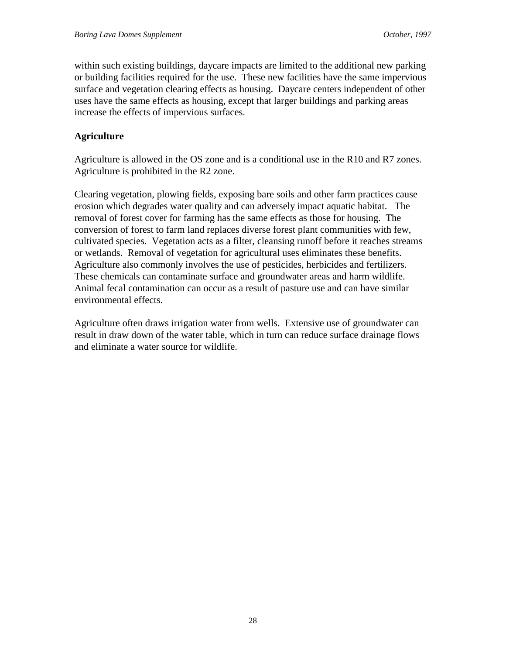within such existing buildings, daycare impacts are limited to the additional new parking or building facilities required for the use. These new facilities have the same impervious surface and vegetation clearing effects as housing. Daycare centers independent of other uses have the same effects as housing, except that larger buildings and parking areas increase the effects of impervious surfaces.

### **Agriculture**

Agriculture is allowed in the OS zone and is a conditional use in the R10 and R7 zones. Agriculture is prohibited in the R2 zone.

Clearing vegetation, plowing fields, exposing bare soils and other farm practices cause erosion which degrades water quality and can adversely impact aquatic habitat. The removal of forest cover for farming has the same effects as those for housing. The conversion of forest to farm land replaces diverse forest plant communities with few, cultivated species. Vegetation acts as a filter, cleansing runoff before it reaches streams or wetlands. Removal of vegetation for agricultural uses eliminates these benefits. Agriculture also commonly involves the use of pesticides, herbicides and fertilizers. These chemicals can contaminate surface and groundwater areas and harm wildlife. Animal fecal contamination can occur as a result of pasture use and can have similar environmental effects.

Agriculture often draws irrigation water from wells. Extensive use of groundwater can result in draw down of the water table, which in turn can reduce surface drainage flows and eliminate a water source for wildlife.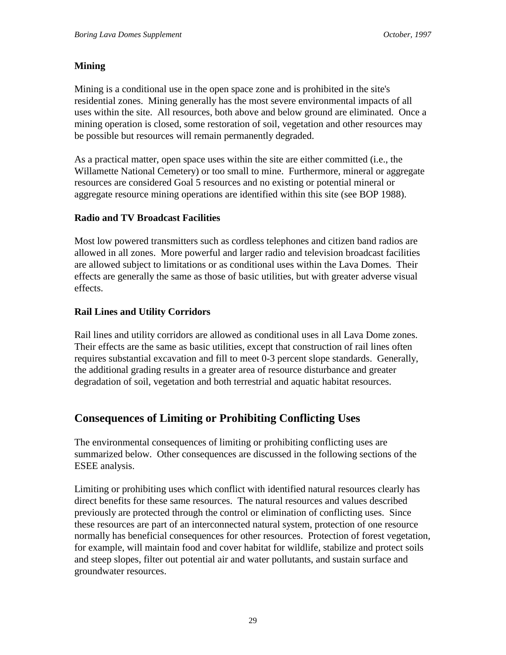### **Mining**

Mining is a conditional use in the open space zone and is prohibited in the site's residential zones. Mining generally has the most severe environmental impacts of all uses within the site. All resources, both above and below ground are eliminated. Once a mining operation is closed, some restoration of soil, vegetation and other resources may be possible but resources will remain permanently degraded.

As a practical matter, open space uses within the site are either committed (i.e., the Willamette National Cemetery) or too small to mine. Furthermore, mineral or aggregate resources are considered Goal 5 resources and no existing or potential mineral or aggregate resource mining operations are identified within this site (see BOP 1988).

### **Radio and TV Broadcast Facilities**

Most low powered transmitters such as cordless telephones and citizen band radios are allowed in all zones. More powerful and larger radio and television broadcast facilities are allowed subject to limitations or as conditional uses within the Lava Domes. Their effects are generally the same as those of basic utilities, but with greater adverse visual effects.

## **Rail Lines and Utility Corridors**

Rail lines and utility corridors are allowed as conditional uses in all Lava Dome zones. Their effects are the same as basic utilities, except that construction of rail lines often requires substantial excavation and fill to meet 0-3 percent slope standards. Generally, the additional grading results in a greater area of resource disturbance and greater degradation of soil, vegetation and both terrestrial and aquatic habitat resources.

# **Consequences of Limiting or Prohibiting Conflicting Uses**

The environmental consequences of limiting or prohibiting conflicting uses are summarized below. Other consequences are discussed in the following sections of the ESEE analysis.

Limiting or prohibiting uses which conflict with identified natural resources clearly has direct benefits for these same resources. The natural resources and values described previously are protected through the control or elimination of conflicting uses. Since these resources are part of an interconnected natural system, protection of one resource normally has beneficial consequences for other resources. Protection of forest vegetation, for example, will maintain food and cover habitat for wildlife, stabilize and protect soils and steep slopes, filter out potential air and water pollutants, and sustain surface and groundwater resources.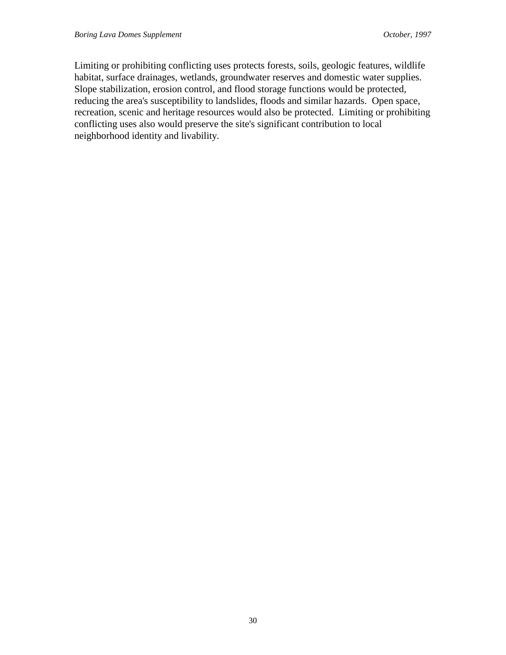Limiting or prohibiting conflicting uses protects forests, soils, geologic features, wildlife habitat, surface drainages, wetlands, groundwater reserves and domestic water supplies. Slope stabilization, erosion control, and flood storage functions would be protected, reducing the area's susceptibility to landslides, floods and similar hazards. Open space, recreation, scenic and heritage resources would also be protected. Limiting or prohibiting conflicting uses also would preserve the site's significant contribution to local neighborhood identity and livability.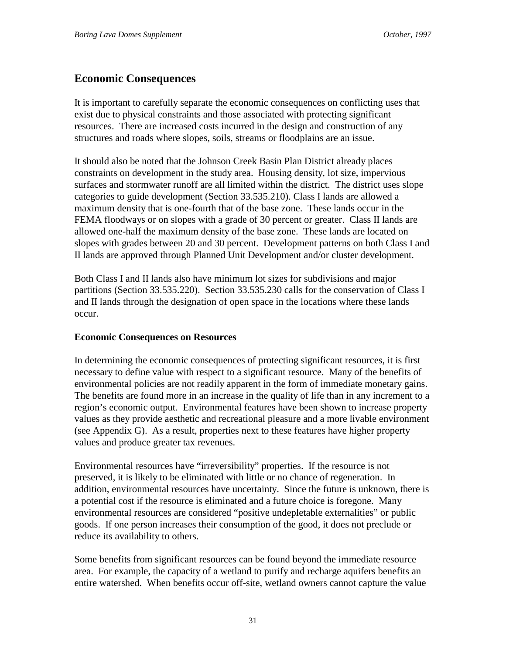# **Economic Consequences**

It is important to carefully separate the economic consequences on conflicting uses that exist due to physical constraints and those associated with protecting significant resources. There are increased costs incurred in the design and construction of any structures and roads where slopes, soils, streams or floodplains are an issue.

It should also be noted that the Johnson Creek Basin Plan District already places constraints on development in the study area. Housing density, lot size, impervious surfaces and stormwater runoff are all limited within the district. The district uses slope categories to guide development (Section 33.535.210). Class I lands are allowed a maximum density that is one-fourth that of the base zone. These lands occur in the FEMA floodways or on slopes with a grade of 30 percent or greater. Class II lands are allowed one-half the maximum density of the base zone. These lands are located on slopes with grades between 20 and 30 percent. Development patterns on both Class I and II lands are approved through Planned Unit Development and/or cluster development.

Both Class I and II lands also have minimum lot sizes for subdivisions and major partitions (Section 33.535.220). Section 33.535.230 calls for the conservation of Class I and II lands through the designation of open space in the locations where these lands occur.

### **Economic Consequences on Resources**

In determining the economic consequences of protecting significant resources, it is first necessary to define value with respect to a significant resource. Many of the benefits of environmental policies are not readily apparent in the form of immediate monetary gains. The benefits are found more in an increase in the quality of life than in any increment to a region's economic output. Environmental features have been shown to increase property values as they provide aesthetic and recreational pleasure and a more livable environment (see Appendix G). As a result, properties next to these features have higher property values and produce greater tax revenues.

Environmental resources have "irreversibility" properties. If the resource is not preserved, it is likely to be eliminated with little or no chance of regeneration. In addition, environmental resources have uncertainty. Since the future is unknown, there is a potential cost if the resource is eliminated and a future choice is foregone. Many environmental resources are considered "positive undepletable externalities" or public goods. If one person increases their consumption of the good, it does not preclude or reduce its availability to others.

Some benefits from significant resources can be found beyond the immediate resource area. For example, the capacity of a wetland to purify and recharge aquifers benefits an entire watershed. When benefits occur off-site, wetland owners cannot capture the value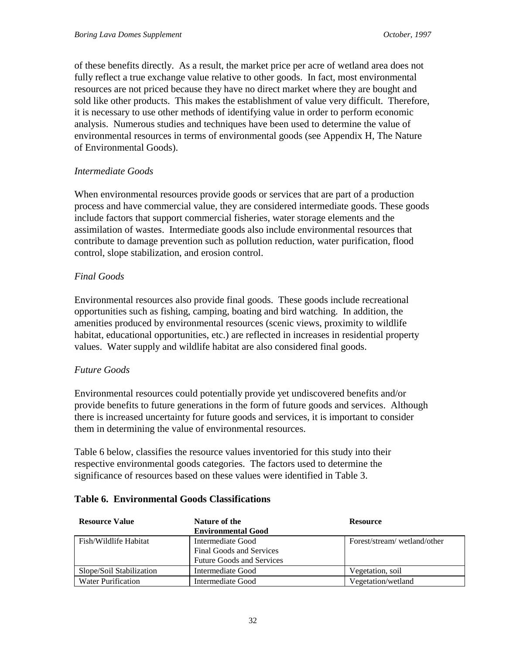of these benefits directly. As a result, the market price per acre of wetland area does not fully reflect a true exchange value relative to other goods. In fact, most environmental resources are not priced because they have no direct market where they are bought and sold like other products. This makes the establishment of value very difficult. Therefore, it is necessary to use other methods of identifying value in order to perform economic analysis. Numerous studies and techniques have been used to determine the value of environmental resources in terms of environmental goods (see Appendix H, The Nature of Environmental Goods).

#### *Intermediate Goods*

When environmental resources provide goods or services that are part of a production process and have commercial value, they are considered intermediate goods. These goods include factors that support commercial fisheries, water storage elements and the assimilation of wastes. Intermediate goods also include environmental resources that contribute to damage prevention such as pollution reduction, water purification, flood control, slope stabilization, and erosion control.

#### *Final Goods*

Environmental resources also provide final goods. These goods include recreational opportunities such as fishing, camping, boating and bird watching. In addition, the amenities produced by environmental resources (scenic views, proximity to wildlife habitat, educational opportunities, etc.) are reflected in increases in residential property values. Water supply and wildlife habitat are also considered final goods.

#### *Future Goods*

Environmental resources could potentially provide yet undiscovered benefits and/or provide benefits to future generations in the form of future goods and services. Although there is increased uncertainty for future goods and services, it is important to consider them in determining the value of environmental resources.

Table 6 below, classifies the resource values inventoried for this study into their respective environmental goods categories. The factors used to determine the significance of resources based on these values were identified in Table 3.

| <b>Resource Value</b>     | Nature of the                    | <b>Resource</b>             |
|---------------------------|----------------------------------|-----------------------------|
|                           | <b>Environmental Good</b>        |                             |
| Fish/Wildlife Habitat     | Intermediate Good                | Forest/stream/wetland/other |
|                           | <b>Final Goods and Services</b>  |                             |
|                           | <b>Future Goods and Services</b> |                             |
| Slope/Soil Stabilization  | Intermediate Good                | Vegetation, soil            |
| <b>Water Purification</b> | Intermediate Good                | Vegetation/wetland          |

#### **Table 6. Environmental Goods Classifications**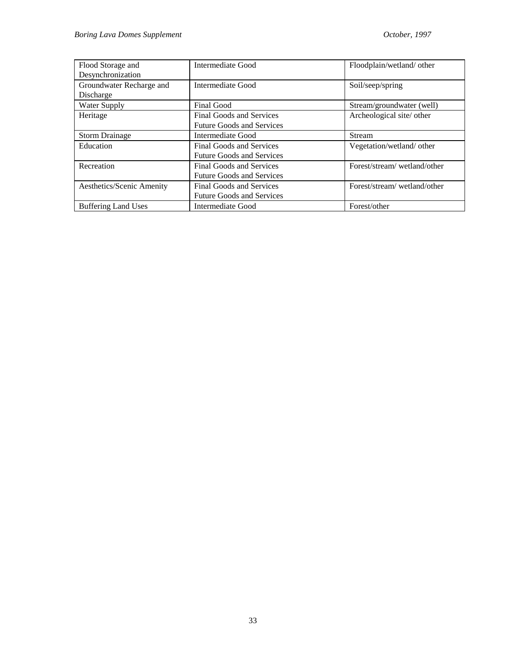| Flood Storage and          | Intermediate Good                | Floodplain/wetland/ other   |
|----------------------------|----------------------------------|-----------------------------|
| Desynchronization          |                                  |                             |
| Groundwater Recharge and   | Intermediate Good                | Soil/seep/spring            |
| Discharge                  |                                  |                             |
| Water Supply               | <b>Final Good</b>                | Stream/groundwater (well)   |
| Heritage                   | <b>Final Goods and Services</b>  | Archeological site/other    |
|                            | <b>Future Goods and Services</b> |                             |
| <b>Storm Drainage</b>      | Intermediate Good                | <b>Stream</b>               |
| Education                  | <b>Final Goods and Services</b>  | Vegetation/wetland/other    |
|                            | <b>Future Goods and Services</b> |                             |
| Recreation                 | Final Goods and Services         | Forest/stream/wetland/other |
|                            | <b>Future Goods and Services</b> |                             |
| Aesthetics/Scenic Amenity  | Final Goods and Services         | Forest/stream/wetland/other |
|                            | <b>Future Goods and Services</b> |                             |
| <b>Buffering Land Uses</b> | Intermediate Good                | Forest/other                |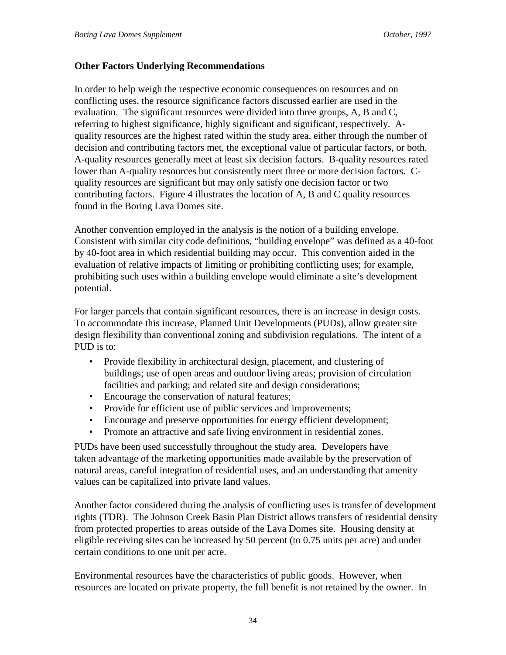#### **Other Factors Underlying Recommendations**

In order to help weigh the respective economic consequences on resources and on conflicting uses, the resource significance factors discussed earlier are used in the evaluation. The significant resources were divided into three groups, A, B and C, referring to highest significance, highly significant and significant, respectively. Aquality resources are the highest rated within the study area, either through the number of decision and contributing factors met, the exceptional value of particular factors, or both. A-quality resources generally meet at least six decision factors. B-quality resources rated lower than A-quality resources but consistently meet three or more decision factors. Cquality resources are significant but may only satisfy one decision factor or two contributing factors. Figure 4 illustrates the location of A, B and C quality resources found in the Boring Lava Domes site.

Another convention employed in the analysis is the notion of a building envelope. Consistent with similar city code definitions, "building envelope" was defined as a 40-foot by 40-foot area in which residential building may occur. This convention aided in the evaluation of relative impacts of limiting or prohibiting conflicting uses; for example, prohibiting such uses within a building envelope would eliminate a site's development potential.

For larger parcels that contain significant resources, there is an increase in design costs. To accommodate this increase, Planned Unit Developments (PUDs), allow greater site design flexibility than conventional zoning and subdivision regulations. The intent of a PUD is to:

- Provide flexibility in architectural design, placement, and clustering of buildings; use of open areas and outdoor living areas; provision of circulation facilities and parking; and related site and design considerations;
- Encourage the conservation of natural features:
- Provide for efficient use of public services and improvements;
- Encourage and preserve opportunities for energy efficient development;
- Promote an attractive and safe living environment in residential zones.

PUDs have been used successfully throughout the study area. Developers have taken advantage of the marketing opportunities made available by the preservation of natural areas, careful integration of residential uses, and an understanding that amenity values can be capitalized into private land values.

Another factor considered during the analysis of conflicting uses is transfer of development rights (TDR). The Johnson Creek Basin Plan District allows transfers of residential density from protected properties to areas outside of the Lava Domes site. Housing density at eligible receiving sites can be increased by 50 percent (to 0.75 units per acre) and under certain conditions to one unit per acre.

Environmental resources have the characteristics of public goods. However, when resources are located on private property, the full benefit is not retained by the owner. In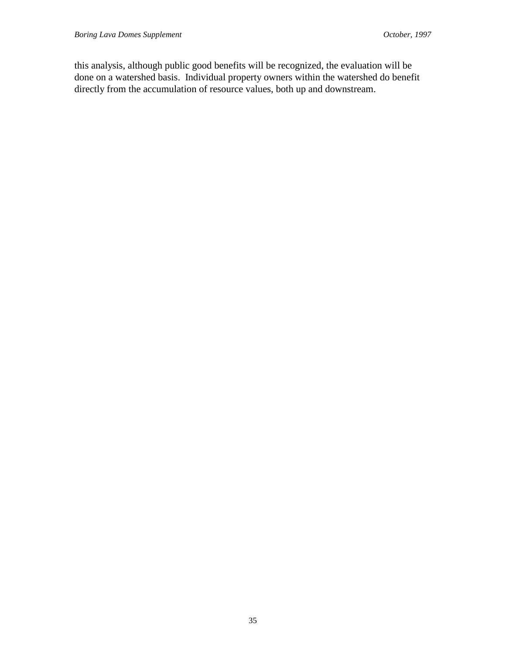this analysis, although public good benefits will be recognized, the evaluation will be done on a watershed basis. Individual property owners within the watershed do benefit directly from the accumulation of resource values, both up and downstream.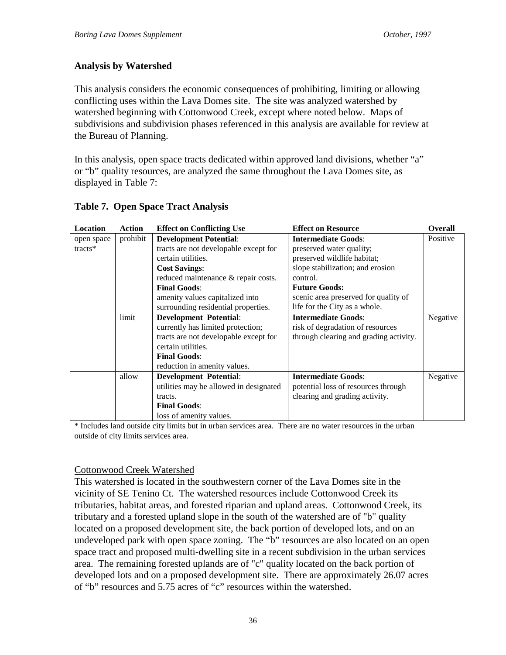### **Analysis by Watershed**

This analysis considers the economic consequences of prohibiting, limiting or allowing conflicting uses within the Lava Domes site. The site was analyzed watershed by watershed beginning with Cottonwood Creek, except where noted below. Maps of subdivisions and subdivision phases referenced in this analysis are available for review at the Bureau of Planning.

In this analysis, open space tracts dedicated within approved land divisions, whether "a" or "b" quality resources, are analyzed the same throughout the Lava Domes site, as displayed in Table 7:

| Location          | <b>Action</b> | <b>Effect on Conflicting Use</b>       | <b>Effect on Resource</b>              | <b>Overall</b> |
|-------------------|---------------|----------------------------------------|----------------------------------------|----------------|
| open space        | prohibit      | <b>Development Potential:</b>          | <b>Intermediate Goods:</b>             | Positive       |
| $\text{tracts}^*$ |               | tracts are not developable except for  | preserved water quality;               |                |
|                   |               | certain utilities.                     | preserved wildlife habitat;            |                |
|                   |               | <b>Cost Savings:</b>                   | slope stabilization; and erosion       |                |
|                   |               | reduced maintenance & repair costs.    | control.                               |                |
|                   |               | <b>Final Goods:</b>                    | <b>Future Goods:</b>                   |                |
|                   |               | amenity values capitalized into        | scenic area preserved for quality of   |                |
|                   |               | surrounding residential properties.    | life for the City as a whole.          |                |
|                   | limit         | <b>Development Potential:</b>          | <b>Intermediate Goods:</b>             | Negative       |
|                   |               | currently has limited protection;      | risk of degradation of resources       |                |
|                   |               | tracts are not developable except for  | through clearing and grading activity. |                |
|                   |               | certain utilities.                     |                                        |                |
|                   |               | <b>Final Goods:</b>                    |                                        |                |
|                   |               | reduction in amenity values.           |                                        |                |
|                   | allow         | <b>Development Potential:</b>          | <b>Intermediate Goods:</b>             | Negative       |
|                   |               | utilities may be allowed in designated | potential loss of resources through    |                |
|                   |               | tracts.                                | clearing and grading activity.         |                |
|                   |               | <b>Final Goods:</b>                    |                                        |                |
|                   |               | loss of amenity values.                |                                        |                |

### **Table 7. Open Space Tract Analysis**

\* Includes land outside city limits but in urban services area. There are no water resources in the urban outside of city limits services area.

### Cottonwood Creek Watershed

This watershed is located in the southwestern corner of the Lava Domes site in the vicinity of SE Tenino Ct. The watershed resources include Cottonwood Creek its tributaries, habitat areas, and forested riparian and upland areas. Cottonwood Creek, its tributary and a forested upland slope in the south of the watershed are of "b" quality located on a proposed development site, the back portion of developed lots, and on an undeveloped park with open space zoning. The "b" resources are also located on an open space tract and proposed multi-dwelling site in a recent subdivision in the urban services area. The remaining forested uplands are of "c" quality located on the back portion of developed lots and on a proposed development site. There are approximately 26.07 acres of "b" resources and 5.75 acres of "c" resources within the watershed.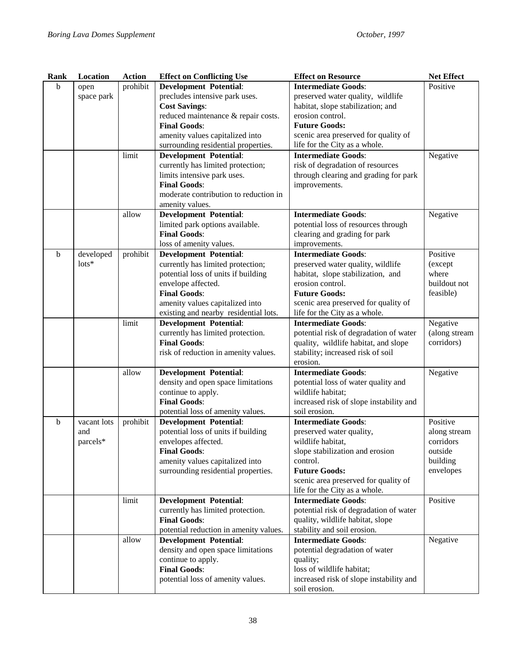| Rank        | Location        | <b>Action</b> | <b>Effect on Conflicting Use</b>       | <b>Effect on Resource</b>               | <b>Net Effect</b> |
|-------------|-----------------|---------------|----------------------------------------|-----------------------------------------|-------------------|
| $\mathbf b$ | open            | prohibit      | <b>Development Potential:</b>          | <b>Intermediate Goods:</b>              | Positive          |
|             | space park      |               | precludes intensive park uses.         | preserved water quality, wildlife       |                   |
|             |                 |               | <b>Cost Savings:</b>                   | habitat, slope stabilization; and       |                   |
|             |                 |               | reduced maintenance & repair costs.    | erosion control.                        |                   |
|             |                 |               | <b>Final Goods:</b>                    | <b>Future Goods:</b>                    |                   |
|             |                 |               | amenity values capitalized into        | scenic area preserved for quality of    |                   |
|             |                 |               | surrounding residential properties.    | life for the City as a whole.           |                   |
|             |                 | limit         | <b>Development Potential:</b>          | <b>Intermediate Goods:</b>              | Negative          |
|             |                 |               | currently has limited protection;      | risk of degradation of resources        |                   |
|             |                 |               | limits intensive park uses.            | through clearing and grading for park   |                   |
|             |                 |               | <b>Final Goods:</b>                    | improvements.                           |                   |
|             |                 |               | moderate contribution to reduction in  |                                         |                   |
|             |                 |               | amenity values.                        |                                         |                   |
|             |                 | allow         | <b>Development Potential:</b>          | <b>Intermediate Goods:</b>              | Negative          |
|             |                 |               | limited park options available.        | potential loss of resources through     |                   |
|             |                 |               | <b>Final Goods:</b>                    | clearing and grading for park           |                   |
|             |                 |               | loss of amenity values.                | improvements.                           |                   |
| $\mathbf b$ | developed       | prohibit      | <b>Development Potential:</b>          | <b>Intermediate Goods:</b>              | Positive          |
|             | $\text{lots}^*$ |               | currently has limited protection;      | preserved water quality, wildlife       | (except           |
|             |                 |               | potential loss of units if building    | habitat, slope stabilization, and       | where             |
|             |                 |               | envelope affected.                     | erosion control.                        | buildout not      |
|             |                 |               | <b>Final Goods:</b>                    | <b>Future Goods:</b>                    | feasible)         |
|             |                 |               | amenity values capitalized into        | scenic area preserved for quality of    |                   |
|             |                 |               | existing and nearby residential lots.  | life for the City as a whole.           |                   |
|             |                 | limit         | <b>Development Potential:</b>          | <b>Intermediate Goods:</b>              | Negative          |
|             |                 |               | currently has limited protection.      | potential risk of degradation of water  | (along stream     |
|             |                 |               | <b>Final Goods:</b>                    | quality, wildlife habitat, and slope    | corridors)        |
|             |                 |               | risk of reduction in amenity values.   | stability; increased risk of soil       |                   |
|             |                 |               |                                        | erosion.                                |                   |
|             |                 | allow         | <b>Development Potential:</b>          | <b>Intermediate Goods:</b>              | Negative          |
|             |                 |               | density and open space limitations     | potential loss of water quality and     |                   |
|             |                 |               | continue to apply.                     | wildlife habitat;                       |                   |
|             |                 |               | <b>Final Goods:</b>                    | increased risk of slope instability and |                   |
|             |                 |               | potential loss of amenity values.      | soil erosion.                           |                   |
| b           | vacant lots     | prohibit      | <b>Development Potential:</b>          | <b>Intermediate Goods:</b>              | Positive          |
|             | and             |               | potential loss of units if building    | preserved water quality,                | along stream      |
|             | parcels*        |               | envelopes affected.                    | wildlife habitat,                       | corridors         |
|             |                 |               | <b>Final Goods:</b>                    | slope stabilization and erosion         | outside           |
|             |                 |               | amenity values capitalized into        | control.                                | building          |
|             |                 |               | surrounding residential properties.    | <b>Future Goods:</b>                    | envelopes         |
|             |                 |               |                                        | scenic area preserved for quality of    |                   |
|             |                 |               |                                        | life for the City as a whole.           |                   |
|             |                 | limit         | <b>Development Potential:</b>          | <b>Intermediate Goods:</b>              | Positive          |
|             |                 |               | currently has limited protection.      | potential risk of degradation of water  |                   |
|             |                 |               | <b>Final Goods:</b>                    | quality, wildlife habitat, slope        |                   |
|             |                 |               | potential reduction in amenity values. | stability and soil erosion.             |                   |
|             |                 | allow         | <b>Development Potential:</b>          | <b>Intermediate Goods:</b>              | Negative          |
|             |                 |               | density and open space limitations     | potential degradation of water          |                   |
|             |                 |               | continue to apply.                     | quality;                                |                   |
|             |                 |               | <b>Final Goods:</b>                    | loss of wildlife habitat;               |                   |
|             |                 |               | potential loss of amenity values.      | increased risk of slope instability and |                   |
|             |                 |               |                                        | soil erosion.                           |                   |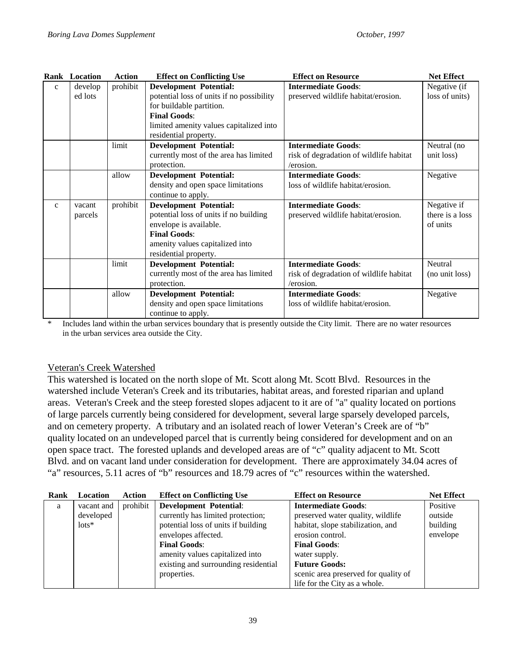|              | Rank Location | <b>Action</b> | <b>Effect on Conflicting Use</b>          | <b>Effect on Resource</b>               | <b>Net Effect</b> |
|--------------|---------------|---------------|-------------------------------------------|-----------------------------------------|-------------------|
| $\mathbf{C}$ | develop       | prohibit      | <b>Development Potential:</b>             | <b>Intermediate Goods:</b>              | Negative (if      |
|              | ed lots       |               | potential loss of units if no possibility | preserved wildlife habitat/erosion.     | loss of units)    |
|              |               |               | for buildable partition.                  |                                         |                   |
|              |               |               | <b>Final Goods:</b>                       |                                         |                   |
|              |               |               | limited amenity values capitalized into   |                                         |                   |
|              |               |               | residential property.                     |                                         |                   |
|              |               | limit         | <b>Development Potential:</b>             | <b>Intermediate Goods:</b>              | Neutral (no       |
|              |               |               | currently most of the area has limited    | risk of degradation of wildlife habitat | unit loss)        |
|              |               |               | protection.                               | /erosion.                               |                   |
|              |               | allow         | <b>Development Potential:</b>             | <b>Intermediate Goods:</b>              | Negative          |
|              |               |               | density and open space limitations        | loss of wildlife habitat/erosion.       |                   |
|              |               |               | continue to apply.                        |                                         |                   |
| $\mathbf{c}$ | vacant        | prohibit      | <b>Development Potential:</b>             | <b>Intermediate Goods:</b>              | Negative if       |
|              | parcels       |               | potential loss of units if no building    | preserved wildlife habitat/erosion.     | there is a loss   |
|              |               |               | envelope is available.                    |                                         | of units          |
|              |               |               | <b>Final Goods:</b>                       |                                         |                   |
|              |               |               | amenity values capitalized into           |                                         |                   |
|              |               |               | residential property.                     |                                         |                   |
|              |               | limit         | <b>Development Potential:</b>             | <b>Intermediate Goods:</b>              | Neutral           |
|              |               |               | currently most of the area has limited    | risk of degradation of wildlife habitat | (no unit loss)    |
|              |               |               | protection.                               | /erosion.                               |                   |
|              |               | allow         | <b>Development Potential:</b>             | <b>Intermediate Goods:</b>              | Negative          |
|              |               |               | density and open space limitations        | loss of wildlife habitat/erosion.       |                   |
|              |               |               | continue to apply.                        |                                         |                   |

\* Includes land within the urban services boundary that is presently outside the City limit. There are no water resources in the urban services area outside the City.

### Veteran's Creek Watershed

This watershed is located on the north slope of Mt. Scott along Mt. Scott Blvd. Resources in the watershed include Veteran's Creek and its tributaries, habitat areas, and forested riparian and upland areas. Veteran's Creek and the steep forested slopes adjacent to it are of "a" quality located on portions of large parcels currently being considered for development, several large sparsely developed parcels, and on cemetery property. A tributary and an isolated reach of lower Veteran's Creek are of "b" quality located on an undeveloped parcel that is currently being considered for development and on an open space tract. The forested uplands and developed areas are of "c" quality adjacent to Mt. Scott Blvd. and on vacant land under consideration for development. There are approximately 34.04 acres of "a" resources, 5.11 acres of "b" resources and 18.79 acres of "c" resources within the watershed.

| Rank | Location      | Action   | <b>Effect on Conflicting Use</b>     | <b>Effect on Resource</b>            | <b>Net Effect</b> |
|------|---------------|----------|--------------------------------------|--------------------------------------|-------------------|
| a    | vacant and    | prohibit | <b>Development Potential:</b>        | <b>Intermediate Goods:</b>           | Positive          |
|      | developed     |          | currently has limited protection;    | preserved water quality, wildlife    | outside           |
|      | $\frac{1}{1}$ |          | potential loss of units if building  | habitat, slope stabilization, and    | building          |
|      |               |          | envelopes affected.                  | erosion control.                     | envelope          |
|      |               |          | <b>Final Goods:</b>                  | <b>Final Goods:</b>                  |                   |
|      |               |          | amenity values capitalized into      | water supply.                        |                   |
|      |               |          | existing and surrounding residential | <b>Future Goods:</b>                 |                   |
|      |               |          | properties.                          | scenic area preserved for quality of |                   |
|      |               |          |                                      | life for the City as a whole.        |                   |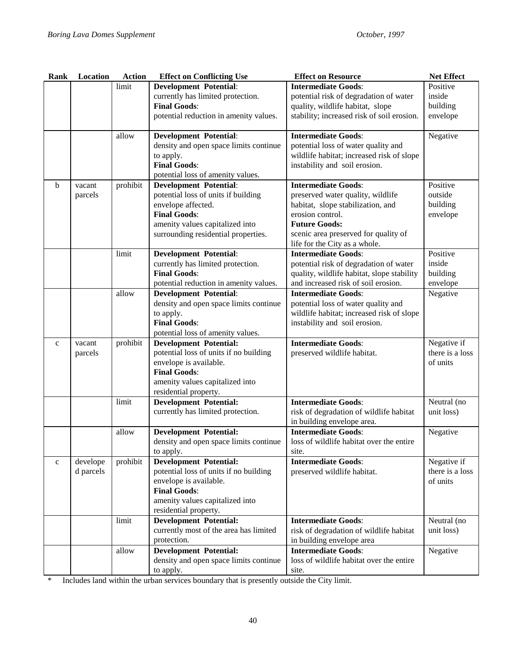| Rank        | Location  | <b>Action</b> | <b>Effect on Conflicting Use</b>                                        | <b>Effect on Resource</b>                  | <b>Net Effect</b>              |
|-------------|-----------|---------------|-------------------------------------------------------------------------|--------------------------------------------|--------------------------------|
|             |           | limit         | <b>Development Potential:</b>                                           | <b>Intermediate Goods:</b>                 | Positive                       |
|             |           |               | currently has limited protection.                                       | potential risk of degradation of water     | inside                         |
|             |           |               | <b>Final Goods:</b>                                                     | quality, wildlife habitat, slope           | building                       |
|             |           |               | potential reduction in amenity values.                                  | stability; increased risk of soil erosion. | envelope                       |
|             |           |               |                                                                         |                                            |                                |
|             |           | allow         | <b>Development Potential:</b>                                           | <b>Intermediate Goods:</b>                 | Negative                       |
|             |           |               | density and open space limits continue                                  | potential loss of water quality and        |                                |
|             |           |               | to apply.                                                               | wildlife habitat; increased risk of slope  |                                |
|             |           |               | <b>Final Goods:</b>                                                     | instability and soil erosion.              |                                |
|             |           |               | potential loss of amenity values.                                       |                                            |                                |
| $\mathbf b$ | vacant    | prohibit      | <b>Development Potential:</b>                                           | <b>Intermediate Goods:</b>                 | Positive                       |
|             | parcels   |               | potential loss of units if building                                     | preserved water quality, wildlife          | outside                        |
|             |           |               | envelope affected.                                                      | habitat, slope stabilization, and          | building                       |
|             |           |               | <b>Final Goods:</b>                                                     | erosion control.                           | envelope                       |
|             |           |               | amenity values capitalized into                                         | <b>Future Goods:</b>                       |                                |
|             |           |               | surrounding residential properties.                                     | scenic area preserved for quality of       |                                |
|             |           |               |                                                                         | life for the City as a whole.              |                                |
|             |           | limit         | <b>Development Potential:</b>                                           | <b>Intermediate Goods:</b>                 | Positive                       |
|             |           |               | currently has limited protection.                                       | potential risk of degradation of water     | inside                         |
|             |           |               | <b>Final Goods:</b>                                                     | quality, wildlife habitat, slope stability | building                       |
|             |           |               | potential reduction in amenity values.                                  | and increased risk of soil erosion.        | envelope                       |
|             |           | allow         | <b>Development Potential:</b>                                           | <b>Intermediate Goods:</b>                 | Negative                       |
|             |           |               | density and open space limits continue                                  | potential loss of water quality and        |                                |
|             |           |               | to apply.                                                               | wildlife habitat; increased risk of slope  |                                |
|             |           |               | <b>Final Goods:</b>                                                     | instability and soil erosion.              |                                |
|             |           |               | potential loss of amenity values.                                       |                                            |                                |
| $\mathbf c$ | vacant    | prohibit      | <b>Development Potential:</b>                                           | <b>Intermediate Goods:</b>                 | Negative if                    |
|             | parcels   |               | potential loss of units if no building                                  | preserved wildlife habitat.                | there is a loss                |
|             |           |               | envelope is available.                                                  |                                            | of units                       |
|             |           |               | <b>Final Goods:</b>                                                     |                                            |                                |
|             |           |               | amenity values capitalized into                                         |                                            |                                |
|             |           |               | residential property.                                                   |                                            |                                |
|             |           | limit         | <b>Development Potential:</b>                                           | <b>Intermediate Goods:</b>                 | Neutral (no                    |
|             |           |               | currently has limited protection.                                       | risk of degradation of wildlife habitat    | unit loss)                     |
|             |           |               |                                                                         | in building envelope area.                 |                                |
|             |           | allow         | <b>Development Potential:</b>                                           | <b>Intermediate Goods:</b>                 | Negative                       |
|             |           |               | density and open space limits continue                                  | loss of wildlife habitat over the entire   |                                |
|             |           |               |                                                                         | site.                                      |                                |
|             |           | prohibit      | to apply.                                                               | <b>Intermediate Goods:</b>                 |                                |
| $\mathbf c$ | develope  |               | <b>Development Potential:</b><br>potential loss of units if no building | preserved wildlife habitat.                | Negative if<br>there is a loss |
|             | d parcels |               | envelope is available.                                                  |                                            | of units                       |
|             |           |               | <b>Final Goods:</b>                                                     |                                            |                                |
|             |           |               |                                                                         |                                            |                                |
|             |           |               | amenity values capitalized into                                         |                                            |                                |
|             |           |               | residential property.                                                   |                                            |                                |
|             |           | limit         | <b>Development Potential:</b>                                           | <b>Intermediate Goods:</b>                 | Neutral (no                    |
|             |           |               | currently most of the area has limited                                  | risk of degradation of wildlife habitat    | unit loss)                     |
|             |           |               | protection.                                                             | in building envelope area                  |                                |
|             |           | allow         | <b>Development Potential:</b>                                           | <b>Intermediate Goods:</b>                 | Negative                       |
|             |           |               | density and open space limits continue                                  | loss of wildlife habitat over the entire   |                                |
|             |           |               | to apply.                                                               | site.                                      |                                |

\* Includes land within the urban services boundary that is presently outside the City limit.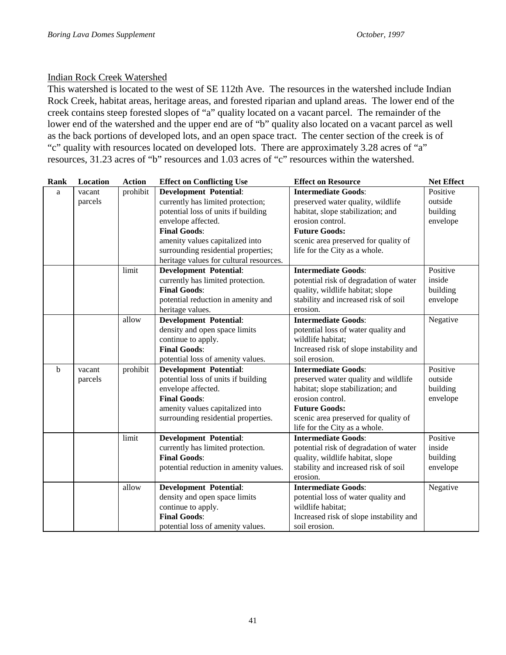#### Indian Rock Creek Watershed

This watershed is located to the west of SE 112th Ave. The resources in the watershed include Indian Rock Creek, habitat areas, heritage areas, and forested riparian and upland areas. The lower end of the creek contains steep forested slopes of "a" quality located on a vacant parcel. The remainder of the lower end of the watershed and the upper end are of "b" quality also located on a vacant parcel as well as the back portions of developed lots, and an open space tract. The center section of the creek is of "c" quality with resources located on developed lots. There are approximately 3.28 acres of "a" resources, 31.23 acres of "b" resources and 1.03 acres of "c" resources within the watershed.

| Rank        | Location | <b>Action</b> | <b>Effect on Conflicting Use</b>        | <b>Effect on Resource</b>               | <b>Net Effect</b> |
|-------------|----------|---------------|-----------------------------------------|-----------------------------------------|-------------------|
| a           | vacant   | prohibit      | <b>Development Potential:</b>           | <b>Intermediate Goods:</b>              | Positive          |
|             | parcels  |               | currently has limited protection;       | preserved water quality, wildlife       | outside           |
|             |          |               | potential loss of units if building     | habitat, slope stabilization; and       | building          |
|             |          |               | envelope affected.                      | erosion control.                        | envelope          |
|             |          |               | <b>Final Goods:</b>                     | <b>Future Goods:</b>                    |                   |
|             |          |               | amenity values capitalized into         | scenic area preserved for quality of    |                   |
|             |          |               | surrounding residential properties;     | life for the City as a whole.           |                   |
|             |          |               | heritage values for cultural resources. |                                         |                   |
|             |          | limit         | <b>Development Potential:</b>           | <b>Intermediate Goods:</b>              | Positive          |
|             |          |               | currently has limited protection.       | potential risk of degradation of water  | inside            |
|             |          |               | <b>Final Goods:</b>                     | quality, wildlife habitat; slope        | building          |
|             |          |               | potential reduction in amenity and      | stability and increased risk of soil    | envelope          |
|             |          |               | heritage values.                        | erosion.                                |                   |
|             |          | allow         | <b>Development Potential:</b>           | <b>Intermediate Goods:</b>              | Negative          |
|             |          |               | density and open space limits           | potential loss of water quality and     |                   |
|             |          |               | continue to apply.                      | wildlife habitat:                       |                   |
|             |          |               | <b>Final Goods:</b>                     | Increased risk of slope instability and |                   |
|             |          |               | potential loss of amenity values.       | soil erosion.                           |                   |
| $\mathbf b$ | vacant   | prohibit      | <b>Development Potential:</b>           | <b>Intermediate Goods:</b>              | Positive          |
|             | parcels  |               | potential loss of units if building     | preserved water quality and wildlife    | outside           |
|             |          |               | envelope affected.                      | habitat; slope stabilization; and       | building          |
|             |          |               | <b>Final Goods:</b>                     | erosion control.                        | envelope          |
|             |          |               | amenity values capitalized into         | <b>Future Goods:</b>                    |                   |
|             |          |               | surrounding residential properties.     | scenic area preserved for quality of    |                   |
|             |          |               |                                         | life for the City as a whole.           |                   |
|             |          | limit         | <b>Development Potential:</b>           | <b>Intermediate Goods:</b>              | Positive          |
|             |          |               | currently has limited protection.       | potential risk of degradation of water  | inside            |
|             |          |               | <b>Final Goods:</b>                     | quality, wildlife habitat, slope        | building          |
|             |          |               | potential reduction in amenity values.  | stability and increased risk of soil    | envelope          |
|             |          |               |                                         | erosion.                                |                   |
|             |          | allow         | <b>Development Potential:</b>           | <b>Intermediate Goods:</b>              | Negative          |
|             |          |               | density and open space limits           | potential loss of water quality and     |                   |
|             |          |               | continue to apply.                      | wildlife habitat;                       |                   |
|             |          |               | <b>Final Goods:</b>                     | Increased risk of slope instability and |                   |
|             |          |               | potential loss of amenity values.       | soil erosion.                           |                   |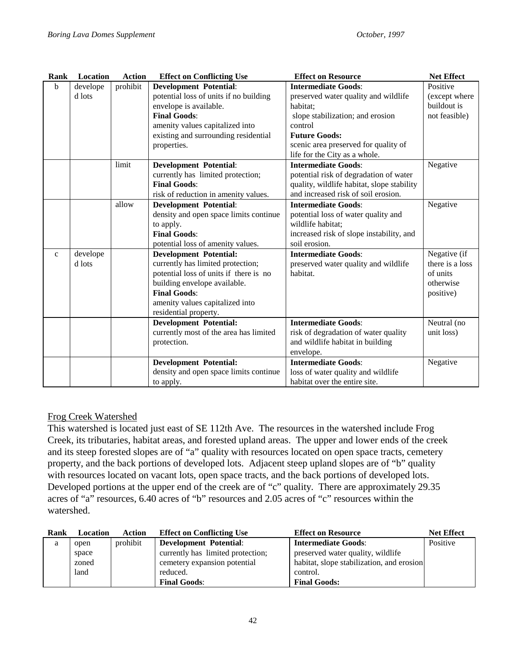| Rank         | Location | <b>Action</b> | <b>Effect on Conflicting Use</b>       | <b>Effect on Resource</b>                  | <b>Net Effect</b> |
|--------------|----------|---------------|----------------------------------------|--------------------------------------------|-------------------|
| b            | develope | prohibit      | <b>Development Potential:</b>          | <b>Intermediate Goods:</b>                 | Positive          |
|              | d lots   |               | potential loss of units if no building | preserved water quality and wildlife       | (except where     |
|              |          |               | envelope is available.                 | habitat;                                   | buildout is       |
|              |          |               | <b>Final Goods:</b>                    | slope stabilization; and erosion           | not feasible)     |
|              |          |               | amenity values capitalized into        | control                                    |                   |
|              |          |               | existing and surrounding residential   | <b>Future Goods:</b>                       |                   |
|              |          |               | properties.                            | scenic area preserved for quality of       |                   |
|              |          |               |                                        | life for the City as a whole.              |                   |
|              |          | limit         | <b>Development Potential:</b>          | <b>Intermediate Goods:</b>                 | Negative          |
|              |          |               | currently has limited protection;      | potential risk of degradation of water     |                   |
|              |          |               | <b>Final Goods:</b>                    | quality, wildlife habitat, slope stability |                   |
|              |          |               | risk of reduction in amenity values.   | and increased risk of soil erosion.        |                   |
|              |          | allow         | <b>Development Potential:</b>          | <b>Intermediate Goods:</b>                 | Negative          |
|              |          |               | density and open space limits continue | potential loss of water quality and        |                   |
|              |          |               | to apply.                              | wildlife habitat;                          |                   |
|              |          |               | <b>Final Goods:</b>                    | increased risk of slope instability, and   |                   |
|              |          |               | potential loss of amenity values.      | soil erosion.                              |                   |
| $\mathbf{C}$ | develope |               | <b>Development Potential:</b>          | <b>Intermediate Goods:</b>                 | Negative (if      |
|              | d lots   |               | currently has limited protection;      | preserved water quality and wildlife       | there is a loss   |
|              |          |               | potential loss of units if there is no | habitat.                                   | of units          |
|              |          |               | building envelope available.           |                                            | otherwise         |
|              |          |               | <b>Final Goods:</b>                    |                                            | positive)         |
|              |          |               | amenity values capitalized into        |                                            |                   |
|              |          |               | residential property.                  |                                            |                   |
|              |          |               | <b>Development Potential:</b>          | <b>Intermediate Goods:</b>                 | Neutral (no       |
|              |          |               | currently most of the area has limited | risk of degradation of water quality       | unit loss)        |
|              |          |               | protection.                            | and wildlife habitat in building           |                   |
|              |          |               |                                        | envelope.                                  |                   |
|              |          |               | <b>Development Potential:</b>          | <b>Intermediate Goods:</b>                 | Negative          |
|              |          |               | density and open space limits continue | loss of water quality and wildlife         |                   |
|              |          |               | to apply.                              | habitat over the entire site.              |                   |

## Frog Creek Watershed

This watershed is located just east of SE 112th Ave. The resources in the watershed include Frog Creek, its tributaries, habitat areas, and forested upland areas. The upper and lower ends of the creek and its steep forested slopes are of "a" quality with resources located on open space tracts, cemetery property, and the back portions of developed lots. Adjacent steep upland slopes are of "b" quality with resources located on vacant lots, open space tracts, and the back portions of developed lots. Developed portions at the upper end of the creek are of "c" quality. There are approximately 29.35 acres of "a" resources, 6.40 acres of "b" resources and 2.05 acres of "c" resources within the watershed.

| <b>Rank</b> | Location | Action   | <b>Effect on Conflicting Use</b>  | <b>Effect on Resource</b>                 | <b>Net Effect</b> |
|-------------|----------|----------|-----------------------------------|-------------------------------------------|-------------------|
| a           | open     | prohibit | <b>Development Potential:</b>     | <b>Intermediate Goods:</b>                | Positive          |
|             | space    |          | currently has limited protection; | preserved water quality, wildlife         |                   |
|             | zoned    |          | cemetery expansion potential      | habitat, slope stabilization, and erosion |                   |
|             | land     |          | reduced.                          | control.                                  |                   |
|             |          |          | <b>Final Goods:</b>               | <b>Final Goods:</b>                       |                   |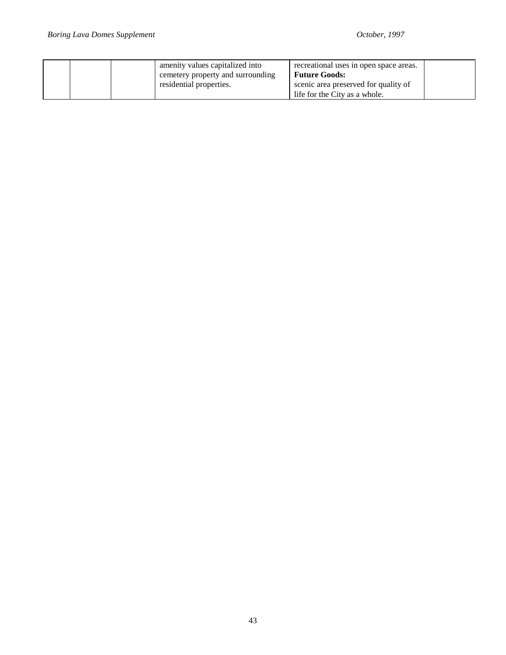|  | amenity values capitalized into<br>cemetery property and surrounding<br>residential properties. | recreational uses in open space areas.<br><b>Future Goods:</b><br>scenic area preserved for quality of |  |
|--|-------------------------------------------------------------------------------------------------|--------------------------------------------------------------------------------------------------------|--|
|  |                                                                                                 | life for the City as a whole.                                                                          |  |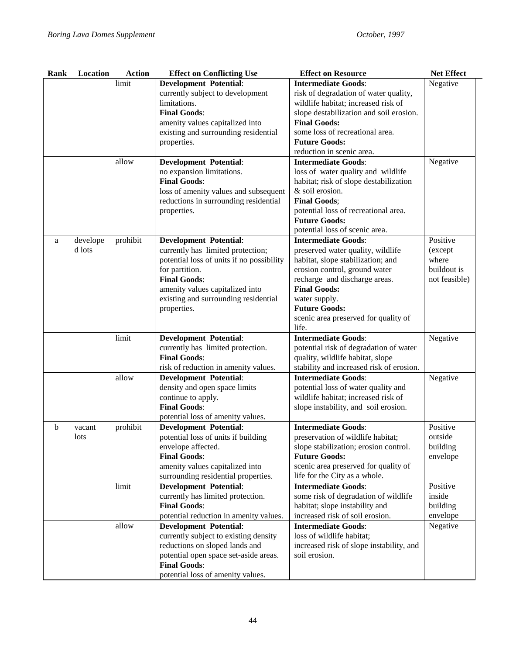| Rank | Location | <b>Action</b> | <b>Effect on Conflicting Use</b>          | <b>Effect on Resource</b>                | <b>Net Effect</b> |
|------|----------|---------------|-------------------------------------------|------------------------------------------|-------------------|
|      |          | limit         | <b>Development Potential:</b>             | <b>Intermediate Goods:</b>               | Negative          |
|      |          |               | currently subject to development          | risk of degradation of water quality,    |                   |
|      |          |               | limitations.                              | wildlife habitat; increased risk of      |                   |
|      |          |               | <b>Final Goods:</b>                       | slope destabilization and soil erosion.  |                   |
|      |          |               | amenity values capitalized into           | <b>Final Goods:</b>                      |                   |
|      |          |               | existing and surrounding residential      | some loss of recreational area.          |                   |
|      |          |               | properties.                               | <b>Future Goods:</b>                     |                   |
|      |          |               |                                           | reduction in scenic area.                |                   |
|      |          | allow         | <b>Development Potential:</b>             | <b>Intermediate Goods:</b>               | Negative          |
|      |          |               | no expansion limitations.                 | loss of water quality and wildlife       |                   |
|      |          |               | <b>Final Goods:</b>                       | habitat; risk of slope destabilization   |                   |
|      |          |               | loss of amenity values and subsequent     | & soil erosion.                          |                   |
|      |          |               | reductions in surrounding residential     | <b>Final Goods:</b>                      |                   |
|      |          |               | properties.                               | potential loss of recreational area.     |                   |
|      |          |               |                                           | <b>Future Goods:</b>                     |                   |
|      |          |               |                                           | potential loss of scenic area.           |                   |
| a    | develope | prohibit      | <b>Development Potential:</b>             | <b>Intermediate Goods:</b>               | Positive          |
|      | d lots   |               | currently has limited protection;         | preserved water quality, wildlife        | (except           |
|      |          |               | potential loss of units if no possibility | habitat, slope stabilization; and        | where             |
|      |          |               | for partition.                            | erosion control, ground water            | buildout is       |
|      |          |               | <b>Final Goods:</b>                       | recharge and discharge areas.            | not feasible)     |
|      |          |               | amenity values capitalized into           | <b>Final Goods:</b>                      |                   |
|      |          |               | existing and surrounding residential      | water supply.                            |                   |
|      |          |               | properties.                               | <b>Future Goods:</b>                     |                   |
|      |          |               |                                           | scenic area preserved for quality of     |                   |
|      |          |               |                                           | life.                                    |                   |
|      |          | limit         | <b>Development Potential:</b>             | <b>Intermediate Goods:</b>               | Negative          |
|      |          |               | currently has limited protection.         | potential risk of degradation of water   |                   |
|      |          |               | <b>Final Goods:</b>                       | quality, wildlife habitat, slope         |                   |
|      |          |               | risk of reduction in amenity values.      | stability and increased risk of erosion. |                   |
|      |          | allow         | <b>Development Potential:</b>             | <b>Intermediate Goods:</b>               | Negative          |
|      |          |               | density and open space limits             | potential loss of water quality and      |                   |
|      |          |               | continue to apply.                        | wildlife habitat; increased risk of      |                   |
|      |          |               | <b>Final Goods:</b>                       | slope instability, and soil erosion.     |                   |
|      |          |               | potential loss of amenity values.         |                                          |                   |
| b    | vacant   | prohibit      | <b>Development Potential:</b>             | <b>Intermediate Goods:</b>               | Positive          |
|      | lots     |               | potential loss of units if building       | preservation of wildlife habitat;        | outside           |
|      |          |               | envelope affected.                        | slope stabilization; erosion control.    | building          |
|      |          |               | <b>Final Goods:</b>                       | <b>Future Goods:</b>                     | envelope          |
|      |          |               | amenity values capitalized into           | scenic area preserved for quality of     |                   |
|      |          |               | surrounding residential properties.       | life for the City as a whole.            |                   |
|      |          | limit         | <b>Development Potential:</b>             | <b>Intermediate Goods:</b>               | Positive          |
|      |          |               | currently has limited protection.         | some risk of degradation of wildlife     | inside            |
|      |          |               | <b>Final Goods:</b>                       | habitat; slope instability and           | building          |
|      |          |               |                                           | increased risk of soil erosion.          | envelope          |
|      |          |               | potential reduction in amenity values.    | <b>Intermediate Goods:</b>               |                   |
|      |          | allow         | <b>Development Potential:</b>             |                                          | Negative          |
|      |          |               | currently subject to existing density     | loss of wildlife habitat;                |                   |
|      |          |               | reductions on sloped lands and            | increased risk of slope instability, and |                   |
|      |          |               | potential open space set-aside areas.     | soil erosion.                            |                   |
|      |          |               | <b>Final Goods:</b>                       |                                          |                   |
|      |          |               | potential loss of amenity values.         |                                          |                   |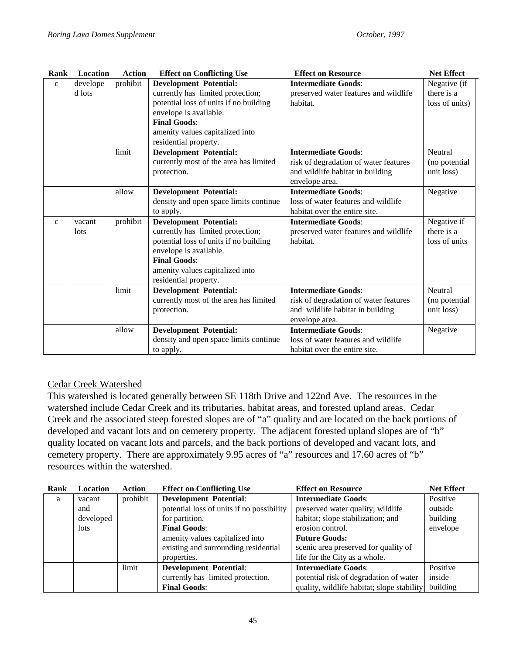| Rank         | <b>Location</b> | Action   | <b>Effect on Conflicting Use</b>       | <b>Effect on Resource</b>             | <b>Net Effect</b> |
|--------------|-----------------|----------|----------------------------------------|---------------------------------------|-------------------|
| $\mathbf{C}$ | develope        | prohibit | <b>Development Potential:</b>          | <b>Intermediate Goods:</b>            | Negative (if      |
|              | d lots          |          | currently has limited protection;      | preserved water features and wildlife | there is a        |
|              |                 |          | potential loss of units if no building | habitat.                              | loss of units)    |
|              |                 |          | envelope is available.                 |                                       |                   |
|              |                 |          | <b>Final Goods:</b>                    |                                       |                   |
|              |                 |          | amenity values capitalized into        |                                       |                   |
|              |                 |          | residential property.                  |                                       |                   |
|              |                 | limit    | <b>Development Potential:</b>          | <b>Intermediate Goods:</b>            | Neutral           |
|              |                 |          | currently most of the area has limited | risk of degradation of water features | (no potential     |
|              |                 |          | protection.                            | and wildlife habitat in building      | unit loss)        |
|              |                 |          |                                        | envelope area.                        |                   |
|              |                 | allow    | <b>Development Potential:</b>          | <b>Intermediate Goods:</b>            | Negative          |
|              |                 |          | density and open space limits continue | loss of water features and wildlife   |                   |
|              |                 |          | to apply.                              | habitat over the entire site.         |                   |
| $\mathbf{C}$ | vacant          | prohibit | <b>Development Potential:</b>          | <b>Intermediate Goods:</b>            | Negative if       |
|              | lots            |          | currently has limited protection;      | preserved water features and wildlife | there is a        |
|              |                 |          | potential loss of units if no building | habitat.                              | loss of units     |
|              |                 |          | envelope is available.                 |                                       |                   |
|              |                 |          | <b>Final Goods:</b>                    |                                       |                   |
|              |                 |          | amenity values capitalized into        |                                       |                   |
|              |                 |          | residential property.                  |                                       |                   |
|              |                 | limit    | <b>Development Potential:</b>          | <b>Intermediate Goods:</b>            | Neutral           |
|              |                 |          | currently most of the area has limited | risk of degradation of water features | (no potential     |
|              |                 |          | protection.                            | and wildlife habitat in building      | unit loss)        |
|              |                 |          |                                        | envelope area.                        |                   |
|              |                 | allow    | <b>Development Potential:</b>          | <b>Intermediate Goods:</b>            | Negative          |
|              |                 |          | density and open space limits continue | loss of water features and wildlife   |                   |
|              |                 |          | to apply.                              | habitat over the entire site.         |                   |

## Cedar Creek Watershed

This watershed is located generally between SE 118th Drive and 122nd Ave. The resources in the watershed include Cedar Creek and its tributaries, habitat areas, and forested upland areas. Cedar Creek and the associated steep forested slopes are of "a" quality and are located on the back portions of developed and vacant lots and on cemetery property. The adjacent forested upland slopes are of "b" quality located on vacant lots and parcels, and the back portions of developed and vacant lots, and cemetery property. There are approximately 9.95 acres of "a" resources and 17.60 acres of "b" resources within the watershed.

| Rank | <b>Location</b> | Action   | <b>Effect on Conflicting Use</b>          | <b>Effect on Resource</b>                  | <b>Net Effect</b> |
|------|-----------------|----------|-------------------------------------------|--------------------------------------------|-------------------|
| a    | vacant          | prohibit | <b>Development Potential:</b>             | <b>Intermediate Goods:</b>                 | Positive          |
|      | and             |          | potential loss of units if no possibility | preserved water quality; wildlife          | outside           |
|      | developed       |          | for partition.                            | habitat; slope stabilization; and          | building          |
|      | <i>lots</i>     |          | <b>Final Goods:</b>                       | erosion control.                           | envelope          |
|      |                 |          | amenity values capitalized into           | <b>Future Goods:</b>                       |                   |
|      |                 |          | existing and surrounding residential      | scenic area preserved for quality of       |                   |
|      |                 |          | properties.                               | life for the City as a whole.              |                   |
|      |                 | limit    | <b>Development Potential:</b>             | <b>Intermediate Goods:</b>                 | Positive          |
|      |                 |          | currently has limited protection.         | potential risk of degradation of water     | inside            |
|      |                 |          | <b>Final Goods:</b>                       | quality, wildlife habitat; slope stability | building          |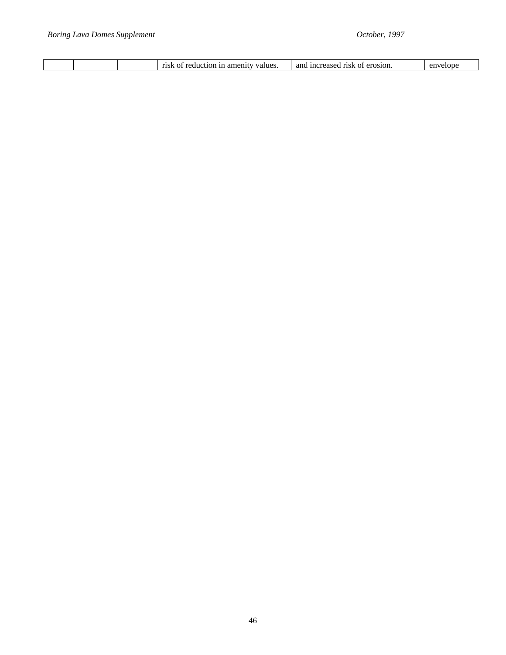| alues<br>1°1 C<br>пот<br>I It<br>. | ano<br>$\sim$<br>$\Omega$ $\Omega$<br>~<br>anc<br>٠n،<br>rısk<br>ונ<br>. . aseo | י ר |
|------------------------------------|---------------------------------------------------------------------------------|-----|
|------------------------------------|---------------------------------------------------------------------------------|-----|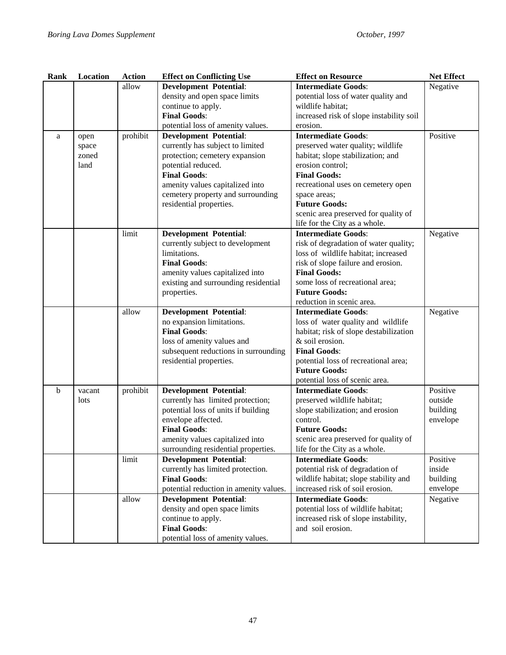| <b>Rank</b> | Location | <b>Action</b> | <b>Effect on Conflicting Use</b>          | <b>Effect on Resource</b>                                   | <b>Net Effect</b> |
|-------------|----------|---------------|-------------------------------------------|-------------------------------------------------------------|-------------------|
|             |          | allow         | <b>Development Potential:</b>             | <b>Intermediate Goods:</b>                                  | Negative          |
|             |          |               | density and open space limits             | potential loss of water quality and                         |                   |
|             |          |               | continue to apply.                        | wildlife habitat;                                           |                   |
|             |          |               | <b>Final Goods:</b>                       | increased risk of slope instability soil                    |                   |
|             |          |               | potential loss of amenity values.         | erosion.                                                    |                   |
| a           | open     | prohibit      | <b>Development Potential:</b>             | <b>Intermediate Goods:</b>                                  | Positive          |
|             | space    |               | currently has subject to limited          | preserved water quality; wildlife                           |                   |
|             | zoned    |               | protection; cemetery expansion            | habitat; slope stabilization; and                           |                   |
|             | land     |               | potential reduced.                        | erosion control;                                            |                   |
|             |          |               | <b>Final Goods:</b>                       | <b>Final Goods:</b>                                         |                   |
|             |          |               | amenity values capitalized into           | recreational uses on cemetery open                          |                   |
|             |          |               | cemetery property and surrounding         | space areas;                                                |                   |
|             |          |               | residential properties.                   | <b>Future Goods:</b>                                        |                   |
|             |          |               |                                           | scenic area preserved for quality of                        |                   |
|             |          |               |                                           | life for the City as a whole.                               |                   |
|             |          | limit         | <b>Development Potential:</b>             | <b>Intermediate Goods:</b>                                  | Negative          |
|             |          |               | currently subject to development          | risk of degradation of water quality;                       |                   |
|             |          |               | limitations.                              | loss of wildlife habitat; increased                         |                   |
|             |          |               | <b>Final Goods:</b>                       | risk of slope failure and erosion.                          |                   |
|             |          |               | amenity values capitalized into           | <b>Final Goods:</b>                                         |                   |
|             |          |               | existing and surrounding residential      | some loss of recreational area;                             |                   |
|             |          |               | properties.                               | <b>Future Goods:</b>                                        |                   |
|             |          |               |                                           | reduction in scenic area.                                   |                   |
|             |          | allow         | <b>Development Potential:</b>             | <b>Intermediate Goods:</b>                                  | Negative          |
|             |          |               | no expansion limitations.                 | loss of water quality and wildlife                          |                   |
|             |          |               | <b>Final Goods:</b>                       | habitat; risk of slope destabilization                      |                   |
|             |          |               | loss of amenity values and                | & soil erosion.                                             |                   |
|             |          |               | subsequent reductions in surrounding      | <b>Final Goods:</b><br>potential loss of recreational area; |                   |
|             |          |               | residential properties.                   |                                                             |                   |
|             |          |               |                                           |                                                             |                   |
|             |          |               |                                           | <b>Future Goods:</b>                                        |                   |
|             |          |               |                                           | potential loss of scenic area.                              |                   |
| b           | vacant   | prohibit      | <b>Development Potential:</b>             | <b>Intermediate Goods:</b>                                  | Positive          |
|             | lots     |               | currently has limited protection;         | preserved wildlife habitat;                                 | outside           |
|             |          |               | potential loss of units if building       | slope stabilization; and erosion                            | building          |
|             |          |               | envelope affected.                        | control.                                                    | envelope          |
|             |          |               | <b>Final Goods:</b>                       | <b>Future Goods:</b>                                        |                   |
|             |          |               | amenity values capitalized into           | scenic area preserved for quality of                        |                   |
|             |          |               | surrounding residential properties.       | life for the City as a whole.                               |                   |
|             |          | limit         | <b>Development Potential:</b>             | <b>Intermediate Goods:</b>                                  | Positive          |
|             |          |               | currently has limited protection.         | potential risk of degradation of                            | inside            |
|             |          |               | <b>Final Goods:</b>                       | wildlife habitat; slope stability and                       | building          |
|             |          |               | potential reduction in amenity values.    | increased risk of soil erosion.                             | envelope          |
|             |          | allow         | <b>Development Potential:</b>             | <b>Intermediate Goods:</b>                                  | Negative          |
|             |          |               | density and open space limits             | potential loss of wildlife habitat;                         |                   |
|             |          |               | continue to apply.<br><b>Final Goods:</b> | increased risk of slope instability,<br>and soil erosion.   |                   |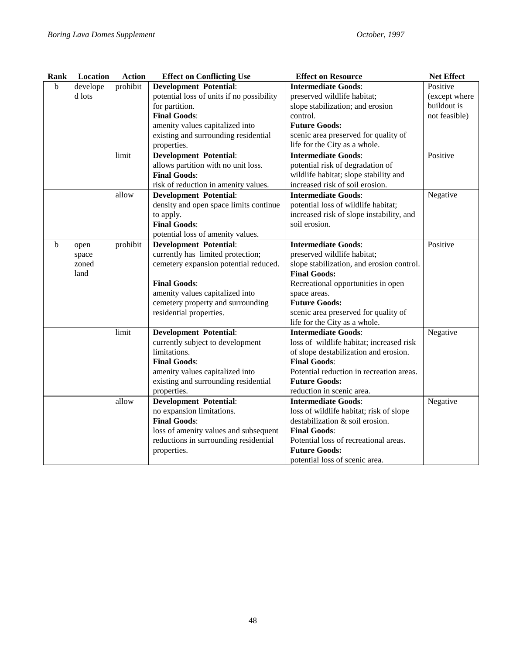| Rank | Location | <b>Action</b> | <b>Effect on Conflicting Use</b>          | <b>Effect on Resource</b>                 | Net Effect    |
|------|----------|---------------|-------------------------------------------|-------------------------------------------|---------------|
| b    | develope | prohibit      | <b>Development Potential:</b>             | <b>Intermediate Goods:</b>                | Positive      |
|      | d lots   |               | potential loss of units if no possibility | preserved wildlife habitat;               | (except where |
|      |          |               | for partition.                            | slope stabilization; and erosion          | buildout is   |
|      |          |               | <b>Final Goods:</b>                       | control.                                  | not feasible) |
|      |          |               | amenity values capitalized into           | <b>Future Goods:</b>                      |               |
|      |          |               | existing and surrounding residential      | scenic area preserved for quality of      |               |
|      |          |               | properties.                               | life for the City as a whole.             |               |
|      |          | limit         | <b>Development Potential:</b>             | <b>Intermediate Goods:</b>                | Positive      |
|      |          |               | allows partition with no unit loss.       | potential risk of degradation of          |               |
|      |          |               | <b>Final Goods:</b>                       | wildlife habitat; slope stability and     |               |
|      |          |               | risk of reduction in amenity values.      | increased risk of soil erosion.           |               |
|      |          | allow         | <b>Development Potential:</b>             | <b>Intermediate Goods:</b>                | Negative      |
|      |          |               | density and open space limits continue    | potential loss of wildlife habitat;       |               |
|      |          |               | to apply.                                 | increased risk of slope instability, and  |               |
|      |          |               | <b>Final Goods:</b>                       | soil erosion.                             |               |
|      |          |               | potential loss of amenity values.         |                                           |               |
| b.   | open     | prohibit      | <b>Development Potential:</b>             | <b>Intermediate Goods:</b>                | Positive      |
|      | space    |               | currently has limited protection;         | preserved wildlife habitat;               |               |
|      | zoned    |               | cemetery expansion potential reduced.     | slope stabilization, and erosion control. |               |
|      | land     |               |                                           | <b>Final Goods:</b>                       |               |
|      |          |               | <b>Final Goods:</b>                       | Recreational opportunities in open        |               |
|      |          |               | amenity values capitalized into           | space areas.                              |               |
|      |          |               | cemetery property and surrounding         | <b>Future Goods:</b>                      |               |
|      |          |               | residential properties.                   | scenic area preserved for quality of      |               |
|      |          |               |                                           | life for the City as a whole.             |               |
|      |          | limit         | <b>Development Potential:</b>             | <b>Intermediate Goods:</b>                | Negative      |
|      |          |               | currently subject to development          | loss of wildlife habitat; increased risk  |               |
|      |          |               | limitations.                              | of slope destabilization and erosion.     |               |
|      |          |               | <b>Final Goods:</b>                       | <b>Final Goods:</b>                       |               |
|      |          |               | amenity values capitalized into           | Potential reduction in recreation areas.  |               |
|      |          |               | existing and surrounding residential      | <b>Future Goods:</b>                      |               |
|      |          |               | properties.                               | reduction in scenic area.                 |               |
|      |          | allow         | <b>Development Potential:</b>             | <b>Intermediate Goods:</b>                | Negative      |
|      |          |               | no expansion limitations.                 | loss of wildlife habitat; risk of slope   |               |
|      |          |               | <b>Final Goods:</b>                       | destabilization & soil erosion.           |               |
|      |          |               | loss of amenity values and subsequent     | <b>Final Goods:</b>                       |               |
|      |          |               | reductions in surrounding residential     | Potential loss of recreational areas.     |               |
|      |          |               | properties.                               | <b>Future Goods:</b>                      |               |
|      |          |               |                                           | potential loss of scenic area.            |               |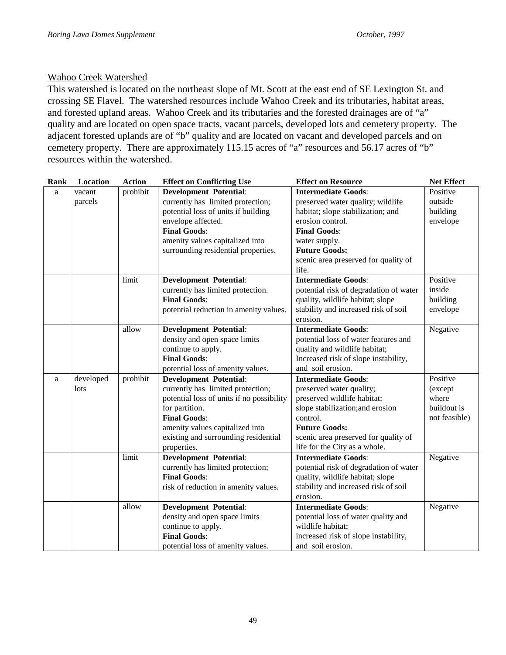## Wahoo Creek Watershed

This watershed is located on the northeast slope of Mt. Scott at the east end of SE Lexington St. and crossing SE Flavel. The watershed resources include Wahoo Creek and its tributaries, habitat areas, and forested upland areas. Wahoo Creek and its tributaries and the forested drainages are of "a" quality and are located on open space tracts, vacant parcels, developed lots and cemetery property. The adjacent forested uplands are of "b" quality and are located on vacant and developed parcels and on cemetery property. There are approximately 115.15 acres of "a" resources and 56.17 acres of "b" resources within the watershed.

| Rank | Location  | <b>Action</b> | <b>Effect on Conflicting Use</b>          | <b>Effect on Resource</b>              | <b>Net Effect</b> |
|------|-----------|---------------|-------------------------------------------|----------------------------------------|-------------------|
| a    | vacant    | prohibit      | <b>Development Potential:</b>             | <b>Intermediate Goods:</b>             | Positive          |
|      | parcels   |               | currently has limited protection;         | preserved water quality; wildlife      | outside           |
|      |           |               | potential loss of units if building       | habitat; slope stabilization; and      | building          |
|      |           |               | envelope affected.                        | erosion control.                       | envelope          |
|      |           |               | <b>Final Goods:</b>                       | <b>Final Goods:</b>                    |                   |
|      |           |               | amenity values capitalized into           | water supply.                          |                   |
|      |           |               | surrounding residential properties.       | <b>Future Goods:</b>                   |                   |
|      |           |               |                                           | scenic area preserved for quality of   |                   |
|      |           |               |                                           | life.                                  |                   |
|      |           | limit         | <b>Development Potential:</b>             | <b>Intermediate Goods:</b>             | Positive          |
|      |           |               | currently has limited protection.         | potential risk of degradation of water | inside            |
|      |           |               | <b>Final Goods:</b>                       | quality, wildlife habitat; slope       | building          |
|      |           |               | potential reduction in amenity values.    | stability and increased risk of soil   | envelope          |
|      |           |               |                                           | erosion.                               |                   |
|      |           | allow         | <b>Development Potential:</b>             | <b>Intermediate Goods:</b>             | Negative          |
|      |           |               | density and open space limits             | potential loss of water features and   |                   |
|      |           |               | continue to apply.                        | quality and wildlife habitat;          |                   |
|      |           |               | <b>Final Goods:</b>                       | Increased risk of slope instability,   |                   |
|      |           |               | potential loss of amenity values.         | and soil erosion.                      |                   |
| a    | developed | prohibit      | <b>Development Potential:</b>             | <b>Intermediate Goods:</b>             | Positive          |
|      | lots      |               | currently has limited protection;         | preserved water quality;               | (except           |
|      |           |               | potential loss of units if no possibility | preserved wildlife habitat;            | where             |
|      |           |               | for partition.                            | slope stabilization; and erosion       | buildout is       |
|      |           |               | <b>Final Goods:</b>                       | control.                               | not feasible)     |
|      |           |               | amenity values capitalized into           | <b>Future Goods:</b>                   |                   |
|      |           |               | existing and surrounding residential      | scenic area preserved for quality of   |                   |
|      |           |               | properties.                               | life for the City as a whole.          |                   |
|      |           | limit         | <b>Development Potential:</b>             | <b>Intermediate Goods:</b>             | Negative          |
|      |           |               | currently has limited protection;         | potential risk of degradation of water |                   |
|      |           |               | <b>Final Goods:</b>                       | quality, wildlife habitat; slope       |                   |
|      |           |               | risk of reduction in amenity values.      | stability and increased risk of soil   |                   |
|      |           |               |                                           | erosion.                               |                   |
|      |           | allow         | <b>Development Potential:</b>             | <b>Intermediate Goods:</b>             | Negative          |
|      |           |               | density and open space limits             | potential loss of water quality and    |                   |
|      |           |               | continue to apply.                        | wildlife habitat;                      |                   |
|      |           |               | <b>Final Goods:</b>                       | increased risk of slope instability,   |                   |
|      |           |               | potential loss of amenity values.         | and soil erosion.                      |                   |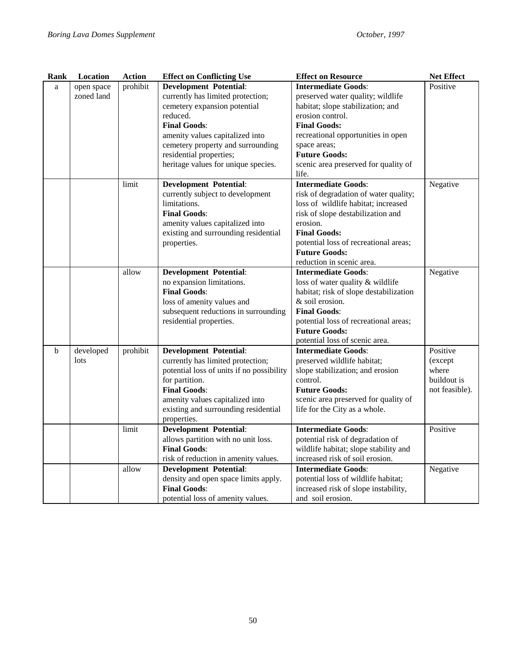| <b>Rank</b> | Location   | <b>Action</b> | <b>Effect on Conflicting Use</b>                                                                                                                                                                                                                                                                                                                  | <b>Effect on Resource</b>                                                                                                                                                                                                                                                  | <b>Net Effect</b> |
|-------------|------------|---------------|---------------------------------------------------------------------------------------------------------------------------------------------------------------------------------------------------------------------------------------------------------------------------------------------------------------------------------------------------|----------------------------------------------------------------------------------------------------------------------------------------------------------------------------------------------------------------------------------------------------------------------------|-------------------|
| a           | open space | prohibit      | <b>Development Potential:</b>                                                                                                                                                                                                                                                                                                                     | <b>Intermediate Goods:</b>                                                                                                                                                                                                                                                 | Positive          |
|             | zoned land |               | currently has limited protection;                                                                                                                                                                                                                                                                                                                 | preserved water quality; wildlife                                                                                                                                                                                                                                          |                   |
|             |            |               | cemetery expansion potential                                                                                                                                                                                                                                                                                                                      | habitat; slope stabilization; and                                                                                                                                                                                                                                          |                   |
|             |            |               | reduced.                                                                                                                                                                                                                                                                                                                                          | erosion control.                                                                                                                                                                                                                                                           |                   |
|             |            |               | <b>Final Goods:</b>                                                                                                                                                                                                                                                                                                                               | <b>Final Goods:</b>                                                                                                                                                                                                                                                        |                   |
|             |            |               | amenity values capitalized into                                                                                                                                                                                                                                                                                                                   | recreational opportunities in open                                                                                                                                                                                                                                         |                   |
|             |            |               | cemetery property and surrounding                                                                                                                                                                                                                                                                                                                 | space areas;                                                                                                                                                                                                                                                               |                   |
|             |            |               | residential properties;                                                                                                                                                                                                                                                                                                                           | <b>Future Goods:</b>                                                                                                                                                                                                                                                       |                   |
|             |            |               | heritage values for unique species.                                                                                                                                                                                                                                                                                                               | scenic area preserved for quality of                                                                                                                                                                                                                                       |                   |
|             |            |               |                                                                                                                                                                                                                                                                                                                                                   | life.                                                                                                                                                                                                                                                                      |                   |
|             |            | limit         | <b>Development Potential:</b>                                                                                                                                                                                                                                                                                                                     | <b>Intermediate Goods:</b>                                                                                                                                                                                                                                                 | Negative          |
|             |            |               | currently subject to development                                                                                                                                                                                                                                                                                                                  | risk of degradation of water quality;                                                                                                                                                                                                                                      |                   |
|             |            |               | limitations.                                                                                                                                                                                                                                                                                                                                      | loss of wildlife habitat; increased                                                                                                                                                                                                                                        |                   |
|             |            |               | <b>Final Goods:</b>                                                                                                                                                                                                                                                                                                                               | risk of slope destabilization and                                                                                                                                                                                                                                          |                   |
|             |            |               | amenity values capitalized into                                                                                                                                                                                                                                                                                                                   | erosion.                                                                                                                                                                                                                                                                   |                   |
|             |            |               | existing and surrounding residential                                                                                                                                                                                                                                                                                                              | <b>Final Goods:</b>                                                                                                                                                                                                                                                        |                   |
|             |            |               | properties.                                                                                                                                                                                                                                                                                                                                       | potential loss of recreational areas;                                                                                                                                                                                                                                      |                   |
|             |            |               |                                                                                                                                                                                                                                                                                                                                                   | <b>Future Goods:</b>                                                                                                                                                                                                                                                       |                   |
|             |            |               |                                                                                                                                                                                                                                                                                                                                                   | reduction in scenic area.                                                                                                                                                                                                                                                  |                   |
|             |            | allow         | <b>Development Potential:</b>                                                                                                                                                                                                                                                                                                                     | <b>Intermediate Goods:</b>                                                                                                                                                                                                                                                 | Negative          |
|             |            |               | no expansion limitations.                                                                                                                                                                                                                                                                                                                         | loss of water quality & wildlife                                                                                                                                                                                                                                           |                   |
|             |            |               | <b>Final Goods:</b>                                                                                                                                                                                                                                                                                                                               | habitat; risk of slope destabilization                                                                                                                                                                                                                                     |                   |
|             |            |               | loss of amenity values and                                                                                                                                                                                                                                                                                                                        | & soil erosion.                                                                                                                                                                                                                                                            |                   |
|             |            |               | subsequent reductions in surrounding                                                                                                                                                                                                                                                                                                              | <b>Final Goods:</b>                                                                                                                                                                                                                                                        |                   |
|             |            |               | residential properties.                                                                                                                                                                                                                                                                                                                           | potential loss of recreational areas;                                                                                                                                                                                                                                      |                   |
|             |            |               |                                                                                                                                                                                                                                                                                                                                                   | <b>Future Goods:</b>                                                                                                                                                                                                                                                       |                   |
|             |            |               |                                                                                                                                                                                                                                                                                                                                                   | potential loss of scenic area.                                                                                                                                                                                                                                             |                   |
| $\mathbf b$ | developed  | prohibit      | <b>Development Potential:</b>                                                                                                                                                                                                                                                                                                                     | <b>Intermediate Goods:</b>                                                                                                                                                                                                                                                 | Positive          |
|             | lots       |               | currently has limited protection;                                                                                                                                                                                                                                                                                                                 | preserved wildlife habitat;                                                                                                                                                                                                                                                | (except)          |
|             |            |               | potential loss of units if no possibility                                                                                                                                                                                                                                                                                                         | slope stabilization; and erosion                                                                                                                                                                                                                                           | where             |
|             |            |               |                                                                                                                                                                                                                                                                                                                                                   | control.                                                                                                                                                                                                                                                                   | buildout is       |
|             |            |               | <b>Final Goods:</b>                                                                                                                                                                                                                                                                                                                               | <b>Future Goods:</b>                                                                                                                                                                                                                                                       | not feasible).    |
|             |            |               | amenity values capitalized into                                                                                                                                                                                                                                                                                                                   | scenic area preserved for quality of                                                                                                                                                                                                                                       |                   |
|             |            |               |                                                                                                                                                                                                                                                                                                                                                   |                                                                                                                                                                                                                                                                            |                   |
|             |            |               |                                                                                                                                                                                                                                                                                                                                                   |                                                                                                                                                                                                                                                                            |                   |
|             |            | limit         |                                                                                                                                                                                                                                                                                                                                                   |                                                                                                                                                                                                                                                                            | Positive          |
|             |            |               |                                                                                                                                                                                                                                                                                                                                                   |                                                                                                                                                                                                                                                                            |                   |
|             |            |               |                                                                                                                                                                                                                                                                                                                                                   |                                                                                                                                                                                                                                                                            |                   |
|             |            |               |                                                                                                                                                                                                                                                                                                                                                   | increased risk of soil erosion.                                                                                                                                                                                                                                            |                   |
|             |            |               |                                                                                                                                                                                                                                                                                                                                                   |                                                                                                                                                                                                                                                                            |                   |
|             |            |               |                                                                                                                                                                                                                                                                                                                                                   |                                                                                                                                                                                                                                                                            |                   |
|             |            |               |                                                                                                                                                                                                                                                                                                                                                   |                                                                                                                                                                                                                                                                            |                   |
|             |            |               |                                                                                                                                                                                                                                                                                                                                                   |                                                                                                                                                                                                                                                                            |                   |
|             |            | allow         | for partition.<br>existing and surrounding residential<br>properties.<br><b>Development Potential:</b><br>allows partition with no unit loss.<br><b>Final Goods:</b><br>risk of reduction in amenity values.<br><b>Development Potential:</b><br>density and open space limits apply.<br><b>Final Goods:</b><br>potential loss of amenity values. | life for the City as a whole.<br><b>Intermediate Goods:</b><br>potential risk of degradation of<br>wildlife habitat; slope stability and<br><b>Intermediate Goods:</b><br>potential loss of wildlife habitat;<br>increased risk of slope instability,<br>and soil erosion. | Negative          |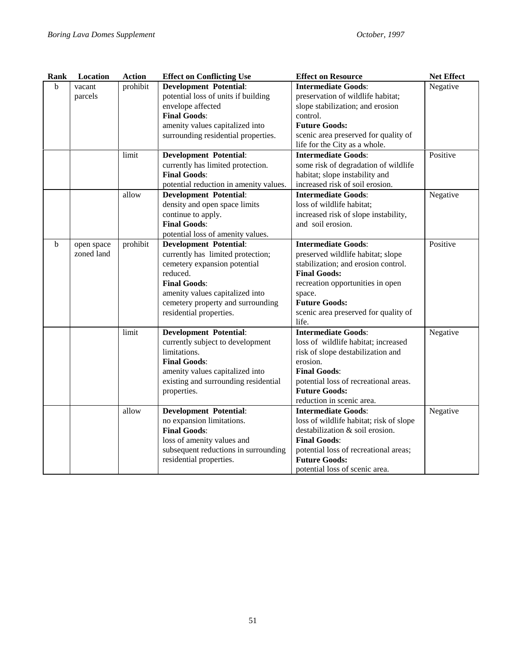| Rank         | Location   | <b>Action</b> | <b>Effect on Conflicting Use</b>       | <b>Effect on Resource</b>               | <b>Net Effect</b> |
|--------------|------------|---------------|----------------------------------------|-----------------------------------------|-------------------|
| <sub>b</sub> | vacant     | prohibit      | <b>Development Potential:</b>          | <b>Intermediate Goods:</b>              | Negative          |
|              | parcels    |               | potential loss of units if building    | preservation of wildlife habitat;       |                   |
|              |            |               | envelope affected                      | slope stabilization; and erosion        |                   |
|              |            |               | <b>Final Goods:</b>                    | control.                                |                   |
|              |            |               | amenity values capitalized into        | <b>Future Goods:</b>                    |                   |
|              |            |               | surrounding residential properties.    | scenic area preserved for quality of    |                   |
|              |            |               |                                        | life for the City as a whole.           |                   |
|              |            | limit         | <b>Development Potential:</b>          | <b>Intermediate Goods:</b>              | Positive          |
|              |            |               | currently has limited protection.      | some risk of degradation of wildlife    |                   |
|              |            |               | <b>Final Goods:</b>                    | habitat; slope instability and          |                   |
|              |            |               | potential reduction in amenity values. | increased risk of soil erosion.         |                   |
|              |            | allow         | <b>Development Potential:</b>          | <b>Intermediate Goods:</b>              | Negative          |
|              |            |               | density and open space limits          | loss of wildlife habitat;               |                   |
|              |            |               | continue to apply.                     | increased risk of slope instability,    |                   |
|              |            |               | <b>Final Goods:</b>                    | and soil erosion.                       |                   |
|              |            |               | potential loss of amenity values.      |                                         |                   |
| b            | open space | prohibit      | <b>Development Potential:</b>          | <b>Intermediate Goods:</b>              | Positive          |
|              | zoned land |               | currently has limited protection;      | preserved wildlife habitat; slope       |                   |
|              |            |               | cemetery expansion potential           | stabilization; and erosion control.     |                   |
|              |            |               | reduced.                               | <b>Final Goods:</b>                     |                   |
|              |            |               | <b>Final Goods:</b>                    | recreation opportunities in open        |                   |
|              |            |               | amenity values capitalized into        | space.                                  |                   |
|              |            |               | cemetery property and surrounding      | <b>Future Goods:</b>                    |                   |
|              |            |               | residential properties.                | scenic area preserved for quality of    |                   |
|              |            |               |                                        | life.                                   |                   |
|              |            | limit         | <b>Development Potential:</b>          | <b>Intermediate Goods:</b>              | Negative          |
|              |            |               | currently subject to development       | loss of wildlife habitat; increased     |                   |
|              |            |               | limitations.                           | risk of slope destabilization and       |                   |
|              |            |               | <b>Final Goods:</b>                    | erosion.                                |                   |
|              |            |               | amenity values capitalized into        | <b>Final Goods:</b>                     |                   |
|              |            |               | existing and surrounding residential   | potential loss of recreational areas.   |                   |
|              |            |               | properties.                            | <b>Future Goods:</b>                    |                   |
|              |            |               |                                        | reduction in scenic area.               |                   |
|              |            | allow         | <b>Development Potential:</b>          | <b>Intermediate Goods:</b>              | Negative          |
|              |            |               | no expansion limitations.              | loss of wildlife habitat; risk of slope |                   |
|              |            |               | <b>Final Goods:</b>                    | destabilization & soil erosion.         |                   |
|              |            |               | loss of amenity values and             | <b>Final Goods:</b>                     |                   |
|              |            |               | subsequent reductions in surrounding   | potential loss of recreational areas;   |                   |
|              |            |               | residential properties.                | <b>Future Goods:</b>                    |                   |
|              |            |               |                                        | potential loss of scenic area.          |                   |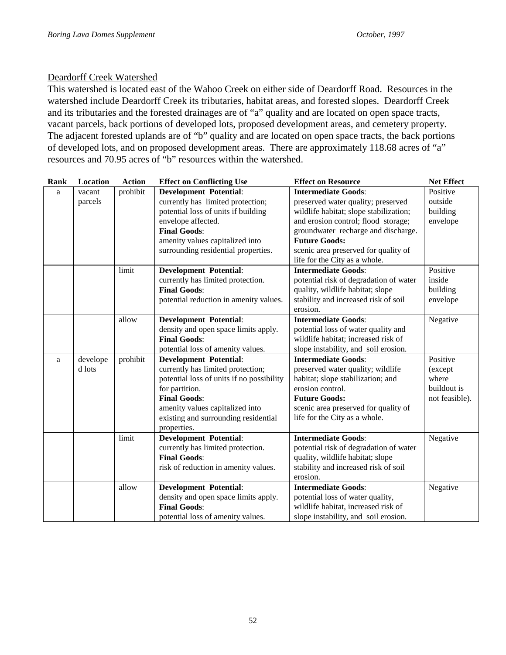#### Deardorff Creek Watershed

This watershed is located east of the Wahoo Creek on either side of Deardorff Road. Resources in the watershed include Deardorff Creek its tributaries, habitat areas, and forested slopes. Deardorff Creek and its tributaries and the forested drainages are of "a" quality and are located on open space tracts, vacant parcels, back portions of developed lots, proposed development areas, and cemetery property. The adjacent forested uplands are of "b" quality and are located on open space tracts, the back portions of developed lots, and on proposed development areas. There are approximately 118.68 acres of "a" resources and 70.95 acres of "b" resources within the watershed.

| Rank | Location | <b>Action</b> | <b>Effect on Conflicting Use</b>                         | <b>Effect on Resource</b>                        | <b>Net Effect</b> |
|------|----------|---------------|----------------------------------------------------------|--------------------------------------------------|-------------------|
| a    | vacant   | prohibit      | <b>Development Potential:</b>                            | <b>Intermediate Goods:</b>                       | Positive          |
|      | parcels  |               | currently has limited protection;                        | preserved water quality; preserved               | outside           |
|      |          |               | potential loss of units if building                      | wildlife habitat; slope stabilization;           | building          |
|      |          |               | envelope affected.                                       | and erosion control; flood storage;              | envelope          |
|      |          |               | <b>Final Goods:</b>                                      | groundwater recharge and discharge.              |                   |
|      |          |               | amenity values capitalized into                          | <b>Future Goods:</b>                             |                   |
|      |          |               | surrounding residential properties.                      | scenic area preserved for quality of             |                   |
|      |          |               |                                                          | life for the City as a whole.                    |                   |
|      |          | limit         | <b>Development Potential:</b>                            | <b>Intermediate Goods:</b>                       | Positive          |
|      |          |               | currently has limited protection.                        | potential risk of degradation of water           | inside            |
|      |          |               | <b>Final Goods:</b>                                      | quality, wildlife habitat; slope                 | building          |
|      |          |               | potential reduction in amenity values.                   | stability and increased risk of soil             | envelope          |
|      |          |               |                                                          | erosion.                                         |                   |
|      |          | allow         | <b>Development Potential:</b>                            | <b>Intermediate Goods:</b>                       | Negative          |
|      |          |               | density and open space limits apply.                     | potential loss of water quality and              |                   |
|      |          |               | <b>Final Goods:</b>                                      | wildlife habitat; increased risk of              |                   |
|      |          |               | potential loss of amenity values.                        | slope instability, and soil erosion.             |                   |
| a    | develope | prohibit      | <b>Development Potential:</b>                            | <b>Intermediate Goods:</b>                       | Positive          |
|      | d lots   |               | currently has limited protection;                        | preserved water quality; wildlife                | (except           |
|      |          |               | potential loss of units if no possibility                | habitat; slope stabilization; and                | where             |
|      |          |               | for partition.                                           | erosion control.                                 | buildout is       |
|      |          |               | <b>Final Goods:</b>                                      | <b>Future Goods:</b>                             | not feasible).    |
|      |          |               | amenity values capitalized into                          | scenic area preserved for quality of             |                   |
|      |          |               | existing and surrounding residential                     | life for the City as a whole.                    |                   |
|      |          |               | properties.                                              |                                                  |                   |
|      |          | limit         | <b>Development Potential:</b>                            | <b>Intermediate Goods:</b>                       | Negative          |
|      |          |               | currently has limited protection.<br><b>Final Goods:</b> | potential risk of degradation of water           |                   |
|      |          |               |                                                          | quality, wildlife habitat; slope                 |                   |
|      |          |               | risk of reduction in amenity values.                     | stability and increased risk of soil<br>erosion. |                   |
|      |          | allow         | <b>Development Potential:</b>                            | <b>Intermediate Goods:</b>                       | Negative          |
|      |          |               | density and open space limits apply.                     | potential loss of water quality,                 |                   |
|      |          |               | <b>Final Goods:</b>                                      | wildlife habitat, increased risk of              |                   |
|      |          |               | potential loss of amenity values.                        | slope instability, and soil erosion.             |                   |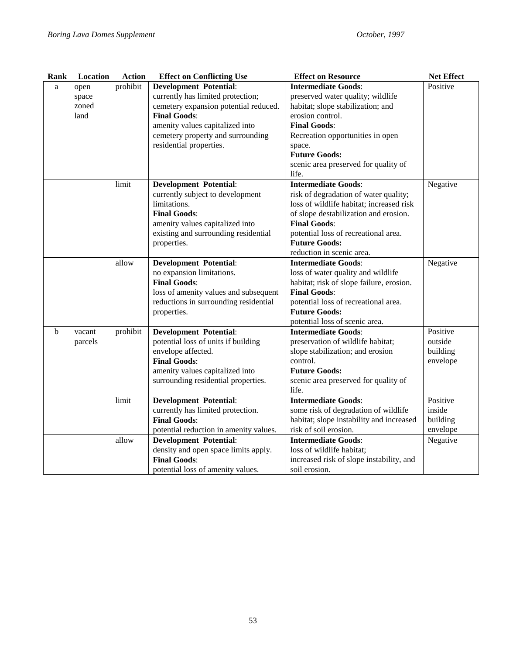| Rank | Location | <b>Action</b> | <b>Effect on Conflicting Use</b>       | <b>Effect on Resource</b>                | <b>Net Effect</b> |
|------|----------|---------------|----------------------------------------|------------------------------------------|-------------------|
| a    | open     | prohibit      | <b>Development Potential:</b>          | <b>Intermediate Goods:</b>               | Positive          |
|      | space    |               | currently has limited protection;      | preserved water quality; wildlife        |                   |
|      | zoned    |               | cemetery expansion potential reduced.  | habitat; slope stabilization; and        |                   |
|      | land     |               | <b>Final Goods:</b>                    | erosion control.                         |                   |
|      |          |               | amenity values capitalized into        | <b>Final Goods:</b>                      |                   |
|      |          |               | cemetery property and surrounding      | Recreation opportunities in open         |                   |
|      |          |               | residential properties.                | space.                                   |                   |
|      |          |               |                                        | <b>Future Goods:</b>                     |                   |
|      |          |               |                                        | scenic area preserved for quality of     |                   |
|      |          |               |                                        | life.                                    |                   |
|      |          | limit         | <b>Development Potential:</b>          | <b>Intermediate Goods:</b>               | Negative          |
|      |          |               | currently subject to development       | risk of degradation of water quality;    |                   |
|      |          |               | limitations.                           | loss of wildlife habitat; increased risk |                   |
|      |          |               | <b>Final Goods:</b>                    | of slope destabilization and erosion.    |                   |
|      |          |               | amenity values capitalized into        | <b>Final Goods:</b>                      |                   |
|      |          |               | existing and surrounding residential   | potential loss of recreational area.     |                   |
|      |          |               | properties.                            | <b>Future Goods:</b>                     |                   |
|      |          |               |                                        | reduction in scenic area.                |                   |
|      |          | allow         | <b>Development Potential:</b>          | <b>Intermediate Goods:</b>               | Negative          |
|      |          |               | no expansion limitations.              | loss of water quality and wildlife       |                   |
|      |          |               | <b>Final Goods:</b>                    | habitat; risk of slope failure, erosion. |                   |
|      |          |               | loss of amenity values and subsequent  | <b>Final Goods:</b>                      |                   |
|      |          |               | reductions in surrounding residential  | potential loss of recreational area.     |                   |
|      |          |               | properties.                            | <b>Future Goods:</b>                     |                   |
|      |          |               |                                        | potential loss of scenic area.           |                   |
| b    | vacant   | prohibit      | <b>Development Potential:</b>          | <b>Intermediate Goods:</b>               | Positive          |
|      | parcels  |               | potential loss of units if building    | preservation of wildlife habitat;        | outside           |
|      |          |               | envelope affected.                     | slope stabilization; and erosion         | building          |
|      |          |               | <b>Final Goods:</b>                    | control.                                 | envelope          |
|      |          |               | amenity values capitalized into        | <b>Future Goods:</b>                     |                   |
|      |          |               | surrounding residential properties.    | scenic area preserved for quality of     |                   |
|      |          |               |                                        | life.                                    |                   |
|      |          | limit         | <b>Development Potential:</b>          | <b>Intermediate Goods:</b>               | Positive          |
|      |          |               | currently has limited protection.      | some risk of degradation of wildlife     | inside            |
|      |          |               | <b>Final Goods:</b>                    | habitat; slope instability and increased | building          |
|      |          |               | potential reduction in amenity values. | risk of soil erosion.                    | envelope          |
|      |          | allow         | <b>Development Potential:</b>          | <b>Intermediate Goods:</b>               | Negative          |
|      |          |               | density and open space limits apply.   | loss of wildlife habitat;                |                   |
|      |          |               | <b>Final Goods:</b>                    | increased risk of slope instability, and |                   |
|      |          |               | potential loss of amenity values.      | soil erosion.                            |                   |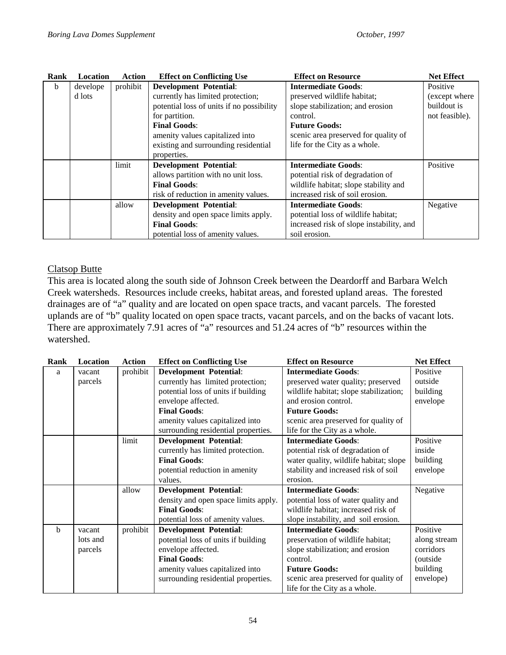| Rank | <b>Location</b> | <b>Action</b> | <b>Effect on Conflicting Use</b>          | <b>Effect on Resource</b>                | <b>Net Effect</b> |
|------|-----------------|---------------|-------------------------------------------|------------------------------------------|-------------------|
| b    | develope        | prohibit      | <b>Development Potential:</b>             | <b>Intermediate Goods:</b>               | Positive          |
|      | d lots          |               | currently has limited protection;         | preserved wildlife habitat;              | (except where)    |
|      |                 |               | potential loss of units if no possibility | slope stabilization; and erosion         | buildout is       |
|      |                 |               | for partition.                            | control.                                 | not feasible).    |
|      |                 |               | <b>Final Goods:</b>                       | <b>Future Goods:</b>                     |                   |
|      |                 |               | amenity values capitalized into           | scenic area preserved for quality of     |                   |
|      |                 |               | existing and surrounding residential      | life for the City as a whole.            |                   |
|      |                 |               | properties.                               |                                          |                   |
|      |                 | limit         | <b>Development Potential:</b>             | <b>Intermediate Goods:</b>               | Positive          |
|      |                 |               | allows partition with no unit loss.       | potential risk of degradation of         |                   |
|      |                 |               | <b>Final Goods:</b>                       | wildlife habitat; slope stability and    |                   |
|      |                 |               | risk of reduction in amenity values.      | increased risk of soil erosion.          |                   |
|      |                 | allow         | <b>Development Potential:</b>             | <b>Intermediate Goods:</b>               | Negative          |
|      |                 |               | density and open space limits apply.      | potential loss of wildlife habitat;      |                   |
|      |                 |               | <b>Final Goods:</b>                       | increased risk of slope instability, and |                   |
|      |                 |               | potential loss of amenity values.         | soil erosion.                            |                   |

#### Clatsop Butte

This area is located along the south side of Johnson Creek between the Deardorff and Barbara Welch Creek watersheds. Resources include creeks, habitat areas, and forested upland areas. The forested drainages are of "a" quality and are located on open space tracts, and vacant parcels. The forested uplands are of "b" quality located on open space tracts, vacant parcels, and on the backs of vacant lots. There are approximately 7.91 acres of "a" resources and 51.24 acres of "b" resources within the watershed.

| Rank        | Location | <b>Action</b> | <b>Effect on Conflicting Use</b>     | <b>Effect on Resource</b>              | <b>Net Effect</b> |
|-------------|----------|---------------|--------------------------------------|----------------------------------------|-------------------|
| a           | vacant   | prohibit      | <b>Development Potential:</b>        | <b>Intermediate Goods:</b>             | Positive          |
|             | parcels  |               | currently has limited protection;    | preserved water quality; preserved     | outside           |
|             |          |               | potential loss of units if building  | wildlife habitat; slope stabilization; | building          |
|             |          |               | envelope affected.                   | and erosion control.                   | envelope          |
|             |          |               | <b>Final Goods:</b>                  | <b>Future Goods:</b>                   |                   |
|             |          |               | amenity values capitalized into      | scenic area preserved for quality of   |                   |
|             |          |               | surrounding residential properties.  | life for the City as a whole.          |                   |
|             |          | limit         | <b>Development Potential:</b>        | <b>Intermediate Goods:</b>             | Positive          |
|             |          |               | currently has limited protection.    | potential risk of degradation of       | inside            |
|             |          |               | <b>Final Goods:</b>                  | water quality, wildlife habitat; slope | building          |
|             |          |               | potential reduction in amenity       | stability and increased risk of soil   | envelope          |
|             |          |               | values.                              | erosion.                               |                   |
|             |          | allow         | <b>Development Potential:</b>        | <b>Intermediate Goods:</b>             | Negative          |
|             |          |               | density and open space limits apply. | potential loss of water quality and    |                   |
|             |          |               | <b>Final Goods:</b>                  | wildlife habitat; increased risk of    |                   |
|             |          |               | potential loss of amenity values.    | slope instability, and soil erosion.   |                   |
| $\mathbf b$ | vacant   | prohibit      | <b>Development Potential:</b>        | <b>Intermediate Goods:</b>             | Positive          |
|             | lots and |               | potential loss of units if building  | preservation of wildlife habitat;      | along stream      |
|             | parcels  |               | envelope affected.                   | slope stabilization; and erosion       | corridors         |
|             |          |               | <b>Final Goods:</b>                  | control.                               | (outside)         |
|             |          |               | amenity values capitalized into      | <b>Future Goods:</b>                   | building          |
|             |          |               | surrounding residential properties.  | scenic area preserved for quality of   | envelope)         |
|             |          |               |                                      | life for the City as a whole.          |                   |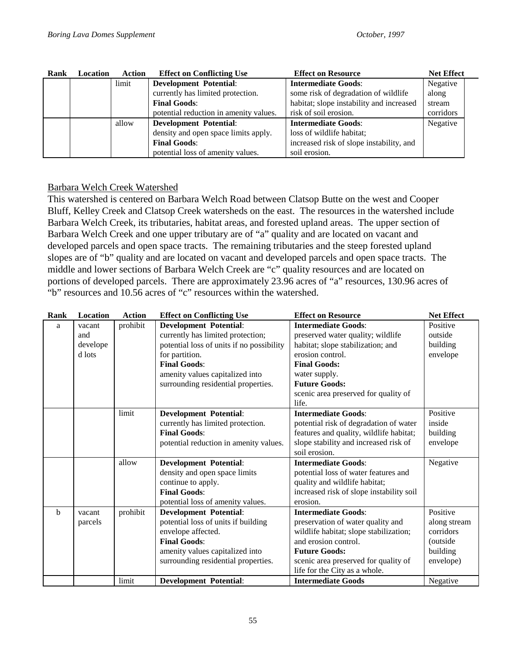| Rank | Location | Action | <b>Effect on Conflicting Use</b>       | <b>Effect on Resource</b>                | <b>Net Effect</b> |
|------|----------|--------|----------------------------------------|------------------------------------------|-------------------|
|      |          | limit  | <b>Development Potential:</b>          | <b>Intermediate Goods:</b>               | Negative          |
|      |          |        | currently has limited protection.      | some risk of degradation of wildlife     | along             |
|      |          |        | <b>Final Goods:</b>                    | habitat; slope instability and increased | stream            |
|      |          |        | potential reduction in amenity values. | risk of soil erosion.                    | corridors         |
|      |          | allow  | <b>Development Potential:</b>          | <b>Intermediate Goods:</b>               | Negative          |
|      |          |        | density and open space limits apply.   | loss of wildlife habitat;                |                   |
|      |          |        | <b>Final Goods:</b>                    | increased risk of slope instability, and |                   |
|      |          |        | potential loss of amenity values.      | soil erosion.                            |                   |

## Barbara Welch Creek Watershed

This watershed is centered on Barbara Welch Road between Clatsop Butte on the west and Cooper Bluff, Kelley Creek and Clatsop Creek watersheds on the east. The resources in the watershed include Barbara Welch Creek, its tributaries, habitat areas, and forested upland areas. The upper section of Barbara Welch Creek and one upper tributary are of "a" quality and are located on vacant and developed parcels and open space tracts. The remaining tributaries and the steep forested upland slopes are of "b" quality and are located on vacant and developed parcels and open space tracts. The middle and lower sections of Barbara Welch Creek are "c" quality resources and are located on portions of developed parcels. There are approximately 23.96 acres of "a" resources, 130.96 acres of "b" resources and 10.56 acres of "c" resources within the watershed.

| Rank        | Location | <b>Action</b> | <b>Effect on Conflicting Use</b>          | <b>Effect on Resource</b>                | <b>Net Effect</b> |
|-------------|----------|---------------|-------------------------------------------|------------------------------------------|-------------------|
| a           | vacant   | prohibit      | <b>Development Potential:</b>             | <b>Intermediate Goods:</b>               | Positive          |
|             | and      |               | currently has limited protection;         | preserved water quality; wildlife        | outside           |
|             | develope |               | potential loss of units if no possibility | habitat; slope stabilization; and        | building          |
|             | d lots   |               | for partition.                            | erosion control.                         | envelope          |
|             |          |               | <b>Final Goods:</b>                       | <b>Final Goods:</b>                      |                   |
|             |          |               | amenity values capitalized into           | water supply.                            |                   |
|             |          |               | surrounding residential properties.       | <b>Future Goods:</b>                     |                   |
|             |          |               |                                           | scenic area preserved for quality of     |                   |
|             |          |               |                                           | life.                                    |                   |
|             |          | limit         | <b>Development Potential:</b>             | <b>Intermediate Goods:</b>               | Positive          |
|             |          |               | currently has limited protection.         | potential risk of degradation of water   | inside            |
|             |          |               | <b>Final Goods:</b>                       | features and quality, wildlife habitat;  | building          |
|             |          |               | potential reduction in amenity values.    | slope stability and increased risk of    | envelope          |
|             |          |               |                                           | soil erosion.                            |                   |
|             |          | allow         | <b>Development Potential:</b>             | <b>Intermediate Goods:</b>               | Negative          |
|             |          |               | density and open space limits             | potential loss of water features and     |                   |
|             |          |               | continue to apply.                        | quality and wildlife habitat;            |                   |
|             |          |               | <b>Final Goods:</b>                       | increased risk of slope instability soil |                   |
|             |          |               | potential loss of amenity values.         | erosion.                                 |                   |
| $\mathbf b$ | vacant   | prohibit      | <b>Development Potential:</b>             | <b>Intermediate Goods:</b>               | Positive          |
|             | parcels  |               | potential loss of units if building       | preservation of water quality and        | along stream      |
|             |          |               | envelope affected.                        | wildlife habitat; slope stabilization;   | corridors         |
|             |          |               | <b>Final Goods:</b>                       | and erosion control.                     | (outside)         |
|             |          |               | amenity values capitalized into           | <b>Future Goods:</b>                     | building          |
|             |          |               | surrounding residential properties.       | scenic area preserved for quality of     | envelope)         |
|             |          |               |                                           | life for the City as a whole.            |                   |
|             |          | limit         | <b>Development Potential:</b>             | <b>Intermediate Goods</b>                | Negative          |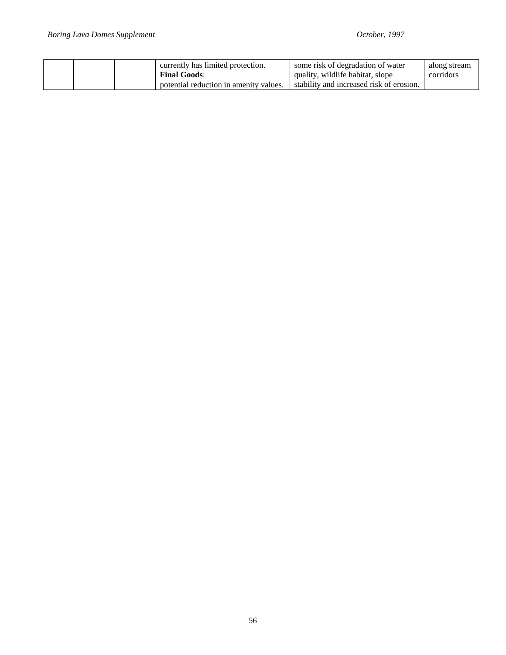|  | currently has limited protection.<br><b>Final Goods:</b> | some risk of degradation of water<br>quality, wildlife habitat, slope | along stream<br>corridors |
|--|----------------------------------------------------------|-----------------------------------------------------------------------|---------------------------|
|  | potential reduction in amenity values.                   | stability and increased risk of erosion.                              |                           |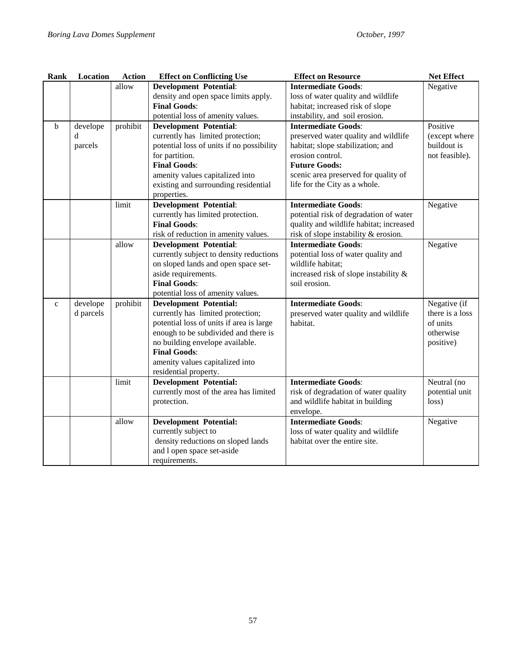| Rank        | <b>Location</b> | <b>Action</b> | <b>Effect on Conflicting Use</b>          | <b>Effect on Resource</b>               | <b>Net Effect</b> |
|-------------|-----------------|---------------|-------------------------------------------|-----------------------------------------|-------------------|
|             |                 | allow         | <b>Development Potential:</b>             | <b>Intermediate Goods:</b>              | Negative          |
|             |                 |               | density and open space limits apply.      | loss of water quality and wildlife      |                   |
|             |                 |               | <b>Final Goods:</b>                       | habitat; increased risk of slope        |                   |
|             |                 |               | potential loss of amenity values.         | instability, and soil erosion.          |                   |
| b           | develope        | prohibit      | <b>Development Potential:</b>             | <b>Intermediate Goods:</b>              | Positive          |
|             | d               |               | currently has limited protection;         | preserved water quality and wildlife    | (except where     |
|             | parcels         |               | potential loss of units if no possibility | habitat; slope stabilization; and       | buildout is       |
|             |                 |               | for partition.                            | erosion control.                        | not feasible).    |
|             |                 |               | <b>Final Goods:</b>                       | <b>Future Goods:</b>                    |                   |
|             |                 |               | amenity values capitalized into           | scenic area preserved for quality of    |                   |
|             |                 |               | existing and surrounding residential      | life for the City as a whole.           |                   |
|             |                 |               | properties.                               |                                         |                   |
|             |                 | limit         | <b>Development Potential:</b>             | <b>Intermediate Goods:</b>              | Negative          |
|             |                 |               | currently has limited protection.         | potential risk of degradation of water  |                   |
|             |                 |               | <b>Final Goods:</b>                       | quality and wildlife habitat; increased |                   |
|             |                 |               | risk of reduction in amenity values.      | risk of slope instability & erosion.    |                   |
|             |                 | allow         | <b>Development Potential:</b>             | <b>Intermediate Goods:</b>              | Negative          |
|             |                 |               | currently subject to density reductions   | potential loss of water quality and     |                   |
|             |                 |               | on sloped lands and open space set-       | wildlife habitat;                       |                   |
|             |                 |               | aside requirements.                       | increased risk of slope instability &   |                   |
|             |                 |               | <b>Final Goods:</b>                       | soil erosion.                           |                   |
|             |                 |               | potential loss of amenity values.         |                                         |                   |
| $\mathbf c$ | develope        | prohibit      | <b>Development Potential:</b>             | <b>Intermediate Goods:</b>              | Negative (if      |
|             | d parcels       |               | currently has limited protection;         | preserved water quality and wildlife    | there is a loss   |
|             |                 |               | potential loss of units if area is large  | habitat.                                | of units          |
|             |                 |               | enough to be subdivided and there is      |                                         | otherwise         |
|             |                 |               | no building envelope available.           |                                         | positive)         |
|             |                 |               | <b>Final Goods:</b>                       |                                         |                   |
|             |                 |               | amenity values capitalized into           |                                         |                   |
|             |                 |               | residential property.                     |                                         |                   |
|             |                 | limit         | <b>Development Potential:</b>             | <b>Intermediate Goods:</b>              | Neutral (no       |
|             |                 |               | currently most of the area has limited    | risk of degradation of water quality    | potential unit    |
|             |                 |               | protection.                               | and wildlife habitat in building        | loss)             |
|             |                 |               |                                           | envelope.                               |                   |
|             |                 | allow         | <b>Development Potential:</b>             | <b>Intermediate Goods:</b>              | Negative          |
|             |                 |               | currently subject to                      | loss of water quality and wildlife      |                   |
|             |                 |               | density reductions on sloped lands        | habitat over the entire site.           |                   |
|             |                 |               | and l open space set-aside                |                                         |                   |
|             |                 |               | requirements.                             |                                         |                   |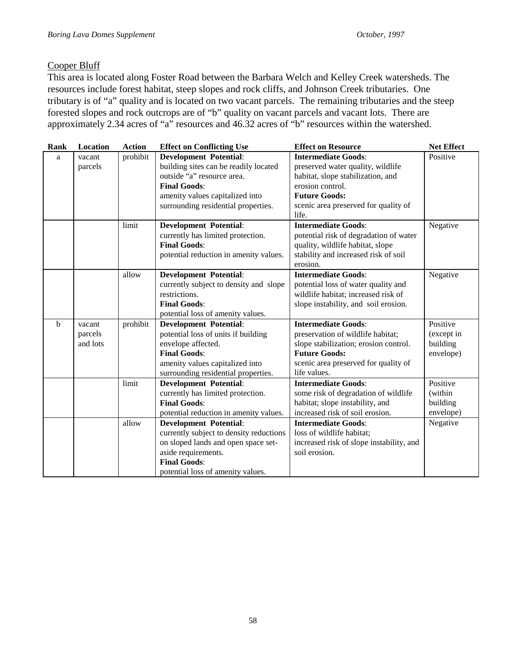## Cooper Bluff

This area is located along Foster Road between the Barbara Welch and Kelley Creek watersheds. The resources include forest habitat, steep slopes and rock cliffs, and Johnson Creek tributaries. One tributary is of "a" quality and is located on two vacant parcels. The remaining tributaries and the steep forested slopes and rock outcrops are of "b" quality on vacant parcels and vacant lots. There are approximately 2.34 acres of "a" resources and 46.32 acres of "b" resources within the watershed.

| Rank | Location | <b>Action</b> | <b>Effect on Conflicting Use</b>                                        | <b>Effect on Resource</b>                                          | <b>Net Effect</b>     |
|------|----------|---------------|-------------------------------------------------------------------------|--------------------------------------------------------------------|-----------------------|
| a    | vacant   | prohibit      | <b>Development Potential:</b>                                           | <b>Intermediate Goods:</b>                                         | Positive              |
|      | parcels  |               | building sites can be readily located                                   | preserved water quality, wildlife                                  |                       |
|      |          |               | outside "a" resource area.                                              | habitat, slope stabilization, and                                  |                       |
|      |          |               | <b>Final Goods:</b>                                                     | erosion control.                                                   |                       |
|      |          |               | amenity values capitalized into                                         | <b>Future Goods:</b>                                               |                       |
|      |          |               | surrounding residential properties.                                     | scenic area preserved for quality of                               |                       |
|      |          |               |                                                                         | life.                                                              |                       |
|      |          | limit         | <b>Development Potential:</b>                                           | <b>Intermediate Goods:</b>                                         | Negative              |
|      |          |               | currently has limited protection.                                       | potential risk of degradation of water                             |                       |
|      |          |               | <b>Final Goods:</b>                                                     | quality, wildlife habitat, slope                                   |                       |
|      |          |               | potential reduction in amenity values.                                  | stability and increased risk of soil                               |                       |
|      |          |               |                                                                         | erosion.                                                           |                       |
|      |          | allow         | <b>Development Potential:</b>                                           | <b>Intermediate Goods:</b>                                         | Negative              |
|      |          |               | currently subject to density and slope                                  | potential loss of water quality and                                |                       |
|      |          |               | restrictions.                                                           | wildlife habitat; increased risk of                                |                       |
|      |          |               | <b>Final Goods:</b>                                                     | slope instability, and soil erosion.                               |                       |
|      |          |               | potential loss of amenity values.                                       |                                                                    |                       |
| b    | vacant   | prohibit      | <b>Development Potential:</b>                                           | <b>Intermediate Goods:</b>                                         | Positive              |
|      | parcels  |               | potential loss of units if building                                     | preservation of wildlife habitat;                                  | (except in            |
|      | and lots |               | envelope affected.                                                      | slope stabilization; erosion control.                              | building              |
|      |          |               | <b>Final Goods:</b>                                                     | <b>Future Goods:</b>                                               | envelope)             |
|      |          |               | amenity values capitalized into                                         | scenic area preserved for quality of                               |                       |
|      |          |               | surrounding residential properties.                                     | life values.                                                       | Positive              |
|      |          | limit         | <b>Development Potential:</b>                                           | <b>Intermediate Goods:</b>                                         |                       |
|      |          |               | currently has limited protection.<br><b>Final Goods:</b>                | some risk of degradation of wildlife                               | (within               |
|      |          |               |                                                                         | habitat; slope instability, and<br>increased risk of soil erosion. | building<br>envelope) |
|      |          | allow         | potential reduction in amenity values.<br><b>Development Potential:</b> | <b>Intermediate Goods:</b>                                         | Negative              |
|      |          |               | currently subject to density reductions                                 | loss of wildlife habitat;                                          |                       |
|      |          |               | on sloped lands and open space set-                                     | increased risk of slope instability, and                           |                       |
|      |          |               | aside requirements.                                                     | soil erosion.                                                      |                       |
|      |          |               | <b>Final Goods:</b>                                                     |                                                                    |                       |
|      |          |               | potential loss of amenity values.                                       |                                                                    |                       |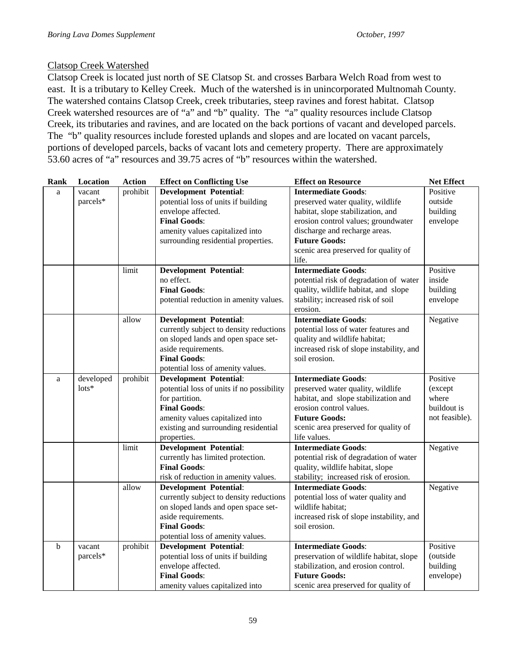#### Clatsop Creek Watershed

Clatsop Creek is located just north of SE Clatsop St. and crosses Barbara Welch Road from west to east. It is a tributary to Kelley Creek. Much of the watershed is in unincorporated Multnomah County. The watershed contains Clatsop Creek, creek tributaries, steep ravines and forest habitat. Clatsop Creek watershed resources are of "a" and "b" quality. The "a" quality resources include Clatsop Creek, its tributaries and ravines, and are located on the back portions of vacant and developed parcels. The "b" quality resources include forested uplands and slopes and are located on vacant parcels, portions of developed parcels, backs of vacant lots and cemetery property. There are approximately 53.60 acres of "a" resources and 39.75 acres of "b" resources within the watershed.

| Rank        | Location        | <b>Action</b> | <b>Effect on Conflicting Use</b>          | <b>Effect on Resource</b>                | <b>Net Effect</b> |
|-------------|-----------------|---------------|-------------------------------------------|------------------------------------------|-------------------|
| a           | vacant          | prohibit      | <b>Development Potential:</b>             | <b>Intermediate Goods:</b>               | Positive          |
|             | parcels*        |               | potential loss of units if building       | preserved water quality, wildlife        | outside           |
|             |                 |               | envelope affected.                        | habitat, slope stabilization, and        | building          |
|             |                 |               | <b>Final Goods:</b>                       | erosion control values; groundwater      | envelope          |
|             |                 |               | amenity values capitalized into           | discharge and recharge areas.            |                   |
|             |                 |               | surrounding residential properties.       | <b>Future Goods:</b>                     |                   |
|             |                 |               |                                           | scenic area preserved for quality of     |                   |
|             |                 |               |                                           | life.                                    |                   |
|             |                 | limit         | <b>Development Potential:</b>             | <b>Intermediate Goods:</b>               | Positive          |
|             |                 |               | no effect.                                | potential risk of degradation of water   | inside            |
|             |                 |               | <b>Final Goods:</b>                       | quality, wildlife habitat, and slope     | building          |
|             |                 |               | potential reduction in amenity values.    | stability; increased risk of soil        | envelope          |
|             |                 |               |                                           | erosion.                                 |                   |
|             |                 | allow         | <b>Development Potential:</b>             | <b>Intermediate Goods:</b>               | Negative          |
|             |                 |               | currently subject to density reductions   | potential loss of water features and     |                   |
|             |                 |               | on sloped lands and open space set-       | quality and wildlife habitat;            |                   |
|             |                 |               | aside requirements.                       | increased risk of slope instability, and |                   |
|             |                 |               | <b>Final Goods:</b>                       | soil erosion.                            |                   |
|             |                 |               | potential loss of amenity values.         |                                          |                   |
| a           | developed       | prohibit      | <b>Development Potential:</b>             | <b>Intermediate Goods:</b>               | Positive          |
|             | $\text{lots}^*$ |               | potential loss of units if no possibility | preserved water quality, wildlife        | (except           |
|             |                 |               | for partition.                            | habitat, and slope stabilization and     | where             |
|             |                 |               | <b>Final Goods:</b>                       | erosion control values.                  | buildout is       |
|             |                 |               | amenity values capitalized into           | <b>Future Goods:</b>                     | not feasible).    |
|             |                 |               | existing and surrounding residential      | scenic area preserved for quality of     |                   |
|             |                 |               | properties.                               | life values.                             |                   |
|             |                 | limit         | <b>Development Potential:</b>             | <b>Intermediate Goods:</b>               | Negative          |
|             |                 |               | currently has limited protection.         | potential risk of degradation of water   |                   |
|             |                 |               | <b>Final Goods:</b>                       | quality, wildlife habitat, slope         |                   |
|             |                 |               | risk of reduction in amenity values.      | stability; increased risk of erosion.    |                   |
|             |                 | allow         | <b>Development Potential:</b>             | <b>Intermediate Goods:</b>               | Negative          |
|             |                 |               | currently subject to density reductions   | potential loss of water quality and      |                   |
|             |                 |               | on sloped lands and open space set-       | wildlife habitat;                        |                   |
|             |                 |               | aside requirements.                       | increased risk of slope instability, and |                   |
|             |                 |               | <b>Final Goods:</b>                       | soil erosion.                            |                   |
|             |                 |               | potential loss of amenity values.         |                                          |                   |
| $\mathbf b$ | vacant          | prohibit      | <b>Development Potential:</b>             | <b>Intermediate Goods:</b>               | Positive          |
|             | parcels*        |               | potential loss of units if building       | preservation of wildlife habitat, slope  | (outside          |
|             |                 |               | envelope affected.                        | stabilization, and erosion control.      | building          |
|             |                 |               | <b>Final Goods:</b>                       | <b>Future Goods:</b>                     | envelope)         |
|             |                 |               | amenity values capitalized into           | scenic area preserved for quality of     |                   |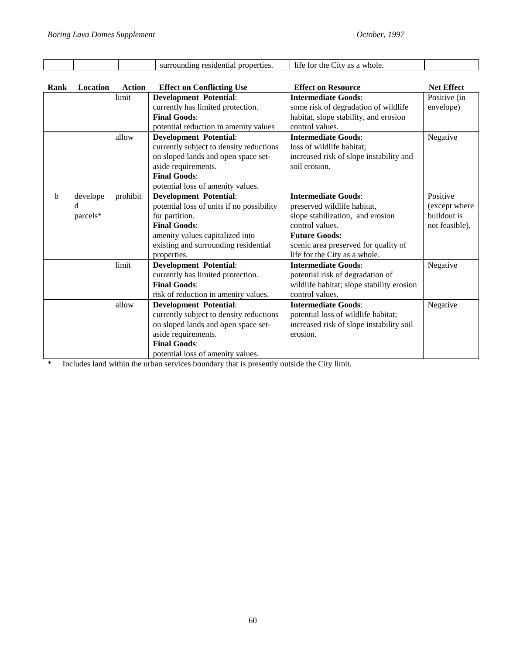|             |          |          | surrounding residential properties.       | life for the City as a whole.             |                   |
|-------------|----------|----------|-------------------------------------------|-------------------------------------------|-------------------|
| Rank        | Location | Action   | <b>Effect on Conflicting Use</b>          | <b>Effect on Resource</b>                 | <b>Net Effect</b> |
|             |          | limit    | <b>Development Potential:</b>             | <b>Intermediate Goods:</b>                | Positive (in      |
|             |          |          | currently has limited protection.         | some risk of degradation of wildlife      | envelope)         |
|             |          |          | <b>Final Goods:</b>                       | habitat, slope stability, and erosion     |                   |
|             |          |          | potential reduction in amenity values     | control values.                           |                   |
|             |          | allow    | <b>Development Potential:</b>             | <b>Intermediate Goods:</b>                | Negative          |
|             |          |          | currently subject to density reductions   | loss of wildlife habitat;                 |                   |
|             |          |          | on sloped lands and open space set-       | increased risk of slope instability and   |                   |
|             |          |          | aside requirements.                       | soil erosion.                             |                   |
|             |          |          | <b>Final Goods:</b>                       |                                           |                   |
|             |          |          | potential loss of amenity values.         |                                           |                   |
| $\mathbf b$ | develope | prohibit | <b>Development Potential:</b>             | <b>Intermediate Goods:</b>                | Positive          |
|             | d        |          | potential loss of units if no possibility | preserved wildlife habitat,               | (except where     |
|             | parcels* |          | for partition.                            | slope stabilization, and erosion          | buildout is       |
|             |          |          | <b>Final Goods:</b>                       | control values.                           | not feasible).    |
|             |          |          | amenity values capitalized into           | <b>Future Goods:</b>                      |                   |
|             |          |          | existing and surrounding residential      | scenic area preserved for quality of      |                   |
|             |          |          | properties.                               | life for the City as a whole.             |                   |
|             |          | limit    | <b>Development Potential:</b>             | <b>Intermediate Goods:</b>                | Negative          |
|             |          |          | currently has limited protection.         | potential risk of degradation of          |                   |
|             |          |          | <b>Final Goods:</b>                       | wildlife habitat; slope stability erosion |                   |
|             |          |          | risk of reduction in amenity values.      | control values.                           |                   |
|             |          | allow    | <b>Development Potential:</b>             | <b>Intermediate Goods:</b>                | Negative          |
|             |          |          | currently subject to density reductions   | potential loss of wildlife habitat;       |                   |
|             |          |          | on sloped lands and open space set-       | increased risk of slope instability soil  |                   |
|             |          |          | aside requirements.                       | erosion.                                  |                   |
|             |          |          | <b>Final Goods:</b>                       |                                           |                   |

potential loss of amenity values. \* Includes land within the urban services boundary that is presently outside the City limit.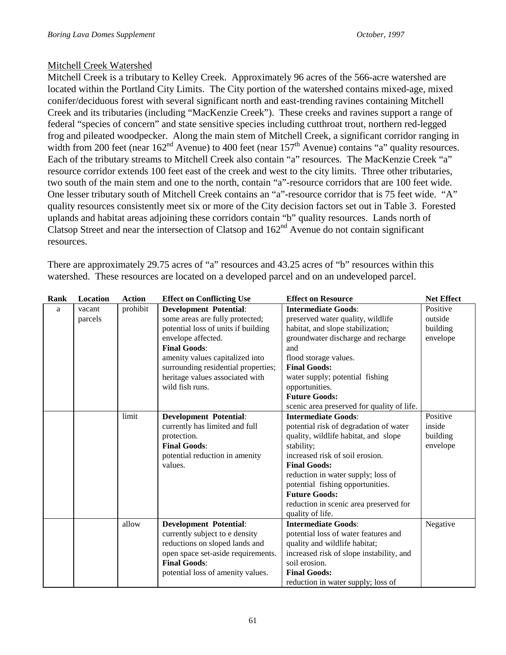# Mitchell Creek Watershed

Mitchell Creek is a tributary to Kelley Creek. Approximately 96 acres of the 566-acre watershed are located within the Portland City Limits. The City portion of the watershed contains mixed-age, mixed conifer/deciduous forest with several significant north and east-trending ravines containing Mitchell Creek and its tributaries (including "MacKenzie Creek"). These creeks and ravines support a range of federal "species of concern" and state sensitive species including cutthroat trout, northern red-legged frog and pileated woodpecker. Along the main stem of Mitchell Creek, a significant corridor ranging in width from 200 feet (near  $162<sup>nd</sup>$  Avenue) to 400 feet (near  $157<sup>th</sup>$  Avenue) contains "a" quality resources. Each of the tributary streams to Mitchell Creek also contain "a" resources. The MacKenzie Creek "a" resource corridor extends 100 feet east of the creek and west to the city limits. Three other tributaries, two south of the main stem and one to the north, contain "a"-resource corridors that are 100 feet wide. One lesser tributary south of Mitchell Creek contains an "a"-resource corridor that is 75 feet wide. "A" quality resources consistently meet six or more of the City decision factors set out in Table 3. Forested uplands and habitat areas adjoining these corridors contain "b" quality resources. Lands north of Clatsop Street and near the intersection of Clatsop and  $162<sup>nd</sup>$  Avenue do not contain significant resources.

There are approximately 29.75 acres of "a" resources and 43.25 acres of "b" resources within this watershed. These resources are located on a developed parcel and on an undeveloped parcel.

| Rank | Location | <b>Action</b> | <b>Effect on Conflicting Use</b>    | <b>Effect on Resource</b>                  | <b>Net Effect</b> |
|------|----------|---------------|-------------------------------------|--------------------------------------------|-------------------|
| a    | vacant   | prohibit      | <b>Development Potential:</b>       | <b>Intermediate Goods:</b>                 | Positive          |
|      | parcels  |               | some areas are fully protected;     | preserved water quality, wildlife          | outside           |
|      |          |               | potential loss of units if building | habitat, and slope stabilization;          | building          |
|      |          |               | envelope affected.                  | groundwater discharge and recharge         | envelope          |
|      |          |               | <b>Final Goods:</b>                 | and                                        |                   |
|      |          |               | amenity values capitalized into     | flood storage values.                      |                   |
|      |          |               | surrounding residential properties; | <b>Final Goods:</b>                        |                   |
|      |          |               | heritage values associated with     | water supply; potential fishing            |                   |
|      |          |               | wild fish runs.                     | opportunities.                             |                   |
|      |          |               |                                     | <b>Future Goods:</b>                       |                   |
|      |          |               |                                     | scenic area preserved for quality of life. |                   |
|      |          | limit         | <b>Development Potential:</b>       | <b>Intermediate Goods:</b>                 | Positive          |
|      |          |               | currently has limited and full      | potential risk of degradation of water     | inside            |
|      |          |               | protection.                         | quality, wildlife habitat, and slope       | building          |
|      |          |               | <b>Final Goods:</b>                 | stability;                                 | envelope          |
|      |          |               | potential reduction in amenity      | increased risk of soil erosion.            |                   |
|      |          |               | values.                             | <b>Final Goods:</b>                        |                   |
|      |          |               |                                     | reduction in water supply; loss of         |                   |
|      |          |               |                                     | potential fishing opportunities.           |                   |
|      |          |               |                                     | <b>Future Goods:</b>                       |                   |
|      |          |               |                                     | reduction in scenic area preserved for     |                   |
|      |          |               |                                     | quality of life.                           |                   |
|      |          | allow         | <b>Development Potential:</b>       | <b>Intermediate Goods:</b>                 | Negative          |
|      |          |               | currently subject to e density      | potential loss of water features and       |                   |
|      |          |               | reductions on sloped lands and      | quality and wildlife habitat;              |                   |
|      |          |               | open space set-aside requirements.  | increased risk of slope instability, and   |                   |
|      |          |               | <b>Final Goods:</b>                 | soil erosion.                              |                   |
|      |          |               | potential loss of amenity values.   | <b>Final Goods:</b>                        |                   |
|      |          |               |                                     | reduction in water supply; loss of         |                   |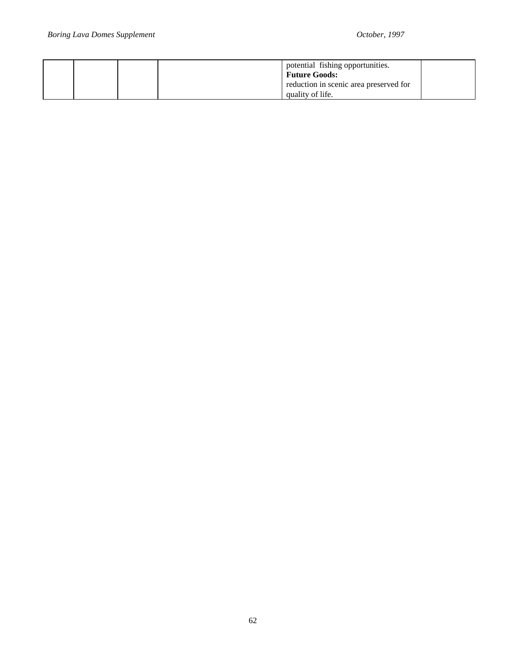|  | potential fishing opportunities.<br><b>Future Goods:</b><br>reduction in scenic area preserved for |  |
|--|----------------------------------------------------------------------------------------------------|--|
|  | quality of life.                                                                                   |  |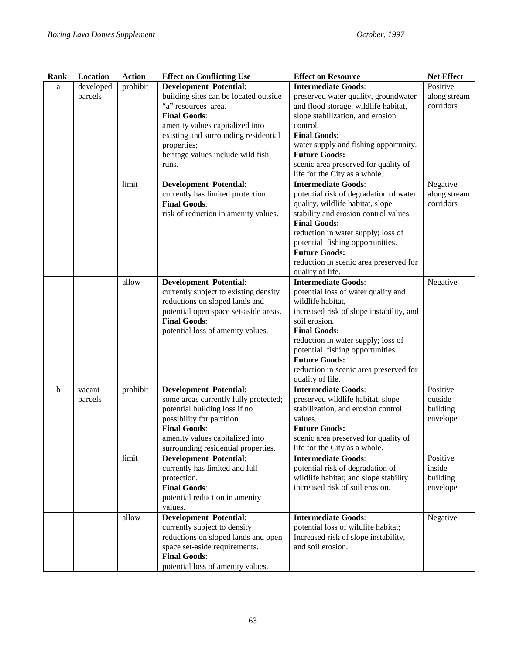| Rank | Location                          | <b>Action</b> | <b>Effect on Conflicting Use</b>      | <b>Net Effect</b><br><b>Effect on Resource</b> |              |
|------|-----------------------------------|---------------|---------------------------------------|------------------------------------------------|--------------|
| a    | developed                         | prohibit      | <b>Development Potential:</b>         | <b>Intermediate Goods:</b>                     | Positive     |
|      | parcels                           |               | building sites can be located outside | preserved water quality, groundwater           | along stream |
|      |                                   |               | "a" resources area.                   | and flood storage, wildlife habitat,           | corridors    |
|      |                                   |               | <b>Final Goods:</b>                   | slope stabilization, and erosion               |              |
|      |                                   |               | amenity values capitalized into       | control.                                       |              |
|      |                                   |               | existing and surrounding residential  | <b>Final Goods:</b>                            |              |
|      |                                   |               | properties;                           | water supply and fishing opportunity.          |              |
|      |                                   |               | heritage values include wild fish     | <b>Future Goods:</b>                           |              |
|      |                                   |               | runs.                                 | scenic area preserved for quality of           |              |
|      |                                   |               |                                       | life for the City as a whole.                  |              |
|      |                                   | limit         | <b>Development Potential:</b>         | <b>Intermediate Goods:</b>                     | Negative     |
|      |                                   |               | currently has limited protection.     | potential risk of degradation of water         | along stream |
|      |                                   |               | <b>Final Goods:</b>                   | quality, wildlife habitat, slope               | corridors    |
|      |                                   |               | risk of reduction in amenity values.  | stability and erosion control values.          |              |
|      |                                   |               |                                       | <b>Final Goods:</b>                            |              |
|      |                                   |               |                                       | reduction in water supply; loss of             |              |
|      |                                   |               |                                       | potential fishing opportunities.               |              |
|      |                                   |               |                                       | <b>Future Goods:</b>                           |              |
|      |                                   |               |                                       | reduction in scenic area preserved for         |              |
|      |                                   |               |                                       | quality of life.                               |              |
|      |                                   | allow         | <b>Development Potential:</b>         | <b>Intermediate Goods:</b>                     | Negative     |
|      |                                   |               | currently subject to existing density | potential loss of water quality and            |              |
|      |                                   |               | reductions on sloped lands and        | wildlife habitat,                              |              |
|      |                                   |               | potential open space set-aside areas. | increased risk of slope instability, and       |              |
|      |                                   |               | <b>Final Goods:</b>                   | soil erosion.                                  |              |
|      |                                   |               | potential loss of amenity values.     | <b>Final Goods:</b>                            |              |
|      |                                   |               |                                       | reduction in water supply; loss of             |              |
|      |                                   |               |                                       | potential fishing opportunities.               |              |
|      |                                   |               |                                       | <b>Future Goods:</b>                           |              |
|      |                                   |               |                                       | reduction in scenic area preserved for         |              |
|      |                                   |               |                                       | quality of life.                               |              |
|      | prohibit<br>$\mathbf b$<br>vacant |               | <b>Development Potential:</b>         | <b>Intermediate Goods:</b>                     | Positive     |
|      | parcels                           |               | some areas currently fully protected; | preserved wildlife habitat, slope              | outside      |
|      |                                   |               | potential building loss if no         | stabilization, and erosion control             | building     |
|      |                                   |               | possibility for partition.            | values.                                        | envelope     |
|      |                                   |               | <b>Final Goods:</b>                   | <b>Future Goods:</b>                           |              |
|      |                                   |               | amenity values capitalized into       | scenic area preserved for quality of           |              |
|      |                                   |               | surrounding residential properties.   | life for the City as a whole.                  |              |
|      |                                   | limit         | <b>Development Potential:</b>         | <b>Intermediate Goods:</b>                     | Positive     |
|      |                                   |               | currently has limited and full        | potential risk of degradation of               | inside       |
|      |                                   |               | protection.                           | wildlife habitat; and slope stability          | building     |
|      |                                   |               | <b>Final Goods:</b>                   | increased risk of soil erosion.                | envelope     |
|      |                                   |               | potential reduction in amenity        |                                                |              |
|      |                                   |               | values.                               |                                                |              |
|      |                                   | allow         | <b>Development Potential:</b>         | <b>Intermediate Goods:</b>                     | Negative     |
|      |                                   |               | currently subject to density          | potential loss of wildlife habitat;            |              |
|      |                                   |               | reductions on sloped lands and open   | Increased risk of slope instability,           |              |
|      |                                   |               | space set-aside requirements.         | and soil erosion.                              |              |
|      |                                   |               | <b>Final Goods:</b>                   |                                                |              |
|      |                                   |               | potential loss of amenity values.     |                                                |              |
|      |                                   |               |                                       |                                                |              |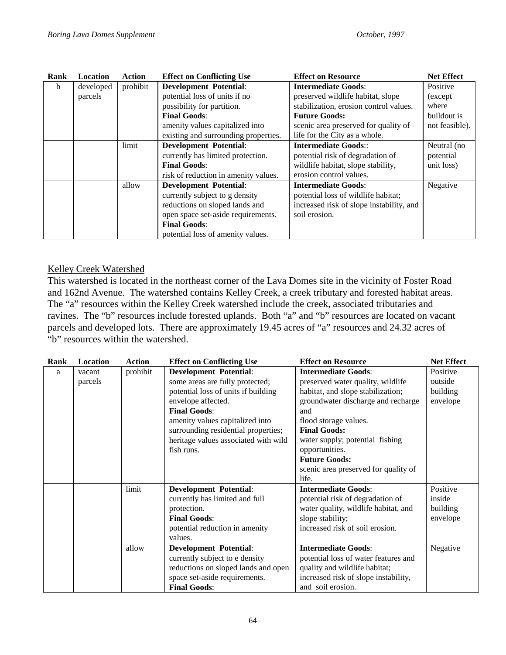| Rank | Location  | Action   | <b>Effect on Conflicting Use</b>     | <b>Effect on Resource</b>                | <b>Net Effect</b> |
|------|-----------|----------|--------------------------------------|------------------------------------------|-------------------|
| b    | developed | prohibit | <b>Development Potential:</b>        | <b>Intermediate Goods:</b>               | Positive          |
|      | parcels   |          | potential loss of units if no        | preserved wildlife habitat, slope        | (except)          |
|      |           |          | possibility for partition.           | stabilization, erosion control values.   | where             |
|      |           |          | <b>Final Goods:</b>                  | <b>Future Goods:</b>                     | buildout is       |
|      |           |          | amenity values capitalized into      | scenic area preserved for quality of     | not feasible).    |
|      |           |          | existing and surrounding properties. | life for the City as a whole.            |                   |
|      |           | limit    | <b>Development Potential:</b>        | <b>Intermediate Goods::</b>              | Neutral (no       |
|      |           |          | currently has limited protection.    | potential risk of degradation of         | potential         |
|      |           |          | <b>Final Goods:</b>                  | wildlife habitat, slope stability,       | unit loss)        |
|      |           |          | risk of reduction in amenity values. | erosion control values.                  |                   |
|      |           | allow    | <b>Development Potential:</b>        | <b>Intermediate Goods:</b>               | Negative          |
|      |           |          | currently subject to g density       | potential loss of wildlife habitat;      |                   |
|      |           |          | reductions on sloped lands and       | increased risk of slope instability, and |                   |
|      |           |          | open space set-aside requirements.   | soil erosion.                            |                   |
|      |           |          | <b>Final Goods:</b>                  |                                          |                   |
|      |           |          | potential loss of amenity values.    |                                          |                   |

# Kelley Creek Watershed

This watershed is located in the northeast corner of the Lava Domes site in the vicinity of Foster Road and 162nd Avenue. The watershed contains Kelley Creek, a creek tributary and forested habitat areas. The "a" resources within the Kelley Creek watershed include the creek, associated tributaries and ravines. The "b" resources include forested uplands. Both "a" and "b" resources are located on vacant parcels and developed lots. There are approximately 19.45 acres of "a" resources and 24.32 acres of "b" resources within the watershed.

| Rank | Location | <b>Action</b> | <b>Effect on Conflicting Use</b>     | <b>Effect on Resource</b>            | <b>Net Effect</b> |
|------|----------|---------------|--------------------------------------|--------------------------------------|-------------------|
| a    | vacant   | prohibit      | <b>Development Potential:</b>        | <b>Intermediate Goods:</b>           | Positive          |
|      | parcels  |               | some areas are fully protected;      | preserved water quality, wildlife    | outside           |
|      |          |               | potential loss of units if building  | habitat, and slope stabilization;    | building          |
|      |          |               | envelope affected.                   | groundwater discharge and recharge   | envelope          |
|      |          |               | <b>Final Goods:</b>                  | and                                  |                   |
|      |          |               | amenity values capitalized into      | flood storage values.                |                   |
|      |          |               | surrounding residential properties;  | <b>Final Goods:</b>                  |                   |
|      |          |               | heritage values associated with wild | water supply; potential fishing      |                   |
|      |          |               | fish runs.                           | opportunities.                       |                   |
|      |          |               |                                      | <b>Future Goods:</b>                 |                   |
|      |          |               |                                      | scenic area preserved for quality of |                   |
|      |          |               |                                      | life.                                |                   |
|      |          | limit         | <b>Development Potential:</b>        | <b>Intermediate Goods:</b>           | Positive          |
|      |          |               | currently has limited and full       | potential risk of degradation of     | inside            |
|      |          |               | protection.                          | water quality, wildlife habitat, and | building          |
|      |          |               | <b>Final Goods:</b>                  | slope stability;                     | envelope          |
|      |          |               | potential reduction in amenity       | increased risk of soil erosion.      |                   |
|      |          |               | values.                              |                                      |                   |
|      |          | allow         | <b>Development Potential:</b>        | <b>Intermediate Goods:</b>           | Negative          |
|      |          |               | currently subject to e density       | potential loss of water features and |                   |
|      |          |               | reductions on sloped lands and open  | quality and wildlife habitat;        |                   |
|      |          |               | space set-aside requirements.        | increased risk of slope instability, |                   |
|      |          |               | <b>Final Goods:</b>                  | and soil erosion.                    |                   |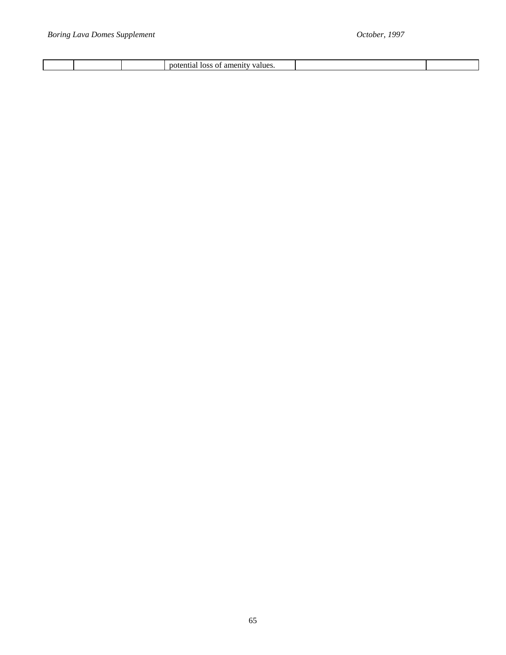|  |  | - 11 |  |  |
|--|--|------|--|--|
|--|--|------|--|--|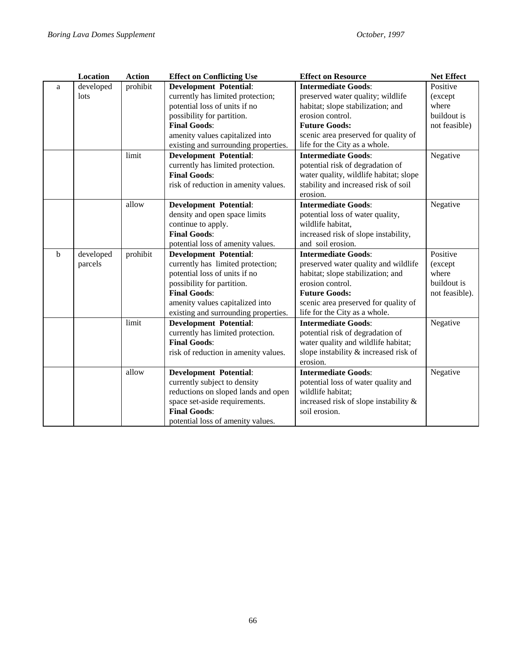|   | <b>Location</b> | <b>Action</b> | <b>Effect on Conflicting Use</b>                                      | <b>Effect on Resource</b>                | <b>Net Effect</b> |
|---|-----------------|---------------|-----------------------------------------------------------------------|------------------------------------------|-------------------|
| a | developed       | prohibit      | <b>Development Potential:</b>                                         | <b>Intermediate Goods:</b>               | Positive          |
|   | lots            |               | currently has limited protection;                                     | preserved water quality; wildlife        | (except)          |
|   |                 |               | potential loss of units if no                                         | habitat; slope stabilization; and        | where             |
|   |                 |               | possibility for partition.                                            | erosion control.                         | buildout is       |
|   |                 |               | <b>Final Goods:</b>                                                   | <b>Future Goods:</b>                     | not feasible)     |
|   |                 |               | amenity values capitalized into                                       | scenic area preserved for quality of     |                   |
|   |                 |               | existing and surrounding properties.                                  | life for the City as a whole.            |                   |
|   |                 | limit         | <b>Development Potential:</b>                                         | <b>Intermediate Goods:</b>               | Negative          |
|   |                 |               | currently has limited protection.                                     | potential risk of degradation of         |                   |
|   |                 |               | <b>Final Goods:</b>                                                   | water quality, wildlife habitat; slope   |                   |
|   |                 |               | risk of reduction in amenity values.                                  | stability and increased risk of soil     |                   |
|   |                 |               |                                                                       | erosion.                                 |                   |
|   |                 | allow         | <b>Development Potential:</b>                                         | <b>Intermediate Goods:</b>               | Negative          |
|   |                 |               | density and open space limits                                         | potential loss of water quality,         |                   |
|   |                 |               | continue to apply.                                                    | wildlife habitat,                        |                   |
|   |                 |               | <b>Final Goods:</b>                                                   | increased risk of slope instability,     |                   |
|   |                 |               | potential loss of amenity values.                                     | and soil erosion.                        |                   |
| b | developed       | prohibit      | <b>Development Potential:</b>                                         | <b>Intermediate Goods:</b>               | Positive          |
|   | parcels         |               | currently has limited protection;                                     | preserved water quality and wildlife     | (except)          |
|   |                 |               | potential loss of units if no                                         | habitat; slope stabilization; and        | where             |
|   |                 |               | possibility for partition.                                            | erosion control.                         | buildout is       |
|   |                 |               | <b>Final Goods:</b>                                                   | <b>Future Goods:</b>                     | not feasible).    |
|   |                 |               | amenity values capitalized into                                       | scenic area preserved for quality of     |                   |
|   |                 |               | life for the City as a whole.<br>existing and surrounding properties. |                                          |                   |
|   |                 | limit         | <b>Development Potential:</b>                                         | <b>Intermediate Goods:</b>               | Negative          |
|   |                 |               | currently has limited protection.                                     | potential risk of degradation of         |                   |
|   |                 |               | <b>Final Goods:</b>                                                   | water quality and wildlife habitat;      |                   |
|   |                 |               | risk of reduction in amenity values.                                  | slope instability & increased risk of    |                   |
|   |                 |               |                                                                       | erosion.                                 |                   |
|   |                 | allow         | <b>Development Potential:</b>                                         | <b>Intermediate Goods:</b>               | Negative          |
|   |                 |               | currently subject to density                                          | potential loss of water quality and      |                   |
|   |                 |               | reductions on sloped lands and open                                   | wildlife habitat;                        |                   |
|   |                 |               | space set-aside requirements.                                         | increased risk of slope instability $\&$ |                   |
|   |                 |               | <b>Final Goods:</b>                                                   | soil erosion.                            |                   |
|   |                 |               | potential loss of amenity values.                                     |                                          |                   |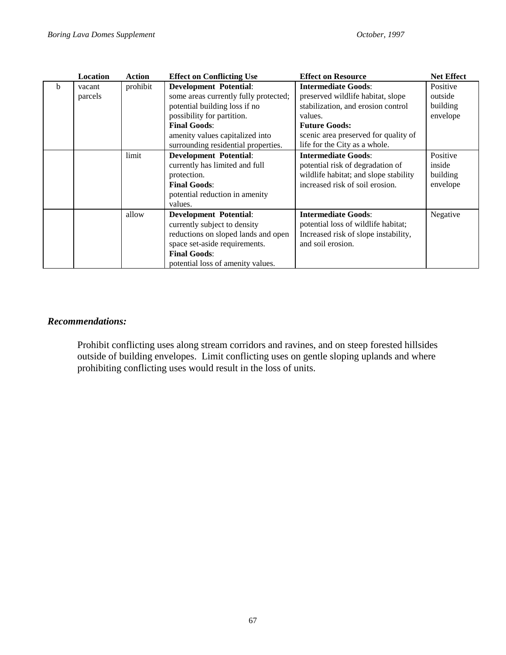|   | Location | <b>Action</b> | <b>Effect on Conflicting Use</b>                                                                      | <b>Effect on Resource</b>                                                                                                                  | <b>Net Effect</b>                          |
|---|----------|---------------|-------------------------------------------------------------------------------------------------------|--------------------------------------------------------------------------------------------------------------------------------------------|--------------------------------------------|
| b | vacant   | prohibit      | <b>Development Potential:</b>                                                                         | <b>Intermediate Goods:</b>                                                                                                                 | Positive                                   |
|   | parcels  |               | some areas currently fully protected;                                                                 | preserved wildlife habitat, slope                                                                                                          | outside                                    |
|   |          |               | potential building loss if no                                                                         | stabilization, and erosion control                                                                                                         | building                                   |
|   |          |               | possibility for partition.                                                                            | values.                                                                                                                                    | envelope                                   |
|   |          |               | <b>Final Goods:</b>                                                                                   | <b>Future Goods:</b>                                                                                                                       |                                            |
|   |          |               | amenity values capitalized into                                                                       | scenic area preserved for quality of                                                                                                       |                                            |
|   |          |               | surrounding residential properties.                                                                   | life for the City as a whole.                                                                                                              |                                            |
|   |          | limit         | <b>Development Potential:</b><br>currently has limited and full<br>protection.<br><b>Final Goods:</b> | <b>Intermediate Goods:</b><br>potential risk of degradation of<br>wildlife habitat; and slope stability<br>increased risk of soil erosion. | Positive<br>inside<br>building<br>envelope |
|   |          |               | potential reduction in amenity<br>values.                                                             |                                                                                                                                            |                                            |
|   |          | allow         | <b>Development Potential:</b>                                                                         | <b>Intermediate Goods:</b>                                                                                                                 | Negative                                   |
|   |          |               | currently subject to density                                                                          | potential loss of wildlife habitat;                                                                                                        |                                            |
|   |          |               | reductions on sloped lands and open                                                                   | Increased risk of slope instability,                                                                                                       |                                            |
|   |          |               | space set-aside requirements.                                                                         | and soil erosion.                                                                                                                          |                                            |
|   |          |               | <b>Final Goods:</b>                                                                                   |                                                                                                                                            |                                            |
|   |          |               | potential loss of amenity values.                                                                     |                                                                                                                                            |                                            |

#### *Recommendations:*

Prohibit conflicting uses along stream corridors and ravines, and on steep forested hillsides outside of building envelopes. Limit conflicting uses on gentle sloping uplands and where prohibiting conflicting uses would result in the loss of units.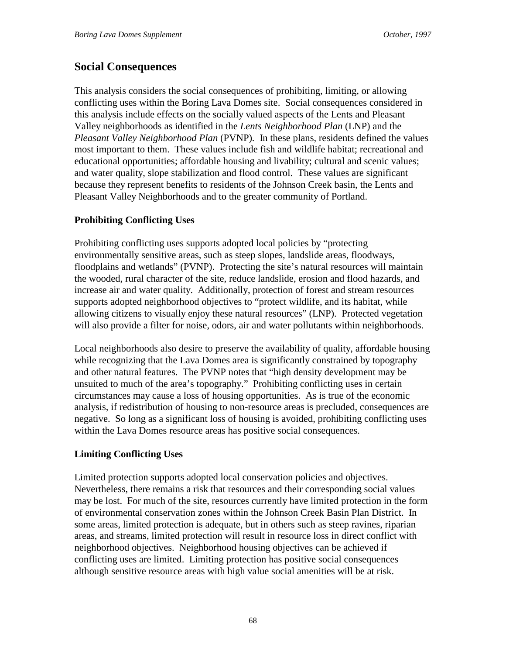# **Social Consequences**

This analysis considers the social consequences of prohibiting, limiting, or allowing conflicting uses within the Boring Lava Domes site. Social consequences considered in this analysis include effects on the socially valued aspects of the Lents and Pleasant Valley neighborhoods as identified in the *Lents Neighborhood Plan* (LNP) and the *Pleasant Valley Neighborhood Plan* (PVNP). In these plans, residents defined the values most important to them. These values include fish and wildlife habitat; recreational and educational opportunities; affordable housing and livability; cultural and scenic values; and water quality, slope stabilization and flood control. These values are significant because they represent benefits to residents of the Johnson Creek basin, the Lents and Pleasant Valley Neighborhoods and to the greater community of Portland.

# **Prohibiting Conflicting Uses**

Prohibiting conflicting uses supports adopted local policies by "protecting environmentally sensitive areas, such as steep slopes, landslide areas, floodways, floodplains and wetlands" (PVNP). Protecting the site's natural resources will maintain the wooded, rural character of the site, reduce landslide, erosion and flood hazards, and increase air and water quality. Additionally, protection of forest and stream resources supports adopted neighborhood objectives to "protect wildlife, and its habitat, while allowing citizens to visually enjoy these natural resources" (LNP). Protected vegetation will also provide a filter for noise, odors, air and water pollutants within neighborhoods.

Local neighborhoods also desire to preserve the availability of quality, affordable housing while recognizing that the Lava Domes area is significantly constrained by topography and other natural features. The PVNP notes that "high density development may be unsuited to much of the area's topography." Prohibiting conflicting uses in certain circumstances may cause a loss of housing opportunities. As is true of the economic analysis, if redistribution of housing to non-resource areas is precluded, consequences are negative. So long as a significant loss of housing is avoided, prohibiting conflicting uses within the Lava Domes resource areas has positive social consequences.

# **Limiting Conflicting Uses**

Limited protection supports adopted local conservation policies and objectives. Nevertheless, there remains a risk that resources and their corresponding social values may be lost. For much of the site, resources currently have limited protection in the form of environmental conservation zones within the Johnson Creek Basin Plan District. In some areas, limited protection is adequate, but in others such as steep ravines, riparian areas, and streams, limited protection will result in resource loss in direct conflict with neighborhood objectives. Neighborhood housing objectives can be achieved if conflicting uses are limited. Limiting protection has positive social consequences although sensitive resource areas with high value social amenities will be at risk.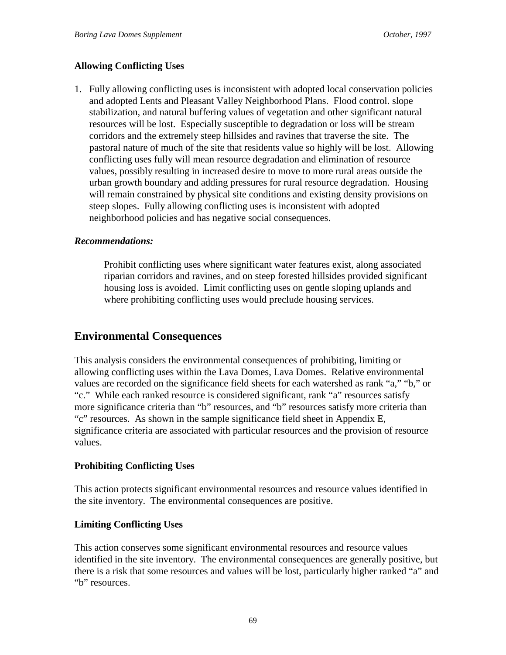# **Allowing Conflicting Uses**

1. Fully allowing conflicting uses is inconsistent with adopted local conservation policies and adopted Lents and Pleasant Valley Neighborhood Plans. Flood control. slope stabilization, and natural buffering values of vegetation and other significant natural resources will be lost. Especially susceptible to degradation or loss will be stream corridors and the extremely steep hillsides and ravines that traverse the site. The pastoral nature of much of the site that residents value so highly will be lost. Allowing conflicting uses fully will mean resource degradation and elimination of resource values, possibly resulting in increased desire to move to more rural areas outside the urban growth boundary and adding pressures for rural resource degradation. Housing will remain constrained by physical site conditions and existing density provisions on steep slopes. Fully allowing conflicting uses is inconsistent with adopted neighborhood policies and has negative social consequences.

# *Recommendations:*

Prohibit conflicting uses where significant water features exist, along associated riparian corridors and ravines, and on steep forested hillsides provided significant housing loss is avoided. Limit conflicting uses on gentle sloping uplands and where prohibiting conflicting uses would preclude housing services.

# **Environmental Consequences**

This analysis considers the environmental consequences of prohibiting, limiting or allowing conflicting uses within the Lava Domes, Lava Domes. Relative environmental values are recorded on the significance field sheets for each watershed as rank "a," "b," or "c." While each ranked resource is considered significant, rank "a" resources satisfy more significance criteria than "b" resources, and "b" resources satisfy more criteria than "c" resources. As shown in the sample significance field sheet in Appendix E, significance criteria are associated with particular resources and the provision of resource values.

#### **Prohibiting Conflicting Uses**

This action protects significant environmental resources and resource values identified in the site inventory. The environmental consequences are positive.

# **Limiting Conflicting Uses**

This action conserves some significant environmental resources and resource values identified in the site inventory. The environmental consequences are generally positive, but there is a risk that some resources and values will be lost, particularly higher ranked "a" and "b" resources.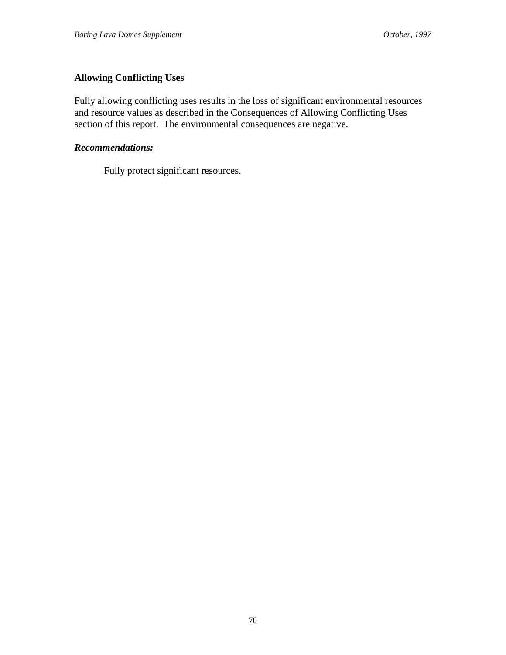# **Allowing Conflicting Uses**

Fully allowing conflicting uses results in the loss of significant environmental resources and resource values as described in the Consequences of Allowing Conflicting Uses section of this report. The environmental consequences are negative.

#### *Recommendations:*

Fully protect significant resources.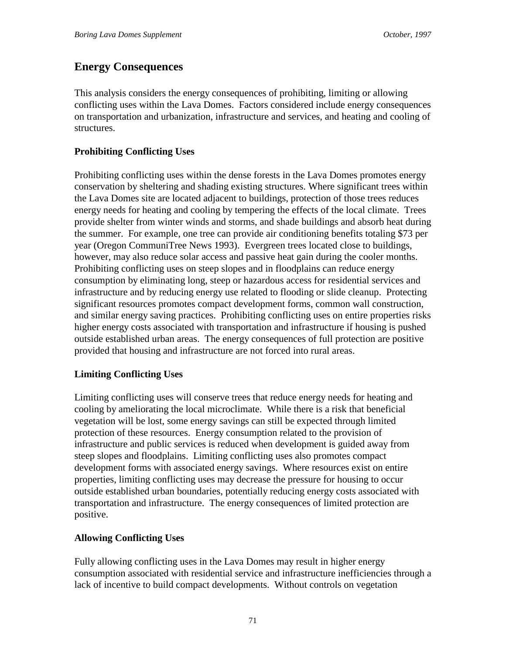# **Energy Consequences**

This analysis considers the energy consequences of prohibiting, limiting or allowing conflicting uses within the Lava Domes. Factors considered include energy consequences on transportation and urbanization, infrastructure and services, and heating and cooling of structures.

# **Prohibiting Conflicting Uses**

Prohibiting conflicting uses within the dense forests in the Lava Domes promotes energy conservation by sheltering and shading existing structures. Where significant trees within the Lava Domes site are located adjacent to buildings, protection of those trees reduces energy needs for heating and cooling by tempering the effects of the local climate. Trees provide shelter from winter winds and storms, and shade buildings and absorb heat during the summer. For example, one tree can provide air conditioning benefits totaling \$73 per year (Oregon CommuniTree News 1993). Evergreen trees located close to buildings, however, may also reduce solar access and passive heat gain during the cooler months. Prohibiting conflicting uses on steep slopes and in floodplains can reduce energy consumption by eliminating long, steep or hazardous access for residential services and infrastructure and by reducing energy use related to flooding or slide cleanup. Protecting significant resources promotes compact development forms, common wall construction, and similar energy saving practices. Prohibiting conflicting uses on entire properties risks higher energy costs associated with transportation and infrastructure if housing is pushed outside established urban areas. The energy consequences of full protection are positive provided that housing and infrastructure are not forced into rural areas.

# **Limiting Conflicting Uses**

Limiting conflicting uses will conserve trees that reduce energy needs for heating and cooling by ameliorating the local microclimate. While there is a risk that beneficial vegetation will be lost, some energy savings can still be expected through limited protection of these resources. Energy consumption related to the provision of infrastructure and public services is reduced when development is guided away from steep slopes and floodplains. Limiting conflicting uses also promotes compact development forms with associated energy savings. Where resources exist on entire properties, limiting conflicting uses may decrease the pressure for housing to occur outside established urban boundaries, potentially reducing energy costs associated with transportation and infrastructure. The energy consequences of limited protection are positive.

# **Allowing Conflicting Uses**

Fully allowing conflicting uses in the Lava Domes may result in higher energy consumption associated with residential service and infrastructure inefficiencies through a lack of incentive to build compact developments. Without controls on vegetation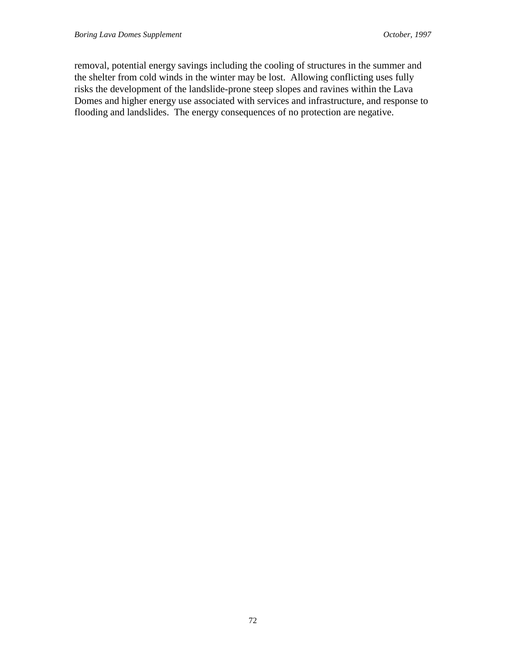removal, potential energy savings including the cooling of structures in the summer and the shelter from cold winds in the winter may be lost. Allowing conflicting uses fully risks the development of the landslide-prone steep slopes and ravines within the Lava Domes and higher energy use associated with services and infrastructure, and response to flooding and landslides. The energy consequences of no protection are negative.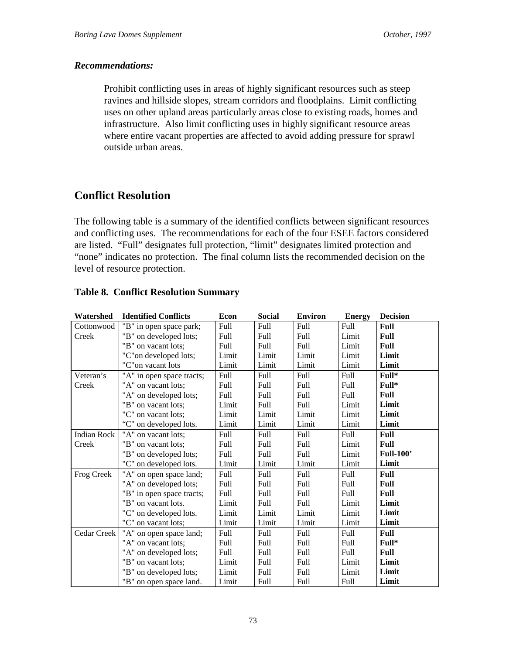#### *Recommendations:*

Prohibit conflicting uses in areas of highly significant resources such as steep ravines and hillside slopes, stream corridors and floodplains. Limit conflicting uses on other upland areas particularly areas close to existing roads, homes and infrastructure. Also limit conflicting uses in highly significant resource areas where entire vacant properties are affected to avoid adding pressure for sprawl outside urban areas.

# **Conflict Resolution**

The following table is a summary of the identified conflicts between significant resources and conflicting uses. The recommendations for each of the four ESEE factors considered are listed. "Full" designates full protection, "limit" designates limited protection and "none" indicates no protection. The final column lists the recommended decision on the level of resource protection.

| Watershed          | <b>Identified Conflicts</b> | Econ        | <b>Social</b> | <b>Environ</b> | <b>Energy</b> | <b>Decision</b>  |
|--------------------|-----------------------------|-------------|---------------|----------------|---------------|------------------|
| Cottonwood         | "B" in open space park;     | Full        | Full          | Full           | Full          | Full             |
| Creek              | "B" on developed lots;      | Full        | Full          | Full           | Limit         | Full             |
|                    | "B" on vacant lots;         | Full        | Full          | Full           | Limit         | Full             |
|                    | "C" on developed lots;      | Limit       | Limit         | Limit          | Limit         | Limit            |
|                    | "C" on vacant lots          | Limit       | Limit         | Limit          | Limit         | Limit            |
| Veteran's          | "A" in open space tracts;   | Full        | Full          | Full           | Full          | Full*            |
| Creek              | "A" on vacant lots;         | Full        | Full          | Full           | Full          | Full*            |
|                    | "A" on developed lots;      | Full        | Full          | Full           | Full          | Full             |
|                    | "B" on vacant lots;         | Limit       | Full          | Full           | Limit         | Limit            |
|                    | "C" on vacant lots;         | Limit       | Limit         | Limit          | Limit         | Limit            |
|                    | "C" on developed lots.      | Limit       | Limit         | Limit          | Limit         | Limit            |
| <b>Indian Rock</b> | "A" on vacant lots;         | Full        | Full          | Full           | Full          | Full             |
| Creek              | "B" on vacant lots;         | Full        | Full          | Full           | Limit         | Full             |
|                    | "B" on developed lots;      | Full        | Full          | Full           | Limit         | <b>Full-100'</b> |
|                    | "C" on developed lots.      | Limit       | Limit         | Limit          | Limit         | Limit            |
| Frog Creek         | "A" on open space land;     | Full        | Full          | Full           | Full          | Full             |
|                    | "A" on developed lots;      | Full        | Full          | Full           | Full          | Full             |
|                    | "B" in open space tracts;   | Full        | Full          | Full           | Full          | Full             |
|                    | "B" on vacant lots.         | Limit       | Full          | Full           | Limit         | Limit            |
|                    | "C" on developed lots.      | Limit       | Limit         | Limit          | Limit         | Limit            |
|                    | "C" on vacant lots;         | Limit       | Limit         | Limit          | Limit         | Limit            |
| Cedar Creek        | "A" on open space land;     | <b>Full</b> | Full          | Full           | Full          | Full             |
|                    | "A" on vacant lots;         | <b>Full</b> | Full          | Full           | Full          | Full*            |
|                    | "A" on developed lots;      | Full        | Full          | Full           | Full          | Full             |
|                    | "B" on vacant lots;         | Limit       | Full          | Full           | Limit         | Limit            |
|                    | "B" on developed lots;      | Limit       | Full          | Full           | Limit         | Limit            |
|                    | "B" on open space land.     | Limit       | Full          | Full           | Full          | Limit            |

#### **Table 8. Conflict Resolution Summary**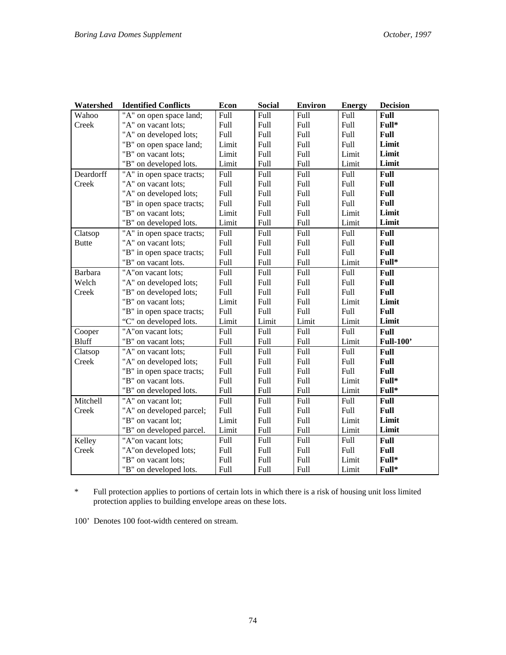| Watershed      | <b>Identified Conflicts</b> | Econ  | <b>Social</b> | <b>Environ</b> | <b>Energy</b> | <b>Decision</b>  |
|----------------|-----------------------------|-------|---------------|----------------|---------------|------------------|
| Wahoo          | "A" on open space land;     | Full  | Full          | Full           | Full          | Full             |
| Creek          | "A" on vacant lots;         | Full  | Full          | Full           | Full          | Full*            |
|                | "A" on developed lots;      | Full  | Full          | <b>Full</b>    | Full          | Full             |
|                | "B" on open space land;     | Limit | Full          | Full           | Full          | Limit            |
|                | "B" on vacant lots;         | Limit | Full          | Full           | Limit         | Limit            |
|                | "B" on developed lots.      | Limit | Full          | Full           | Limit         | Limit            |
| Deardorff      | "A" in open space tracts;   | Full  | Full          | Full           | Full          | Full             |
| Creek          | "A" on vacant lots;         | Full  | Full          | Full           | Full          | Full             |
|                | "A" on developed lots;      | Full  | Full          | Full           | Full          | Full             |
|                | "B" in open space tracts;   | Full  | Full          | Full           | Full          | Full             |
|                | "B" on vacant lots;         | Limit | Full          | Full           | Limit         | Limit            |
|                | "B" on developed lots.      | Limit | Full          | Full           | Limit         | Limit            |
| Clatsop        | "A" in open space tracts;   | Full  | Full          | Full           | Full          | Full             |
| <b>Butte</b>   | "A" on vacant lots;         | Full  | Full          | Full           | Full          | Full             |
|                | "B" in open space tracts;   | Full  | Full          | Full           | Full          | Full             |
|                | "B" on vacant lots.         | Full  | Full          | Full           | Limit         | Full*            |
| <b>Barbara</b> | "A"on vacant lots;          | Full  | Full          | Full           | Full          | <b>Full</b>      |
| Welch          | "A" on developed lots;      | Full  | Full          | Full           | Full          | Full             |
| Creek          | "B" on developed lots;      | Full  | Full          | Full           | Full          | Full             |
|                | "B" on vacant lots;         | Limit | Full          | Full           | Limit         | Limit            |
|                | "B" in open space tracts;   | Full  | Full          | Full           | Full          | Full             |
|                | "C" on developed lots.      | Limit | Limit         | Limit          | Limit         | Limit            |
| Cooper         | "A"on vacant lots;          | Full  | Full          | Full           | Full          | Full             |
| <b>Bluff</b>   | "B" on vacant lots;         | Full  | Full          | <b>Full</b>    | Limit         | <b>Full-100'</b> |
| Clatsop        | "A" on vacant lots;         | Full  | Full          | Full           | Full          | Full             |
| Creek          | "A" on developed lots;      | Full  | Full          | <b>Full</b>    | Full          | Full             |
|                | "B" in open space tracts;   | Full  | Full          | Full           | Full          | Full             |
|                | "B" on vacant lots.         | Full  | Full          | <b>Full</b>    | Limit         | Full*            |
|                | "B" on developed lots.      | Full  | Full          | Full           | Limit         | Full*            |
| Mitchell       | "A" on vacant lot;          | Full  | Full          | <b>Full</b>    | Full          | Full             |
| Creek          | "A" on developed parcel;    | Full  | Full          | Full           | Full          | Full             |
|                | "B" on vacant lot;          | Limit | Full          | Full           | Limit         | Limit            |
|                | "B" on developed parcel.    | Limit | Full          | Full           | Limit         | Limit            |
| Kelley         | "A"on vacant lots;          | Full  | Full          | <b>Full</b>    | Full          | Full             |
| Creek          | "A" on developed lots;      | Full  | Full          | Full           | Full          | Full             |
|                | "B" on vacant lots;         | Full  | Full          | Full           | Limit         | Full*            |
|                | "B" on developed lots.      | Full  | Full          | Full           | Limit         | Full*            |

\* Full protection applies to portions of certain lots in which there is a risk of housing unit loss limited protection applies to building envelope areas on these lots.

100' Denotes 100 foot-width centered on stream.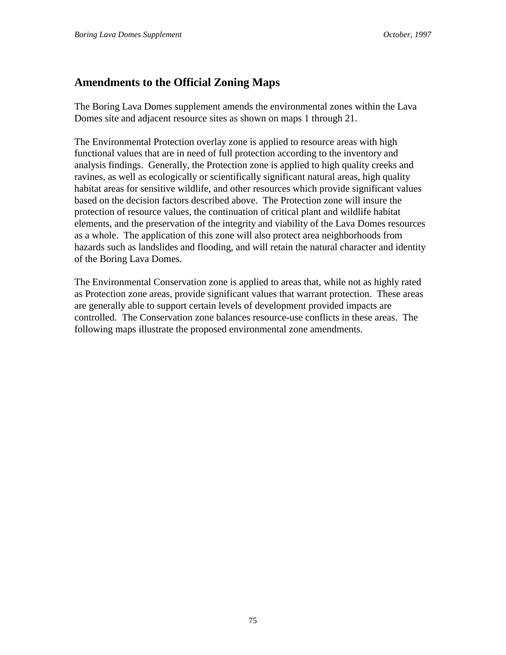# **Amendments to the Official Zoning Maps**

The Boring Lava Domes supplement amends the environmental zones within the Lava Domes site and adjacent resource sites as shown on maps 1 through 21.

The Environmental Protection overlay zone is applied to resource areas with high functional values that are in need of full protection according to the inventory and analysis findings. Generally, the Protection zone is applied to high quality creeks and ravines, as well as ecologically or scientifically significant natural areas, high quality habitat areas for sensitive wildlife, and other resources which provide significant values based on the decision factors described above. The Protection zone will insure the protection of resource values, the continuation of critical plant and wildlife habitat elements, and the preservation of the integrity and viability of the Lava Domes resources as a whole. The application of this zone will also protect area neighborhoods from hazards such as landslides and flooding, and will retain the natural character and identity of the Boring Lava Domes.

The Environmental Conservation zone is applied to areas that, while not as highly rated as Protection zone areas, provide significant values that warrant protection. These areas are generally able to support certain levels of development provided impacts are controlled. The Conservation zone balances resource-use conflicts in these areas. The following maps illustrate the proposed environmental zone amendments.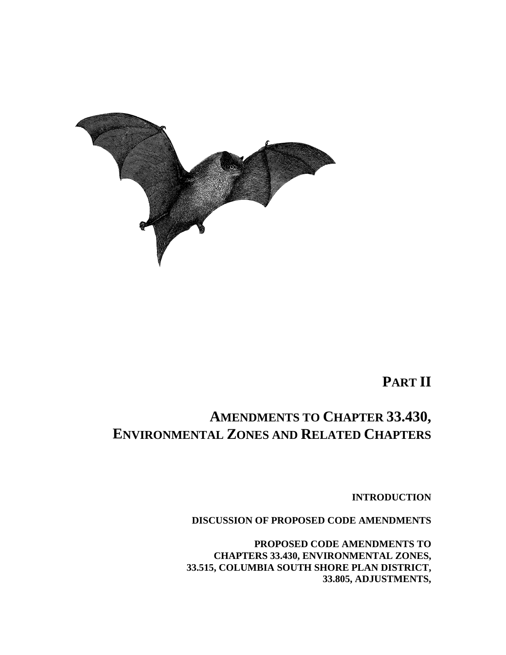

**PART II**

# **AMENDMENTS TO CHAPTER 33.430, ENVIRONMENTAL ZONES AND RELATED CHAPTERS**

**INTRODUCTION**

**DISCUSSION OF PROPOSED CODE AMENDMENTS**

**PROPOSED CODE AMENDMENTS TO CHAPTERS 33.430, ENVIRONMENTAL ZONES, 33.515, COLUMBIA SOUTH SHORE PLAN DISTRICT, 33.805, ADJUSTMENTS,**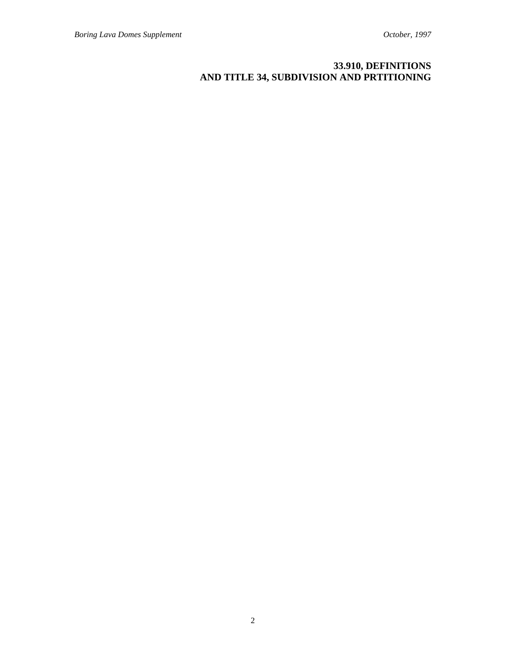# **33.910, DEFINITIONS AND TITLE 34, SUBDIVISION AND PRTITIONING**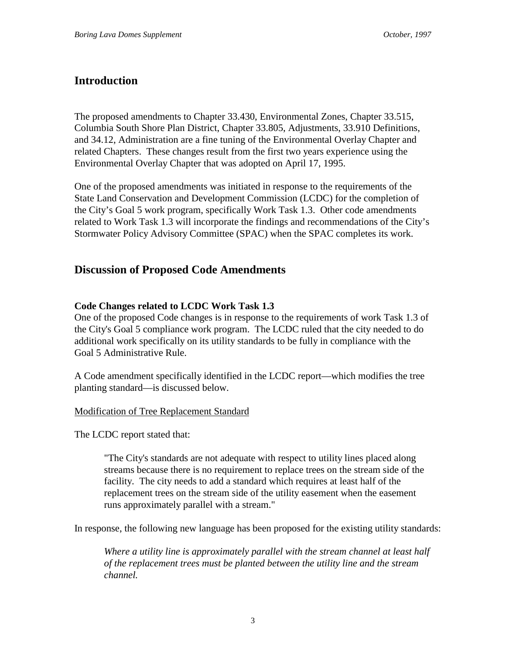# **Introduction**

The proposed amendments to Chapter 33.430, Environmental Zones, Chapter 33.515, Columbia South Shore Plan District, Chapter 33.805, Adjustments, 33.910 Definitions, and 34.12, Administration are a fine tuning of the Environmental Overlay Chapter and related Chapters. These changes result from the first two years experience using the Environmental Overlay Chapter that was adopted on April 17, 1995.

One of the proposed amendments was initiated in response to the requirements of the State Land Conservation and Development Commission (LCDC) for the completion of the City's Goal 5 work program, specifically Work Task 1.3. Other code amendments related to Work Task 1.3 will incorporate the findings and recommendations of the City's Stormwater Policy Advisory Committee (SPAC) when the SPAC completes its work.

# **Discussion of Proposed Code Amendments**

# **Code Changes related to LCDC Work Task 1.3**

One of the proposed Code changes is in response to the requirements of work Task 1.3 of the City's Goal 5 compliance work program. The LCDC ruled that the city needed to do additional work specifically on its utility standards to be fully in compliance with the Goal 5 Administrative Rule.

A Code amendment specifically identified in the LCDC report—which modifies the tree planting standard—is discussed below.

# Modification of Tree Replacement Standard

The LCDC report stated that:

"The City's standards are not adequate with respect to utility lines placed along streams because there is no requirement to replace trees on the stream side of the facility. The city needs to add a standard which requires at least half of the replacement trees on the stream side of the utility easement when the easement runs approximately parallel with a stream."

In response, the following new language has been proposed for the existing utility standards:

*Where a utility line is approximately parallel with the stream channel at least half of the replacement trees must be planted between the utility line and the stream channel.*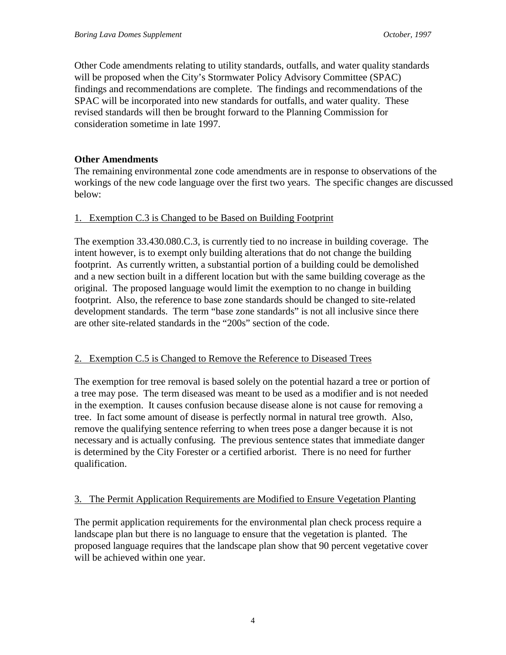Other Code amendments relating to utility standards, outfalls, and water quality standards will be proposed when the City's Stormwater Policy Advisory Committee (SPAC) findings and recommendations are complete. The findings and recommendations of the SPAC will be incorporated into new standards for outfalls, and water quality. These revised standards will then be brought forward to the Planning Commission for consideration sometime in late 1997.

#### **Other Amendments**

The remaining environmental zone code amendments are in response to observations of the workings of the new code language over the first two years. The specific changes are discussed below:

#### 1. Exemption C.3 is Changed to be Based on Building Footprint

The exemption 33.430.080.C.3, is currently tied to no increase in building coverage. The intent however, is to exempt only building alterations that do not change the building footprint. As currently written, a substantial portion of a building could be demolished and a new section built in a different location but with the same building coverage as the original. The proposed language would limit the exemption to no change in building footprint. Also, the reference to base zone standards should be changed to site-related development standards. The term "base zone standards" is not all inclusive since there are other site-related standards in the "200s" section of the code.

#### 2. Exemption C.5 is Changed to Remove the Reference to Diseased Trees

The exemption for tree removal is based solely on the potential hazard a tree or portion of a tree may pose. The term diseased was meant to be used as a modifier and is not needed in the exemption. It causes confusion because disease alone is not cause for removing a tree. In fact some amount of disease is perfectly normal in natural tree growth. Also, remove the qualifying sentence referring to when trees pose a danger because it is not necessary and is actually confusing. The previous sentence states that immediate danger is determined by the City Forester or a certified arborist. There is no need for further qualification.

#### 3. The Permit Application Requirements are Modified to Ensure Vegetation Planting

The permit application requirements for the environmental plan check process require a landscape plan but there is no language to ensure that the vegetation is planted. The proposed language requires that the landscape plan show that 90 percent vegetative cover will be achieved within one year.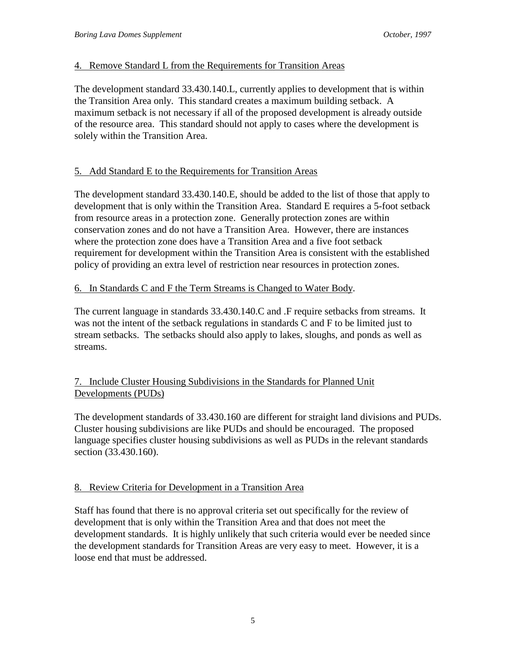# 4. Remove Standard L from the Requirements for Transition Areas

The development standard 33.430.140.L, currently applies to development that is within the Transition Area only. This standard creates a maximum building setback. A maximum setback is not necessary if all of the proposed development is already outside of the resource area. This standard should not apply to cases where the development is solely within the Transition Area.

# 5. Add Standard E to the Requirements for Transition Areas

The development standard 33.430.140.E, should be added to the list of those that apply to development that is only within the Transition Area. Standard E requires a 5-foot setback from resource areas in a protection zone. Generally protection zones are within conservation zones and do not have a Transition Area. However, there are instances where the protection zone does have a Transition Area and a five foot setback requirement for development within the Transition Area is consistent with the established policy of providing an extra level of restriction near resources in protection zones.

# 6. In Standards C and F the Term Streams is Changed to Water Body.

The current language in standards 33.430.140.C and .F require setbacks from streams. It was not the intent of the setback regulations in standards C and F to be limited just to stream setbacks. The setbacks should also apply to lakes, sloughs, and ponds as well as streams.

# 7. Include Cluster Housing Subdivisions in the Standards for Planned Unit Developments (PUDs)

The development standards of 33.430.160 are different for straight land divisions and PUDs. Cluster housing subdivisions are like PUDs and should be encouraged. The proposed language specifies cluster housing subdivisions as well as PUDs in the relevant standards section (33.430.160).

# 8. Review Criteria for Development in a Transition Area

Staff has found that there is no approval criteria set out specifically for the review of development that is only within the Transition Area and that does not meet the development standards. It is highly unlikely that such criteria would ever be needed since the development standards for Transition Areas are very easy to meet. However, it is a loose end that must be addressed.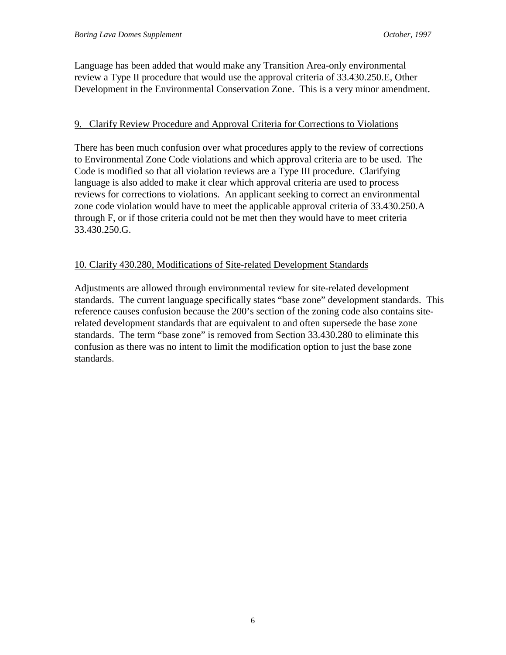Language has been added that would make any Transition Area-only environmental review a Type II procedure that would use the approval criteria of 33.430.250.E, Other Development in the Environmental Conservation Zone. This is a very minor amendment.

#### 9. Clarify Review Procedure and Approval Criteria for Corrections to Violations

There has been much confusion over what procedures apply to the review of corrections to Environmental Zone Code violations and which approval criteria are to be used. The Code is modified so that all violation reviews are a Type III procedure. Clarifying language is also added to make it clear which approval criteria are used to process reviews for corrections to violations. An applicant seeking to correct an environmental zone code violation would have to meet the applicable approval criteria of 33.430.250.A through F, or if those criteria could not be met then they would have to meet criteria 33.430.250.G.

# 10. Clarify 430.280, Modifications of Site-related Development Standards

Adjustments are allowed through environmental review for site-related development standards. The current language specifically states "base zone" development standards. This reference causes confusion because the 200's section of the zoning code also contains siterelated development standards that are equivalent to and often supersede the base zone standards. The term "base zone" is removed from Section 33.430.280 to eliminate this confusion as there was no intent to limit the modification option to just the base zone standards.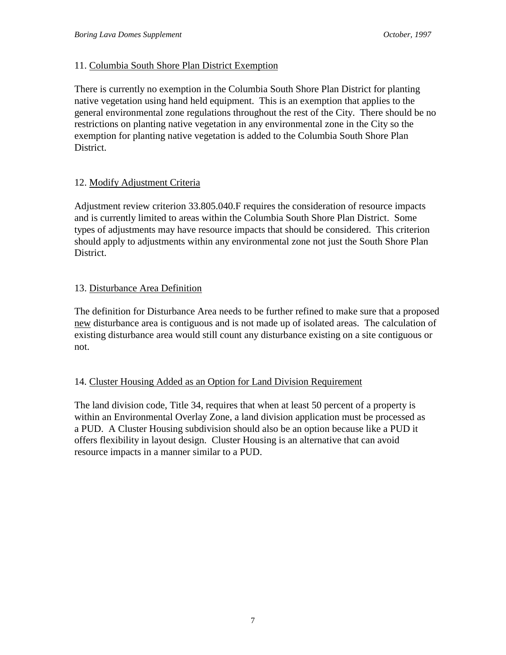# 11. Columbia South Shore Plan District Exemption

There is currently no exemption in the Columbia South Shore Plan District for planting native vegetation using hand held equipment. This is an exemption that applies to the general environmental zone regulations throughout the rest of the City. There should be no restrictions on planting native vegetation in any environmental zone in the City so the exemption for planting native vegetation is added to the Columbia South Shore Plan District.

# 12. Modify Adjustment Criteria

Adjustment review criterion 33.805.040.F requires the consideration of resource impacts and is currently limited to areas within the Columbia South Shore Plan District. Some types of adjustments may have resource impacts that should be considered. This criterion should apply to adjustments within any environmental zone not just the South Shore Plan District.

# 13. Disturbance Area Definition

The definition for Disturbance Area needs to be further refined to make sure that a proposed new disturbance area is contiguous and is not made up of isolated areas. The calculation of existing disturbance area would still count any disturbance existing on a site contiguous or not.

# 14. Cluster Housing Added as an Option for Land Division Requirement

The land division code, Title 34, requires that when at least 50 percent of a property is within an Environmental Overlay Zone, a land division application must be processed as a PUD. A Cluster Housing subdivision should also be an option because like a PUD it offers flexibility in layout design. Cluster Housing is an alternative that can avoid resource impacts in a manner similar to a PUD.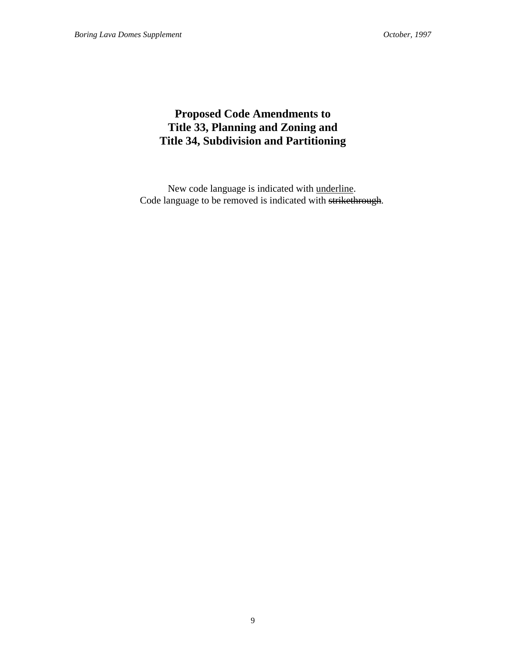# **Proposed Code Amendments to Title 33, Planning and Zoning and Title 34, Subdivision and Partitioning**

New code language is indicated with underline. Code language to be removed is indicated with strikethrough.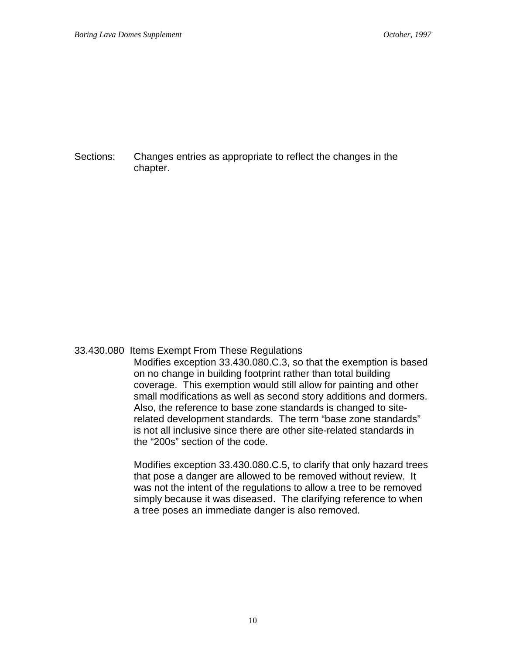Sections: Changes entries as appropriate to reflect the changes in the chapter.

#### 33.430.080 Items Exempt From These Regulations

Modifies exception 33.430.080.C.3, so that the exemption is based on no change in building footprint rather than total building coverage. This exemption would still allow for painting and other small modifications as well as second story additions and dormers. Also, the reference to base zone standards is changed to siterelated development standards. The term "base zone standards" is not all inclusive since there are other site-related standards in the "200s" section of the code.

Modifies exception 33.430.080.C.5, to clarify that only hazard trees that pose a danger are allowed to be removed without review. It was not the intent of the regulations to allow a tree to be removed simply because it was diseased. The clarifying reference to when a tree poses an immediate danger is also removed.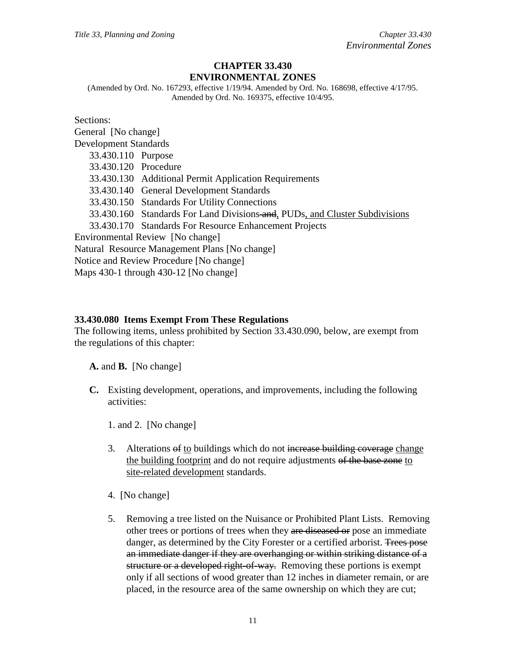#### **CHAPTER 33.430 ENVIRONMENTAL ZONES**

(Amended by Ord. No. 167293, effective 1/19/94. Amended by Ord. No. 168698, effective 4/17/95. Amended by Ord. No. 169375, effective 10/4/95.

Sections: General [No change] Development Standards 33.430.110 Purpose 33.430.120 Procedure 33.430.130 Additional Permit Application Requirements 33.430.140 General Development Standards 33.430.150 Standards For Utility Connections 33.430.160 Standards For Land Divisions-and, PUDs, and Cluster Subdivisions 33.430.170 Standards For Resource Enhancement Projects Environmental Review [No change] Natural Resource Management Plans [No change] Notice and Review Procedure [No change] Maps 430-1 through 430-12 [No change]

#### **33.430.080 Items Exempt From These Regulations**

The following items, unless prohibited by Section 33.430.090, below, are exempt from the regulations of this chapter:

**A.** and **B.** [No change]

**C.** Existing development, operations, and improvements, including the following activities:

1. and 2. [No change]

- 3. Alterations of to buildings which do not increase building coverage change the building footprint and do not require adjustments of the base zone to site-related development standards.
- 4. [No change]
- 5. Removing a tree listed on the Nuisance or Prohibited Plant Lists. Removing other trees or portions of trees when they are diseased or pose an immediate danger, as determined by the City Forester or a certified arborist. Trees pose an immediate danger if they are overhanging or within striking distance of a structure or a developed right-of-way. Removing these portions is exempt only if all sections of wood greater than 12 inches in diameter remain, or are placed, in the resource area of the same ownership on which they are cut;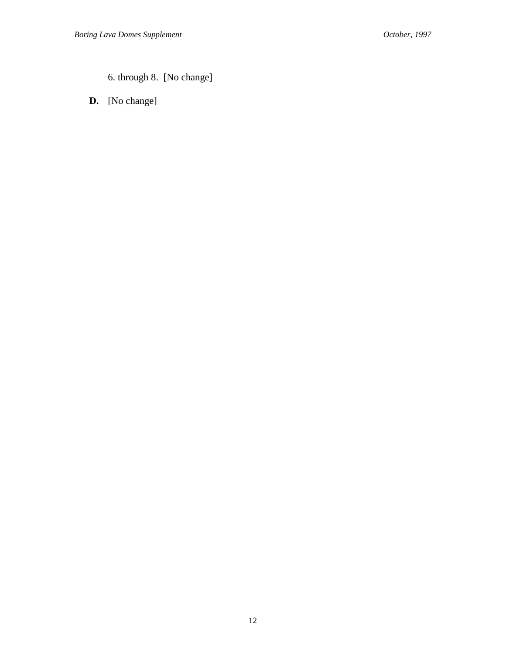6. through 8. [No change]

**D.** [No change]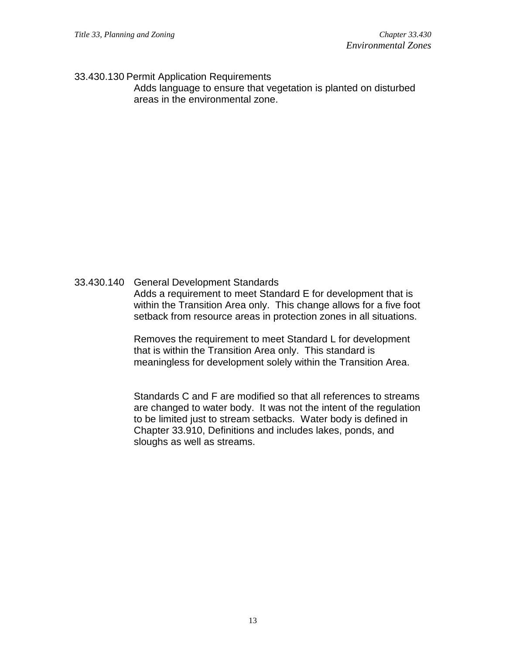#### 33.430.130 Permit Application Requirements

Adds language to ensure that vegetation is planted on disturbed areas in the environmental zone.

# 33.430.140 General Development Standards

Adds a requirement to meet Standard E for development that is within the Transition Area only. This change allows for a five foot setback from resource areas in protection zones in all situations.

Removes the requirement to meet Standard L for development that is within the Transition Area only. This standard is meaningless for development solely within the Transition Area.

Standards C and F are modified so that all references to streams are changed to water body. It was not the intent of the regulation to be limited just to stream setbacks. Water body is defined in Chapter 33.910, Definitions and includes lakes, ponds, and sloughs as well as streams.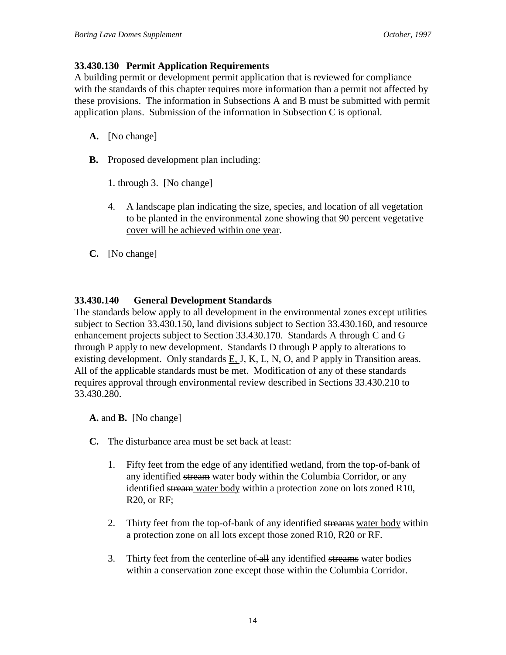#### **33.430.130 Permit Application Requirements**

A building permit or development permit application that is reviewed for compliance with the standards of this chapter requires more information than a permit not affected by these provisions. The information in Subsections A and B must be submitted with permit application plans. Submission of the information in Subsection C is optional.

- **A.** [No change]
- **B.** Proposed development plan including:
	- 1. through 3. [No change]
	- 4. A landscape plan indicating the size, species, and location of all vegetation to be planted in the environmental zone showing that 90 percent vegetative cover will be achieved within one year.
- **C.** [No change]

# **33.430.140 General Development Standards**

The standards below apply to all development in the environmental zones except utilities subject to Section 33.430.150, land divisions subject to Section 33.430.160, and resource enhancement projects subject to Section 33.430.170. Standards A through C and G through P apply to new development. Standards D through P apply to alterations to existing development. Only standards  $E, J, K, E, N, O$ , and P apply in Transition areas. All of the applicable standards must be met. Modification of any of these standards requires approval through environmental review described in Sections 33.430.210 to 33.430.280.

**A.** and **B.** [No change]

- **C.** The disturbance area must be set back at least:
	- 1. Fifty feet from the edge of any identified wetland, from the top-of-bank of any identified stream water body within the Columbia Corridor, or any identified stream water body within a protection zone on lots zoned R10, R20, or RF;
	- 2. Thirty feet from the top-of-bank of any identified streams water body within a protection zone on all lots except those zoned R10, R20 or RF.
	- 3. Thirty feet from the centerline of all any identified streams water bodies within a conservation zone except those within the Columbia Corridor.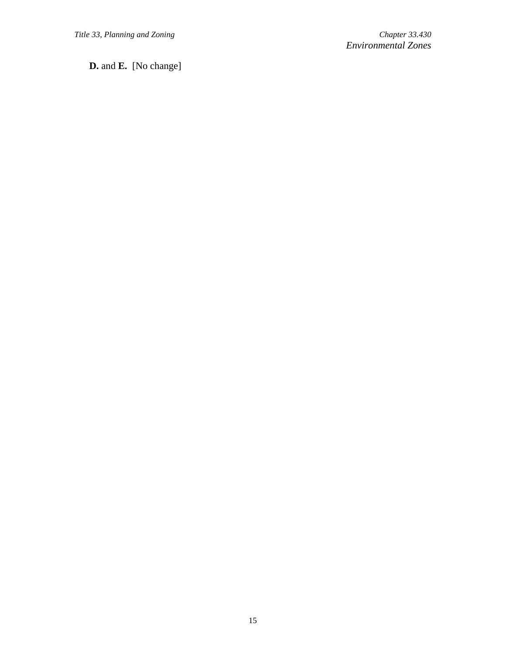**D.** and **E.** [No change]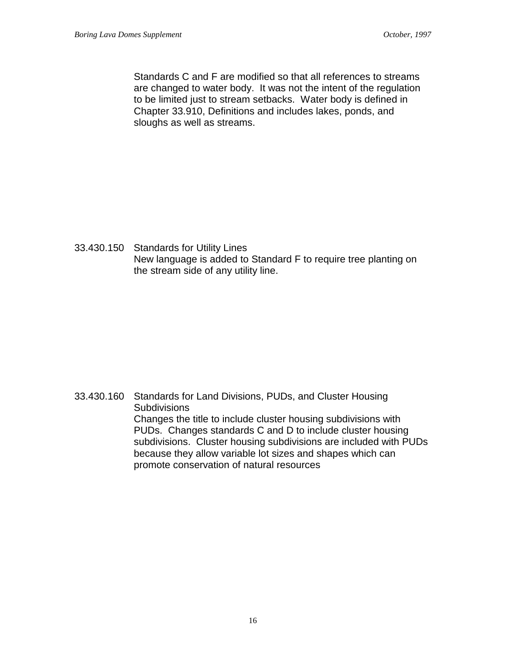Standards C and F are modified so that all references to streams are changed to water body. It was not the intent of the regulation to be limited just to stream setbacks. Water body is defined in Chapter 33.910, Definitions and includes lakes, ponds, and sloughs as well as streams.

33.430.150 Standards for Utility Lines New language is added to Standard F to require tree planting on the stream side of any utility line.

33.430.160 Standards for Land Divisions, PUDs, and Cluster Housing **Subdivisions** Changes the title to include cluster housing subdivisions with PUDs. Changes standards C and D to include cluster housing subdivisions. Cluster housing subdivisions are included with PUDs because they allow variable lot sizes and shapes which can promote conservation of natural resources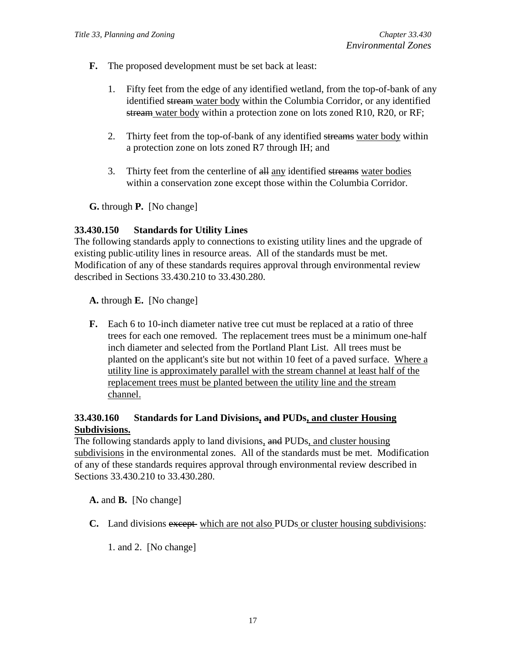- **F.** The proposed development must be set back at least:
	- 1. Fifty feet from the edge of any identified wetland, from the top-of-bank of any identified stream water body within the Columbia Corridor, or any identified stream water body within a protection zone on lots zoned R10, R20, or RF;
	- 2. Thirty feet from the top-of-bank of any identified streams water body within a protection zone on lots zoned R7 through IH; and
	- 3. Thirty feet from the centerline of all any identified streams water bodies within a conservation zone except those within the Columbia Corridor.

**G.** through **P.** [No change]

#### **33.430.150 Standards for Utility Lines**

The following standards apply to connections to existing utility lines and the upgrade of existing public utility lines in resource areas. All of the standards must be met. Modification of any of these standards requires approval through environmental review described in Sections 33.430.210 to 33.430.280.

**A.** through **E.** [No change]

**F.** Each 6 to 10-inch diameter native tree cut must be replaced at a ratio of three trees for each one removed. The replacement trees must be a minimum one-half inch diameter and selected from the Portland Plant List. All trees must be planted on the applicant's site but not within 10 feet of a paved surface. Where a utility line is approximately parallel with the stream channel at least half of the replacement trees must be planted between the utility line and the stream channel.

# **33.430.160 Standards for Land Divisions, and PUDs, and cluster Housing Subdivisions.**

The following standards apply to land divisions, and PUDs, and cluster housing subdivisions in the environmental zones. All of the standards must be met. Modification of any of these standards requires approval through environmental review described in Sections 33.430.210 to 33.430.280.

**A.** and **B.** [No change]

**C.** Land divisions except which are not also PUDs or cluster housing subdivisions:

1. and 2. [No change]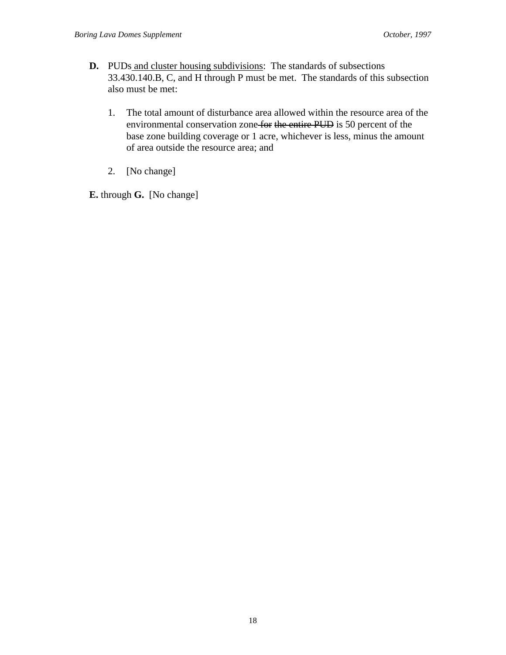- **D.** PUDs and cluster housing subdivisions: The standards of subsections 33.430.140.B, C, and H through P must be met. The standards of this subsection also must be met:
	- 1. The total amount of disturbance area allowed within the resource area of the environmental conservation zone for the entire PUD is 50 percent of the base zone building coverage or 1 acre, whichever is less, minus the amount of area outside the resource area; and
	- 2. [No change]

**E.** through **G.** [No change]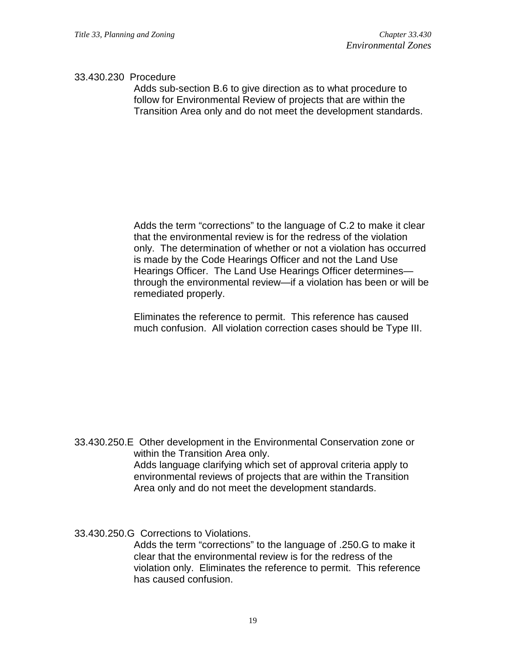#### 33.430.230 Procedure

Adds sub-section B.6 to give direction as to what procedure to follow for Environmental Review of projects that are within the Transition Area only and do not meet the development standards.

Adds the term "corrections" to the language of C.2 to make it clear that the environmental review is for the redress of the violation only. The determination of whether or not a violation has occurred is made by the Code Hearings Officer and not the Land Use Hearings Officer. The Land Use Hearings Officer determines through the environmental review—if a violation has been or will be remediated properly.

Eliminates the reference to permit. This reference has caused much confusion. All violation correction cases should be Type III.

33.430.250.E Other development in the Environmental Conservation zone or within the Transition Area only. Adds language clarifying which set of approval criteria apply to environmental reviews of projects that are within the Transition Area only and do not meet the development standards.

33.430.250.G Corrections to Violations.

Adds the term "corrections" to the language of .250.G to make it clear that the environmental review is for the redress of the violation only. Eliminates the reference to permit. This reference has caused confusion.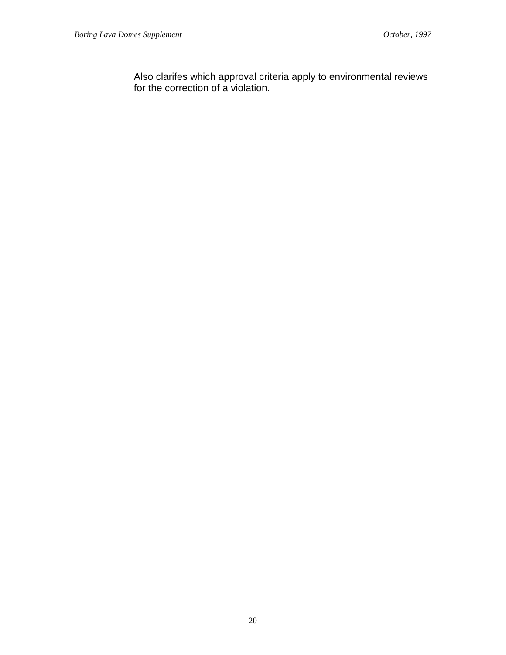Also clarifes which approval criteria apply to environmental reviews for the correction of a violation.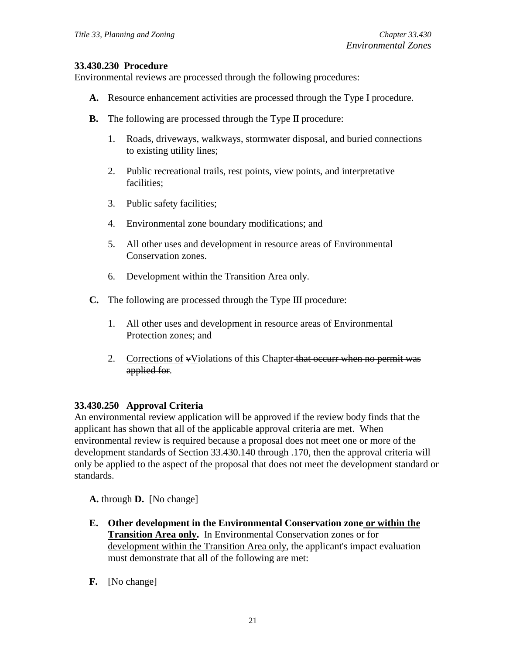# **33.430.230 Procedure**

Environmental reviews are processed through the following procedures:

- **A.** Resource enhancement activities are processed through the Type I procedure.
- **B.** The following are processed through the Type II procedure:
	- 1. Roads, driveways, walkways, stormwater disposal, and buried connections to existing utility lines;
	- 2. Public recreational trails, rest points, view points, and interpretative facilities;
	- 3. Public safety facilities;
	- 4. Environmental zone boundary modifications; and
	- 5. All other uses and development in resource areas of Environmental Conservation zones.
	- 6. Development within the Transition Area only.
- **C.** The following are processed through the Type III procedure:
	- 1. All other uses and development in resource areas of Environmental Protection zones; and
	- 2. Corrections of  $\overline{\text{v}}$  Violations of this Chapter that occurr when no permit was applied for.

# **33.430.250 Approval Criteria**

An environmental review application will be approved if the review body finds that the applicant has shown that all of the applicable approval criteria are met. When environmental review is required because a proposal does not meet one or more of the development standards of Section 33.430.140 through .170, then the approval criteria will only be applied to the aspect of the proposal that does not meet the development standard or standards.

**A.** through **D.** [No change]

- **E. Other development in the Environmental Conservation zone or within the Transition Area only.** In Environmental Conservation zones or for development within the Transition Area only, the applicant's impact evaluation must demonstrate that all of the following are met:
- **F.** [No change]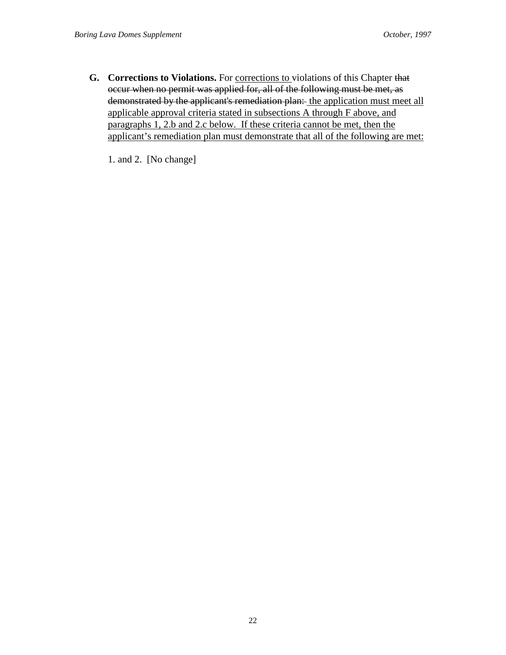**G. Corrections to Violations.** For corrections to violations of this Chapter that occur when no permit was applied for, all of the following must be met, as demonstrated by the applicant's remediation plan: the application must meet all applicable approval criteria stated in subsections A through F above, and paragraphs 1, 2.b and 2.c below. If these criteria cannot be met, then the applicant's remediation plan must demonstrate that all of the following are met:

1. and 2. [No change]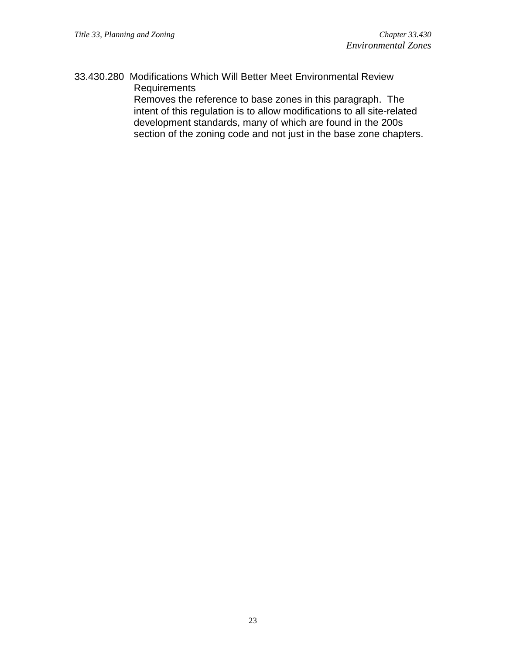33.430.280 Modifications Which Will Better Meet Environmental Review Requirements

Removes the reference to base zones in this paragraph. The intent of this regulation is to allow modifications to all site-related development standards, many of which are found in the 200s section of the zoning code and not just in the base zone chapters.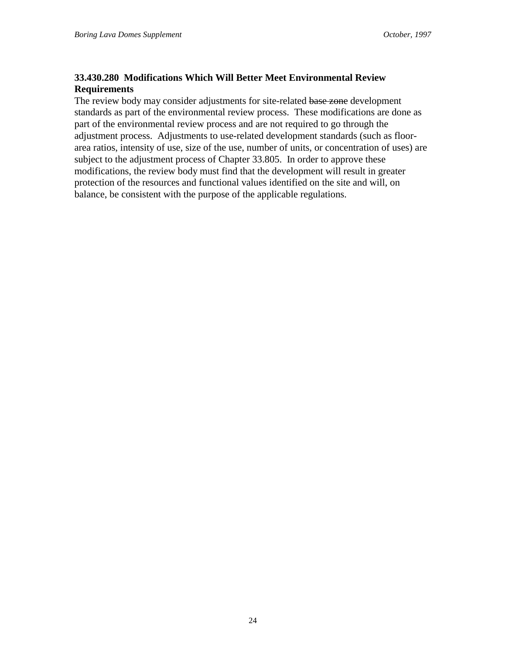# **33.430.280 Modifications Which Will Better Meet Environmental Review Requirements**

The review body may consider adjustments for site-related base zone development standards as part of the environmental review process. These modifications are done as part of the environmental review process and are not required to go through the adjustment process. Adjustments to use-related development standards (such as floorarea ratios, intensity of use, size of the use, number of units, or concentration of uses) are subject to the adjustment process of Chapter 33.805. In order to approve these modifications, the review body must find that the development will result in greater protection of the resources and functional values identified on the site and will, on balance, be consistent with the purpose of the applicable regulations.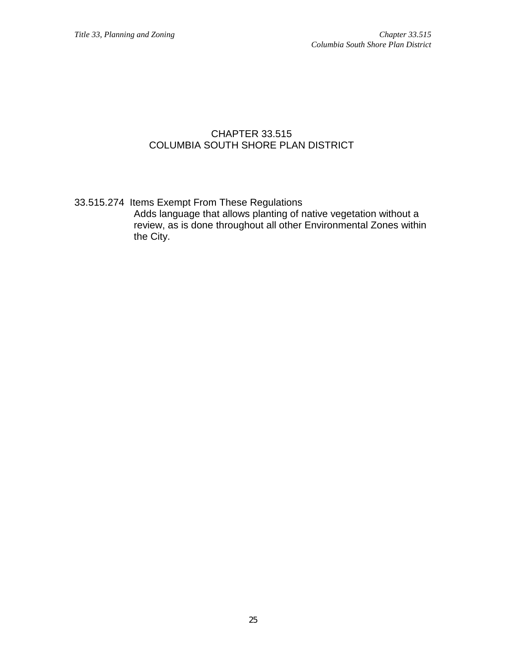# CHAPTER 33.515 COLUMBIA SOUTH SHORE PLAN DISTRICT

33.515.274 Items Exempt From These Regulations Adds language that allows planting of native vegetation without a review, as is done throughout all other Environmental Zones within the City.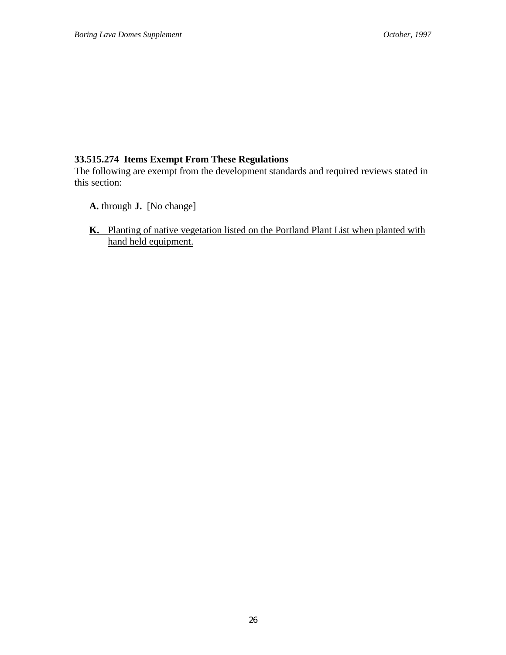# **33.515.274 Items Exempt From These Regulations**

The following are exempt from the development standards and required reviews stated in this section:

- **A.** through **J.** [No change]
- **K.** Planting of native vegetation listed on the Portland Plant List when planted with hand held equipment.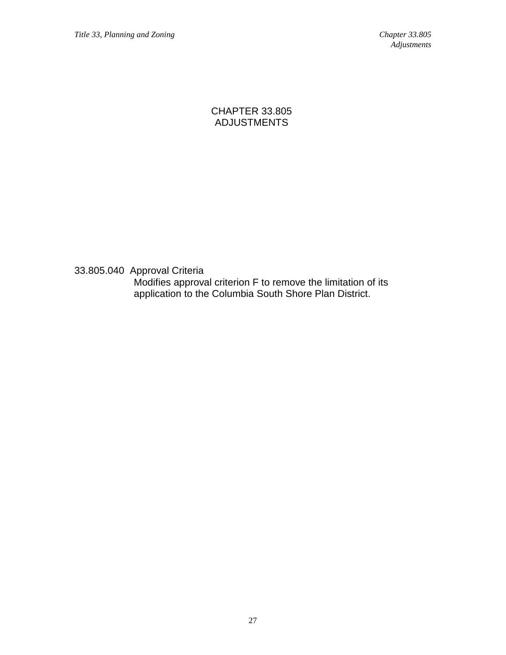CHAPTER 33.805 ADJUSTMENTS

33.805.040 Approval Criteria Modifies approval criterion F to remove the limitation of its application to the Columbia South Shore Plan District.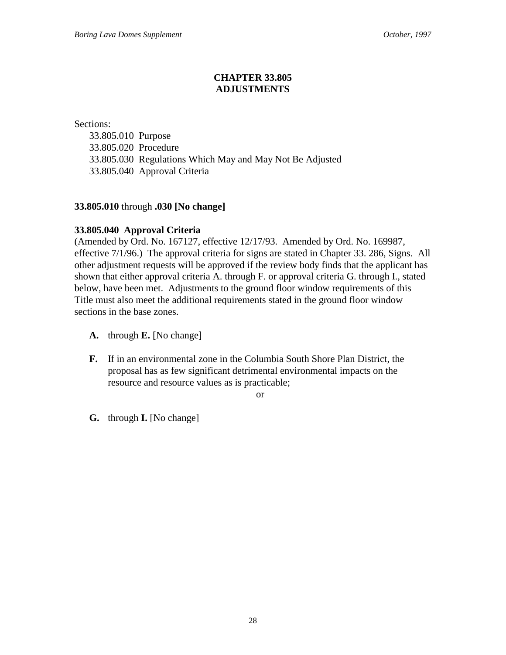# **CHAPTER 33.805 ADJUSTMENTS**

Sections:

33.805.010 Purpose 33.805.020 Procedure 33.805.030 Regulations Which May and May Not Be Adjusted 33.805.040 Approval Criteria

# **33.805.010** through **.030 [No change]**

# **33.805.040 Approval Criteria**

(Amended by Ord. No. 167127, effective 12/17/93. Amended by Ord. No. 169987, effective 7/1/96.) The approval criteria for signs are stated in Chapter 33. 286, Signs. All other adjustment requests will be approved if the review body finds that the applicant has shown that either approval criteria A. through F. or approval criteria G. through I., stated below, have been met. Adjustments to the ground floor window requirements of this Title must also meet the additional requirements stated in the ground floor window sections in the base zones.

- **A.** through **E.** [No change]
- **F.** If in an environmental zone in the Columbia South Shore Plan District, the proposal has as few significant detrimental environmental impacts on the resource and resource values as is practicable;

or

**G.** through **I.** [No change]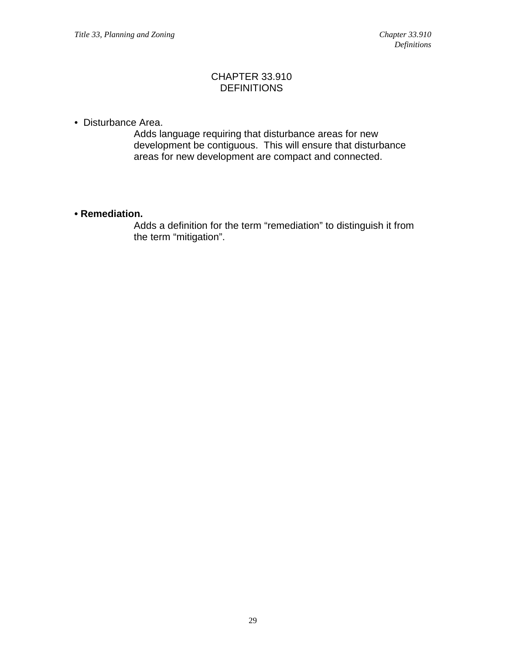# CHAPTER 33.910 **DEFINITIONS**

• Disturbance Area.

Adds language requiring that disturbance areas for new development be contiguous. This will ensure that disturbance areas for new development are compact and connected.

# **• Remediation.**

Adds a definition for the term "remediation" to distinguish it from the term "mitigation".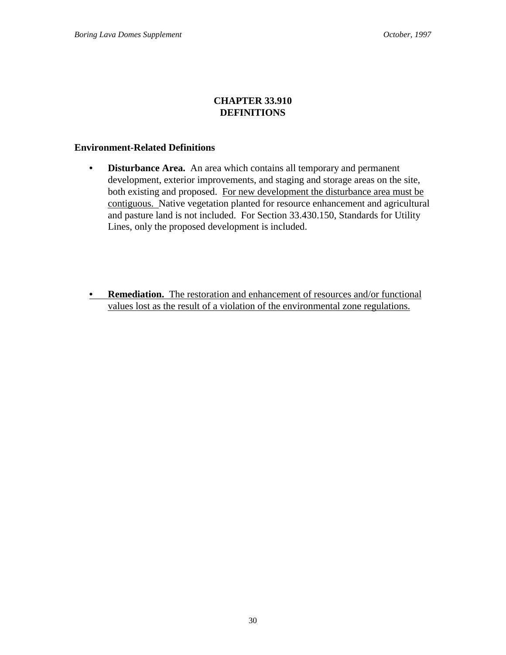# **CHAPTER 33.910 DEFINITIONS**

# **Environment-Related Definitions**

- **Disturbance Area.** An area which contains all temporary and permanent development, exterior improvements, and staging and storage areas on the site, both existing and proposed. For new development the disturbance area must be contiguous. Native vegetation planted for resource enhancement and agricultural and pasture land is not included. For Section 33.430.150, Standards for Utility Lines, only the proposed development is included.
- **Remediation.** The restoration and enhancement of resources and/or functional values lost as the result of a violation of the environmental zone regulations.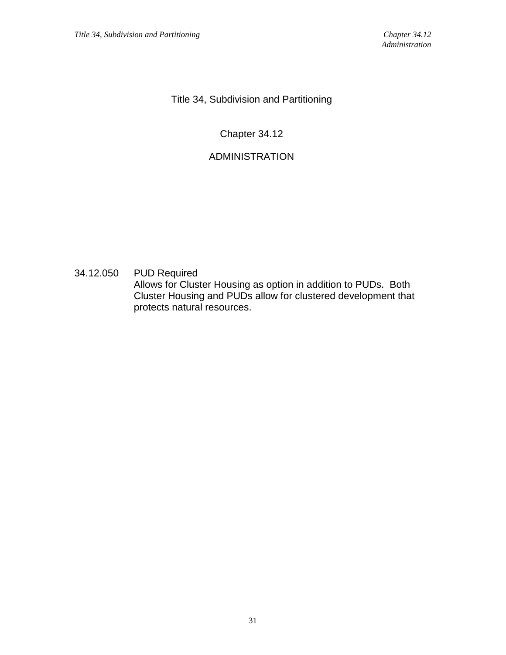Title 34, Subdivision and Partitioning

# Chapter 34.12

# ADMINISTRATION

34.12.050 PUD Required Allows for Cluster Housing as option in addition to PUDs. Both Cluster Housing and PUDs allow for clustered development that protects natural resources.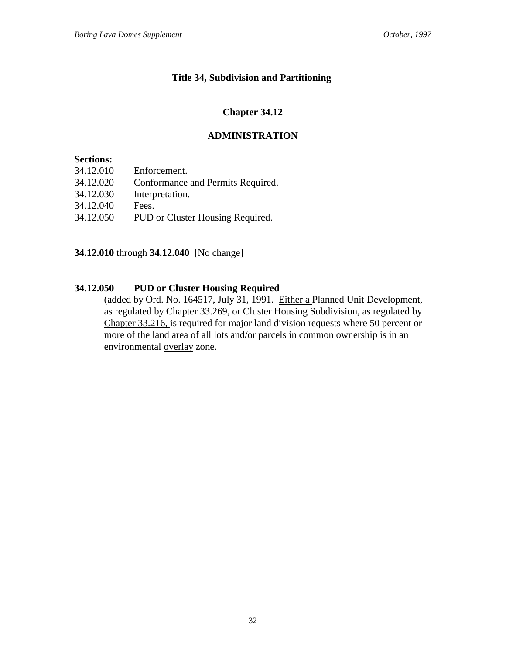# **Title 34, Subdivision and Partitioning**

# **Chapter 34.12**

# **ADMINISTRATION**

# **Sections:**

| 34.12.010 | Enforcement.                      |
|-----------|-----------------------------------|
| 34.12.020 | Conformance and Permits Required. |
| 34.12.030 | Interpretation.                   |
| 34.12.040 | Fees.                             |
|           |                                   |

34.12.050 PUD or Cluster Housing Required.

**34.12.010** through **34.12.040** [No change]

# **34.12.050 PUD or Cluster Housing Required**

(added by Ord. No. 164517, July 31, 1991. Either a Planned Unit Development, as regulated by Chapter 33.269, or Cluster Housing Subdivision, as regulated by Chapter 33.216, is required for major land division requests where 50 percent or more of the land area of all lots and/or parcels in common ownership is in an environmental overlay zone.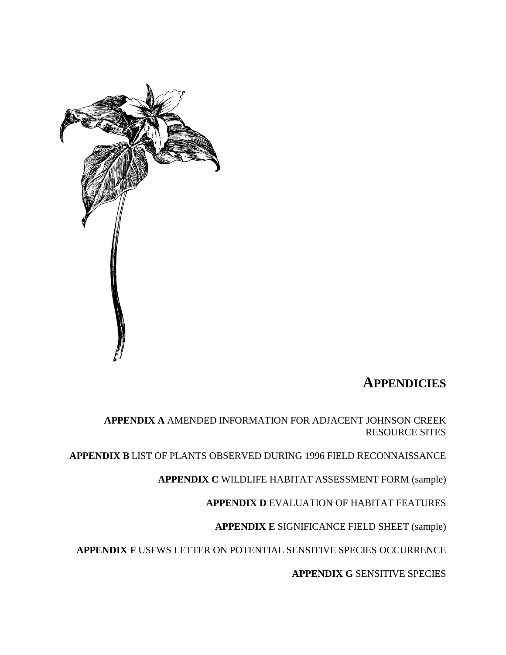

# **APPENDICIES**

**APPENDIX A** AMENDED INFORMATION FOR ADJACENT JOHNSON CREEK RESOURCE SITES

**APPENDIX B** LIST OF PLANTS OBSERVED DURING 1996 FIELD RECONNAISSANCE

**APPENDIX C** WILDLIFE HABITAT ASSESSMENT FORM (sample)

**APPENDIX D** EVALUATION OF HABITAT FEATURES

**APPENDIX E** SIGNIFICANCE FIELD SHEET (sample)

**APPENDIX F** USFWS LETTER ON POTENTIAL SENSITIVE SPECIES OCCURRENCE

**APPENDIX G** SENSITIVE SPECIES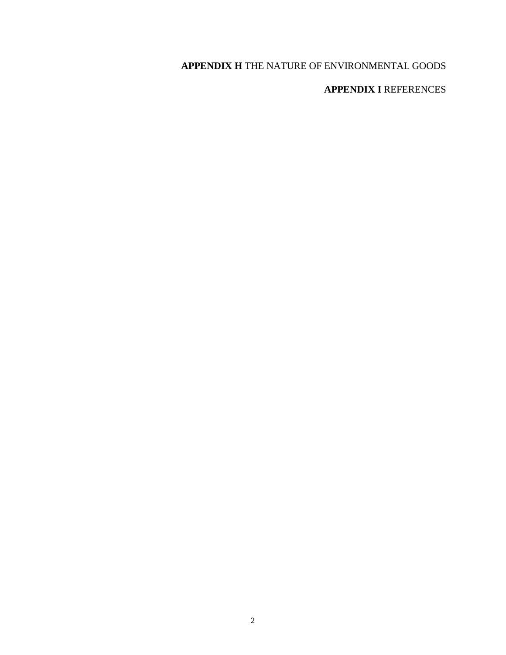# **APPENDIX H** THE NATURE OF ENVIRONMENTAL GOODS

# **APPENDIX I** REFERENCES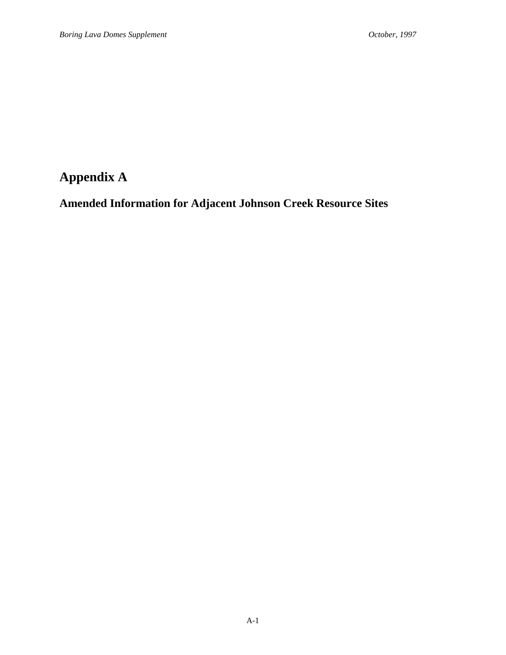# **Appendix A**

# **Amended Information for Adjacent Johnson Creek Resource Sites**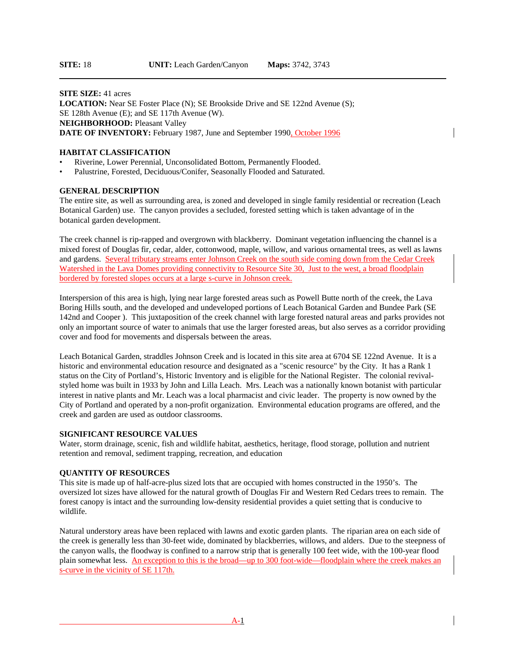**SITE SIZE:** 41 acres **LOCATION:** Near SE Foster Place (N); SE Brookside Drive and SE 122nd Avenue (S); SE 128th Avenue (E); and SE 117th Avenue (W). **NEIGHBORHOOD: Pleasant Valley** DATE OF INVENTORY: February 1987, June and September 1990, October 1996

#### **HABITAT CLASSIFICATION**

- Riverine, Lower Perennial, Unconsolidated Bottom, Permanently Flooded.
- Palustrine, Forested, Deciduous/Conifer, Seasonally Flooded and Saturated.

#### **GENERAL DESCRIPTION**

The entire site, as well as surrounding area, is zoned and developed in single family residential or recreation (Leach Botanical Garden) use. The canyon provides a secluded, forested setting which is taken advantage of in the botanical garden development.

The creek channel is rip-rapped and overgrown with blackberry. Dominant vegetation influencing the channel is a mixed forest of Douglas fir, cedar, alder, cottonwood, maple, willow, and various ornamental trees, as well as lawns and gardens. Several tributary streams enter Johnson Creek on the south side coming down from the Cedar Creek Watershed in the Lava Domes providing connectivity to Resource Site 30, Just to the west, a broad floodplain bordered by forested slopes occurs at a large s-curve in Johnson creek.

Interspersion of this area is high, lying near large forested areas such as Powell Butte north of the creek, the Lava Boring Hills south, and the developed and undeveloped portions of Leach Botanical Garden and Bundee Park (SE 142nd and Cooper ). This juxtaposition of the creek channel with large forested natural areas and parks provides not only an important source of water to animals that use the larger forested areas, but also serves as a corridor providing cover and food for movements and dispersals between the areas.

Leach Botanical Garden, straddles Johnson Creek and is located in this site area at 6704 SE 122nd Avenue. It is a historic and environmental education resource and designated as a "scenic resource" by the City. It has a Rank 1 status on the City of Portland's, Historic Inventory and is eligible for the National Register. The colonial revivalstyled home was built in 1933 by John and Lilla Leach. Mrs. Leach was a nationally known botanist with particular interest in native plants and Mr. Leach was a local pharmacist and civic leader. The property is now owned by the City of Portland and operated by a non-profit organization. Environmental education programs are offered, and the creek and garden are used as outdoor classrooms.

#### **SIGNIFICANT RESOURCE VALUES**

Water, storm drainage, scenic, fish and wildlife habitat, aesthetics, heritage, flood storage, pollution and nutrient retention and removal, sediment trapping, recreation, and education

#### **QUANTITY OF RESOURCES**

This site is made up of half-acre-plus sized lots that are occupied with homes constructed in the 1950's. The oversized lot sizes have allowed for the natural growth of Douglas Fir and Western Red Cedars trees to remain. The forest canopy is intact and the surrounding low-density residential provides a quiet setting that is conducive to wildlife.

Natural understory areas have been replaced with lawns and exotic garden plants. The riparian area on each side of the creek is generally less than 30-feet wide, dominated by blackberries, willows, and alders. Due to the steepness of the canyon walls, the floodway is confined to a narrow strip that is generally 100 feet wide, with the 100-year flood plain somewhat less. An exception to this is the broad—up to 300 foot-wide—floodplain where the creek makes an s-curve in the vicinity of SE 117th.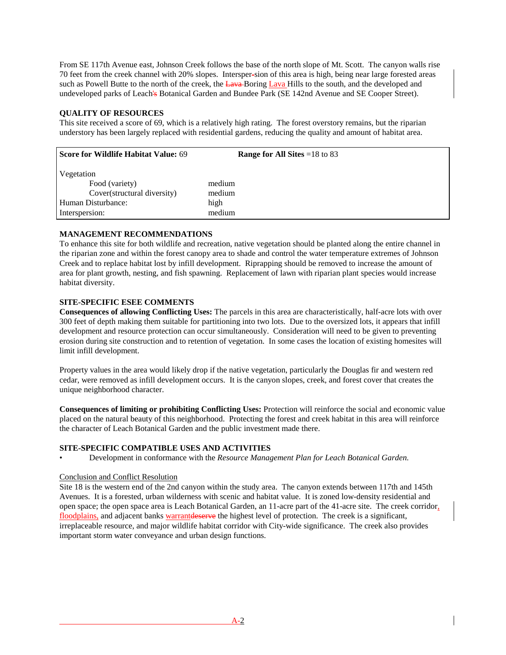From SE 117th Avenue east, Johnson Creek follows the base of the north slope of Mt. Scott. The canyon walls rise 70 feet from the creek channel with 20% slopes. Intersper-sion of this area is high, being near large forested areas such as Powell Butte to the north of the creek, the Lava-Boring Lava Hills to the south, and the developed and undeveloped parks of Leach's Botanical Garden and Bundee Park (SE 142nd Avenue and SE Cooper Street).

# **QUALITY OF RESOURCES**

This site received a score of 69, which is a relatively high rating. The forest overstory remains, but the riparian understory has been largely replaced with residential gardens, reducing the quality and amount of habitat area.

| Score for Wildlife Habitat Value: 69                                                                | <b>Range for All Sites</b> = $18$ to 83 |
|-----------------------------------------------------------------------------------------------------|-----------------------------------------|
| Vegetation<br>Food (variety)<br>Cover(structural diversity)<br>Human Disturbance:<br>Interspersion: | medium<br>medium<br>high<br>medium      |

# **MANAGEMENT RECOMMENDATIONS**

To enhance this site for both wildlife and recreation, native vegetation should be planted along the entire channel in the riparian zone and within the forest canopy area to shade and control the water temperature extremes of Johnson Creek and to replace habitat lost by infill development. Riprapping should be removed to increase the amount of area for plant growth, nesting, and fish spawning. Replacement of lawn with riparian plant species would increase habitat diversity.

# **SITE-SPECIFIC ESEE COMMENTS**

**Consequences of allowing Conflicting Uses:** The parcels in this area are characteristically, half-acre lots with over 300 feet of depth making them suitable for partitioning into two lots. Due to the oversized lots, it appears that infill development and resource protection can occur simultaneously. Consideration will need to be given to preventing erosion during site construction and to retention of vegetation. In some cases the location of existing homesites will limit infill development.

Property values in the area would likely drop if the native vegetation, particularly the Douglas fir and western red cedar, were removed as infill development occurs. It is the canyon slopes, creek, and forest cover that creates the unique neighborhood character.

**Consequences of limiting or prohibiting Conflicting Uses:** Protection will reinforce the social and economic value placed on the natural beauty of this neighborhood. Protecting the forest and creek habitat in this area will reinforce the character of Leach Botanical Garden and the public investment made there.

## **SITE-SPECIFIC COMPATIBLE USES AND ACTIVITIES**

• Development in conformance with the *Resource Management Plan for Leach Botanical Garden.*

## Conclusion and Conflict Resolution

Site 18 is the western end of the 2nd canyon within the study area. The canyon extends between 117th and 145th Avenues. It is a forested, urban wilderness with scenic and habitat value. It is zoned low-density residential and open space; the open space area is Leach Botanical Garden, an 11-acre part of the 41-acre site. The creek corridor, floodplains, and adjacent banks warrantdeserve the highest level of protection. The creek is a significant, irreplaceable resource, and major wildlife habitat corridor with City-wide significance. The creek also provides important storm water conveyance and urban design functions.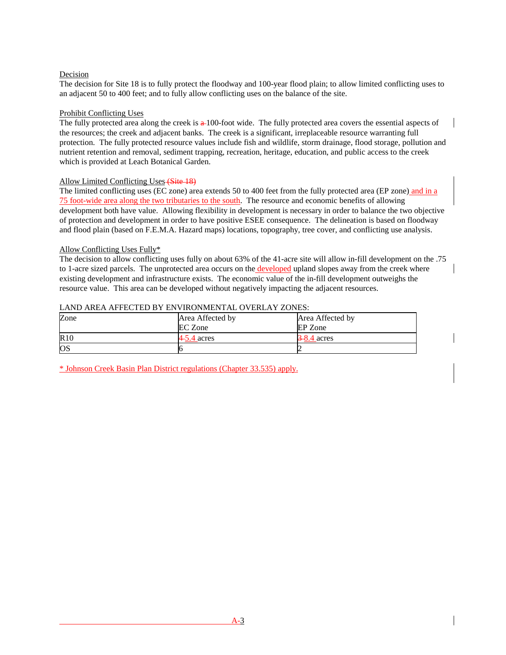# Decision

The decision for Site 18 is to fully protect the floodway and 100-year flood plain; to allow limited conflicting uses to an adjacent 50 to 400 feet; and to fully allow conflicting uses on the balance of the site.

## Prohibit Conflicting Uses

The fully protected area along the creek is  $\frac{a}{100}$ -foot wide. The fully protected area covers the essential aspects of the resources; the creek and adjacent banks. The creek is a significant, irreplaceable resource warranting full protection. The fully protected resource values include fish and wildlife, storm drainage, flood storage, pollution and nutrient retention and removal, sediment trapping, recreation, heritage, education, and public access to the creek which is provided at Leach Botanical Garden.

# Allow Limited Conflicting Uses (Site 18)

The limited conflicting uses (EC zone) area extends 50 to 400 feet from the fully protected area (EP zone) and in a 75 foot-wide area along the two tributaries to the south. The resource and economic benefits of allowing development both have value. Allowing flexibility in development is necessary in order to balance the two objective of protection and development in order to have positive ESEE consequence. The delineation is based on floodway and flood plain (based on F.E.M.A. Hazard maps) locations, topography, tree cover, and conflicting use analysis.

# Allow Conflicting Uses Fully\*

The decision to allow conflicting uses fully on about 63% of the 41-acre site will allow in-fill development on the .75 to 1-acre sized parcels. The unprotected area occurs on the developed upland slopes away from the creek where existing development and infrastructure exists. The economic value of the in-fill development outweighs the resource value. This area can be developed without negatively impacting the adjacent resources.

# LAND AREA AFFECTED BY ENVIRONMENTAL OVERLAY ZONES:

| Zone      | Area Affected by | Area Affected by |
|-----------|------------------|------------------|
|           | <b>EC</b> Zone   | EP Zone          |
| R10       | $4-5.4$ acres    | $-8.4$ acres     |
| <b>OS</b> |                  |                  |

\* Johnson Creek Basin Plan District regulations (Chapter 33.535) apply.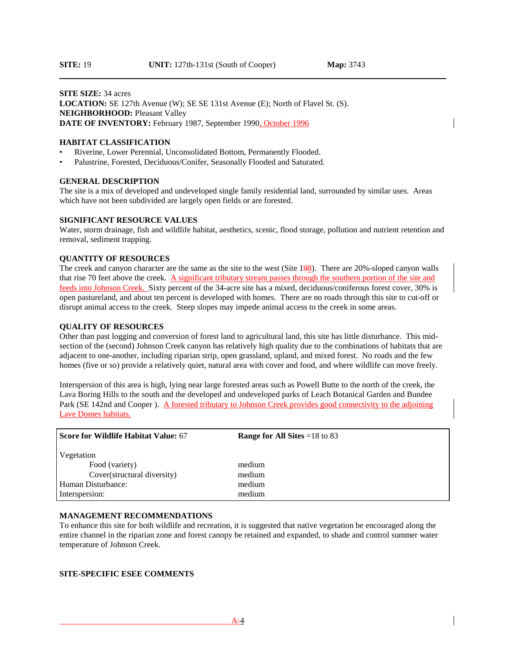#### **SITE SIZE:** 34 acres **LOCATION:** SE 127th Avenue (W); SE SE 131st Avenue (E); North of Flavel St. (S). **NEIGHBORHOOD: Pleasant Valley DATE OF INVENTORY:** February 1987, September 1990, October 1996

#### **HABITAT CLASSIFICATION**

- Riverine, Lower Perennial, Unconsolidated Bottom, Permanently Flooded.
- Palustrine, Forested, Deciduous/Conifer, Seasonally Flooded and Saturated.

#### **GENERAL DESCRIPTION**

The site is a mix of developed and undeveloped single family residential land, surrounded by similar uses. Areas which have not been subdivided are largely open fields or are forested.

#### **SIGNIFICANT RESOURCE VALUES**

Water, storm drainage, fish and wildlife habitat, aesthetics, scenic, flood storage, pollution and nutrient retention and removal, sediment trapping.

## **QUANTITY OF RESOURCES**

The creek and canyon character are the same as the site to the west (Site 198). There are 20%-sloped canyon walls that rise 70 feet above the creek. A significant tributary stream passes through the southern portion of the site and feeds into Johnson Creek. Sixty percent of the 34-acre site has a mixed, deciduous/coniferous forest cover, 30% is open pastureland, and about ten percent is developed with homes. There are no roads through this site to cut-off or disrupt animal access to the creek. Steep slopes may impede animal access to the creek in some areas.

#### **QUALITY OF RESOURCES**

Other than past logging and conversion of forest land to agricultural land, this site has little disturbance. This midsection of the (second) Johnson Creek canyon has relatively high quality due to the combinations of habitats that are adjacent to one-another, including riparian strip, open grassland, upland, and mixed forest. No roads and the few homes (five or so) provide a relatively quiet, natural area with cover and food, and where wildlife can move freely.

Interspersion of this area is high, lying near large forested areas such as Powell Butte to the north of the creek, the Lava Boring Hills to the south and the developed and undeveloped parks of Leach Botanical Garden and Bundee Park (SE 142nd and Cooper ). A forested tributary to Johnson Creek provides good connectivity to the adjoining Lave Domes habitats.

| Score for Wildlife Habitat Value: 67 | <b>Range for All Sites</b> = $18$ to 83 |
|--------------------------------------|-----------------------------------------|
| Vegetation                           |                                         |
| Food (variety)                       | medium                                  |
| Cover(structural diversity)          | medium                                  |
| Human Disturbance:                   | medium                                  |
| Interspersion:                       | medium                                  |

#### **MANAGEMENT RECOMMENDATIONS**

To enhance this site for both wildlife and recreation, it is suggested that native vegetation be encouraged along the entire channel in the riparian zone and forest canopy be retained and expanded, to shade and control summer water temperature of Johnson Creek.

#### **SITE-SPECIFIC ESEE COMMENTS**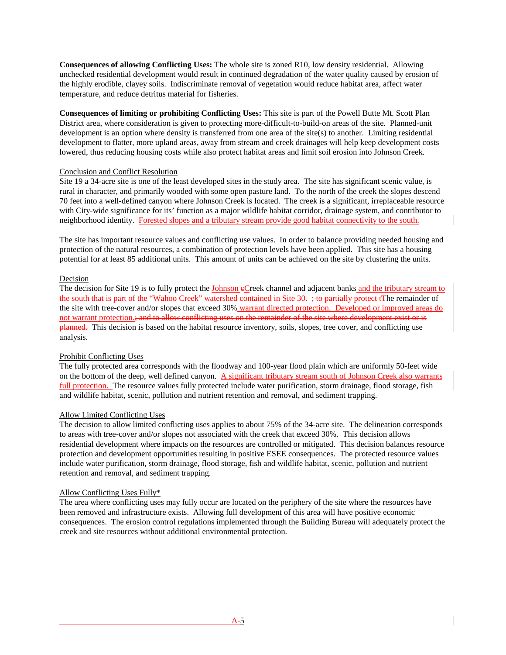**Consequences of allowing Conflicting Uses:** The whole site is zoned R10, low density residential. Allowing unchecked residential development would result in continued degradation of the water quality caused by erosion of the highly erodible, clayey soils. Indiscriminate removal of vegetation would reduce habitat area, affect water temperature, and reduce detritus material for fisheries.

**Consequences of limiting or prohibiting Conflicting Uses:** This site is part of the Powell Butte Mt. Scott Plan District area, where consideration is given to protecting more-difficult-to-build-on areas of the site. Planned-unit development is an option where density is transferred from one area of the site(s) to another. Limiting residential development to flatter, more upland areas, away from stream and creek drainages will help keep development costs lowered, thus reducing housing costs while also protect habitat areas and limit soil erosion into Johnson Creek.

## Conclusion and Conflict Resolution

Site 19 a 34-acre site is one of the least developed sites in the study area. The site has significant scenic value, is rural in character, and primarily wooded with some open pasture land. To the north of the creek the slopes descend 70 feet into a well-defined canyon where Johnson Creek is located. The creek is a significant, irreplaceable resource with City-wide significance for its' function as a major wildlife habitat corridor, drainage system, and contributor to neighborhood identity. Forested slopes and a tributary stream provide good habitat connectivity to the south.

The site has important resource values and conflicting use values. In order to balance providing needed housing and protection of the natural resources, a combination of protection levels have been applied. This site has a housing potential for at least 85 additional units. This amount of units can be achieved on the site by clustering the units.

#### Decision

The decision for Site 19 is to fully protect the Johnson eCreek channel and adjacent banks and the tributary stream to the south that is part of the "Wahoo Creek" watershed contained in Site 30. <del>; to partially protect t</del>The remainder of the site with tree-cover and/or slopes that exceed 30% warrant directed protection. Developed or improved areas do not warrant protection.; and to allow conflicting uses on the remainder of the site where development exist or is **planned.** This decision is based on the habitat resource inventory, soils, slopes, tree cover, and conflicting use analysis.

## Prohibit Conflicting Uses

The fully protected area corresponds with the floodway and 100-year flood plain which are uniformly 50-feet wide on the bottom of the deep, well defined canyon. A significant tributary stream south of Johnson Creek also warrants full protection. The resource values fully protected include water purification, storm drainage, flood storage, fish and wildlife habitat, scenic, pollution and nutrient retention and removal, and sediment trapping.

#### Allow Limited Conflicting Uses

The decision to allow limited conflicting uses applies to about 75% of the 34-acre site. The delineation corresponds to areas with tree-cover and/or slopes not associated with the creek that exceed 30%. This decision allows residential development where impacts on the resources are controlled or mitigated. This decision balances resource protection and development opportunities resulting in positive ESEE consequences. The protected resource values include water purification, storm drainage, flood storage, fish and wildlife habitat, scenic, pollution and nutrient retention and removal, and sediment trapping.

#### Allow Conflicting Uses Fully\*

The area where conflicting uses may fully occur are located on the periphery of the site where the resources have been removed and infrastructure exists. Allowing full development of this area will have positive economic consequences. The erosion control regulations implemented through the Building Bureau will adequately protect the creek and site resources without additional environmental protection.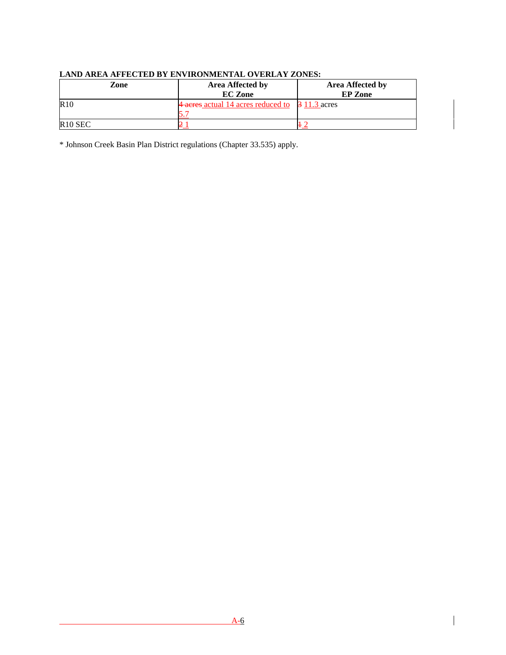| Zone                | <b>Area Affected by</b><br><b>EC</b> Zone       | <b>Area Affected by</b><br><b>EP</b> Zone |
|---------------------|-------------------------------------------------|-------------------------------------------|
| R10                 | 4 acres actual 14 acres reduced to 3 11.3 acres |                                           |
|                     |                                                 |                                           |
| R <sub>10</sub> SEC |                                                 |                                           |

# **LAND AREA AFFECTED BY ENVIRONMENTAL OVERLAY ZONES:**

\* Johnson Creek Basin Plan District regulations (Chapter 33.535) apply.

 $\overline{\phantom{a}}$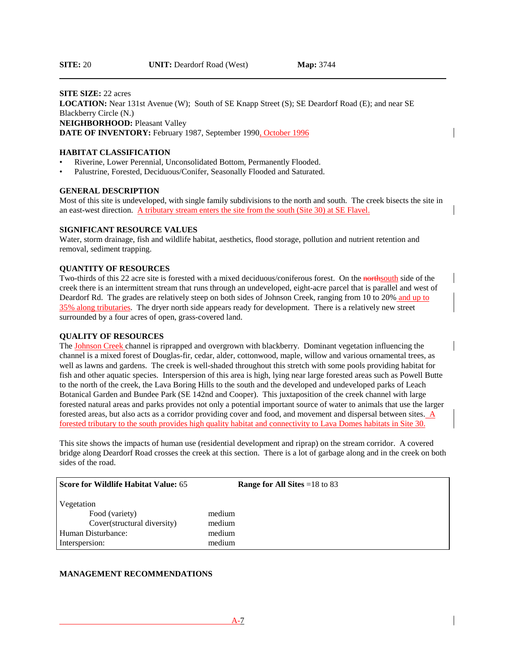#### **SITE SIZE:** 22 acres

**LOCATION:** Near 131st Avenue (W); South of SE Knapp Street (S); SE Deardorf Road (E); and near SE Blackberry Circle (N.) **NEIGHBORHOOD: Pleasant Valley DATE OF INVENTORY:** February 1987, September 1990, October 1996

#### **HABITAT CLASSIFICATION**

- Riverine, Lower Perennial, Unconsolidated Bottom, Permanently Flooded.
- Palustrine, Forested, Deciduous/Conifer, Seasonally Flooded and Saturated.

#### **GENERAL DESCRIPTION**

Most of this site is undeveloped, with single family subdivisions to the north and south. The creek bisects the site in an east-west direction. A tributary stream enters the site from the south (Site 30) at SE Flavel.

#### **SIGNIFICANT RESOURCE VALUES**

Water, storm drainage, fish and wildlife habitat, aesthetics, flood storage, pollution and nutrient retention and removal, sediment trapping.

#### **QUANTITY OF RESOURCES**

Two-thirds of this 22 acre site is forested with a mixed deciduous/coniferous forest. On the northsouth side of the creek there is an intermittent stream that runs through an undeveloped, eight-acre parcel that is parallel and west of Deardorf Rd. The grades are relatively steep on both sides of Johnson Creek, ranging from 10 to 20% and up to 35% along tributaries. The dryer north side appears ready for development. There is a relatively new street surrounded by a four acres of open, grass-covered land.

## **QUALITY OF RESOURCES**

The Johnson Creek channel is riprapped and overgrown with blackberry. Dominant vegetation influencing the channel is a mixed forest of Douglas-fir, cedar, alder, cottonwood, maple, willow and various ornamental trees, as well as lawns and gardens. The creek is well-shaded throughout this stretch with some pools providing habitat for fish and other aquatic species. Interspersion of this area is high, lying near large forested areas such as Powell Butte to the north of the creek, the Lava Boring Hills to the south and the developed and undeveloped parks of Leach Botanical Garden and Bundee Park (SE 142nd and Cooper). This juxtaposition of the creek channel with large forested natural areas and parks provides not only a potential important source of water to animals that use the larger forested areas, but also acts as a corridor providing cover and food, and movement and dispersal between sites. A forested tributary to the south provides high quality habitat and connectivity to Lava Domes habitats in Site 30.

This site shows the impacts of human use (residential development and riprap) on the stream corridor. A covered bridge along Deardorf Road crosses the creek at this section. There is a lot of garbage along and in the creek on both sides of the road.

| Score for Wildlife Habitat Value: 65                                                                | <b>Range for All Sites</b> = $18$ to 83 |
|-----------------------------------------------------------------------------------------------------|-----------------------------------------|
| Vegetation<br>Food (variety)<br>Cover(structural diversity)<br>Human Disturbance:<br>Interspersion: | medium<br>medium<br>medium<br>medium    |

#### **MANAGEMENT RECOMMENDATIONS**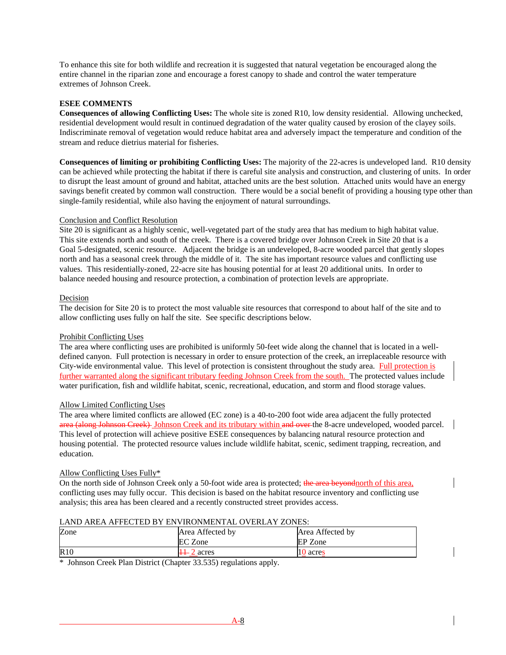To enhance this site for both wildlife and recreation it is suggested that natural vegetation be encouraged along the entire channel in the riparian zone and encourage a forest canopy to shade and control the water temperature extremes of Johnson Creek.

# **ESEE COMMENTS**

**Consequences of allowing Conflicting Uses:** The whole site is zoned R10, low density residential. Allowing unchecked, residential development would result in continued degradation of the water quality caused by erosion of the clayey soils. Indiscriminate removal of vegetation would reduce habitat area and adversely impact the temperature and condition of the stream and reduce dietrius material for fisheries.

**Consequences of limiting or prohibiting Conflicting Uses:** The majority of the 22-acres is undeveloped land. R10 density can be achieved while protecting the habitat if there is careful site analysis and construction, and clustering of units. In order to disrupt the least amount of ground and habitat, attached units are the best solution. Attached units would have an energy savings benefit created by common wall construction. There would be a social benefit of providing a housing type other than single-family residential, while also having the enjoyment of natural surroundings.

## Conclusion and Conflict Resolution

Site 20 is significant as a highly scenic, well-vegetated part of the study area that has medium to high habitat value. This site extends north and south of the creek. There is a covered bridge over Johnson Creek in Site 20 that is a Goal 5-designated, scenic resource. Adjacent the bridge is an undeveloped, 8-acre wooded parcel that gently slopes north and has a seasonal creek through the middle of it. The site has important resource values and conflicting use values. This residentially-zoned, 22-acre site has housing potential for at least 20 additional units. In order to balance needed housing and resource protection, a combination of protection levels are appropriate.

# Decision

The decision for Site 20 is to protect the most valuable site resources that correspond to about half of the site and to allow conflicting uses fully on half the site. See specific descriptions below.

## Prohibit Conflicting Uses

The area where conflicting uses are prohibited is uniformly 50-feet wide along the channel that is located in a welldefined canyon. Full protection is necessary in order to ensure protection of the creek, an irreplaceable resource with City-wide environmental value. This level of protection is consistent throughout the study area. Full protection is further warranted along the significant tributary feeding Johnson Creek from the south. The protected values include water purification, fish and wildlife habitat, scenic, recreational, education, and storm and flood storage values.

## Allow Limited Conflicting Uses

The area where limited conflicts are allowed (EC zone) is a 40-to-200 foot wide area adjacent the fully protected area (along Johnson Creek) Johnson Creek and its tributary within and over the 8-acre undeveloped, wooded parcel. This level of protection will achieve positive ESEE consequences by balancing natural resource protection and housing potential. The protected resource values include wildlife habitat, scenic, sediment trapping, recreation, and education.

## Allow Conflicting Uses Fully\*

On the north side of Johnson Creek only a 50-foot wide area is protected; the area beyond nother of this area, conflicting uses may fully occur. This decision is based on the habitat resource inventory and conflicting use analysis; this area has been cleared and a recently constructed street provides access.

## LAND AREA AFFECTED BY ENVIRONMENTAL OVERLAY ZONES:

| Zone | Area Affected by | Area Affected by |
|------|------------------|------------------|
|      | EC Zone          | EP Zone          |
| R10  | $\pm 2$ acres    | 10 acres         |

\* Johnson Creek Plan District (Chapter 33.535) regulations apply.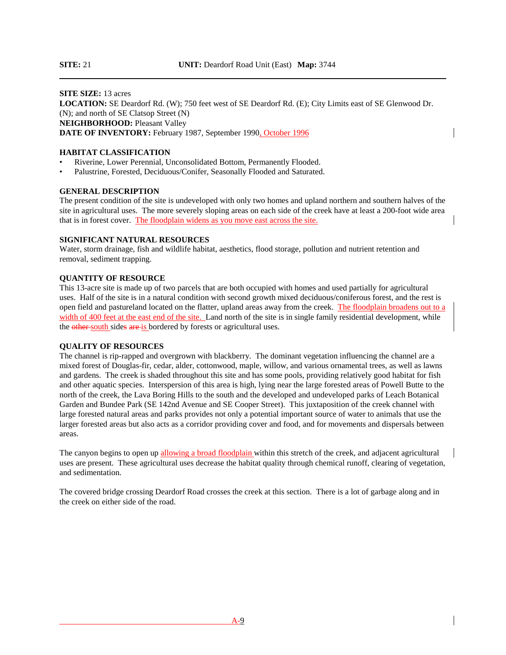**SITE SIZE:** 13 acres **LOCATION:** SE Deardorf Rd. (W); 750 feet west of SE Deardorf Rd. (E); City Limits east of SE Glenwood Dr. (N); and north of SE Clatsop Street (N) **NEIGHBORHOOD: Pleasant Valley DATE OF INVENTORY:** February 1987, September 1990, October 1996

#### **HABITAT CLASSIFICATION**

- Riverine, Lower Perennial, Unconsolidated Bottom, Permanently Flooded.
- Palustrine, Forested, Deciduous/Conifer, Seasonally Flooded and Saturated.

#### **GENERAL DESCRIPTION**

The present condition of the site is undeveloped with only two homes and upland northern and southern halves of the site in agricultural uses. The more severely sloping areas on each side of the creek have at least a 200-foot wide area that is in forest cover. The floodplain widens as you move east across the site.

#### **SIGNIFICANT NATURAL RESOURCES**

Water, storm drainage, fish and wildlife habitat, aesthetics, flood storage, pollution and nutrient retention and removal, sediment trapping.

## **QUANTITY OF RESOURCE**

This 13-acre site is made up of two parcels that are both occupied with homes and used partially for agricultural uses. Half of the site is in a natural condition with second growth mixed deciduous/coniferous forest, and the rest is open field and pastureland located on the flatter, upland areas away from the creek. The floodplain broadens out to a width of 400 feet at the east end of the site. Land north of the site is in single family residential development, while the other south sides are is bordered by forests or agricultural uses.

#### **QUALITY OF RESOURCES**

The channel is rip-rapped and overgrown with blackberry. The dominant vegetation influencing the channel are a mixed forest of Douglas-fir, cedar, alder, cottonwood, maple, willow, and various ornamental trees, as well as lawns and gardens. The creek is shaded throughout this site and has some pools, providing relatively good habitat for fish and other aquatic species. Interspersion of this area is high, lying near the large forested areas of Powell Butte to the north of the creek, the Lava Boring Hills to the south and the developed and undeveloped parks of Leach Botanical Garden and Bundee Park (SE 142nd Avenue and SE Cooper Street). This juxtaposition of the creek channel with large forested natural areas and parks provides not only a potential important source of water to animals that use the larger forested areas but also acts as a corridor providing cover and food, and for movements and dispersals between areas.

The canyon begins to open up allowing a broad floodplain within this stretch of the creek, and adjacent agricultural uses are present. These agricultural uses decrease the habitat quality through chemical runoff, clearing of vegetation, and sedimentation.

The covered bridge crossing Deardorf Road crosses the creek at this section. There is a lot of garbage along and in the creek on either side of the road.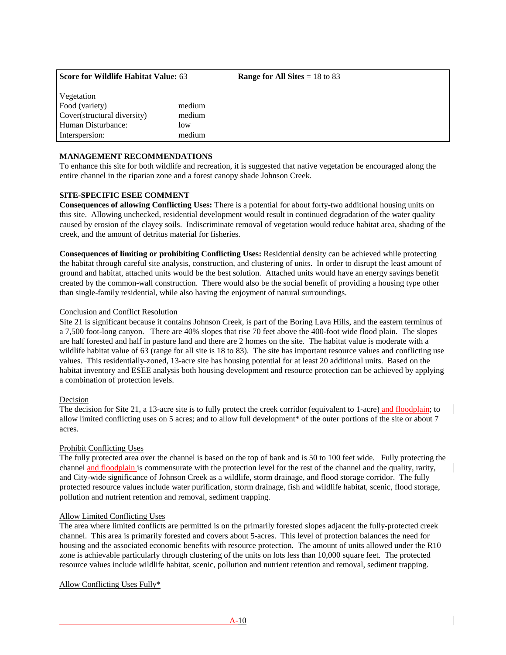| <b>Score for Wildlife Habitat Value: 63</b> |        | <b>Range for All Sites</b> = $18$ to 83 |
|---------------------------------------------|--------|-----------------------------------------|
| Vegetation<br>Food (variety)                | medium |                                         |
| Cover(structural diversity)                 | medium |                                         |
| Human Disturbance:                          | low    |                                         |
| Interspersion:                              | medium |                                         |
|                                             |        |                                         |

# **MANAGEMENT RECOMMENDATIONS**

To enhance this site for both wildlife and recreation, it is suggested that native vegetation be encouraged along the entire channel in the riparian zone and a forest canopy shade Johnson Creek.

#### **SITE-SPECIFIC ESEE COMMENT**

**Consequences of allowing Conflicting Uses:** There is a potential for about forty-two additional housing units on this site. Allowing unchecked, residential development would result in continued degradation of the water quality caused by erosion of the clayey soils. Indiscriminate removal of vegetation would reduce habitat area, shading of the creek, and the amount of detritus material for fisheries.

**Consequences of limiting or prohibiting Conflicting Uses:** Residential density can be achieved while protecting the habitat through careful site analysis, construction, and clustering of units. In order to disrupt the least amount of ground and habitat, attached units would be the best solution. Attached units would have an energy savings benefit created by the common-wall construction. There would also be the social benefit of providing a housing type other than single-family residential, while also having the enjoyment of natural surroundings.

#### Conclusion and Conflict Resolution

Site 21 is significant because it contains Johnson Creek, is part of the Boring Lava Hills, and the eastern terminus of a 7,500 foot-long canyon. There are 40% slopes that rise 70 feet above the 400-foot wide flood plain. The slopes are half forested and half in pasture land and there are 2 homes on the site. The habitat value is moderate with a wildlife habitat value of 63 (range for all site is 18 to 83). The site has important resource values and conflicting use values. This residentially-zoned, 13-acre site has housing potential for at least 20 additional units. Based on the habitat inventory and ESEE analysis both housing development and resource protection can be achieved by applying a combination of protection levels.

## Decision

The decision for Site 21, a 13-acre site is to fully protect the creek corridor (equivalent to 1-acre) and floodplain; to allow limited conflicting uses on 5 acres; and to allow full development\* of the outer portions of the site or about 7 acres.

## Prohibit Conflicting Uses

The fully protected area over the channel is based on the top of bank and is 50 to 100 feet wide. Fully protecting the channel and floodplain is commensurate with the protection level for the rest of the channel and the quality, rarity, and City-wide significance of Johnson Creek as a wildlife, storm drainage, and flood storage corridor. The fully protected resource values include water purification, storm drainage, fish and wildlife habitat, scenic, flood storage, pollution and nutrient retention and removal, sediment trapping.

## Allow Limited Conflicting Uses

The area where limited conflicts are permitted is on the primarily forested slopes adjacent the fully-protected creek channel. This area is primarily forested and covers about 5-acres. This level of protection balances the need for housing and the associated economic benefits with resource protection. The amount of units allowed under the R10 zone is achievable particularly through clustering of the units on lots less than 10,000 square feet. The protected resource values include wildlife habitat, scenic, pollution and nutrient retention and removal, sediment trapping.

## Allow Conflicting Uses Fully\*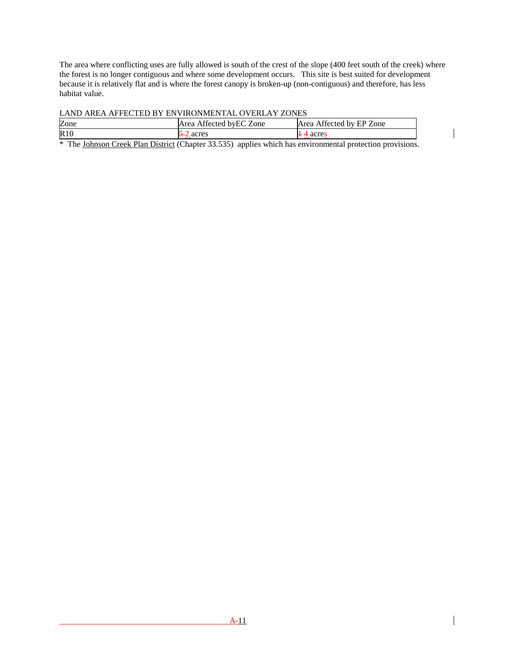The area where conflicting uses are fully allowed is south of the crest of the slope (400 feet south of the creek) where the forest is no longer contiguous and where some development occurs. This site is best suited for development because it is relatively flat and is where the forest canopy is broken-up (non-contiguous) and therefore, has less habitat value.

LAND AREA AFFECTED BY ENVIRONMENTAL OVERLAY ZONES

| Zone | Area Affected by EC Zone | Affected by EP Zone<br>Area |
|------|--------------------------|-----------------------------|
| R10  | acres                    | noro                        |

\* The Johnson Creek Plan District (Chapter 33.535) applies which has environmental protection provisions.

 $\overline{\phantom{a}}$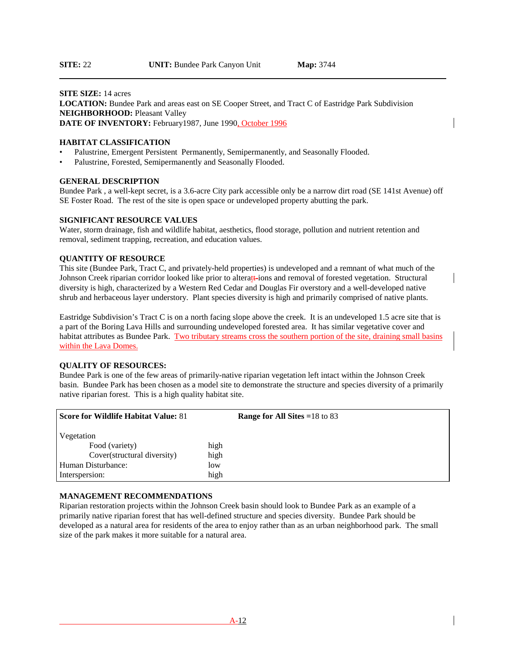## **SITE SIZE:** 14 acres **LOCATION:** Bundee Park and areas east on SE Cooper Street, and Tract C of Eastridge Park Subdivision **NEIGHBORHOOD: Pleasant Valley DATE OF INVENTORY:** February1987, June 1990, October 1996

#### **HABITAT CLASSIFICATION**

- Palustrine, Emergent Persistent Permanently, Semipermanently, and Seasonally Flooded.
- Palustrine, Forested, Semipermanently and Seasonally Flooded.

#### **GENERAL DESCRIPTION**

Bundee Park , a well-kept secret, is a 3.6-acre City park accessible only be a narrow dirt road (SE 141st Avenue) off SE Foster Road. The rest of the site is open space or undeveloped property abutting the park.

#### **SIGNIFICANT RESOURCE VALUES**

Water, storm drainage, fish and wildlife habitat, aesthetics, flood storage, pollution and nutrient retention and removal, sediment trapping, recreation, and education values.

#### **QUANTITY OF RESOURCE**

This site (Bundee Park, Tract C, and privately-held properties) is undeveloped and a remnant of what much of the Johnson Creek riparian corridor looked like prior to alteratt-ions and removal of forested vegetation. Structural diversity is high, characterized by a Western Red Cedar and Douglas Fir overstory and a well-developed native shrub and herbaceous layer understory. Plant species diversity is high and primarily comprised of native plants.

Eastridge Subdivision's Tract C is on a north facing slope above the creek. It is an undeveloped 1.5 acre site that is a part of the Boring Lava Hills and surrounding undeveloped forested area. It has similar vegetative cover and habitat attributes as Bundee Park. Two tributary streams cross the southern portion of the site, draining small basins within the Lava Domes.

#### **QUALITY OF RESOURCES:**

Bundee Park is one of the few areas of primarily-native riparian vegetation left intact within the Johnson Creek basin. Bundee Park has been chosen as a model site to demonstrate the structure and species diversity of a primarily native riparian forest. This is a high quality habitat site.

| <b>Score for Wildlife Habitat Value: 81</b> | <b>Range for All Sites = 18 to 83</b> |
|---------------------------------------------|---------------------------------------|
| Vegetation                                  |                                       |
| Food (variety)                              | high                                  |
| Cover(structural diversity)                 | high                                  |
| Human Disturbance:                          | low                                   |
| Interspersion:                              | high                                  |

## **MANAGEMENT RECOMMENDATIONS**

Riparian restoration projects within the Johnson Creek basin should look to Bundee Park as an example of a primarily native riparian forest that has well-defined structure and species diversity. Bundee Park should be developed as a natural area for residents of the area to enjoy rather than as an urban neighborhood park. The small size of the park makes it more suitable for a natural area.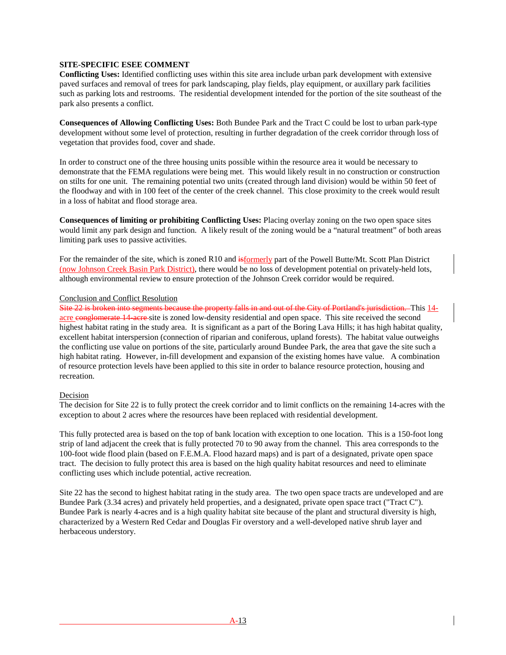## **SITE-SPECIFIC ESEE COMMENT**

**Conflicting Uses:** Identified conflicting uses within this site area include urban park development with extensive paved surfaces and removal of trees for park landscaping, play fields, play equipment, or auxillary park facilities such as parking lots and restrooms. The residential development intended for the portion of the site southeast of the park also presents a conflict.

**Consequences of Allowing Conflicting Uses:** Both Bundee Park and the Tract C could be lost to urban park-type development without some level of protection, resulting in further degradation of the creek corridor through loss of vegetation that provides food, cover and shade.

In order to construct one of the three housing units possible within the resource area it would be necessary to demonstrate that the FEMA regulations were being met. This would likely result in no construction or construction on stilts for one unit. The remaining potential two units (created through land division) would be within 50 feet of the floodway and with in 100 feet of the center of the creek channel. This close proximity to the creek would result in a loss of habitat and flood storage area.

**Consequences of limiting or prohibiting Conflicting Uses:** Placing overlay zoning on the two open space sites would limit any park design and function. A likely result of the zoning would be a "natural treatment" of both areas limiting park uses to passive activities.

For the remainder of the site, which is zoned R10 and  $\frac{1}{15}$  and  $\frac{1}{15}$  and of the Powell Butte/Mt. Scott Plan District (now Johnson Creek Basin Park District), there would be no loss of development potential on privately-held lots, although environmental review to ensure protection of the Johnson Creek corridor would be required.

#### Conclusion and Conflict Resolution

Site 22 is broken into segments because the property falls in and out of the City of Portland's jurisdiction. This 14 acre conglomerate 14 acre site is zoned low-density residential and open space. This site received the second highest habitat rating in the study area. It is significant as a part of the Boring Lava Hills; it has high habitat quality, excellent habitat interspersion (connection of riparian and coniferous, upland forests). The habitat value outweighs the conflicting use value on portions of the site, particularly around Bundee Park, the area that gave the site such a high habitat rating. However, in-fill development and expansion of the existing homes have value. A combination of resource protection levels have been applied to this site in order to balance resource protection, housing and recreation.

#### Decision

The decision for Site 22 is to fully protect the creek corridor and to limit conflicts on the remaining 14-acres with the exception to about 2 acres where the resources have been replaced with residential development.

This fully protected area is based on the top of bank location with exception to one location. This is a 150-foot long strip of land adjacent the creek that is fully protected 70 to 90 away from the channel. This area corresponds to the 100-foot wide flood plain (based on F.E.M.A. Flood hazard maps) and is part of a designated, private open space tract. The decision to fully protect this area is based on the high quality habitat resources and need to eliminate conflicting uses which include potential, active recreation.

Site 22 has the second to highest habitat rating in the study area. The two open space tracts are undeveloped and are Bundee Park (3.34 acres) and privately held properties, and a designated, private open space tract ("Tract C"). Bundee Park is nearly 4-acres and is a high quality habitat site because of the plant and structural diversity is high, characterized by a Western Red Cedar and Douglas Fir overstory and a well-developed native shrub layer and herbaceous understory.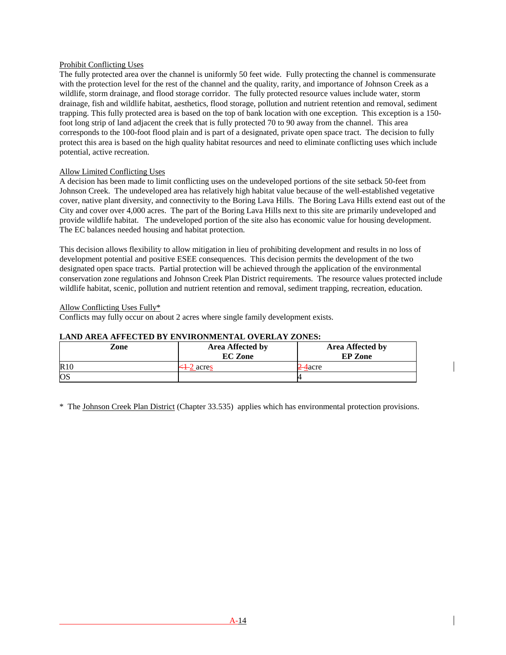## Prohibit Conflicting Uses

The fully protected area over the channel is uniformly 50 feet wide. Fully protecting the channel is commensurate with the protection level for the rest of the channel and the quality, rarity, and importance of Johnson Creek as a wildlife, storm drainage, and flood storage corridor. The fully protected resource values include water, storm drainage, fish and wildlife habitat, aesthetics, flood storage, pollution and nutrient retention and removal, sediment trapping. This fully protected area is based on the top of bank location with one exception. This exception is a 150 foot long strip of land adjacent the creek that is fully protected 70 to 90 away from the channel. This area corresponds to the 100-foot flood plain and is part of a designated, private open space tract. The decision to fully protect this area is based on the high quality habitat resources and need to eliminate conflicting uses which include potential, active recreation.

## Allow Limited Conflicting Uses

A decision has been made to limit conflicting uses on the undeveloped portions of the site setback 50-feet from Johnson Creek. The undeveloped area has relatively high habitat value because of the well-established vegetative cover, native plant diversity, and connectivity to the Boring Lava Hills. The Boring Lava Hills extend east out of the City and cover over 4,000 acres. The part of the Boring Lava Hills next to this site are primarily undeveloped and provide wildlife habitat. The undeveloped portion of the site also has economic value for housing development. The EC balances needed housing and habitat protection.

This decision allows flexibility to allow mitigation in lieu of prohibiting development and results in no loss of development potential and positive ESEE consequences. This decision permits the development of the two designated open space tracts. Partial protection will be achieved through the application of the environmental conservation zone regulations and Johnson Creek Plan District requirements. The resource values protected include wildlife habitat, scenic, pollution and nutrient retention and removal, sediment trapping, recreation, education.

## Allow Conflicting Uses Fully\*

Conflicts may fully occur on about 2 acres where single family development exists.

## **LAND AREA AFFECTED BY ENVIRONMENTAL OVERLAY ZONES:**

| Zone      | <b>Area Affected by</b><br><b>EC</b> Zone | Area Affected by<br><b>EP</b> Zone |
|-----------|-------------------------------------------|------------------------------------|
| R10       | $\leftarrow 2$ acres                      | acre                               |
| <b>OS</b> |                                           |                                    |

\* The Johnson Creek Plan District (Chapter 33.535) applies which has environmental protection provisions.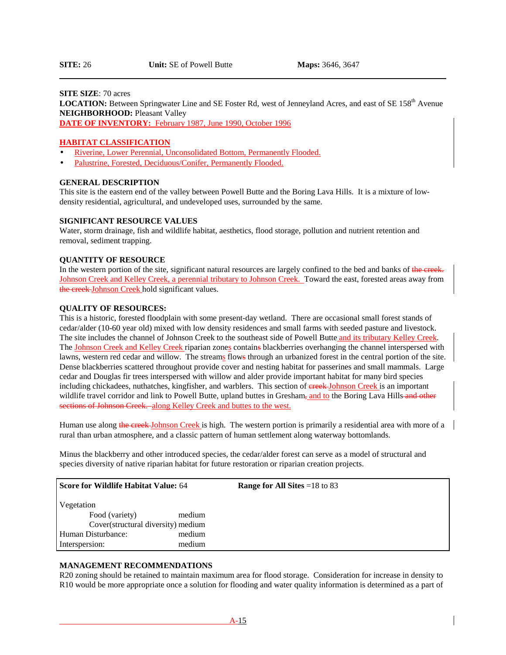#### **SITE SIZE**: 70 acres

LOCATION: Between Springwater Line and SE Foster Rd, west of Jenneyland Acres, and east of SE 158<sup>th</sup> Avenue **NEIGHBORHOOD: Pleasant Valley** 

**DATE OF INVENTORY:** February 1987, June 1990, October 1996

#### **HABITAT CLASSIFICATION**

- Riverine, Lower Perennial, Unconsolidated Bottom, Permanently Flooded.
- Palustrine, Forested, Deciduous/Conifer, Permanently Flooded.

# **GENERAL DESCRIPTION**

This site is the eastern end of the valley between Powell Butte and the Boring Lava Hills. It is a mixture of lowdensity residential, agricultural, and undeveloped uses, surrounded by the same.

#### **SIGNIFICANT RESOURCE VALUES**

Water, storm drainage, fish and wildlife habitat, aesthetics, flood storage, pollution and nutrient retention and removal, sediment trapping.

#### **QUANTITY OF RESOURCE**

In the western portion of the site, significant natural resources are largely confined to the bed and banks of the creek. Johnson Creek and Kelley Creek, a perennial tributary to Johnson Creek. Toward the east, forested areas away from the creek Johnson Creek hold significant values.

#### **QUALITY OF RESOURCES:**

This is a historic, forested floodplain with some present-day wetland. There are occasional small forest stands of cedar/alder (10-60 year old) mixed with low density residences and small farms with seeded pasture and livestock. The site includes the channel of Johnson Creek to the southeast side of Powell Butte and its tributary Kelley Creek. The Johnson Creek and Kelley Creek riparian zones contains blackberries overhanging the channel interspersed with lawns, western red cedar and willow. The streams flows through an urbanized forest in the central portion of the site. Dense blackberries scattered throughout provide cover and nesting habitat for passerines and small mammals. Large cedar and Douglas fir trees interspersed with willow and alder provide important habitat for many bird species including chickadees, nuthatches, kingfisher, and warblers. This section of ereck-Johnson Creek is an important wildlife travel corridor and link to Powell Butte, upland buttes in Gresham, and to the Boring Lava Hills and other sections of Johnson Creek. along Kelley Creek and buttes to the west.

Human use along the creek Johnson Creek is high. The western portion is primarily a residential area with more of a rural than urban atmosphere, and a classic pattern of human settlement along waterway bottomlands.

Minus the blackberry and other introduced species, the cedar/alder forest can serve as a model of structural and species diversity of native riparian habitat for future restoration or riparian creation projects.

| Score for Wildlife Habitat Value: 64 |        | <b>Range for All Sites</b> = $18$ to 83 |
|--------------------------------------|--------|-----------------------------------------|
| Vegetation                           |        |                                         |
| Food (variety)                       | medium |                                         |
| Cover(structural diversity) medium   |        |                                         |
| Human Disturbance:                   | medium |                                         |
| Interspersion:                       | medium |                                         |

## **MANAGEMENT RECOMMENDATIONS**

R20 zoning should be retained to maintain maximum area for flood storage. Consideration for increase in density to R10 would be more appropriate once a solution for flooding and water quality information is determined as a part of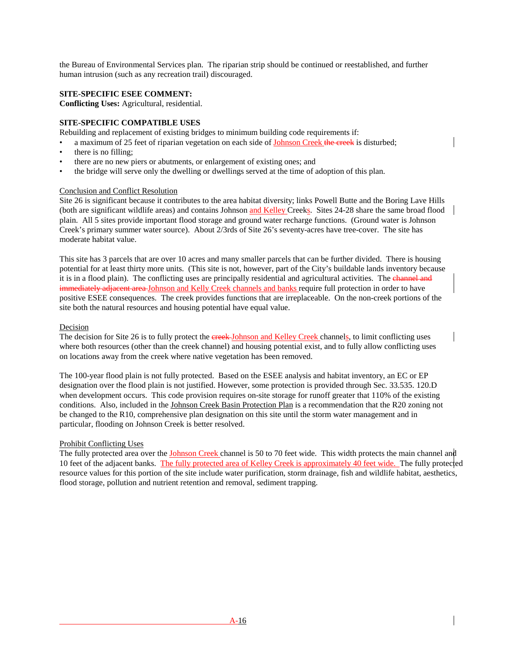the Bureau of Environmental Services plan. The riparian strip should be continued or reestablished, and further human intrusion (such as any recreation trail) discouraged.

## **SITE-SPECIFIC ESEE COMMENT:**

**Conflicting Uses:** Agricultural, residential.

## **SITE-SPECIFIC COMPATIBLE USES**

Rebuilding and replacement of existing bridges to minimum building code requirements if:

a maximum of 25 feet of riparian vegetation on each side of Johnson Creek the creek is disturbed;

- there is no filling;
- there are no new piers or abutments, or enlargement of existing ones; and
- the bridge will serve only the dwelling or dwellings served at the time of adoption of this plan.

#### Conclusion and Conflict Resolution

Site 26 is significant because it contributes to the area habitat diversity; links Powell Butte and the Boring Lave Hills (both are significant wildlife areas) and contains Johnson and Kelley Creeks. Sites 24-28 share the same broad flood plain. All 5 sites provide important flood storage and ground water recharge functions. (Ground water is Johnson Creek's primary summer water source). About 2/3rds of Site 26's seventy-acres have tree-cover. The site has moderate habitat value.

This site has 3 parcels that are over 10 acres and many smaller parcels that can be further divided. There is housing potential for at least thirty more units. (This site is not, however, part of the City's buildable lands inventory because it is in a flood plain). The conflicting uses are principally residential and agricultural activities. The channel and immediately adjacent area Johnson and Kelly Creek channels and banks require full protection in order to have positive ESEE consequences. The creek provides functions that are irreplaceable. On the non-creek portions of the site both the natural resources and housing potential have equal value.

#### Decision

The decision for Site 26 is to fully protect the ereek-Johnson and Kelley Creek channels, to limit conflicting uses where both resources (other than the creek channel) and housing potential exist, and to fully allow conflicting uses on locations away from the creek where native vegetation has been removed.

The 100-year flood plain is not fully protected. Based on the ESEE analysis and habitat inventory, an EC or EP designation over the flood plain is not justified. However, some protection is provided through Sec. 33.535. 120.D when development occurs. This code provision requires on-site storage for runoff greater that 110% of the existing conditions. Also, included in the Johnson Creek Basin Protection Plan is a recommendation that the R20 zoning not be changed to the R10, comprehensive plan designation on this site until the storm water management and in particular, flooding on Johnson Creek is better resolved.

## Prohibit Conflicting Uses

The fully protected area over the **Johnson Creek** channel is 50 to 70 feet wide. This width protects the main channel and 10 feet of the adjacent banks. The fully protected area of Kelley Creek is approximately 40 feet wide. The fully protected resource values for this portion of the site include water purification, storm drainage, fish and wildlife habitat, aesthetics, flood storage, pollution and nutrient retention and removal, sediment trapping.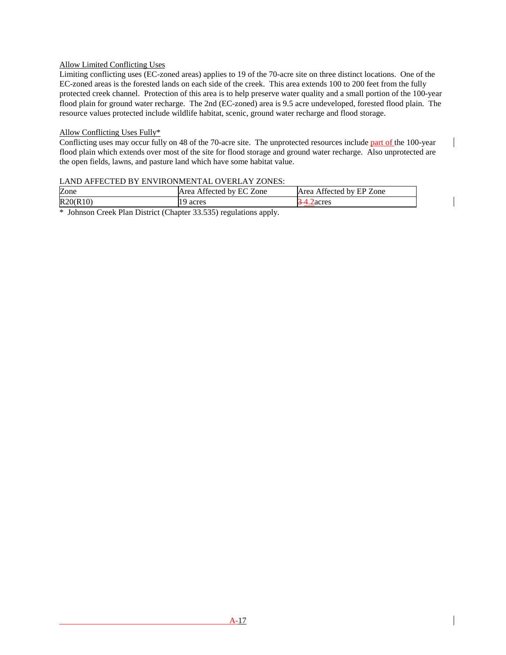# Allow Limited Conflicting Uses

Limiting conflicting uses (EC-zoned areas) applies to 19 of the 70-acre site on three distinct locations. One of the EC-zoned areas is the forested lands on each side of the creek. This area extends 100 to 200 feet from the fully protected creek channel. Protection of this area is to help preserve water quality and a small portion of the 100-year flood plain for ground water recharge. The 2nd (EC-zoned) area is 9.5 acre undeveloped, forested flood plain. The resource values protected include wildlife habitat, scenic, ground water recharge and flood storage.

## Allow Conflicting Uses Fully\*

Conflicting uses may occur fully on 48 of the 70-acre site. The unprotected resources include part of the 100-year flood plain which extends over most of the site for flood storage and ground water recharge. Also unprotected are the open fields, lawns, and pasture land which have some habitat value.

## LAND AFFECTED BY ENVIRONMENTAL OVERLAY ZONES:

| Zone     | Affected by EC Zone<br>Area | Affected by EP Zone<br>Area |
|----------|-----------------------------|-----------------------------|
| R20(R10) | acres                       | Zacres                      |

\* Johnson Creek Plan District (Chapter 33.535) regulations apply.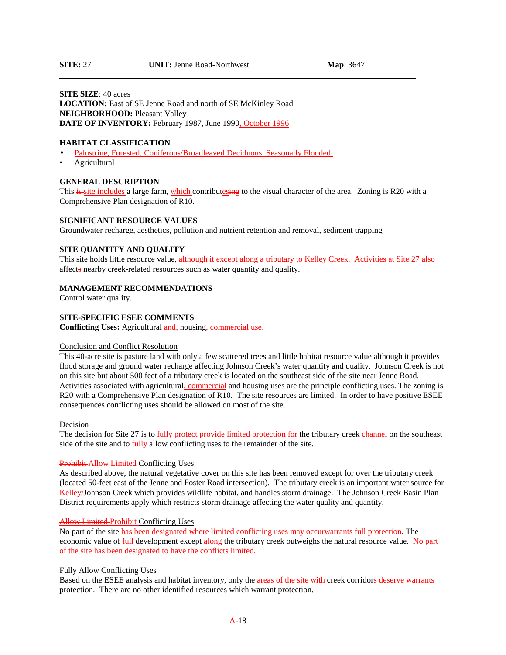l

## **SITE SIZE**: 40 acres LOCATION: East of SE Jenne Road and north of SE McKinley Road **NEIGHBORHOOD: Pleasant Valley** DATE OF INVENTORY: February 1987, June 1990, October 1996

#### **HABITAT CLASSIFICATION**

- Palustrine, Forested, Coniferous/Broadleaved Deciduous, Seasonally Flooded.
- Agricultural

#### **GENERAL DESCRIPTION**

This is site includes a large farm, which contributesing to the visual character of the area. Zoning is R20 with a Comprehensive Plan designation of R10.

#### **SIGNIFICANT RESOURCE VALUES**

Groundwater recharge, aesthetics, pollution and nutrient retention and removal, sediment trapping

#### **SITE QUANTITY AND QUALITY**

This site holds little resource value, although it except along a tributary to Kelley Creek. Activities at Site 27 also affects nearby creek-related resources such as water quantity and quality.

#### **MANAGEMENT RECOMMENDATIONS**

Control water quality.

#### **SITE-SPECIFIC ESEE COMMENTS**

**Conflicting Uses:** Agricultural and, housing, commercial use.

#### Conclusion and Conflict Resolution

This 40-acre site is pasture land with only a few scattered trees and little habitat resource value although it provides flood storage and ground water recharge affecting Johnson Creek's water quantity and quality. Johnson Creek is not on this site but about 500 feet of a tributary creek is located on the southeast side of the site near Jenne Road. Activities associated with agricultural, commercial and housing uses are the principle conflicting uses. The zoning is R20 with a Comprehensive Plan designation of R10. The site resources are limited. In order to have positive ESEE consequences conflicting uses should be allowed on most of the site.

#### Decision

The decision for Site 27 is to fully protect-provide limited protection for the tributary creek channel on the southeast side of the site and to **fully**-allow conflicting uses to the remainder of the site.

#### Prohibit Allow Limited Conflicting Uses

As described above, the natural vegetative cover on this site has been removed except for over the tributary creek (located 50-feet east of the Jenne and Foster Road intersection). The tributary creek is an important water source for Kelley/Johnson Creek which provides wildlife habitat, and handles storm drainage. The Johnson Creek Basin Plan District requirements apply which restricts storm drainage affecting the water quality and quantity.

#### **Allow Limited Prohibit Conflicting Uses**

No part of the site has been designated where limited conflicting uses may occur warrants full protection. The economic value of **full** development except along the tributary creek outweighs the natural resource value. No part of the site has been designated to have the conflicts limited.

#### Fully Allow Conflicting Uses

Based on the ESEE analysis and habitat inventory, only the areas of the site with creek corridors deserve warrants protection. There are no other identified resources which warrant protection.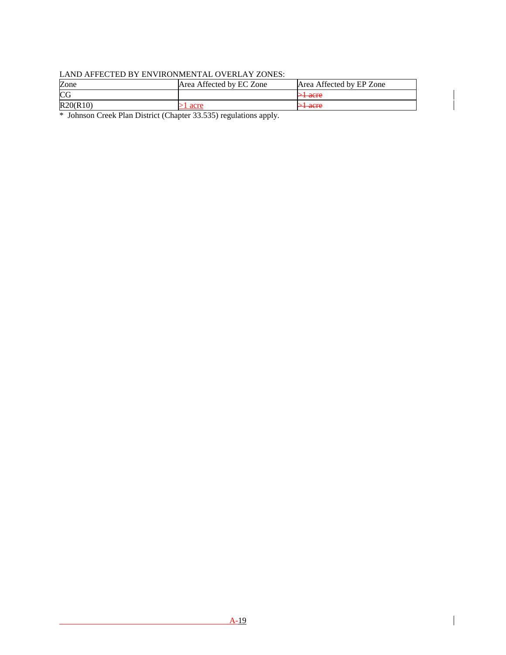# LAND AFFECTED BY ENVIRONMENTAL OVERLAY ZONES:

| Zone     | Area Affected by EC Zone | Area Affected by EP Zone           |
|----------|--------------------------|------------------------------------|
| CG       |                          | $\sim$ lacro<br><del>st auto</del> |
| R20(R10) | 1 acre                   | $\sim$ lacro<br><del>st auto</del> |

\* Johnson Creek Plan District (Chapter 33.535) regulations apply.

 $\overline{\phantom{a}}$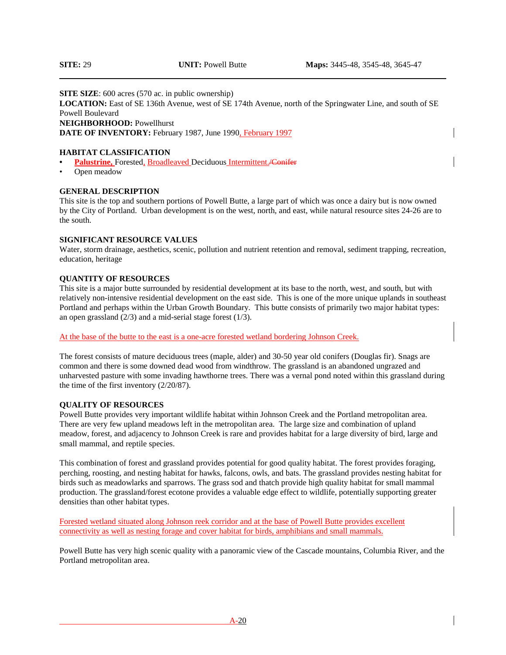### **SITE SIZE:** 600 acres (570 ac. in public ownership)

**LOCATION:** East of SE 136th Avenue, west of SE 174th Avenue, north of the Springwater Line, and south of SE Powell Boulevard

**NEIGHBORHOOD:** Powellhurst

**DATE OF INVENTORY:** February 1987, June 1990, February 1997

### **HABITAT CLASSIFICATION**

- Palustrine, Forested, Broadleaved Deciduous Intermittent. Conifer
- Open meadow

### **GENERAL DESCRIPTION**

This site is the top and southern portions of Powell Butte, a large part of which was once a dairy but is now owned by the City of Portland. Urban development is on the west, north, and east, while natural resource sites 24-26 are to the south.

### **SIGNIFICANT RESOURCE VALUES**

Water, storm drainage, aesthetics, scenic, pollution and nutrient retention and removal, sediment trapping, recreation, education, heritage

### **QUANTITY OF RESOURCES**

This site is a major butte surrounded by residential development at its base to the north, west, and south, but with relatively non-intensive residential development on the east side. This is one of the more unique uplands in southeast Portland and perhaps within the Urban Growth Boundary. This butte consists of primarily two major habitat types: an open grassland  $(2/3)$  and a mid-serial stage forest  $(1/3)$ .

At the base of the butte to the east is a one-acre forested wetland bordering Johnson Creek.

The forest consists of mature deciduous trees (maple, alder) and 30-50 year old conifers (Douglas fir). Snags are common and there is some downed dead wood from windthrow. The grassland is an abandoned ungrazed and unharvested pasture with some invading hawthorne trees. There was a vernal pond noted within this grassland during the time of the first inventory (2/20/87).

### **QUALITY OF RESOURCES**

Powell Butte provides very important wildlife habitat within Johnson Creek and the Portland metropolitan area. There are very few upland meadows left in the metropolitan area. The large size and combination of upland meadow, forest, and adjacency to Johnson Creek is rare and provides habitat for a large diversity of bird, large and small mammal, and reptile species.

This combination of forest and grassland provides potential for good quality habitat. The forest provides foraging, perching, roosting, and nesting habitat for hawks, falcons, owls, and bats. The grassland provides nesting habitat for birds such as meadowlarks and sparrows. The grass sod and thatch provide high quality habitat for small mammal production. The grassland/forest ecotone provides a valuable edge effect to wildlife, potentially supporting greater densities than other habitat types.

Forested wetland situated along Johnson reek corridor and at the base of Powell Butte provides excellent connectivity as well as nesting forage and cover habitat for birds, amphibians and small mammals.

Powell Butte has very high scenic quality with a panoramic view of the Cascade mountains, Columbia River, and the Portland metropolitan area.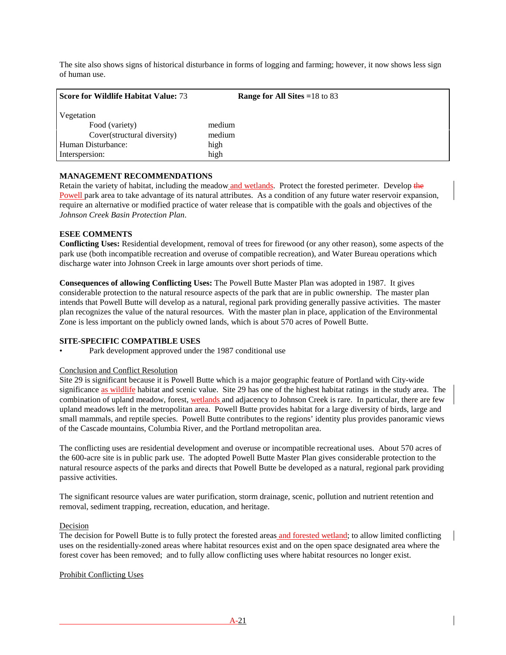The site also shows signs of historical disturbance in forms of logging and farming; however, it now shows less sign of human use.

| <b>Score for Wildlife Habitat Value: 73</b> | <b>Range for All Sites = 18 to 83</b> |
|---------------------------------------------|---------------------------------------|
| Vegetation                                  |                                       |
| Food (variety)                              | medium                                |
| Cover(structural diversity)                 | medium                                |
| Human Disturbance:                          | high                                  |
| Interspersion:                              | high                                  |

### **MANAGEMENT RECOMMENDATIONS**

Retain the variety of habitat, including the meadow and wetlands. Protect the forested perimeter. Develop the Powell park area to take advantage of its natural attributes. As a condition of any future water reservoir expansion, require an alternative or modified practice of water release that is compatible with the goals and objectives of the *Johnson Creek Basin Protection Plan*.

### **ESEE COMMENTS**

**Conflicting Uses:** Residential development, removal of trees for firewood (or any other reason), some aspects of the park use (both incompatible recreation and overuse of compatible recreation), and Water Bureau operations which discharge water into Johnson Creek in large amounts over short periods of time.

**Consequences of allowing Conflicting Uses:** The Powell Butte Master Plan was adopted in 1987. It gives considerable protection to the natural resource aspects of the park that are in public ownership. The master plan intends that Powell Butte will develop as a natural, regional park providing generally passive activities. The master plan recognizes the value of the natural resources. With the master plan in place, application of the Environmental Zone is less important on the publicly owned lands, which is about 570 acres of Powell Butte.

### **SITE-SPECIFIC COMPATIBLE USES**

Park development approved under the 1987 conditional use

### Conclusion and Conflict Resolution

Site 29 is significant because it is Powell Butte which is a major geographic feature of Portland with City-wide significance as wildlife habitat and scenic value. Site 29 has one of the highest habitat ratings in the study area. The combination of upland meadow, forest, wetlands and adjacency to Johnson Creek is rare. In particular, there are few upland meadows left in the metropolitan area. Powell Butte provides habitat for a large diversity of birds, large and small mammals, and reptile species. Powell Butte contributes to the regions' identity plus provides panoramic views of the Cascade mountains, Columbia River, and the Portland metropolitan area.

The conflicting uses are residential development and overuse or incompatible recreational uses. About 570 acres of the 600-acre site is in public park use. The adopted Powell Butte Master Plan gives considerable protection to the natural resource aspects of the parks and directs that Powell Butte be developed as a natural, regional park providing passive activities.

The significant resource values are water purification, storm drainage, scenic, pollution and nutrient retention and removal, sediment trapping, recreation, education, and heritage.

### Decision

The decision for Powell Butte is to fully protect the forested areas and forested wetland; to allow limited conflicting uses on the residentially-zoned areas where habitat resources exist and on the open space designated area where the forest cover has been removed; and to fully allow conflicting uses where habitat resources no longer exist.

### Prohibit Conflicting Uses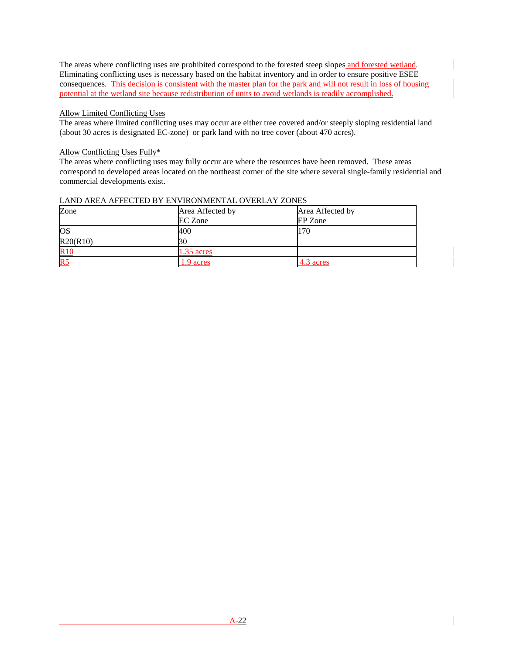The areas where conflicting uses are prohibited correspond to the forested steep slopes and forested wetland. Eliminating conflicting uses is necessary based on the habitat inventory and in order to ensure positive ESEE consequences. This decision is consistent with the master plan for the park and will not result in loss of housing potential at the wetland site because redistribution of units to avoid wetlands is readily accomplished.

### Allow Limited Conflicting Uses

The areas where limited conflicting uses may occur are either tree covered and/or steeply sloping residential land (about 30 acres is designated EC-zone) or park land with no tree cover (about 470 acres).

# Allow Conflicting Uses Fully\*

The areas where conflicting uses may fully occur are where the resources have been removed. These areas correspond to developed areas located on the northeast corner of the site where several single-family residential and commercial developments exist.

| Zone            | Area Affected by | Area Affected by |
|-----------------|------------------|------------------|
|                 | <b>EC</b> Zone   | EP Zone          |
| <b>OS</b>       | 400              | 170              |
| R20(R10)        | 30               |                  |
| R <sub>10</sub> | $1.35$ acres     |                  |
| R <sub>5</sub>  | 1.9 acres        | 4.3 acres        |

### LAND AREA AFFECTED BY ENVIRONMENTAL OVERLAY ZONES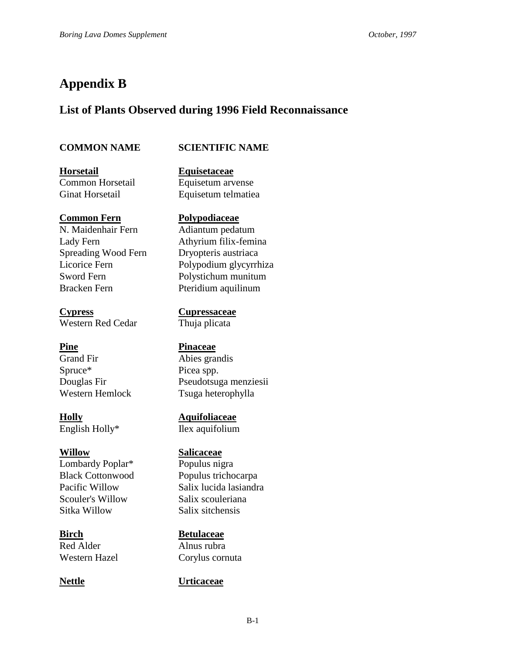# **Appendix B**

# **List of Plants Observed during 1996 Field Reconnaissance**

# **COMMON NAME SCIENTIFIC NAME**

**Horsetail Equisetaceae** Ginat Horsetail Equisetum telmatiea

N. Maidenhair Fern Adiantum pedatum Spreading Wood Fern Dryopteris austriaca Bracken Fern Pteridium aquilinum

**Cypress Cupressaceae** Western Red Cedar Thuja plicata

Grand Fir Abies grandis Spruce\* Picea spp.

English Holly\* Ilex aquifolium

Lombardy Poplar<sup>\*</sup> Populus nigra Scouler's Willow Salix scouleriana Sitka Willow Salix sitchensis

Red Alder Alnus rubra

Common Horsetail Equisetum arvense

# **Common Fern Polypodiaceae**

Lady Fern Athyrium filix-femina Licorice Fern Polypodium glycyrrhiza Sword Fern Polystichum munitum

# **Pine Pinaceae**

Douglas Fir Pseudotsuga menziesii Western Hemlock Tsuga heterophylla

**Holly Aquifoliaceae**

# **Willow Salicaceae**

Black Cottonwood Populus trichocarpa Pacific Willow Salix lucida lasiandra

**Birch Betulaceae**

Western Hazel Corylus cornuta

# **Nettle Urticaceae**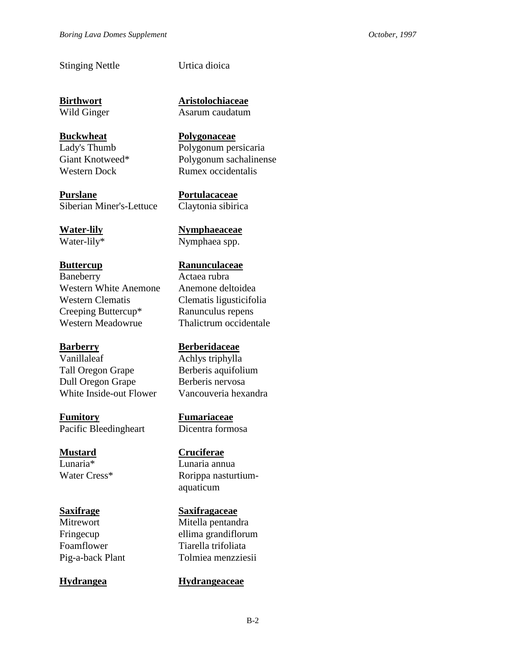# Stinging Nettle Urtica dioica

**Purslane Portulacaceae** Siberian Miner's-Lettuce Claytonia sibirica

Baneberry Actaea rubra Western White Anemone Anemone deltoidea Western Clematis Clematis ligusticifolia Creeping Buttercup\* Ranunculus repens Western Meadowrue Thalictrum occidentale

Vanillaleaf Achlys triphylla Tall Oregon Grape Berberis aquifolium Dull Oregon Grape Berberis nervosa White Inside-out Flower Vancouveria hexandra

**Fumitory Fumariaceae** Pacific Bleedingheart Dicentra formosa

Lunaria\* Lunaria annua

**Birthwort Aristolochiaceae** Wild Ginger Asarum caudatum

**Buckwheat** Polygonaceae Lady's Thumb Polygonum persicaria Giant Knotweed\* Polygonum sachalinense Western Dock Rumex occidentalis

**Water-lily Nymphaeaceae** Water-lily\* Nymphaea spp.

### **Buttercup Ranunculaceae**

## **Barberry Berberidaceae**

**Mustard Cruciferae**

Water Cress<sup>\*</sup> Rorippa nasturtiumaquaticum

### **Saxifrage Saxifragaceae**

Mitrewort Mitella pentandra Fringecup ellima grandiflorum Foamflower Tiarella trifoliata Pig-a-back Plant Tolmiea menzziesii

## **Hydrangea Hydrangeaceae**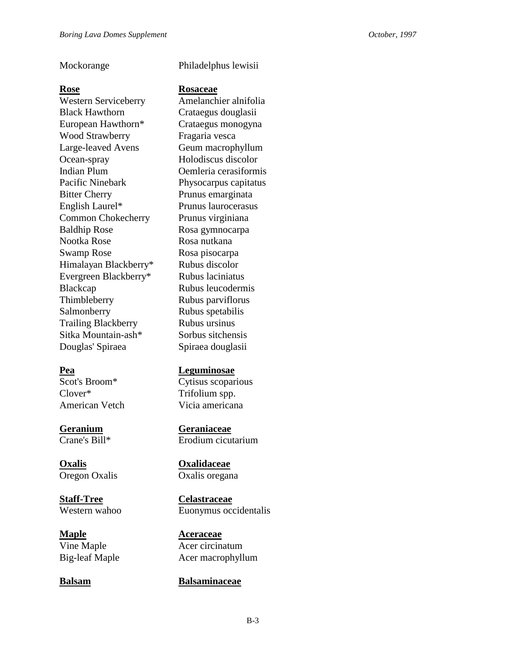Western Serviceberry Amelanchier alnifolia Black Hawthorn Crataegus douglasii European Hawthorn\* Crataegus monogyna Wood Strawberry Fragaria vesca Large-leaved Avens Geum macrophyllum Ocean-spray Holodiscus discolor Indian Plum Oemleria cerasiformis Pacific Ninebark Physocarpus capitatus Bitter Cherry Prunus emarginata English Laurel\* Prunus laurocerasus Common Chokecherry Prunus virginiana Baldhip Rose Rosa gymnocarpa Nootka Rose Rosa nutkana Swamp Rose Rosa pisocarpa Himalayan Blackberry\* Rubus discolor Evergreen Blackberry\* Rubus laciniatus Blackcap Rubus leucodermis Thimbleberry Rubus parviflorus Salmonberry Rubus spetabilis Trailing Blackberry Rubus ursinus Sitka Mountain-ash\* Sorbus sitchensis Douglas' Spiraea Spiraea douglasii

Clover\* Trifolium spp.

Oregon Oxalis Oxalis oregana

**Staff-Tree** Celastraceae<br>
Western wahoo Euonymus occ

**Maple Aceraceae** 

# Mockorange Philadelphus lewisii

### **Rose Rosaceae**

# **Pea Leguminosae**

Scot's Broom\* Cytisus scoparious American Vetch Vicia americana

**Geranium Geraniaceae** Crane's Bill\* Erodium cicutarium

**Oxalis Oxalidaceae**

Euonymus occidentalis

Vine Maple **Acer** Circinatum Big-leaf Maple Acer macrophyllum

## **Balsam Balsaminaceae**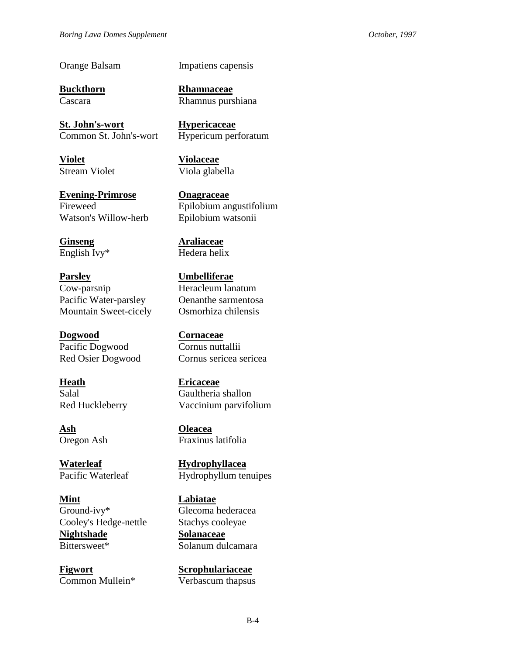Orange Balsam Impatiens capensis

**Buckthorn Rhamnaceae**

**St. John's-wort Hypericaceae** Common St. John's-wort Hypericum perforatum

**Violet Violaceae**

**Evening-Primrose Onagraceae** Watson's Willow-herb Epilobium watsonii

**Ginseng Araliaceae**

**Parsley Umbelliferae** Cow-parsnip Heracleum lanatum Pacific Water-parsley Oenanthe sarmentosa Mountain Sweet-cicely Osmorhiza chilensis

**Dogwood Cornaceae** Pacific Dogwood Cornus nuttallii

**Heath Ericaceae**

**Ash Oleacea**

**Waterleaf Hydrophyllacea**

**Mint Labiatae** Ground-ivy\* Glecoma hederacea Cooley's Hedge-nettle Stachys cooleyae **Nightshade Solanaceae** Bittersweet\* Solanum dulcamara

**Figwort Scrophulariaceae** Common Mullein\* Verbascum thapsus

Cascara Rhamnus purshiana

Stream Violet Viola glabella

Fireweed Epilobium angustifolium

English Ivy\* Hedera helix

Red Osier Dogwood Cornus sericea sericea

Salal Gaultheria shallon Red Huckleberry Vaccinium parvifolium

Oregon Ash Fraxinus latifolia

Pacific Waterleaf Hydrophyllum tenuipes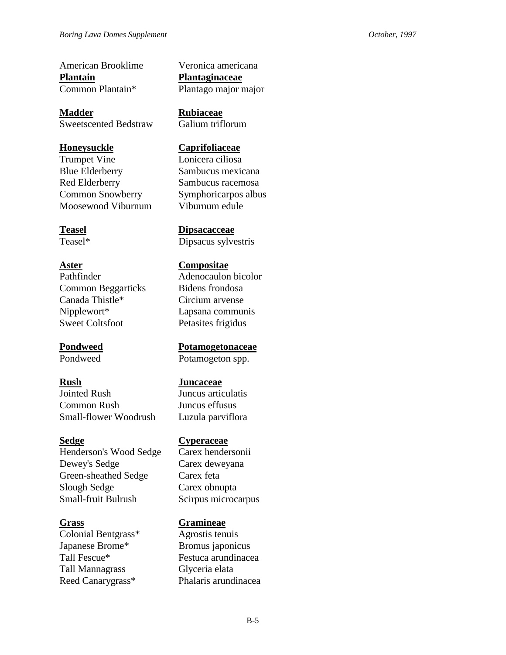American Brooklime Veronica americana **Plantain Plantaginaceae**

**Madder Rubiaceae** Sweetscented Bedstraw Galium triflorum

Trumpet Vine Lonicera ciliosa Blue Elderberry Sambucus mexicana Red Elderberry Sambucus racemosa Common Snowberry Symphoricarpos albus Moosewood Viburnum Viburnum edule

Pathfinder Adenocaulon bicolor Common Beggarticks Bidens frondosa Canada Thistle\* Circium arvense Nipplewort\* Lapsana communis Sweet Coltsfoot Petasites frigidus

Jointed Rush Juncus articulatis Common Rush Juncus effusus Small-flower Woodrush Luzula parviflora

Henderson's Wood Sedge Carex hendersonii Dewey's Sedge Carex deweyana Green-sheathed Sedge Carex feta Slough Sedge Carex obnupta Small-fruit Bulrush Scirpus microcarpus

Colonial Bentgrass\* Agrostis tenuis Japanese Brome\* Bromus japonicus Tall Mannagrass Glyceria elata

Common Plantain\* Plantago major major

# **Honeysuckle Caprifoliaceae**

# **Teasel Dipsacacceae**

Teasel\* Dipsacus sylvestris

# **Aster Compositae**

**Pondweed Potamogetonaceae** Pondweed Potamogeton spp.

# **Rush Juncaceae**

## **Sedge Cyperaceae**

# **Grass Gramineae**

Tall Fescue<sup>\*</sup> Festuca arundinacea Reed Canarygrass\* Phalaris arundinacea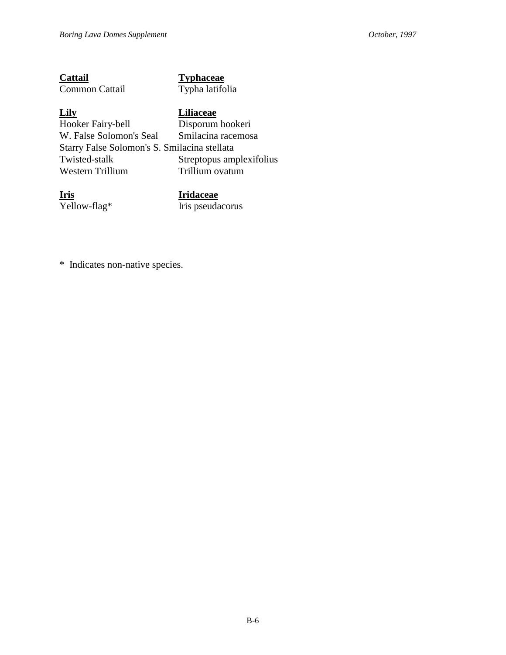| Cattail        |  |
|----------------|--|
| Common Cattail |  |

## **Typhaceae** Typha latifolia

**Lily**<br> **Hooker Fairy-bell Liliaceae Disporum** Disporum hookeri<br>Smilacina racemosa W. False Solomon's Seal Starry False Solomon's S. Smilacina stellata Twisted-stalk Streptopus amplexifolius<br>Western Trillium Trillium ovatum Western Trillium

**<u>Iris</u>**<br> **Yellow-flag\* Iris** pseuda

Iris pseudacorus

\* Indicates non-native species.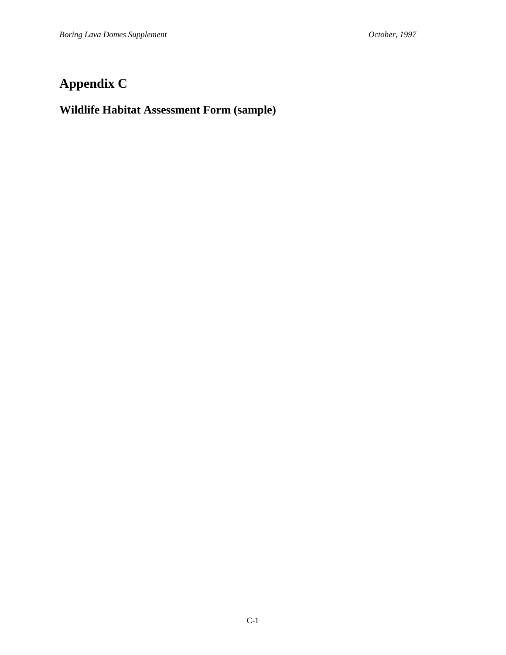# **Appendix C**

# **Wildlife Habitat Assessment Form (sample)**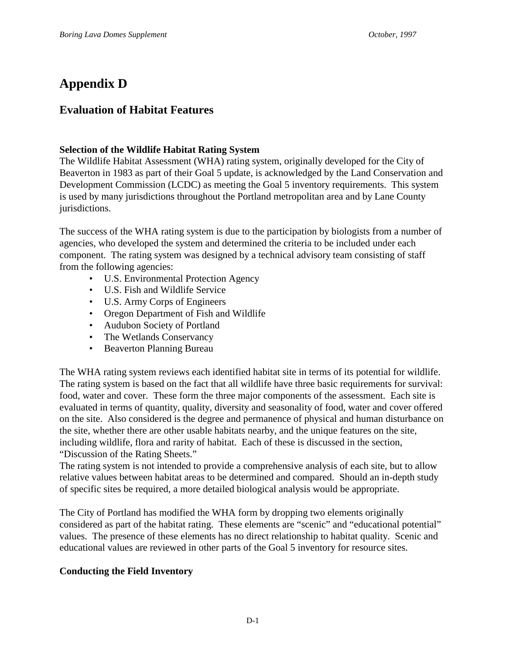# **Appendix D**

# **Evaluation of Habitat Features**

# **Selection of the Wildlife Habitat Rating System**

The Wildlife Habitat Assessment (WHA) rating system, originally developed for the City of Beaverton in 1983 as part of their Goal 5 update, is acknowledged by the Land Conservation and Development Commission (LCDC) as meeting the Goal 5 inventory requirements. This system is used by many jurisdictions throughout the Portland metropolitan area and by Lane County jurisdictions.

The success of the WHA rating system is due to the participation by biologists from a number of agencies, who developed the system and determined the criteria to be included under each component. The rating system was designed by a technical advisory team consisting of staff from the following agencies:

- U.S. Environmental Protection Agency
- U.S. Fish and Wildlife Service
- U.S. Army Corps of Engineers
- Oregon Department of Fish and Wildlife
- Audubon Society of Portland
- The Wetlands Conservancy
- Beaverton Planning Bureau

The WHA rating system reviews each identified habitat site in terms of its potential for wildlife. The rating system is based on the fact that all wildlife have three basic requirements for survival: food, water and cover. These form the three major components of the assessment. Each site is evaluated in terms of quantity, quality, diversity and seasonality of food, water and cover offered on the site. Also considered is the degree and permanence of physical and human disturbance on the site, whether there are other usable habitats nearby, and the unique features on the site, including wildlife, flora and rarity of habitat. Each of these is discussed in the section, "Discussion of the Rating Sheets."

The rating system is not intended to provide a comprehensive analysis of each site, but to allow relative values between habitat areas to be determined and compared. Should an in-depth study of specific sites be required, a more detailed biological analysis would be appropriate.

The City of Portland has modified the WHA form by dropping two elements originally considered as part of the habitat rating. These elements are "scenic" and "educational potential" values. The presence of these elements has no direct relationship to habitat quality. Scenic and educational values are reviewed in other parts of the Goal 5 inventory for resource sites.

# **Conducting the Field Inventory**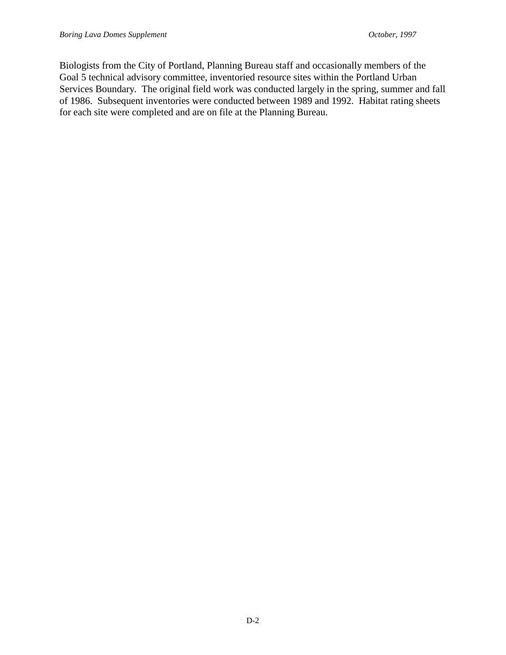Biologists from the City of Portland, Planning Bureau staff and occasionally members of the Goal 5 technical advisory committee, inventoried resource sites within the Portland Urban Services Boundary. The original field work was conducted largely in the spring, summer and fall of 1986. Subsequent inventories were conducted between 1989 and 1992. Habitat rating sheets for each site were completed and are on file at the Planning Bureau.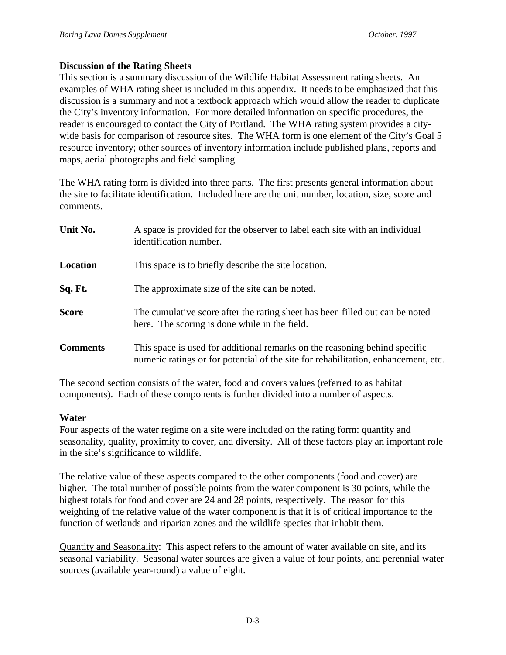## **Discussion of the Rating Sheets**

This section is a summary discussion of the Wildlife Habitat Assessment rating sheets. An examples of WHA rating sheet is included in this appendix. It needs to be emphasized that this discussion is a summary and not a textbook approach which would allow the reader to duplicate the City's inventory information. For more detailed information on specific procedures, the reader is encouraged to contact the City of Portland. The WHA rating system provides a citywide basis for comparison of resource sites. The WHA form is one element of the City's Goal 5 resource inventory; other sources of inventory information include published plans, reports and maps, aerial photographs and field sampling.

The WHA rating form is divided into three parts. The first presents general information about the site to facilitate identification. Included here are the unit number, location, size, score and comments.

| Unit No.        | A space is provided for the observer to label each site with an individual<br>identification number.                                                             |  |
|-----------------|------------------------------------------------------------------------------------------------------------------------------------------------------------------|--|
| Location        | This space is to briefly describe the site location.                                                                                                             |  |
| Sq. Ft.         | The approximate size of the site can be noted.                                                                                                                   |  |
| <b>Score</b>    | The cumulative score after the rating sheet has been filled out can be noted<br>here. The scoring is done while in the field.                                    |  |
| <b>Comments</b> | This space is used for additional remarks on the reasoning behind specific<br>numeric ratings or for potential of the site for rehabilitation, enhancement, etc. |  |

The second section consists of the water, food and covers values (referred to as habitat components). Each of these components is further divided into a number of aspects.

## **Water**

Four aspects of the water regime on a site were included on the rating form: quantity and seasonality, quality, proximity to cover, and diversity. All of these factors play an important role in the site's significance to wildlife.

The relative value of these aspects compared to the other components (food and cover) are higher. The total number of possible points from the water component is 30 points, while the highest totals for food and cover are 24 and 28 points, respectively. The reason for this weighting of the relative value of the water component is that it is of critical importance to the function of wetlands and riparian zones and the wildlife species that inhabit them.

Quantity and Seasonality: This aspect refers to the amount of water available on site, and its seasonal variability. Seasonal water sources are given a value of four points, and perennial water sources (available year-round) a value of eight.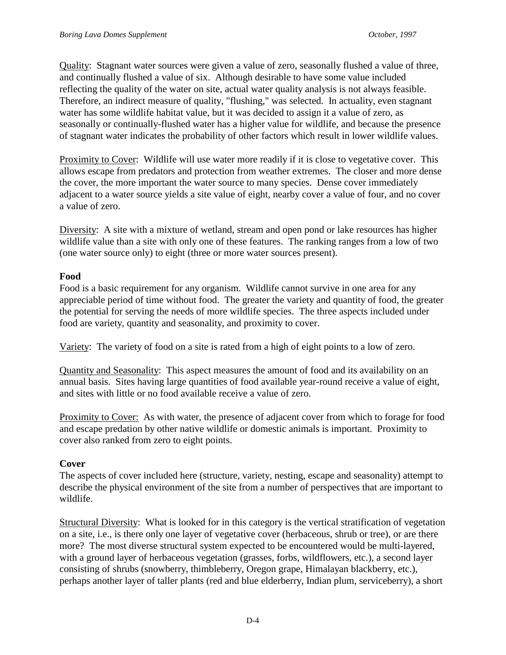Quality: Stagnant water sources were given a value of zero, seasonally flushed a value of three, and continually flushed a value of six. Although desirable to have some value included reflecting the quality of the water on site, actual water quality analysis is not always feasible. Therefore, an indirect measure of quality, "flushing," was selected. In actuality, even stagnant water has some wildlife habitat value, but it was decided to assign it a value of zero, as seasonally or continually-flushed water has a higher value for wildlife, and because the presence of stagnant water indicates the probability of other factors which result in lower wildlife values.

Proximity to Cover: Wildlife will use water more readily if it is close to vegetative cover. This allows escape from predators and protection from weather extremes. The closer and more dense the cover, the more important the water source to many species. Dense cover immediately adjacent to a water source yields a site value of eight, nearby cover a value of four, and no cover a value of zero.

Diversity: A site with a mixture of wetland, stream and open pond or lake resources has higher wildlife value than a site with only one of these features. The ranking ranges from a low of two (one water source only) to eight (three or more water sources present).

# **Food**

Food is a basic requirement for any organism. Wildlife cannot survive in one area for any appreciable period of time without food. The greater the variety and quantity of food, the greater the potential for serving the needs of more wildlife species. The three aspects included under food are variety, quantity and seasonality, and proximity to cover.

Variety: The variety of food on a site is rated from a high of eight points to a low of zero.

Quantity and Seasonality: This aspect measures the amount of food and its availability on an annual basis. Sites having large quantities of food available year-round receive a value of eight, and sites with little or no food available receive a value of zero.

Proximity to Cover: As with water, the presence of adjacent cover from which to forage for food and escape predation by other native wildlife or domestic animals is important. Proximity to cover also ranked from zero to eight points.

# **Cover**

The aspects of cover included here (structure, variety, nesting, escape and seasonality) attempt to describe the physical environment of the site from a number of perspectives that are important to wildlife.

Structural Diversity: What is looked for in this category is the vertical stratification of vegetation on a site, i.e., is there only one layer of vegetative cover (herbaceous, shrub or tree), or are there more? The most diverse structural system expected to be encountered would be multi-layered, with a ground layer of herbaceous vegetation (grasses, forbs, wildflowers, etc.), a second layer consisting of shrubs (snowberry, thimbleberry, Oregon grape, Himalayan blackberry, etc.), perhaps another layer of taller plants (red and blue elderberry, Indian plum, serviceberry), a short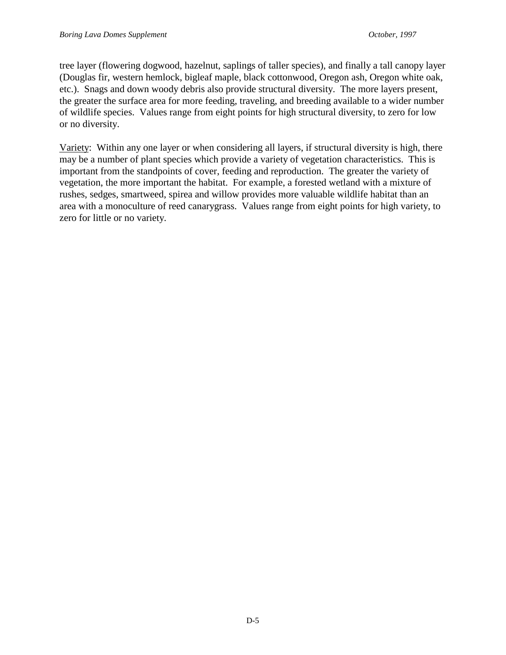tree layer (flowering dogwood, hazelnut, saplings of taller species), and finally a tall canopy layer (Douglas fir, western hemlock, bigleaf maple, black cottonwood, Oregon ash, Oregon white oak, etc.). Snags and down woody debris also provide structural diversity. The more layers present, the greater the surface area for more feeding, traveling, and breeding available to a wider number of wildlife species. Values range from eight points for high structural diversity, to zero for low or no diversity.

Variety: Within any one layer or when considering all layers, if structural diversity is high, there may be a number of plant species which provide a variety of vegetation characteristics. This is important from the standpoints of cover, feeding and reproduction. The greater the variety of vegetation, the more important the habitat. For example, a forested wetland with a mixture of rushes, sedges, smartweed, spirea and willow provides more valuable wildlife habitat than an area with a monoculture of reed canarygrass. Values range from eight points for high variety, to zero for little or no variety.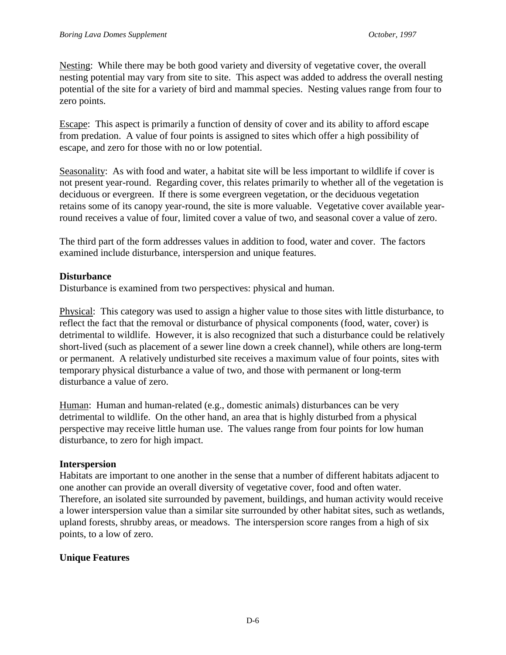Nesting: While there may be both good variety and diversity of vegetative cover, the overall nesting potential may vary from site to site. This aspect was added to address the overall nesting potential of the site for a variety of bird and mammal species. Nesting values range from four to zero points.

Escape: This aspect is primarily a function of density of cover and its ability to afford escape from predation. A value of four points is assigned to sites which offer a high possibility of escape, and zero for those with no or low potential.

Seasonality: As with food and water, a habitat site will be less important to wildlife if cover is not present year-round. Regarding cover, this relates primarily to whether all of the vegetation is deciduous or evergreen. If there is some evergreen vegetation, or the deciduous vegetation retains some of its canopy year-round, the site is more valuable. Vegetative cover available yearround receives a value of four, limited cover a value of two, and seasonal cover a value of zero.

The third part of the form addresses values in addition to food, water and cover. The factors examined include disturbance, interspersion and unique features.

# **Disturbance**

Disturbance is examined from two perspectives: physical and human.

Physical: This category was used to assign a higher value to those sites with little disturbance, to reflect the fact that the removal or disturbance of physical components (food, water, cover) is detrimental to wildlife. However, it is also recognized that such a disturbance could be relatively short-lived (such as placement of a sewer line down a creek channel), while others are long-term or permanent. A relatively undisturbed site receives a maximum value of four points, sites with temporary physical disturbance a value of two, and those with permanent or long-term disturbance a value of zero.

Human: Human and human-related (e.g., domestic animals) disturbances can be very detrimental to wildlife. On the other hand, an area that is highly disturbed from a physical perspective may receive little human use. The values range from four points for low human disturbance, to zero for high impact.

# **Interspersion**

Habitats are important to one another in the sense that a number of different habitats adjacent to one another can provide an overall diversity of vegetative cover, food and often water. Therefore, an isolated site surrounded by pavement, buildings, and human activity would receive a lower interspersion value than a similar site surrounded by other habitat sites, such as wetlands, upland forests, shrubby areas, or meadows. The interspersion score ranges from a high of six points, to a low of zero.

# **Unique Features**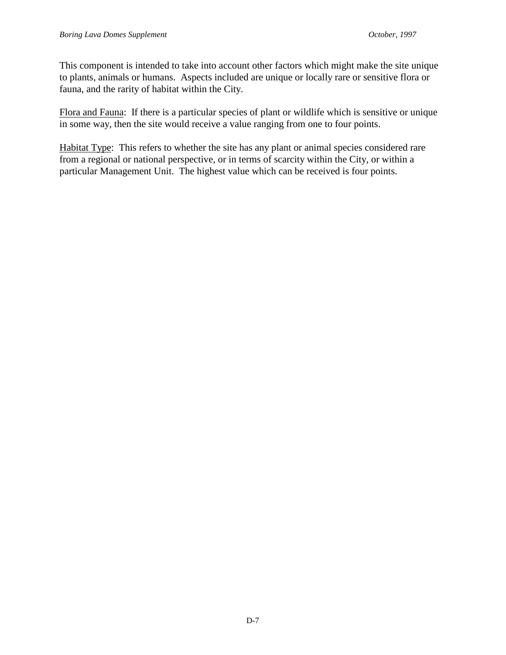This component is intended to take into account other factors which might make the site unique to plants, animals or humans. Aspects included are unique or locally rare or sensitive flora or fauna, and the rarity of habitat within the City.

Flora and Fauna: If there is a particular species of plant or wildlife which is sensitive or unique in some way, then the site would receive a value ranging from one to four points.

Habitat Type: This refers to whether the site has any plant or animal species considered rare from a regional or national perspective, or in terms of scarcity within the City, or within a particular Management Unit. The highest value which can be received is four points.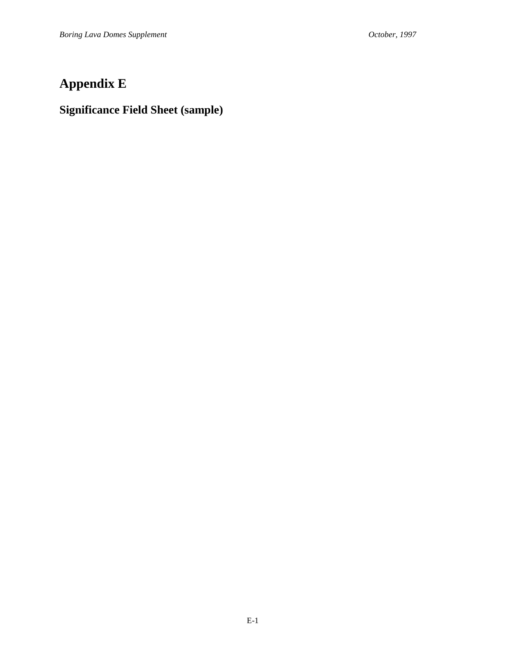# **Appendix E**

# **Significance Field Sheet (sample)**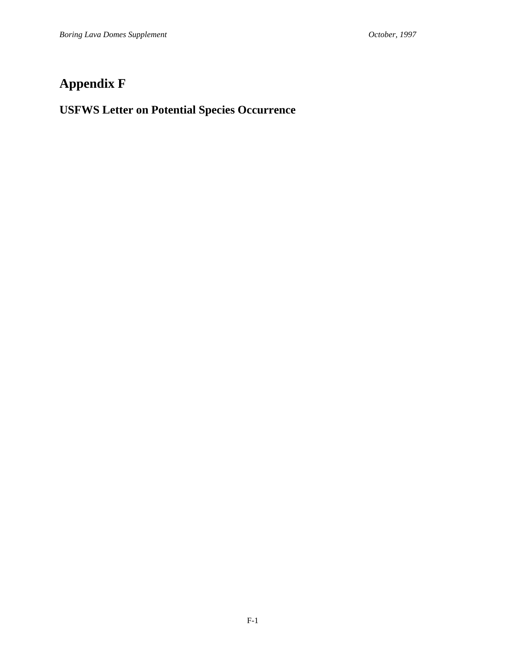# **Appendix F**

# **USFWS Letter on Potential Species Occurrence**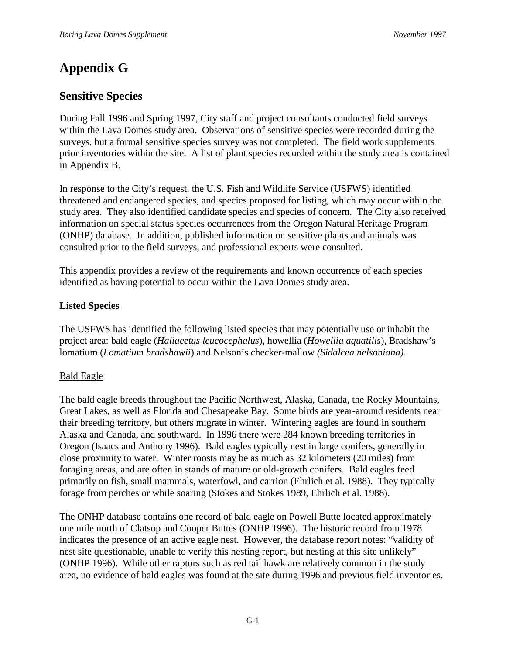# **Appendix G**

# **Sensitive Species**

During Fall 1996 and Spring 1997, City staff and project consultants conducted field surveys within the Lava Domes study area. Observations of sensitive species were recorded during the surveys, but a formal sensitive species survey was not completed. The field work supplements prior inventories within the site. A list of plant species recorded within the study area is contained in Appendix B.

In response to the City's request, the U.S. Fish and Wildlife Service (USFWS) identified threatened and endangered species, and species proposed for listing, which may occur within the study area. They also identified candidate species and species of concern. The City also received information on special status species occurrences from the Oregon Natural Heritage Program (ONHP) database. In addition, published information on sensitive plants and animals was consulted prior to the field surveys, and professional experts were consulted.

This appendix provides a review of the requirements and known occurrence of each species identified as having potential to occur within the Lava Domes study area.

# **Listed Species**

The USFWS has identified the following listed species that may potentially use or inhabit the project area: bald eagle (*Haliaeetus leucocephalus*), howellia (*Howellia aquatilis*), Bradshaw's lomatium (*Lomatium bradshawii*) and Nelson's checker-mallow *(Sidalcea nelsoniana).*

# Bald Eagle

The bald eagle breeds throughout the Pacific Northwest, Alaska, Canada, the Rocky Mountains, Great Lakes, as well as Florida and Chesapeake Bay. Some birds are year-around residents near their breeding territory, but others migrate in winter. Wintering eagles are found in southern Alaska and Canada, and southward. In 1996 there were 284 known breeding territories in Oregon (Isaacs and Anthony 1996). Bald eagles typically nest in large conifers, generally in close proximity to water. Winter roosts may be as much as 32 kilometers (20 miles) from foraging areas, and are often in stands of mature or old-growth conifers. Bald eagles feed primarily on fish, small mammals, waterfowl, and carrion (Ehrlich et al. 1988). They typically forage from perches or while soaring (Stokes and Stokes 1989, Ehrlich et al. 1988).

The ONHP database contains one record of bald eagle on Powell Butte located approximately one mile north of Clatsop and Cooper Buttes (ONHP 1996). The historic record from 1978 indicates the presence of an active eagle nest. However, the database report notes: "validity of nest site questionable, unable to verify this nesting report, but nesting at this site unlikely" (ONHP 1996). While other raptors such as red tail hawk are relatively common in the study area, no evidence of bald eagles was found at the site during 1996 and previous field inventories.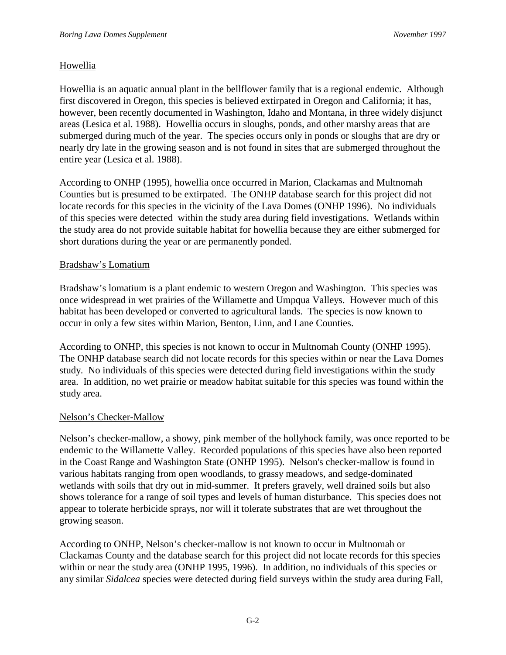# Howellia

Howellia is an aquatic annual plant in the bellflower family that is a regional endemic. Although first discovered in Oregon, this species is believed extirpated in Oregon and California; it has, however, been recently documented in Washington, Idaho and Montana, in three widely disjunct areas (Lesica et al. 1988). Howellia occurs in sloughs, ponds, and other marshy areas that are submerged during much of the year. The species occurs only in ponds or sloughs that are dry or nearly dry late in the growing season and is not found in sites that are submerged throughout the entire year (Lesica et al. 1988).

According to ONHP (1995), howellia once occurred in Marion, Clackamas and Multnomah Counties but is presumed to be extirpated. The ONHP database search for this project did not locate records for this species in the vicinity of the Lava Domes (ONHP 1996). No individuals of this species were detected within the study area during field investigations. Wetlands within the study area do not provide suitable habitat for howellia because they are either submerged for short durations during the year or are permanently ponded.

# Bradshaw's Lomatium

Bradshaw's lomatium is a plant endemic to western Oregon and Washington. This species was once widespread in wet prairies of the Willamette and Umpqua Valleys. However much of this habitat has been developed or converted to agricultural lands. The species is now known to occur in only a few sites within Marion, Benton, Linn, and Lane Counties.

According to ONHP, this species is not known to occur in Multnomah County (ONHP 1995). The ONHP database search did not locate records for this species within or near the Lava Domes study. No individuals of this species were detected during field investigations within the study area. In addition, no wet prairie or meadow habitat suitable for this species was found within the study area.

# Nelson's Checker-Mallow

Nelson's checker-mallow, a showy, pink member of the hollyhock family, was once reported to be endemic to the Willamette Valley. Recorded populations of this species have also been reported in the Coast Range and Washington State (ONHP 1995). Nelson's checker-mallow is found in various habitats ranging from open woodlands, to grassy meadows, and sedge-dominated wetlands with soils that dry out in mid-summer. It prefers gravely, well drained soils but also shows tolerance for a range of soil types and levels of human disturbance. This species does not appear to tolerate herbicide sprays, nor will it tolerate substrates that are wet throughout the growing season.

According to ONHP, Nelson's checker-mallow is not known to occur in Multnomah or Clackamas County and the database search for this project did not locate records for this species within or near the study area (ONHP 1995, 1996). In addition, no individuals of this species or any similar *Sidalcea* species were detected during field surveys within the study area during Fall,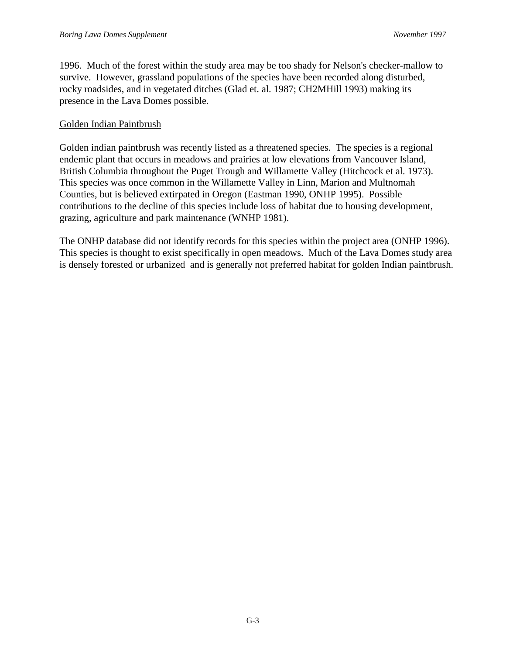1996. Much of the forest within the study area may be too shady for Nelson's checker-mallow to survive. However, grassland populations of the species have been recorded along disturbed, rocky roadsides, and in vegetated ditches (Glad et. al. 1987; CH2MHill 1993) making its presence in the Lava Domes possible.

### Golden Indian Paintbrush

Golden indian paintbrush was recently listed as a threatened species. The species is a regional endemic plant that occurs in meadows and prairies at low elevations from Vancouver Island, British Columbia throughout the Puget Trough and Willamette Valley (Hitchcock et al. 1973). This species was once common in the Willamette Valley in Linn, Marion and Multnomah Counties, but is believed extirpated in Oregon (Eastman 1990, ONHP 1995). Possible contributions to the decline of this species include loss of habitat due to housing development, grazing, agriculture and park maintenance (WNHP 1981).

The ONHP database did not identify records for this species within the project area (ONHP 1996). This species is thought to exist specifically in open meadows. Much of the Lava Domes study area is densely forested or urbanized and is generally not preferred habitat for golden Indian paintbrush.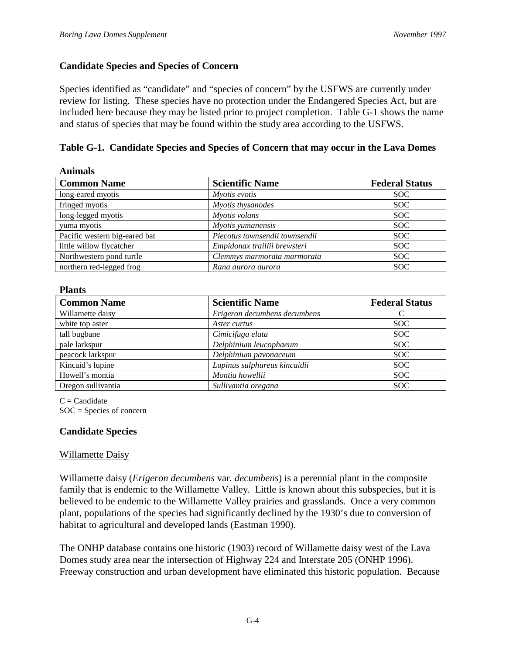## **Candidate Species and Species of Concern**

Species identified as "candidate" and "species of concern" by the USFWS are currently under review for listing. These species have no protection under the Endangered Species Act, but are included here because they may be listed prior to project completion. Table G-1 shows the name and status of species that may be found within the study area according to the USFWS.

# **Table G-1. Candidate Species and Species of Concern that may occur in the Lava Domes**

| <b>Animals</b>                |                                |                       |  |
|-------------------------------|--------------------------------|-----------------------|--|
| <b>Common Name</b>            | <b>Scientific Name</b>         | <b>Federal Status</b> |  |
| long-eared myotis             | Myotis evotis                  | <b>SOC</b>            |  |
| fringed myotis                | Myotis thysanodes              | <b>SOC</b>            |  |
| long-legged myotis            | Myotis volans                  | <b>SOC</b>            |  |
| yuma myotis                   | Myotis yumanensis              | <b>SOC</b>            |  |
| Pacific western big-eared bat | Plecotus townsendii townsendii | <b>SOC</b>            |  |
| little willow flycatcher      | Empidonax traillii brewsteri   | <b>SOC</b>            |  |
| Northwestern pond turtle      | Clemmys marmorata marmorata    | <b>SOC</b>            |  |
| northern red-legged frog      | Rana aurora aurora             | <b>SOC</b>            |  |

### **Plants**

| <b>Common Name</b> | <b>Scientific Name</b>       | <b>Federal Status</b> |
|--------------------|------------------------------|-----------------------|
| Willamette daisy   | Erigeron decumbens decumbens |                       |
| white top aster    | Aster curtus                 | SOC.                  |
| tall bugbane       | Cimicifuga elata             | <b>SOC</b>            |
| pale larkspur      | Delphinium leucophaeum       | SOC.                  |
| peacock larkspur   | Delphinium pavonaceum        | SOC.                  |
| Kincaid's lupine   | Lupinus sulphureus kincaidii | SOC.                  |
| Howell's montia    | Montia howellii              | SOC.                  |
| Oregon sullivantia | Sullivantia oregana          | <b>SOC</b>            |

 $C =$ Candidate SOC = Species of concern

## **Candidate Species**

## Willamette Daisy

Willamette daisy (*Erigeron decumbens* var*. decumbens*) is a perennial plant in the composite family that is endemic to the Willamette Valley. Little is known about this subspecies, but it is believed to be endemic to the Willamette Valley prairies and grasslands. Once a very common plant, populations of the species had significantly declined by the 1930's due to conversion of habitat to agricultural and developed lands (Eastman 1990).

The ONHP database contains one historic (1903) record of Willamette daisy west of the Lava Domes study area near the intersection of Highway 224 and Interstate 205 (ONHP 1996). Freeway construction and urban development have eliminated this historic population. Because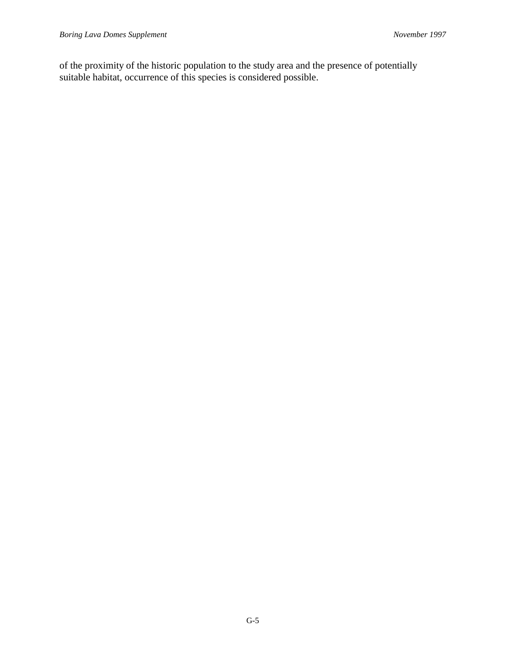of the proximity of the historic population to the study area and the presence of potentially suitable habitat, occurrence of this species is considered possible.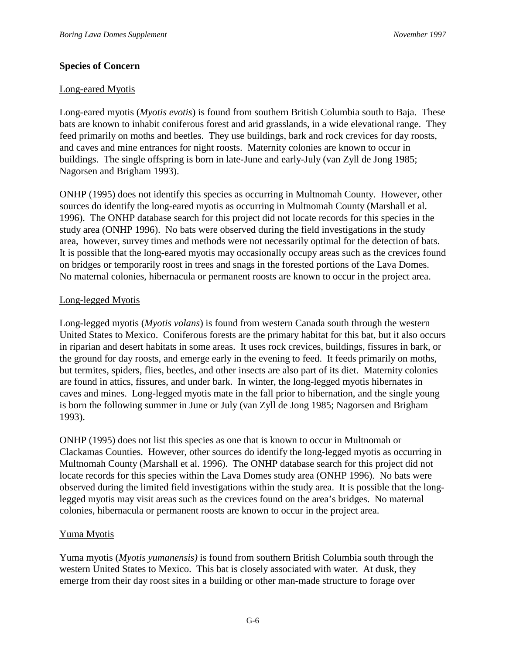## **Species of Concern**

### Long-eared Myotis

Long-eared myotis (*Myotis evotis*) is found from southern British Columbia south to Baja. These bats are known to inhabit coniferous forest and arid grasslands, in a wide elevational range. They feed primarily on moths and beetles. They use buildings, bark and rock crevices for day roosts, and caves and mine entrances for night roosts. Maternity colonies are known to occur in buildings. The single offspring is born in late-June and early-July (van Zyll de Jong 1985; Nagorsen and Brigham 1993).

ONHP (1995) does not identify this species as occurring in Multnomah County. However, other sources do identify the long-eared myotis as occurring in Multnomah County (Marshall et al. 1996). The ONHP database search for this project did not locate records for this species in the study area (ONHP 1996). No bats were observed during the field investigations in the study area, however, survey times and methods were not necessarily optimal for the detection of bats. It is possible that the long-eared myotis may occasionally occupy areas such as the crevices found on bridges or temporarily roost in trees and snags in the forested portions of the Lava Domes. No maternal colonies, hibernacula or permanent roosts are known to occur in the project area.

### Long-legged Myotis

Long-legged myotis (*Myotis volans*) is found from western Canada south through the western United States to Mexico. Coniferous forests are the primary habitat for this bat, but it also occurs in riparian and desert habitats in some areas. It uses rock crevices, buildings, fissures in bark, or the ground for day roosts, and emerge early in the evening to feed. It feeds primarily on moths, but termites, spiders, flies, beetles, and other insects are also part of its diet. Maternity colonies are found in attics, fissures, and under bark. In winter, the long-legged myotis hibernates in caves and mines. Long-legged myotis mate in the fall prior to hibernation, and the single young is born the following summer in June or July (van Zyll de Jong 1985; Nagorsen and Brigham 1993).

ONHP (1995) does not list this species as one that is known to occur in Multnomah or Clackamas Counties. However, other sources do identify the long-legged myotis as occurring in Multnomah County (Marshall et al. 1996). The ONHP database search for this project did not locate records for this species within the Lava Domes study area (ONHP 1996). No bats were observed during the limited field investigations within the study area. It is possible that the longlegged myotis may visit areas such as the crevices found on the area's bridges. No maternal colonies, hibernacula or permanent roosts are known to occur in the project area.

## Yuma Myotis

Yuma myotis (*Myotis yumanensis)* is found from southern British Columbia south through the western United States to Mexico. This bat is closely associated with water. At dusk, they emerge from their day roost sites in a building or other man-made structure to forage over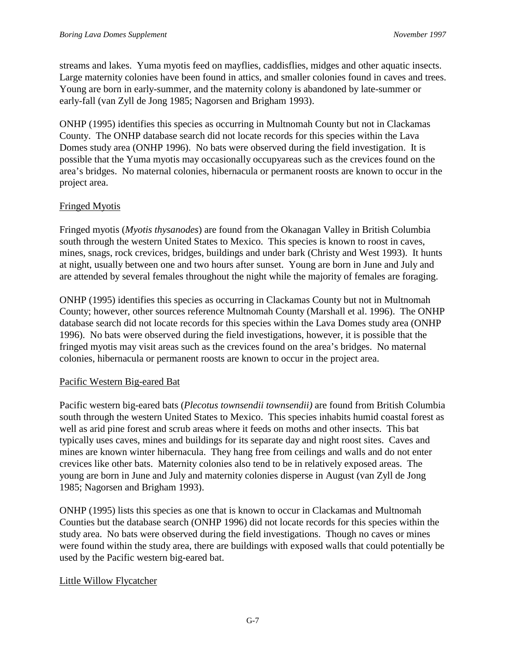streams and lakes. Yuma myotis feed on mayflies, caddisflies, midges and other aquatic insects. Large maternity colonies have been found in attics, and smaller colonies found in caves and trees. Young are born in early-summer, and the maternity colony is abandoned by late-summer or early-fall (van Zyll de Jong 1985; Nagorsen and Brigham 1993).

ONHP (1995) identifies this species as occurring in Multnomah County but not in Clackamas County. The ONHP database search did not locate records for this species within the Lava Domes study area (ONHP 1996). No bats were observed during the field investigation. It is possible that the Yuma myotis may occasionally occupyareas such as the crevices found on the area's bridges. No maternal colonies, hibernacula or permanent roosts are known to occur in the project area.

# Fringed Myotis

Fringed myotis (*Myotis thysanodes*) are found from the Okanagan Valley in British Columbia south through the western United States to Mexico. This species is known to roost in caves, mines, snags, rock crevices, bridges, buildings and under bark (Christy and West 1993). It hunts at night, usually between one and two hours after sunset. Young are born in June and July and are attended by several females throughout the night while the majority of females are foraging.

ONHP (1995) identifies this species as occurring in Clackamas County but not in Multnomah County; however, other sources reference Multnomah County (Marshall et al. 1996). The ONHP database search did not locate records for this species within the Lava Domes study area (ONHP 1996). No bats were observed during the field investigations, however, it is possible that the fringed myotis may visit areas such as the crevices found on the area's bridges. No maternal colonies, hibernacula or permanent roosts are known to occur in the project area.

# Pacific Western Big-eared Bat

Pacific western big-eared bats (*Plecotus townsendii townsendii)* are found from British Columbia south through the western United States to Mexico. This species inhabits humid coastal forest as well as arid pine forest and scrub areas where it feeds on moths and other insects. This bat typically uses caves, mines and buildings for its separate day and night roost sites. Caves and mines are known winter hibernacula. They hang free from ceilings and walls and do not enter crevices like other bats. Maternity colonies also tend to be in relatively exposed areas. The young are born in June and July and maternity colonies disperse in August (van Zyll de Jong 1985; Nagorsen and Brigham 1993).

ONHP (1995) lists this species as one that is known to occur in Clackamas and Multnomah Counties but the database search (ONHP 1996) did not locate records for this species within the study area. No bats were observed during the field investigations. Though no caves or mines were found within the study area, there are buildings with exposed walls that could potentially be used by the Pacific western big-eared bat.

# Little Willow Flycatcher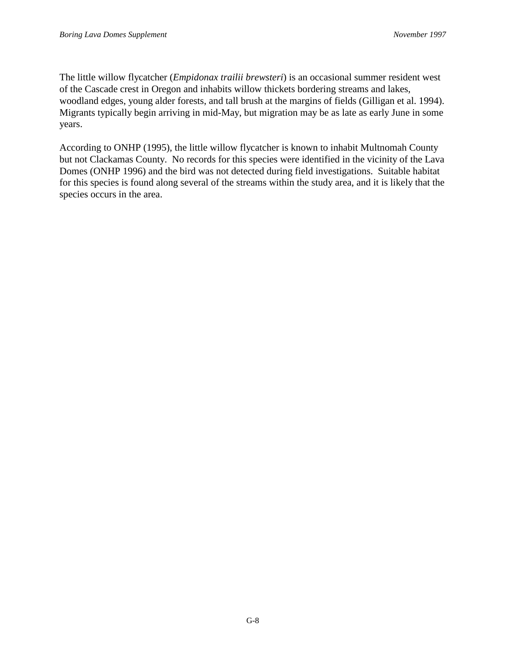The little willow flycatcher (*Empidonax trailii brewsteri*) is an occasional summer resident west of the Cascade crest in Oregon and inhabits willow thickets bordering streams and lakes, woodland edges, young alder forests, and tall brush at the margins of fields (Gilligan et al. 1994). Migrants typically begin arriving in mid-May, but migration may be as late as early June in some years.

According to ONHP (1995), the little willow flycatcher is known to inhabit Multnomah County but not Clackamas County. No records for this species were identified in the vicinity of the Lava Domes (ONHP 1996) and the bird was not detected during field investigations. Suitable habitat for this species is found along several of the streams within the study area, and it is likely that the species occurs in the area.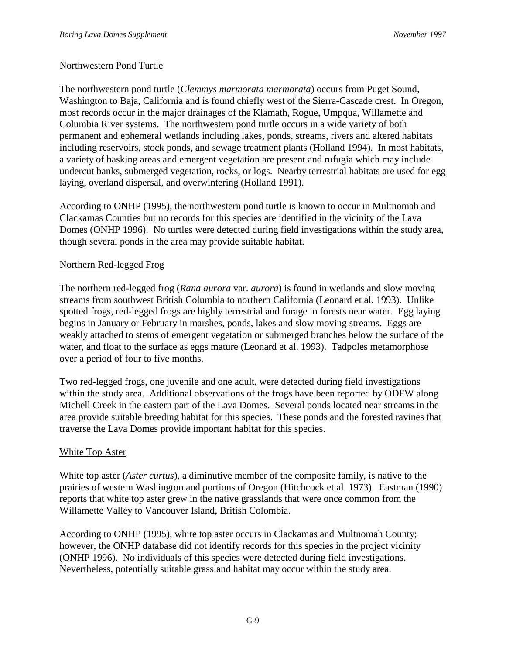# Northwestern Pond Turtle

The northwestern pond turtle (*Clemmys marmorata marmorata*) occurs from Puget Sound, Washington to Baja, California and is found chiefly west of the Sierra-Cascade crest. In Oregon, most records occur in the major drainages of the Klamath, Rogue, Umpqua, Willamette and Columbia River systems. The northwestern pond turtle occurs in a wide variety of both permanent and ephemeral wetlands including lakes, ponds, streams, rivers and altered habitats including reservoirs, stock ponds, and sewage treatment plants (Holland 1994). In most habitats, a variety of basking areas and emergent vegetation are present and rufugia which may include undercut banks, submerged vegetation, rocks, or logs. Nearby terrestrial habitats are used for egg laying, overland dispersal, and overwintering (Holland 1991).

According to ONHP (1995), the northwestern pond turtle is known to occur in Multnomah and Clackamas Counties but no records for this species are identified in the vicinity of the Lava Domes (ONHP 1996). No turtles were detected during field investigations within the study area, though several ponds in the area may provide suitable habitat.

# Northern Red-legged Frog

The northern red-legged frog (*Rana aurora* var. *aurora*) is found in wetlands and slow moving streams from southwest British Columbia to northern California (Leonard et al. 1993). Unlike spotted frogs, red-legged frogs are highly terrestrial and forage in forests near water. Egg laying begins in January or February in marshes, ponds, lakes and slow moving streams. Eggs are weakly attached to stems of emergent vegetation or submerged branches below the surface of the water, and float to the surface as eggs mature (Leonard et al. 1993). Tadpoles metamorphose over a period of four to five months.

Two red-legged frogs, one juvenile and one adult, were detected during field investigations within the study area. Additional observations of the frogs have been reported by ODFW along Michell Creek in the eastern part of the Lava Domes. Several ponds located near streams in the area provide suitable breeding habitat for this species. These ponds and the forested ravines that traverse the Lava Domes provide important habitat for this species.

# White Top Aster

White top aster (*Aster curtus*), a diminutive member of the composite family, is native to the prairies of western Washington and portions of Oregon (Hitchcock et al. 1973). Eastman (1990) reports that white top aster grew in the native grasslands that were once common from the Willamette Valley to Vancouver Island, British Colombia.

According to ONHP (1995), white top aster occurs in Clackamas and Multnomah County; however, the ONHP database did not identify records for this species in the project vicinity (ONHP 1996). No individuals of this species were detected during field investigations. Nevertheless, potentially suitable grassland habitat may occur within the study area.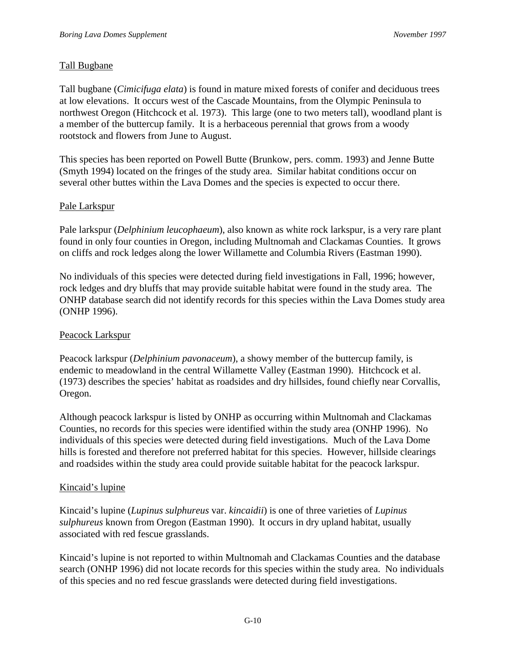# Tall Bugbane

Tall bugbane (*Cimicifuga elata*) is found in mature mixed forests of conifer and deciduous trees at low elevations. It occurs west of the Cascade Mountains, from the Olympic Peninsula to northwest Oregon (Hitchcock et al*.* 1973). This large (one to two meters tall), woodland plant is a member of the buttercup family. It is a herbaceous perennial that grows from a woody rootstock and flowers from June to August.

This species has been reported on Powell Butte (Brunkow, pers. comm. 1993) and Jenne Butte (Smyth 1994) located on the fringes of the study area. Similar habitat conditions occur on several other buttes within the Lava Domes and the species is expected to occur there.

# Pale Larkspur

Pale larkspur (*Delphinium leucophaeum*), also known as white rock larkspur, is a very rare plant found in only four counties in Oregon, including Multnomah and Clackamas Counties. It grows on cliffs and rock ledges along the lower Willamette and Columbia Rivers (Eastman 1990).

No individuals of this species were detected during field investigations in Fall, 1996; however, rock ledges and dry bluffs that may provide suitable habitat were found in the study area. The ONHP database search did not identify records for this species within the Lava Domes study area (ONHP 1996).

# Peacock Larkspur

Peacock larkspur (*Delphinium pavonaceum*), a showy member of the buttercup family, is endemic to meadowland in the central Willamette Valley (Eastman 1990). Hitchcock et al. (1973) describes the species' habitat as roadsides and dry hillsides, found chiefly near Corvallis, Oregon.

Although peacock larkspur is listed by ONHP as occurring within Multnomah and Clackamas Counties, no records for this species were identified within the study area (ONHP 1996). No individuals of this species were detected during field investigations. Much of the Lava Dome hills is forested and therefore not preferred habitat for this species. However, hillside clearings and roadsides within the study area could provide suitable habitat for the peacock larkspur.

# Kincaid's lupine

Kincaid's lupine (*Lupinus sulphureus* var. *kincaidii*) is one of three varieties of *Lupinus sulphureus* known from Oregon (Eastman 1990). It occurs in dry upland habitat, usually associated with red fescue grasslands.

Kincaid's lupine is not reported to within Multnomah and Clackamas Counties and the database search (ONHP 1996) did not locate records for this species within the study area. No individuals of this species and no red fescue grasslands were detected during field investigations.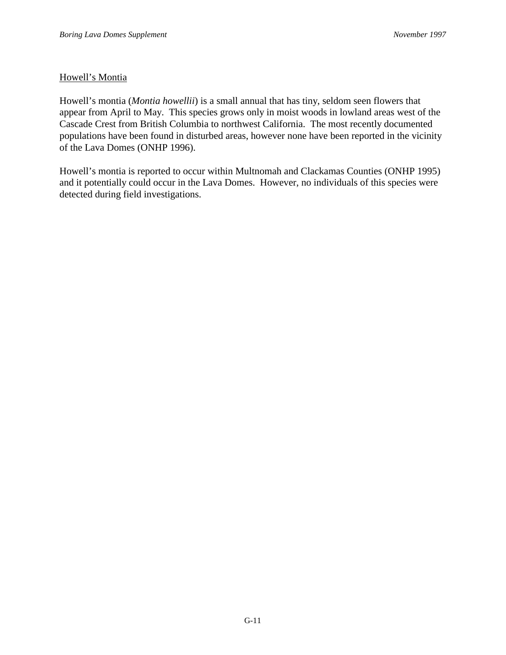# Howell's Montia

Howell's montia (*Montia howellii*) is a small annual that has tiny, seldom seen flowers that appear from April to May. This species grows only in moist woods in lowland areas west of the Cascade Crest from British Columbia to northwest California. The most recently documented populations have been found in disturbed areas, however none have been reported in the vicinity of the Lava Domes (ONHP 1996).

Howell's montia is reported to occur within Multnomah and Clackamas Counties (ONHP 1995) and it potentially could occur in the Lava Domes. However, no individuals of this species were detected during field investigations.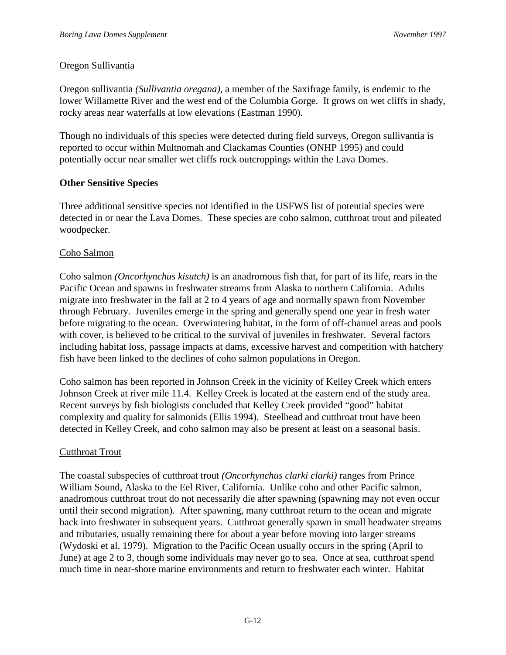### Oregon Sullivantia

Oregon sullivantia *(Sullivantia oregana),* a member of the Saxifrage family, is endemic to the lower Willamette River and the west end of the Columbia Gorge. It grows on wet cliffs in shady, rocky areas near waterfalls at low elevations (Eastman 1990).

Though no individuals of this species were detected during field surveys, Oregon sullivantia is reported to occur within Multnomah and Clackamas Counties (ONHP 1995) and could potentially occur near smaller wet cliffs rock outcroppings within the Lava Domes.

### **Other Sensitive Species**

Three additional sensitive species not identified in the USFWS list of potential species were detected in or near the Lava Domes. These species are coho salmon, cutthroat trout and pileated woodpecker.

## Coho Salmon

Coho salmon *(Oncorhynchus kisutch)* is an anadromous fish that, for part of its life, rears in the Pacific Ocean and spawns in freshwater streams from Alaska to northern California. Adults migrate into freshwater in the fall at 2 to 4 years of age and normally spawn from November through February. Juveniles emerge in the spring and generally spend one year in fresh water before migrating to the ocean. Overwintering habitat, in the form of off-channel areas and pools with cover, is believed to be critical to the survival of juveniles in freshwater. Several factors including habitat loss, passage impacts at dams, excessive harvest and competition with hatchery fish have been linked to the declines of coho salmon populations in Oregon.

Coho salmon has been reported in Johnson Creek in the vicinity of Kelley Creek which enters Johnson Creek at river mile 11.4. Kelley Creek is located at the eastern end of the study area. Recent surveys by fish biologists concluded that Kelley Creek provided "good" habitat complexity and quality for salmonids (Ellis 1994). Steelhead and cutthroat trout have been detected in Kelley Creek, and coho salmon may also be present at least on a seasonal basis.

# Cutthroat Trout

The coastal subspecies of cutthroat trout *(Oncorhynchus clarki clarki)* ranges from Prince William Sound, Alaska to the Eel River, California. Unlike coho and other Pacific salmon, anadromous cutthroat trout do not necessarily die after spawning (spawning may not even occur until their second migration). After spawning, many cutthroat return to the ocean and migrate back into freshwater in subsequent years. Cutthroat generally spawn in small headwater streams and tributaries, usually remaining there for about a year before moving into larger streams (Wydoski et al. 1979). Migration to the Pacific Ocean usually occurs in the spring (April to June) at age 2 to 3, though some individuals may never go to sea. Once at sea, cutthroat spend much time in near-shore marine environments and return to freshwater each winter. Habitat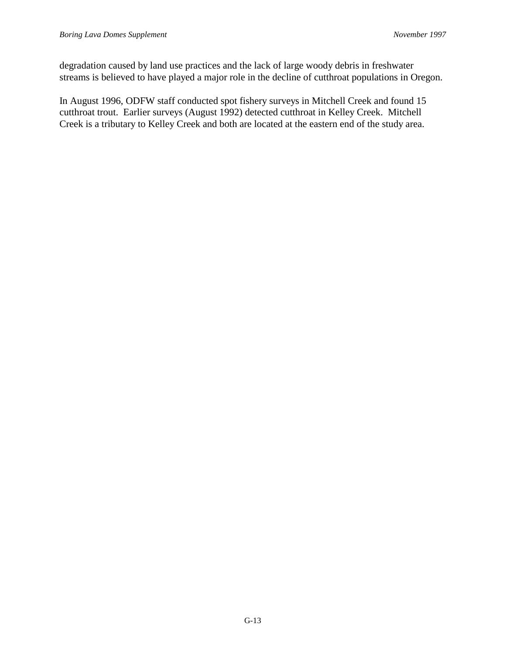degradation caused by land use practices and the lack of large woody debris in freshwater streams is believed to have played a major role in the decline of cutthroat populations in Oregon.

In August 1996, ODFW staff conducted spot fishery surveys in Mitchell Creek and found 15 cutthroat trout. Earlier surveys (August 1992) detected cutthroat in Kelley Creek. Mitchell Creek is a tributary to Kelley Creek and both are located at the eastern end of the study area.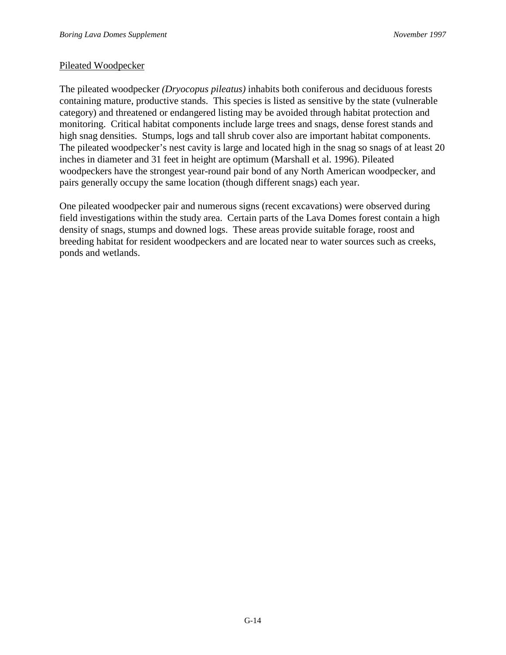#### Pileated Woodpecker

The pileated woodpecker *(Dryocopus pileatus)* inhabits both coniferous and deciduous forests containing mature, productive stands. This species is listed as sensitive by the state (vulnerable category) and threatened or endangered listing may be avoided through habitat protection and monitoring. Critical habitat components include large trees and snags, dense forest stands and high snag densities. Stumps, logs and tall shrub cover also are important habitat components. The pileated woodpecker's nest cavity is large and located high in the snag so snags of at least 20 inches in diameter and 31 feet in height are optimum (Marshall et al. 1996). Pileated woodpeckers have the strongest year-round pair bond of any North American woodpecker, and pairs generally occupy the same location (though different snags) each year.

One pileated woodpecker pair and numerous signs (recent excavations) were observed during field investigations within the study area. Certain parts of the Lava Domes forest contain a high density of snags, stumps and downed logs. These areas provide suitable forage, roost and breeding habitat for resident woodpeckers and are located near to water sources such as creeks, ponds and wetlands.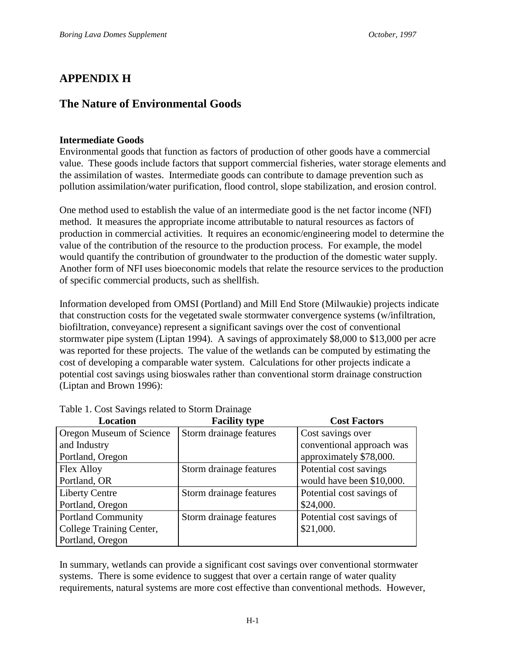# **APPENDIX H**

# **The Nature of Environmental Goods**

#### **Intermediate Goods**

Environmental goods that function as factors of production of other goods have a commercial value. These goods include factors that support commercial fisheries, water storage elements and the assimilation of wastes. Intermediate goods can contribute to damage prevention such as pollution assimilation/water purification, flood control, slope stabilization, and erosion control.

One method used to establish the value of an intermediate good is the net factor income (NFI) method. It measures the appropriate income attributable to natural resources as factors of production in commercial activities. It requires an economic/engineering model to determine the value of the contribution of the resource to the production process. For example, the model would quantify the contribution of groundwater to the production of the domestic water supply. Another form of NFI uses bioeconomic models that relate the resource services to the production of specific commercial products, such as shellfish.

Information developed from OMSI (Portland) and Mill End Store (Milwaukie) projects indicate that construction costs for the vegetated swale stormwater convergence systems (w/infiltration, biofiltration, conveyance) represent a significant savings over the cost of conventional stormwater pipe system (Liptan 1994). A savings of approximately \$8,000 to \$13,000 per acre was reported for these projects. The value of the wetlands can be computed by estimating the cost of developing a comparable water system. Calculations for other projects indicate a potential cost savings using bioswales rather than conventional storm drainage construction (Liptan and Brown 1996):

| <b>Location</b>           | <b>Facility type</b>    | <b>Cost Factors</b>       |
|---------------------------|-------------------------|---------------------------|
| Oregon Museum of Science  | Storm drainage features | Cost savings over         |
| and Industry              |                         | conventional approach was |
| Portland, Oregon          |                         | approximately \$78,000.   |
| Flex Alloy                | Storm drainage features | Potential cost savings    |
| Portland, OR              |                         | would have been \$10,000. |
| <b>Liberty Centre</b>     | Storm drainage features | Potential cost savings of |
| Portland, Oregon          |                         | \$24,000.                 |
| <b>Portland Community</b> | Storm drainage features | Potential cost savings of |
| College Training Center,  |                         | \$21,000.                 |
| Portland, Oregon          |                         |                           |

Table 1. Cost Savings related to Storm Drainage

In summary, wetlands can provide a significant cost savings over conventional stormwater systems. There is some evidence to suggest that over a certain range of water quality requirements, natural systems are more cost effective than conventional methods. However,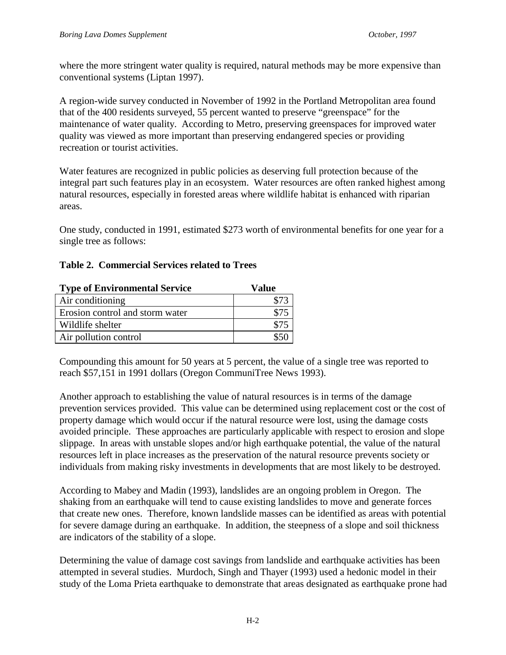where the more stringent water quality is required, natural methods may be more expensive than conventional systems (Liptan 1997).

A region-wide survey conducted in November of 1992 in the Portland Metropolitan area found that of the 400 residents surveyed, 55 percent wanted to preserve "greenspace" for the maintenance of water quality. According to Metro, preserving greenspaces for improved water quality was viewed as more important than preserving endangered species or providing recreation or tourist activities.

Water features are recognized in public policies as deserving full protection because of the integral part such features play in an ecosystem. Water resources are often ranked highest among natural resources, especially in forested areas where wildlife habitat is enhanced with riparian areas.

One study, conducted in 1991, estimated \$273 worth of environmental benefits for one year for a single tree as follows:

| <b>Type of Environmental Service</b> | Value |
|--------------------------------------|-------|
| Air conditioning                     |       |
| Erosion control and storm water      |       |
| Wildlife shelter                     |       |
| Air pollution control                |       |

### **Table 2. Commercial Services related to Trees**

Compounding this amount for 50 years at 5 percent, the value of a single tree was reported to reach \$57,151 in 1991 dollars (Oregon CommuniTree News 1993).

Another approach to establishing the value of natural resources is in terms of the damage prevention services provided. This value can be determined using replacement cost or the cost of property damage which would occur if the natural resource were lost, using the damage costs avoided principle. These approaches are particularly applicable with respect to erosion and slope slippage. In areas with unstable slopes and/or high earthquake potential, the value of the natural resources left in place increases as the preservation of the natural resource prevents society or individuals from making risky investments in developments that are most likely to be destroyed.

According to Mabey and Madin (1993), landslides are an ongoing problem in Oregon. The shaking from an earthquake will tend to cause existing landslides to move and generate forces that create new ones. Therefore, known landslide masses can be identified as areas with potential for severe damage during an earthquake. In addition, the steepness of a slope and soil thickness are indicators of the stability of a slope.

Determining the value of damage cost savings from landslide and earthquake activities has been attempted in several studies. Murdoch, Singh and Thayer (1993) used a hedonic model in their study of the Loma Prieta earthquake to demonstrate that areas designated as earthquake prone had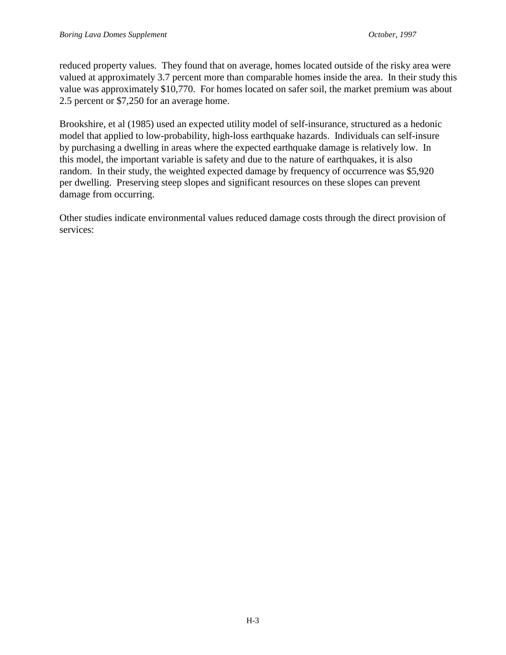reduced property values. They found that on average, homes located outside of the risky area were valued at approximately 3.7 percent more than comparable homes inside the area. In their study this value was approximately \$10,770. For homes located on safer soil, the market premium was about 2.5 percent or \$7,250 for an average home.

Brookshire, et al (1985) used an expected utility model of self-insurance, structured as a hedonic model that applied to low-probability, high-loss earthquake hazards. Individuals can self-insure by purchasing a dwelling in areas where the expected earthquake damage is relatively low. In this model, the important variable is safety and due to the nature of earthquakes, it is also random. In their study, the weighted expected damage by frequency of occurrence was \$5,920 per dwelling. Preserving steep slopes and significant resources on these slopes can prevent damage from occurring.

Other studies indicate environmental values reduced damage costs through the direct provision of services: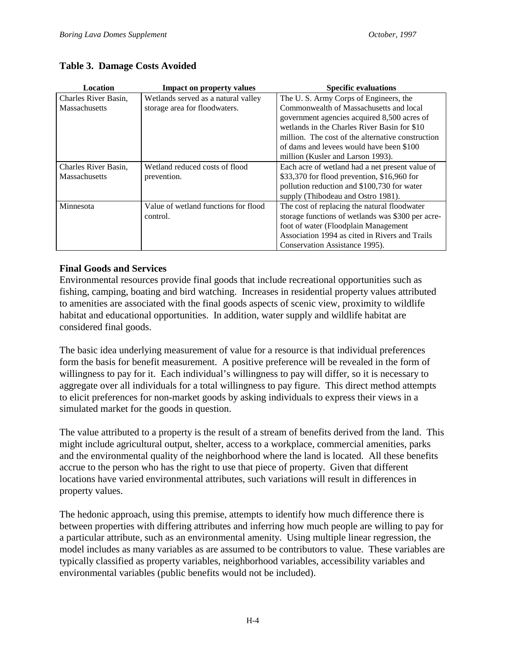## **Table 3. Damage Costs Avoided**

| Location             | <b>Impact on property values</b>     | <b>Specific evaluations</b>                       |
|----------------------|--------------------------------------|---------------------------------------------------|
| Charles River Basin, | Wetlands served as a natural valley  | The U.S. Army Corps of Engineers, the             |
| <b>Massachusetts</b> | storage area for floodwaters.        | Commonwealth of Massachusetts and local           |
|                      |                                      | government agencies acquired 8,500 acres of       |
|                      |                                      | wetlands in the Charles River Basin for \$10      |
|                      |                                      | million. The cost of the alternative construction |
|                      |                                      | of dams and levees would have been \$100          |
|                      |                                      | million (Kusler and Larson 1993).                 |
| Charles River Basin. | Wetland reduced costs of flood       | Each acre of wetland had a net present value of   |
| <b>Massachusetts</b> | prevention.                          | \$33,370 for flood prevention, \$16,960 for       |
|                      |                                      | pollution reduction and \$100,730 for water       |
|                      |                                      | supply (Thibodeau and Ostro 1981).                |
| Minnesota            | Value of wetland functions for flood | The cost of replacing the natural floodwater      |
|                      | control.                             | storage functions of wetlands was \$300 per acre- |
|                      |                                      | foot of water (Floodplain Management)             |
|                      |                                      | Association 1994 as cited in Rivers and Trails    |
|                      |                                      | Conservation Assistance 1995).                    |

### **Final Goods and Services**

Environmental resources provide final goods that include recreational opportunities such as fishing, camping, boating and bird watching. Increases in residential property values attributed to amenities are associated with the final goods aspects of scenic view, proximity to wildlife habitat and educational opportunities. In addition, water supply and wildlife habitat are considered final goods.

The basic idea underlying measurement of value for a resource is that individual preferences form the basis for benefit measurement. A positive preference will be revealed in the form of willingness to pay for it. Each individual's willingness to pay will differ, so it is necessary to aggregate over all individuals for a total willingness to pay figure. This direct method attempts to elicit preferences for non-market goods by asking individuals to express their views in a simulated market for the goods in question.

The value attributed to a property is the result of a stream of benefits derived from the land. This might include agricultural output, shelter, access to a workplace, commercial amenities, parks and the environmental quality of the neighborhood where the land is located. All these benefits accrue to the person who has the right to use that piece of property. Given that different locations have varied environmental attributes, such variations will result in differences in property values.

The hedonic approach, using this premise, attempts to identify how much difference there is between properties with differing attributes and inferring how much people are willing to pay for a particular attribute, such as an environmental amenity. Using multiple linear regression, the model includes as many variables as are assumed to be contributors to value. These variables are typically classified as property variables, neighborhood variables, accessibility variables and environmental variables (public benefits would not be included).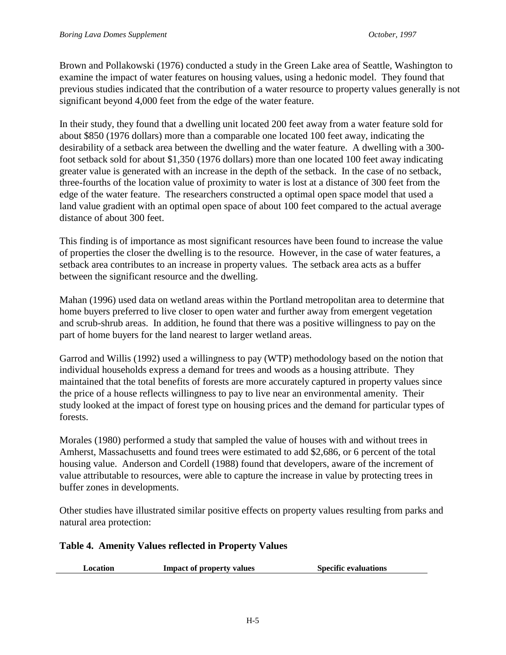Brown and Pollakowski (1976) conducted a study in the Green Lake area of Seattle, Washington to examine the impact of water features on housing values, using a hedonic model. They found that previous studies indicated that the contribution of a water resource to property values generally is not significant beyond 4,000 feet from the edge of the water feature.

In their study, they found that a dwelling unit located 200 feet away from a water feature sold for about \$850 (1976 dollars) more than a comparable one located 100 feet away, indicating the desirability of a setback area between the dwelling and the water feature. A dwelling with a 300 foot setback sold for about \$1,350 (1976 dollars) more than one located 100 feet away indicating greater value is generated with an increase in the depth of the setback. In the case of no setback, three-fourths of the location value of proximity to water is lost at a distance of 300 feet from the edge of the water feature. The researchers constructed a optimal open space model that used a land value gradient with an optimal open space of about 100 feet compared to the actual average distance of about 300 feet.

This finding is of importance as most significant resources have been found to increase the value of properties the closer the dwelling is to the resource. However, in the case of water features, a setback area contributes to an increase in property values. The setback area acts as a buffer between the significant resource and the dwelling.

Mahan (1996) used data on wetland areas within the Portland metropolitan area to determine that home buyers preferred to live closer to open water and further away from emergent vegetation and scrub-shrub areas. In addition, he found that there was a positive willingness to pay on the part of home buyers for the land nearest to larger wetland areas.

Garrod and Willis (1992) used a willingness to pay (WTP) methodology based on the notion that individual households express a demand for trees and woods as a housing attribute. They maintained that the total benefits of forests are more accurately captured in property values since the price of a house reflects willingness to pay to live near an environmental amenity. Their study looked at the impact of forest type on housing prices and the demand for particular types of forests.

Morales (1980) performed a study that sampled the value of houses with and without trees in Amherst, Massachusetts and found trees were estimated to add \$2,686, or 6 percent of the total housing value. Anderson and Cordell (1988) found that developers, aware of the increment of value attributable to resources, were able to capture the increase in value by protecting trees in buffer zones in developments.

Other studies have illustrated similar positive effects on property values resulting from parks and natural area protection:

# **Table 4. Amenity Values reflected in Property Values**

**Location** Impact of property values Specific evaluations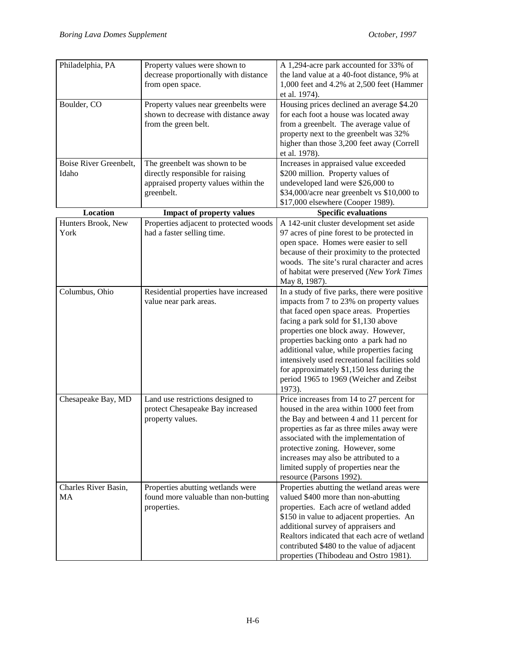| Philadelphia, PA                | Property values were shown to<br>decrease proportionally with distance<br>from open space.                              | A 1,294-acre park accounted for 33% of<br>the land value at a 40-foot distance, 9% at<br>1,000 feet and 4.2% at 2,500 feet (Hammer<br>et al. 1974).                                                                                                                                                                                                                                                                                                          |
|---------------------------------|-------------------------------------------------------------------------------------------------------------------------|--------------------------------------------------------------------------------------------------------------------------------------------------------------------------------------------------------------------------------------------------------------------------------------------------------------------------------------------------------------------------------------------------------------------------------------------------------------|
| Boulder, CO                     | Property values near greenbelts were<br>shown to decrease with distance away<br>from the green belt.                    | Housing prices declined an average \$4.20<br>for each foot a house was located away<br>from a greenbelt. The average value of<br>property next to the greenbelt was 32%<br>higher than those 3,200 feet away (Correll<br>et al. 1978).                                                                                                                                                                                                                       |
| Boise River Greenbelt,<br>Idaho | The greenbelt was shown to be<br>directly responsible for raising<br>appraised property values within the<br>greenbelt. | Increases in appraised value exceeded<br>\$200 million. Property values of<br>undeveloped land were \$26,000 to<br>\$34,000/acre near greenbelt vs \$10,000 to<br>\$17,000 elsewhere (Cooper 1989).                                                                                                                                                                                                                                                          |
| Location                        | <b>Impact of property values</b>                                                                                        | <b>Specific evaluations</b>                                                                                                                                                                                                                                                                                                                                                                                                                                  |
| Hunters Brook, New              | Properties adjacent to protected woods                                                                                  | A 142-unit cluster development set aside                                                                                                                                                                                                                                                                                                                                                                                                                     |
| York                            | had a faster selling time.                                                                                              | 97 acres of pine forest to be protected in<br>open space. Homes were easier to sell<br>because of their proximity to the protected<br>woods. The site's rural character and acres<br>of habitat were preserved (New York Times<br>May 8, 1987).                                                                                                                                                                                                              |
| Columbus, Ohio                  | Residential properties have increased<br>value near park areas.                                                         | In a study of five parks, there were positive<br>impacts from 7 to 23% on property values<br>that faced open space areas. Properties<br>facing a park sold for \$1,130 above<br>properties one block away. However,<br>properties backing onto a park had no<br>additional value, while properties facing<br>intensively used recreational facilities sold<br>for approximately \$1,150 less during the<br>period 1965 to 1969 (Weicher and Zeibst<br>1973). |
| Chesapeake Bay, MD              | Land use restrictions designed to<br>protect Chesapeake Bay increased<br>property values.                               | Price increases from 14 to 27 percent for<br>housed in the area within 1000 feet from<br>the Bay and between 4 and 11 percent for<br>properties as far as three miles away were<br>associated with the implementation of<br>protective zoning. However, some<br>increases may also be attributed to a<br>limited supply of properties near the<br>resource (Parsons 1992).                                                                                   |
| Charles River Basin,<br>MA      | Properties abutting wetlands were<br>found more valuable than non-butting<br>properties.                                | Properties abutting the wetland areas were<br>valued \$400 more than non-abutting<br>properties. Each acre of wetland added<br>\$150 in value to adjacent properties. An<br>additional survey of appraisers and<br>Realtors indicated that each acre of wetland<br>contributed \$480 to the value of adjacent<br>properties (Thibodeau and Ostro 1981).                                                                                                      |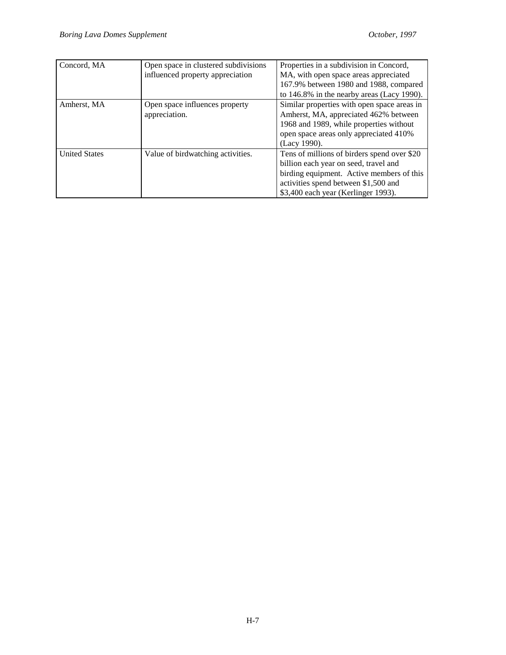| Concord, MA          | Open space in clustered subdivisions<br>influenced property appreciation | Properties in a subdivision in Concord,<br>MA, with open space areas appreciated<br>167.9% between 1980 and 1988, compared<br>to 146.8% in the nearby areas (Lacy 1990).                                         |
|----------------------|--------------------------------------------------------------------------|------------------------------------------------------------------------------------------------------------------------------------------------------------------------------------------------------------------|
| Amherst, MA          | Open space influences property<br>appreciation.                          | Similar properties with open space areas in<br>Amherst, MA, appreciated 462% between<br>1968 and 1989, while properties without<br>open space areas only appreciated 410%<br>(Lacy 1990).                        |
| <b>United States</b> | Value of birdwatching activities.                                        | Tens of millions of birders spend over \$20<br>billion each year on seed, travel and<br>birding equipment. Active members of this<br>activities spend between \$1,500 and<br>\$3,400 each year (Kerlinger 1993). |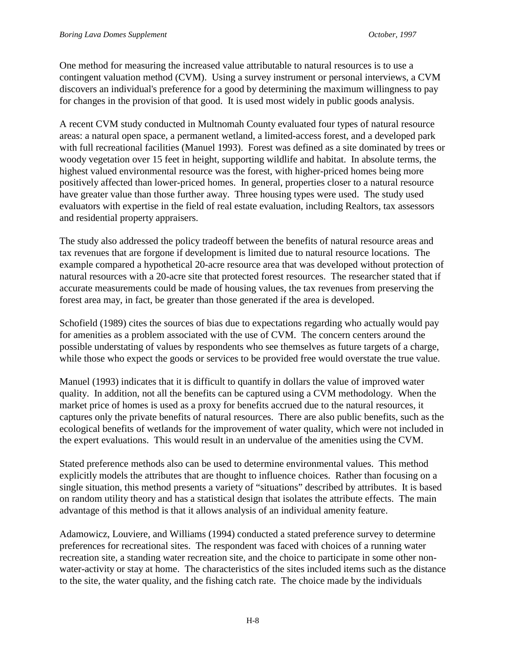One method for measuring the increased value attributable to natural resources is to use a contingent valuation method (CVM). Using a survey instrument or personal interviews, a CVM discovers an individual's preference for a good by determining the maximum willingness to pay for changes in the provision of that good. It is used most widely in public goods analysis.

A recent CVM study conducted in Multnomah County evaluated four types of natural resource areas: a natural open space, a permanent wetland, a limited-access forest, and a developed park with full recreational facilities (Manuel 1993). Forest was defined as a site dominated by trees or woody vegetation over 15 feet in height, supporting wildlife and habitat. In absolute terms, the highest valued environmental resource was the forest, with higher-priced homes being more positively affected than lower-priced homes. In general, properties closer to a natural resource have greater value than those further away. Three housing types were used. The study used evaluators with expertise in the field of real estate evaluation, including Realtors, tax assessors and residential property appraisers.

The study also addressed the policy tradeoff between the benefits of natural resource areas and tax revenues that are forgone if development is limited due to natural resource locations. The example compared a hypothetical 20-acre resource area that was developed without protection of natural resources with a 20-acre site that protected forest resources. The researcher stated that if accurate measurements could be made of housing values, the tax revenues from preserving the forest area may, in fact, be greater than those generated if the area is developed.

Schofield (1989) cites the sources of bias due to expectations regarding who actually would pay for amenities as a problem associated with the use of CVM. The concern centers around the possible understating of values by respondents who see themselves as future targets of a charge, while those who expect the goods or services to be provided free would overstate the true value.

Manuel (1993) indicates that it is difficult to quantify in dollars the value of improved water quality. In addition, not all the benefits can be captured using a CVM methodology. When the market price of homes is used as a proxy for benefits accrued due to the natural resources, it captures only the private benefits of natural resources. There are also public benefits, such as the ecological benefits of wetlands for the improvement of water quality, which were not included in the expert evaluations. This would result in an undervalue of the amenities using the CVM.

Stated preference methods also can be used to determine environmental values. This method explicitly models the attributes that are thought to influence choices. Rather than focusing on a single situation, this method presents a variety of "situations" described by attributes. It is based on random utility theory and has a statistical design that isolates the attribute effects. The main advantage of this method is that it allows analysis of an individual amenity feature.

Adamowicz, Louviere, and Williams (1994) conducted a stated preference survey to determine preferences for recreational sites. The respondent was faced with choices of a running water recreation site, a standing water recreation site, and the choice to participate in some other nonwater-activity or stay at home. The characteristics of the sites included items such as the distance to the site, the water quality, and the fishing catch rate. The choice made by the individuals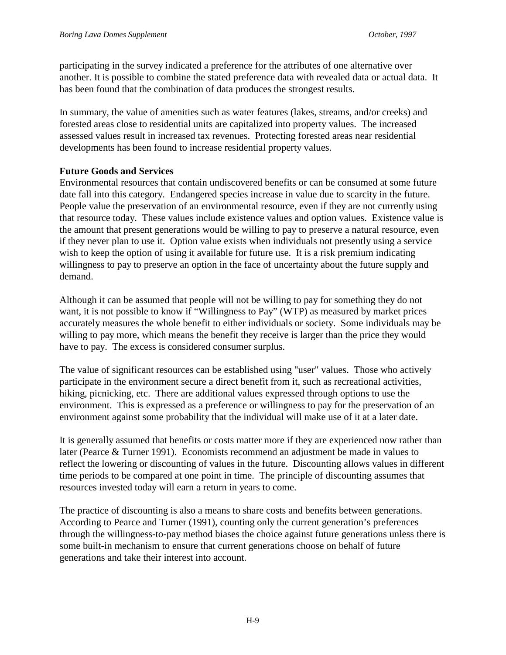participating in the survey indicated a preference for the attributes of one alternative over another. It is possible to combine the stated preference data with revealed data or actual data. It has been found that the combination of data produces the strongest results.

In summary, the value of amenities such as water features (lakes, streams, and/or creeks) and forested areas close to residential units are capitalized into property values. The increased assessed values result in increased tax revenues. Protecting forested areas near residential developments has been found to increase residential property values.

#### **Future Goods and Services**

Environmental resources that contain undiscovered benefits or can be consumed at some future date fall into this category. Endangered species increase in value due to scarcity in the future. People value the preservation of an environmental resource, even if they are not currently using that resource today. These values include existence values and option values. Existence value is the amount that present generations would be willing to pay to preserve a natural resource, even if they never plan to use it. Option value exists when individuals not presently using a service wish to keep the option of using it available for future use. It is a risk premium indicating willingness to pay to preserve an option in the face of uncertainty about the future supply and demand.

Although it can be assumed that people will not be willing to pay for something they do not want, it is not possible to know if "Willingness to Pay" (WTP) as measured by market prices accurately measures the whole benefit to either individuals or society. Some individuals may be willing to pay more, which means the benefit they receive is larger than the price they would have to pay. The excess is considered consumer surplus.

The value of significant resources can be established using "user" values. Those who actively participate in the environment secure a direct benefit from it, such as recreational activities, hiking, picnicking, etc. There are additional values expressed through options to use the environment. This is expressed as a preference or willingness to pay for the preservation of an environment against some probability that the individual will make use of it at a later date.

It is generally assumed that benefits or costs matter more if they are experienced now rather than later (Pearce & Turner 1991). Economists recommend an adjustment be made in values to reflect the lowering or discounting of values in the future. Discounting allows values in different time periods to be compared at one point in time. The principle of discounting assumes that resources invested today will earn a return in years to come.

The practice of discounting is also a means to share costs and benefits between generations. According to Pearce and Turner (1991), counting only the current generation's preferences through the willingness-to-pay method biases the choice against future generations unless there is some built-in mechanism to ensure that current generations choose on behalf of future generations and take their interest into account.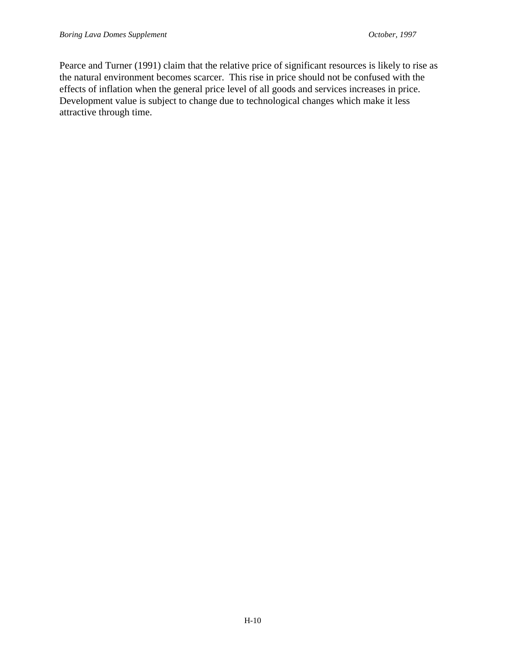Pearce and Turner (1991) claim that the relative price of significant resources is likely to rise as the natural environment becomes scarcer. This rise in price should not be confused with the effects of inflation when the general price level of all goods and services increases in price. Development value is subject to change due to technological changes which make it less attractive through time.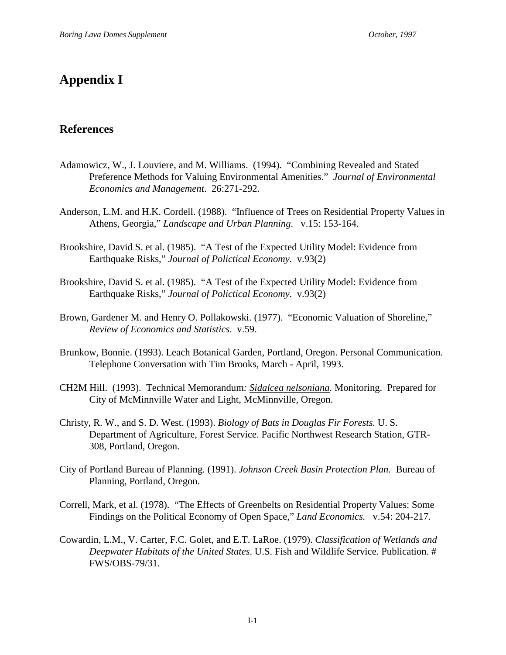# **Appendix I**

## **References**

- Adamowicz, W., J. Louviere, and M. Williams. (1994). "Combining Revealed and Stated Preference Methods for Valuing Environmental Amenities." *Journal of Environmental Economics and Management*. 26:271-292.
- Anderson, L.M. and H.K. Cordell. (1988). "Influence of Trees on Residential Property Values in Athens, Georgia," *Landscape and Urban Planning*. v.15: 153-164.
- Brookshire, David S. et al. (1985). "A Test of the Expected Utility Model: Evidence from Earthquake Risks," *Journal of Polictical Economy*. v.93(2)
- Brookshire, David S. et al. (1985). "A Test of the Expected Utility Model: Evidence from Earthquake Risks," *Journal of Polictical Economy*. v.93(2)
- Brown, Gardener M. and Henry O. Pollakowski. (1977). "Economic Valuation of Shoreline," *Review of Economics and Statistics*. v.59.
- Brunkow, Bonnie. (1993). Leach Botanical Garden, Portland, Oregon. Personal Communication. Telephone Conversation with Tim Brooks, March - April, 1993.
- CH2M Hill. (1993). Technical Memorandum*: Sidalcea nelsoniana.* Monitoring.Prepared for City of McMinnville Water and Light, McMinnville, Oregon.
- Christy, R. W., and S. D. West. (1993). *Biology of Bats in Douglas Fir Forests.* U. S. Department of Agriculture, Forest Service. Pacific Northwest Research Station, GTR-308, Portland, Oregon.
- City of Portland Bureau of Planning. (1991). *Johnson Creek Basin Protection Plan.* Bureau of Planning, Portland, Oregon.
- Correll, Mark, et al. (1978). "The Effects of Greenbelts on Residential Property Values: Some Findings on the Political Economy of Open Space," *Land Economics.* v.54: 204-217.
- Cowardin, L.M., V. Carter, F.C. Golet, and E.T. LaRoe. (1979). *Classification of Wetlands and Deepwater Habitats of the United States*. U.S. Fish and Wildlife Service. Publication. # FWS/OBS-79/31.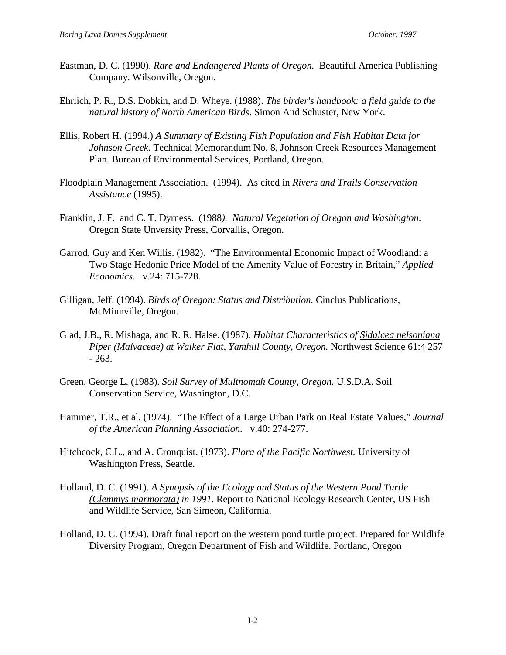- Eastman, D. C. (1990). *Rare and Endangered Plants of Oregon.* Beautiful America Publishing Company. Wilsonville, Oregon.
- Ehrlich, P. R., D.S. Dobkin, and D. Wheye. (1988). *The birder's handbook: a field guide to the natural history of North American Birds*. Simon And Schuster, New York.
- Ellis, Robert H. (1994.) *A Summary of Existing Fish Population and Fish Habitat Data for Johnson Creek.* Technical Memorandum No. 8, Johnson Creek Resources Management Plan. Bureau of Environmental Services, Portland, Oregon.
- Floodplain Management Association. (1994). As cited in *Rivers and Trails Conservation Assistance* (1995).
- Franklin, J. F. and C. T. Dyrness. (1988*). Natural Vegetation of Oregon and Washington*. Oregon State Unversity Press, Corvallis, Oregon.
- Garrod, Guy and Ken Willis. (1982). "The Environmental Economic Impact of Woodland: a Two Stage Hedonic Price Model of the Amenity Value of Forestry in Britain," *Applied Economics*. v.24: 715-728.
- Gilligan, Jeff. (1994). *Birds of Oregon: Status and Distribution.* Cinclus Publications, McMinnville, Oregon.
- Glad, J.B., R. Mishaga, and R. R. Halse. (1987). *Habitat Characteristics of Sidalcea nelsoniana Piper (Malvaceae) at Walker Flat, Yamhill County, Oregon.* Northwest Science 61:4 257 - 263.
- Green, George L. (1983). *Soil Survey of Multnomah County, Oregon.* U.S.D.A. Soil Conservation Service, Washington, D.C.
- Hammer, T.R., et al. (1974). "The Effect of a Large Urban Park on Real Estate Values," *Journal of the American Planning Association.* v.40: 274-277.
- Hitchcock, C.L., and A. Cronquist. (1973). *Flora of the Pacific Northwest.* University of Washington Press, Seattle.
- Holland, D. C. (1991). *A Synopsis of the Ecology and Status of the Western Pond Turtle (Clemmys marmorata) in 1991.* Report to National Ecology Research Center, US Fish and Wildlife Service, San Simeon, California.
- Holland, D. C. (1994). Draft final report on the western pond turtle project. Prepared for Wildlife Diversity Program, Oregon Department of Fish and Wildlife. Portland, Oregon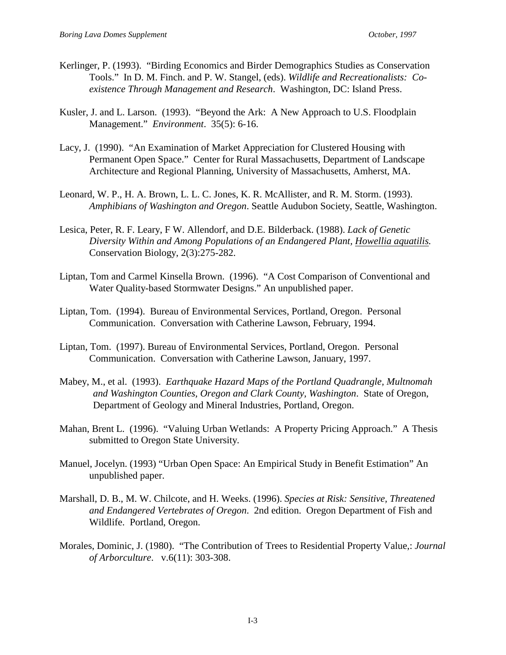- Kerlinger, P. (1993). "Birding Economics and Birder Demographics Studies as Conservation Tools." In D. M. Finch. and P. W. Stangel, (eds). *Wildlife and Recreationalists: Coexistence Through Management and Research*. Washington, DC: Island Press.
- Kusler, J. and L. Larson. (1993). "Beyond the Ark: A New Approach to U.S. Floodplain Management." *Environment*. 35(5): 6-16.
- Lacy, J. (1990). "An Examination of Market Appreciation for Clustered Housing with Permanent Open Space." Center for Rural Massachusetts, Department of Landscape Architecture and Regional Planning, University of Massachusetts, Amherst, MA.
- Leonard, W. P., H. A. Brown, L. L. C. Jones, K. R. McAllister, and R. M. Storm. (1993). *Amphibians of Washington and Oregon*. Seattle Audubon Society, Seattle, Washington.
- Lesica, Peter, R. F. Leary, F W. Allendorf, and D.E. Bilderback. (1988). *Lack of Genetic Diversity Within and Among Populations of an Endangered Plant, Howellia aquatilis.* Conservation Biology, 2(3):275-282.
- Liptan, Tom and Carmel Kinsella Brown. (1996). "A Cost Comparison of Conventional and Water Quality-based Stormwater Designs." An unpublished paper.
- Liptan, Tom. (1994). Bureau of Environmental Services, Portland, Oregon. Personal Communication. Conversation with Catherine Lawson, February, 1994.
- Liptan, Tom. (1997). Bureau of Environmental Services, Portland, Oregon. Personal Communication. Conversation with Catherine Lawson, January, 1997.
- Mabey, M., et al. (1993). *Earthquake Hazard Maps of the Portland Quadrangle, Multnomah and Washington Counties, Oregon and Clark County, Washington*. State of Oregon, Department of Geology and Mineral Industries, Portland, Oregon.
- Mahan, Brent L. (1996). "Valuing Urban Wetlands: A Property Pricing Approach." A Thesis submitted to Oregon State University.
- Manuel, Jocelyn. (1993) "Urban Open Space: An Empirical Study in Benefit Estimation" An unpublished paper.
- Marshall, D. B., M. W. Chilcote, and H. Weeks. (1996). *Species at Risk: Sensitive, Threatened and Endangered Vertebrates of Oregon*. 2nd edition. Oregon Department of Fish and Wildlife. Portland, Oregon.
- Morales, Dominic, J. (1980). "The Contribution of Trees to Residential Property Value,: *Journal of Arborculture*. v.6(11): 303-308.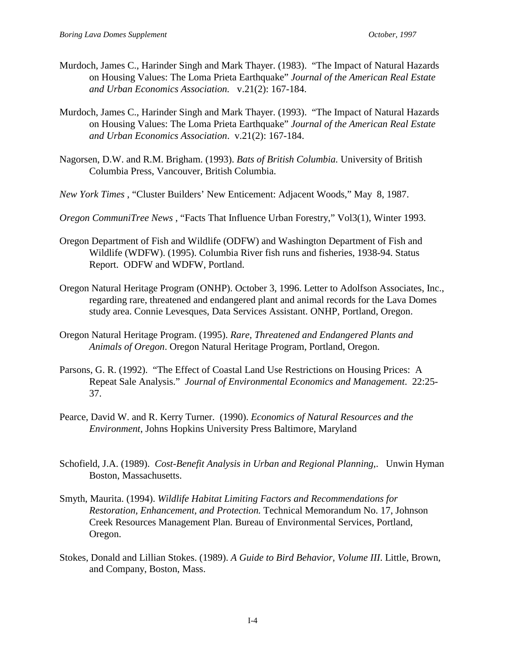- Murdoch, James C., Harinder Singh and Mark Thayer. (1983). "The Impact of Natural Hazards on Housing Values: The Loma Prieta Earthquake" *Journal of the American Real Estate and Urban Economics Association.* v.21(2): 167-184.
- Murdoch, James C., Harinder Singh and Mark Thayer. (1993). "The Impact of Natural Hazards on Housing Values: The Loma Prieta Earthquake" *Journal of the American Real Estate and Urban Economics Association*. v.21(2): 167-184.
- Nagorsen, D.W. and R.M. Brigham. (1993). *Bats of British Columbia.* University of British Columbia Press, Vancouver, British Columbia.
- *New York Times* , "Cluster Builders' New Enticement: Adjacent Woods," May 8, 1987.
- *Oregon CommuniTree News* , "Facts That Influence Urban Forestry," Vol3(1), Winter 1993.
- Oregon Department of Fish and Wildlife (ODFW) and Washington Department of Fish and Wildlife (WDFW). (1995). Columbia River fish runs and fisheries, 1938-94. Status Report. ODFW and WDFW, Portland.
- Oregon Natural Heritage Program (ONHP). October 3, 1996. Letter to Adolfson Associates, Inc., regarding rare, threatened and endangered plant and animal records for the Lava Domes study area. Connie Levesques, Data Services Assistant. ONHP, Portland, Oregon.
- Oregon Natural Heritage Program. (1995). *Rare, Threatened and Endangered Plants and Animals of Oregon*. Oregon Natural Heritage Program, Portland, Oregon.
- Parsons, G. R. (1992). "The Effect of Coastal Land Use Restrictions on Housing Prices: A Repeat Sale Analysis." *Journal of Environmental Economics and Management*. 22:25- 37.
- Pearce, David W. and R. Kerry Turner. (1990). *Economics of Natural Resources and the Environment*, Johns Hopkins University Press Baltimore, Maryland
- Schofield, J.A. (1989). *Cost-Benefit Analysis in Urban and Regional Planning*,. Unwin Hyman Boston, Massachusetts.
- Smyth, Maurita. (1994). *Wildlife Habitat Limiting Factors and Recommendations for Restoration, Enhancement, and Protection.* Technical Memorandum No. 17, Johnson Creek Resources Management Plan. Bureau of Environmental Services, Portland, Oregon.
- Stokes, Donald and Lillian Stokes. (1989). *A Guide to Bird Behavior, Volume III*. Little, Brown, and Company, Boston, Mass.